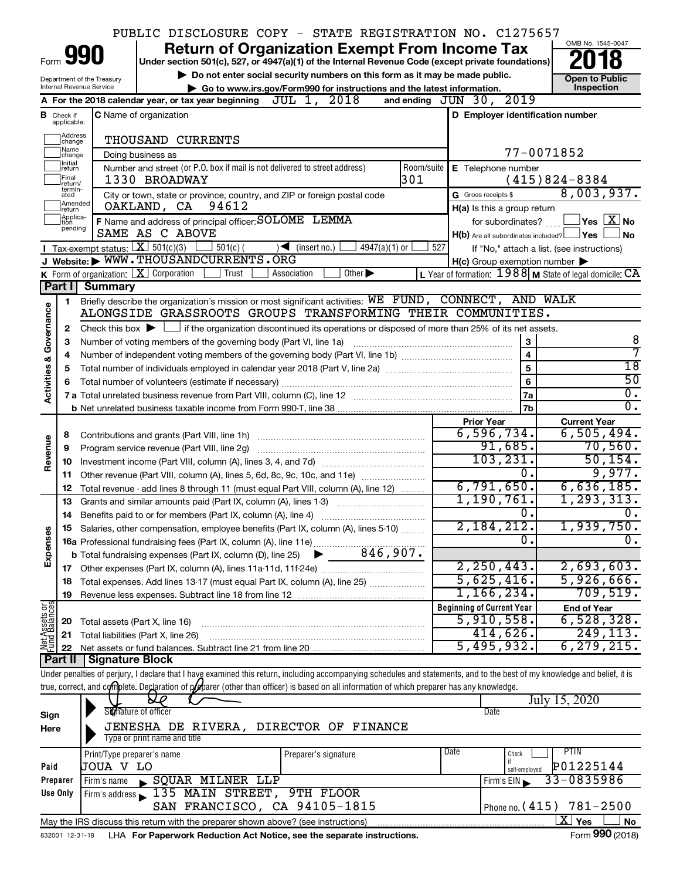|                                |                                  |                                 | PUBLIC DISCLOSURE COPY - STATE REGISTRATION NO. C1275657                                                                                                                                                         |                      |                                                                       |                                                             |
|--------------------------------|----------------------------------|---------------------------------|------------------------------------------------------------------------------------------------------------------------------------------------------------------------------------------------------------------|----------------------|-----------------------------------------------------------------------|-------------------------------------------------------------|
|                                |                                  |                                 | <b>Return of Organization Exempt From Income Tax</b>                                                                                                                                                             |                      |                                                                       | OMB No. 1545-0047                                           |
|                                |                                  | Form 990                        | Under section 501(c), 527, or 4947(a)(1) of the Internal Revenue Code (except private foundations)                                                                                                               |                      |                                                                       |                                                             |
| Department of the Treasury     |                                  |                                 | Do not enter social security numbers on this form as it may be made public.                                                                                                                                      |                      |                                                                       | <b>Open to Public</b>                                       |
|                                |                                  | <b>Internal Revenue Service</b> | Go to www.irs.gov/Form990 for instructions and the latest information.<br>A For the 2018 calendar year, or tax year beginning $JUL$ 1, $2018$                                                                    | and ending $JUN$ 30, | 2019                                                                  | Inspection                                                  |
|                                |                                  |                                 |                                                                                                                                                                                                                  |                      |                                                                       |                                                             |
|                                | <b>B</b> Check if<br>applicable: |                                 | <b>C</b> Name of organization                                                                                                                                                                                    |                      | D Employer identification number                                      |                                                             |
|                                | Address<br>change                |                                 | THOUSAND CURRENTS                                                                                                                                                                                                |                      |                                                                       |                                                             |
|                                | Name<br>change                   |                                 | Doing business as                                                                                                                                                                                                |                      |                                                                       | 77-0071852                                                  |
|                                | Initial<br>return                |                                 | Number and street (or P.O. box if mail is not delivered to street address)                                                                                                                                       | Room/suite           | E Telephone number                                                    |                                                             |
|                                | Final<br>return/<br>termin-      |                                 | 301<br>1330 BROADWAY                                                                                                                                                                                             |                      |                                                                       | $(415)824-8384$                                             |
|                                | ated<br>Amended                  |                                 | City or town, state or province, country, and ZIP or foreign postal code                                                                                                                                         |                      | G Gross receipts \$                                                   | 8,003,937.                                                  |
|                                | return<br>Applica-               |                                 | OAKLAND, CA<br>94612                                                                                                                                                                                             |                      | H(a) Is this a group return                                           | $\Box$ Yes $[\overline{\mathrm{X}}]$ No                     |
|                                | tion<br>pending                  |                                 | F Name and address of principal officer: SOLOME LEMMA<br>SAME AS C ABOVE                                                                                                                                         |                      | for subordinates?<br>$H(b)$ Are all subordinates included? $\Box$ Yes | No                                                          |
|                                |                                  |                                 | <b>I</b> Tax-exempt status: $X \ 501(c)(3)$<br>$501(c)$ (<br>$4947(a)(1)$ or<br>$\sqrt{\frac{1}{1}}$ (insert no.)                                                                                                | 527                  |                                                                       | If "No," attach a list. (see instructions)                  |
|                                |                                  |                                 | J Website: WWW.THOUSANDCURRENTS.ORG                                                                                                                                                                              |                      | $H(c)$ Group exemption number $\blacktriangleright$                   |                                                             |
|                                |                                  |                                 | K Form of organization: X Corporation<br>Trust<br>Other $\blacktriangleright$<br>Association                                                                                                                     |                      |                                                                       | L Year of formation: $1988$ M State of legal domicile: $CA$ |
|                                | Part I                           | <b>Summary</b>                  |                                                                                                                                                                                                                  |                      |                                                                       |                                                             |
|                                | 1                                |                                 | Briefly describe the organization's mission or most significant activities: WE FUND, CONNECT, AND WALK                                                                                                           |                      |                                                                       |                                                             |
| & Governance                   |                                  |                                 | ALONGSIDE GRASSROOTS GROUPS TRANSFORMING THEIR COMMUNITIES.                                                                                                                                                      |                      |                                                                       |                                                             |
|                                | 2                                |                                 | Check this box $\blacktriangleright$ $\Box$ if the organization discontinued its operations or disposed of more than 25% of its net assets.<br>Number of voting members of the governing body (Part VI, line 1a) |                      | 3                                                                     | 8                                                           |
|                                | 3<br>4                           |                                 |                                                                                                                                                                                                                  |                      | $\overline{\mathbf{4}}$                                               | 7                                                           |
|                                | 5                                |                                 |                                                                                                                                                                                                                  |                      | $\overline{5}$                                                        | $\overline{18}$                                             |
| Activities                     | 6                                |                                 |                                                                                                                                                                                                                  |                      | 6                                                                     | $\overline{50}$                                             |
|                                |                                  |                                 |                                                                                                                                                                                                                  |                      | 7a                                                                    | σ.                                                          |
|                                |                                  |                                 |                                                                                                                                                                                                                  |                      | 7b                                                                    | $\overline{0}$ .                                            |
|                                |                                  |                                 |                                                                                                                                                                                                                  |                      | <b>Prior Year</b>                                                     | <b>Current Year</b>                                         |
|                                | 8                                |                                 |                                                                                                                                                                                                                  |                      | 6,596,734.<br>91,685.                                                 | 6,505,494.<br>70,560.                                       |
| Revenue                        | 9<br>10                          |                                 | Program service revenue (Part VIII, line 2g)                                                                                                                                                                     |                      | 103, 231.                                                             | 50, 154.                                                    |
|                                | 11                               |                                 | Other revenue (Part VIII, column (A), lines 5, 6d, 8c, 9c, 10c, and 11e)                                                                                                                                         |                      | 0.                                                                    | 9,977.                                                      |
|                                | 12                               |                                 | Total revenue - add lines 8 through 11 (must equal Part VIII, column (A), line 12)                                                                                                                               |                      | 6,791,650.                                                            | 6,636,185.                                                  |
|                                | 13                               |                                 | Grants and similar amounts paid (Part IX, column (A), lines 1-3)                                                                                                                                                 |                      | 1,190,761.                                                            | 1,293,313.                                                  |
|                                | 14                               |                                 | Benefits paid to or for members (Part IX, column (A), line 4)                                                                                                                                                    |                      | 0.                                                                    | Ο.                                                          |
|                                |                                  |                                 | Salaries, other compensation, employee benefits (Part IX, column (A), lines 5-10)                                                                                                                                |                      | 2,184,212.                                                            | 1,939,750.                                                  |
| Expenses                       |                                  |                                 |                                                                                                                                                                                                                  |                      | 0.                                                                    | $\overline{0}$ .                                            |
|                                |                                  |                                 |                                                                                                                                                                                                                  |                      | 2, 250, 443.                                                          | 2,693,603.                                                  |
|                                | 18                               |                                 | Total expenses. Add lines 13-17 (must equal Part IX, column (A), line 25)                                                                                                                                        |                      | 5,625,416.                                                            | 5,926,666.                                                  |
|                                | 19                               |                                 |                                                                                                                                                                                                                  |                      | 1,166,234.                                                            | 709,519.                                                    |
|                                |                                  |                                 |                                                                                                                                                                                                                  |                      | <b>Beginning of Current Year</b>                                      | <b>End of Year</b>                                          |
| Net Assets or<br>Fund Balances | 20                               |                                 | Total assets (Part X, line 16)                                                                                                                                                                                   |                      | 5,910,558.                                                            | 6,528,328.                                                  |
|                                | 21                               |                                 | Total liabilities (Part X, line 26)                                                                                                                                                                              |                      | $414,626$ .                                                           | $\overline{249,113}$ .                                      |
|                                | 22                               |                                 | Net assets or fund balances. Subtract line 21 from line 20                                                                                                                                                       |                      | 5,495,932.                                                            | 6, 279, 215.                                                |
|                                | <b>Part II</b>                   | Signature Block                 | Under penalties of perjury, I declare that I have examined this return, including accompanying schedules and statements, and to the best of my knowledge and belief, it is                                       |                      |                                                                       |                                                             |
|                                |                                  |                                 | true, correct, and complete. Declaration of preparer (other than officer) is based on all information of which preparer has any knowledge.                                                                       |                      |                                                                       |                                                             |
|                                |                                  |                                 |                                                                                                                                                                                                                  |                      |                                                                       | July 15, 2020                                               |
| Sign                           |                                  |                                 | Signature of officer                                                                                                                                                                                             |                      | Date                                                                  |                                                             |
| Here                           |                                  |                                 | DIRECTOR OF FINANCE<br>JENESHA DE RIVERA,                                                                                                                                                                        |                      |                                                                       |                                                             |
|                                |                                  |                                 | Type or print name and title                                                                                                                                                                                     |                      |                                                                       |                                                             |
|                                |                                  | Print/Type preparer's name      | Preparer's signature                                                                                                                                                                                             | Date                 | Check                                                                 | <b>PTIN</b>                                                 |
| Paid<br>Preparer               |                                  | JOUA V LO<br>Firm's name        | SQUAR MILNER LLP                                                                                                                                                                                                 |                      | self-employed                                                         | P01225144<br>33-0835986                                     |
| Use Only                       |                                  |                                 | Firm's address 135 MAIN STREET, 9TH FLOOR                                                                                                                                                                        |                      | Firm's EIN                                                            |                                                             |
|                                |                                  |                                 | SAN FRANCISCO, CA 94105-1815                                                                                                                                                                                     |                      | Phone no. (415)                                                       | $781 - 2500$                                                |
|                                |                                  |                                 | May the IRS discuss this return with the preparer shown above? (see instructions)                                                                                                                                |                      |                                                                       | $\overline{\text{X}}$ Yes<br>No                             |
|                                | 832001 12-31-18                  |                                 | LHA For Paperwork Reduction Act Notice, see the separate instructions.                                                                                                                                           |                      |                                                                       | Form 990 (2018)                                             |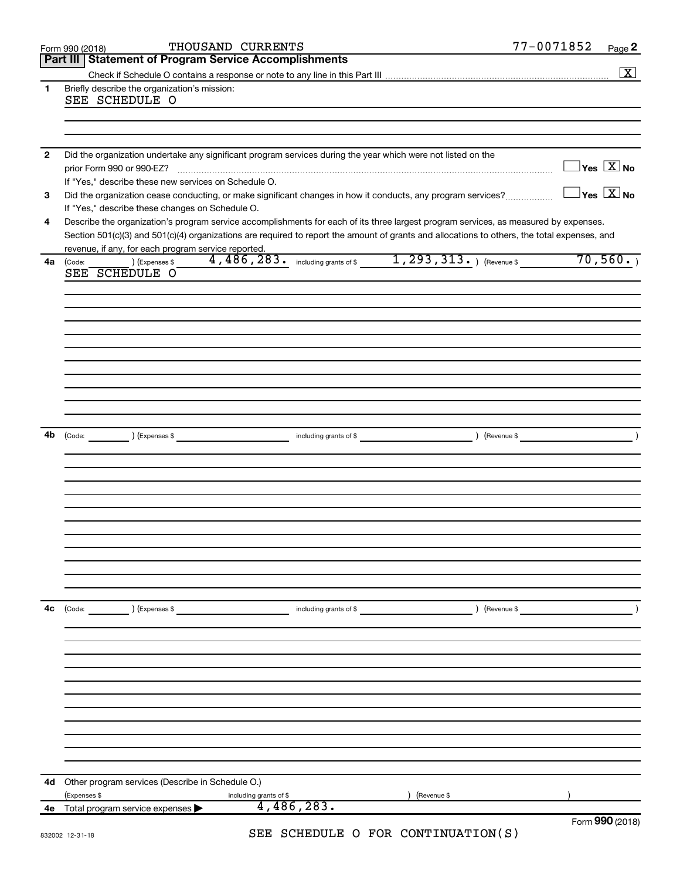|              | THOUSAND CURRENTS<br>Form 990 (2018)                                                                                                                                 | 77-0071852<br>Page 2             |
|--------------|----------------------------------------------------------------------------------------------------------------------------------------------------------------------|----------------------------------|
|              | Part III   Statement of Program Service Accomplishments                                                                                                              |                                  |
|              |                                                                                                                                                                      | $\boxed{\text{X}}$               |
| 1            | Briefly describe the organization's mission:<br>SEE SCHEDULE O                                                                                                       |                                  |
|              |                                                                                                                                                                      |                                  |
|              |                                                                                                                                                                      |                                  |
|              |                                                                                                                                                                      |                                  |
| $\mathbf{2}$ | Did the organization undertake any significant program services during the year which were not listed on the                                                         |                                  |
|              | prior Form 990 or 990-EZ?                                                                                                                                            | $\Box$ Yes $\boxed{\text{X}}$ No |
| З            | If "Yes," describe these new services on Schedule O.<br>Did the organization cease conducting, or make significant changes in how it conducts, any program services? | $\Box$ Yes $\boxed{\text{X}}$ No |
|              | If "Yes," describe these changes on Schedule O.                                                                                                                      |                                  |
| 4            | Describe the organization's program service accomplishments for each of its three largest program services, as measured by expenses.                                 |                                  |
|              | Section 501(c)(3) and 501(c)(4) organizations are required to report the amount of grants and allocations to others, the total expenses, and                         |                                  |
|              | revenue, if any, for each program service reported.                                                                                                                  |                                  |
| 4a           | 4, 486, 283. including grants of \$ 1, 293, 313. $($ Revenue \$ 70, 560.<br>(Expenses \$<br>(Code:<br>SEE SCHEDULE O                                                 |                                  |
|              |                                                                                                                                                                      |                                  |
|              |                                                                                                                                                                      |                                  |
|              |                                                                                                                                                                      |                                  |
|              |                                                                                                                                                                      |                                  |
|              |                                                                                                                                                                      |                                  |
|              |                                                                                                                                                                      |                                  |
|              |                                                                                                                                                                      |                                  |
|              |                                                                                                                                                                      |                                  |
|              |                                                                                                                                                                      |                                  |
|              |                                                                                                                                                                      |                                  |
| 4b           | (Code: ) (Expenses \$ including grants of \$ ) (Revenue \$ )                                                                                                         |                                  |
|              |                                                                                                                                                                      |                                  |
|              |                                                                                                                                                                      |                                  |
|              |                                                                                                                                                                      |                                  |
|              |                                                                                                                                                                      |                                  |
|              |                                                                                                                                                                      |                                  |
|              |                                                                                                                                                                      |                                  |
|              |                                                                                                                                                                      |                                  |
|              |                                                                                                                                                                      |                                  |
|              |                                                                                                                                                                      |                                  |
|              |                                                                                                                                                                      |                                  |
| 4c           | (Code:<br>) (Expenses \$<br>including grants of \$<br>) (Revenue \$                                                                                                  |                                  |
|              |                                                                                                                                                                      |                                  |
|              |                                                                                                                                                                      |                                  |
|              |                                                                                                                                                                      |                                  |
|              |                                                                                                                                                                      |                                  |
|              |                                                                                                                                                                      |                                  |
|              |                                                                                                                                                                      |                                  |
|              |                                                                                                                                                                      |                                  |
|              |                                                                                                                                                                      |                                  |
|              |                                                                                                                                                                      |                                  |
|              |                                                                                                                                                                      |                                  |
| 4d           | Other program services (Describe in Schedule O.)                                                                                                                     |                                  |
|              | (Expenses \$<br>(Revenue \$<br>including grants of \$                                                                                                                |                                  |
| 4е           | 4,486,283.<br>Total program service expenses                                                                                                                         |                                  |
|              | SEE SCHEDULE O FOR CONTINUATION(S)                                                                                                                                   | Form 990 (2018)                  |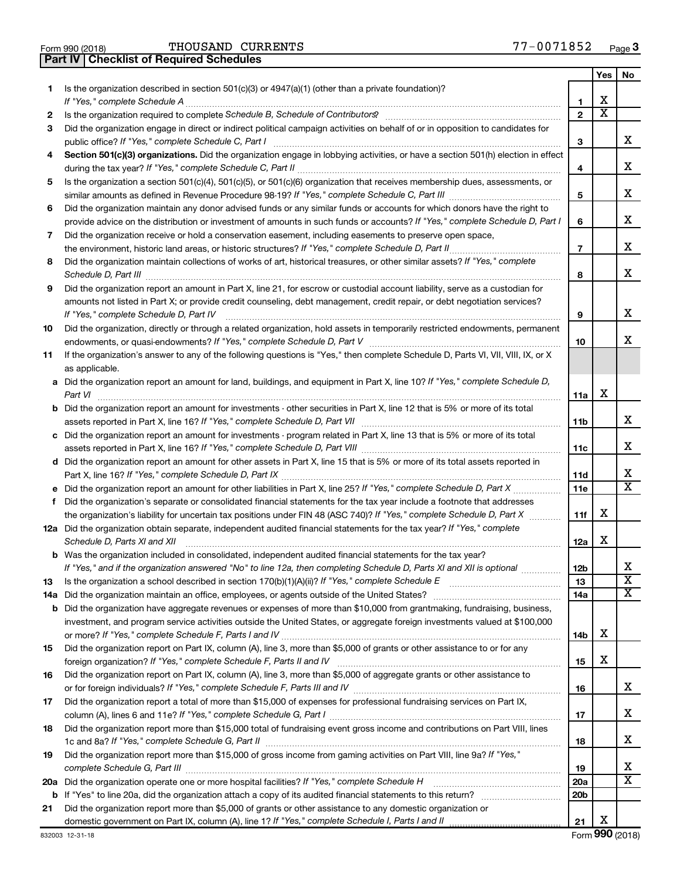| Form 990 (2018) |  |  |
|-----------------|--|--|

**Part IV Checklist of Required Schedules**

|    |                                                                                                                                                 |                 | Yes | No                      |
|----|-------------------------------------------------------------------------------------------------------------------------------------------------|-----------------|-----|-------------------------|
| 1  | Is the organization described in section $501(c)(3)$ or $4947(a)(1)$ (other than a private foundation)?                                         |                 |     |                         |
|    | If "Yes," complete Schedule A                                                                                                                   | 1               | х   |                         |
| 2  |                                                                                                                                                 | $\overline{2}$  | x   |                         |
| 3  | Did the organization engage in direct or indirect political campaign activities on behalf of or in opposition to candidates for                 |                 |     |                         |
|    | public office? If "Yes," complete Schedule C, Part I                                                                                            | 3               |     | x.                      |
| 4  | Section 501(c)(3) organizations. Did the organization engage in lobbying activities, or have a section 501(h) election in effect                | 4               |     | x                       |
| 5  | Is the organization a section 501(c)(4), 501(c)(5), or 501(c)(6) organization that receives membership dues, assessments, or                    |                 |     |                         |
|    |                                                                                                                                                 | 5               |     | х                       |
| 6  | Did the organization maintain any donor advised funds or any similar funds or accounts for which donors have the right to                       |                 |     |                         |
|    | provide advice on the distribution or investment of amounts in such funds or accounts? If "Yes," complete Schedule D, Part I                    | 6               |     | х                       |
| 7  | Did the organization receive or hold a conservation easement, including easements to preserve open space,                                       |                 |     |                         |
|    |                                                                                                                                                 | $\overline{7}$  |     | х                       |
| 8  | Did the organization maintain collections of works of art, historical treasures, or other similar assets? If "Yes," complete                    |                 |     |                         |
|    |                                                                                                                                                 | 8               |     | x                       |
| 9  | Did the organization report an amount in Part X, line 21, for escrow or custodial account liability, serve as a custodian for                   |                 |     |                         |
|    | amounts not listed in Part X; or provide credit counseling, debt management, credit repair, or debt negotiation services?                       |                 |     |                         |
|    | If "Yes," complete Schedule D, Part IV                                                                                                          | 9               |     | x                       |
| 10 | Did the organization, directly or through a related organization, hold assets in temporarily restricted endowments, permanent                   |                 |     |                         |
|    |                                                                                                                                                 | 10              |     | х                       |
| 11 | If the organization's answer to any of the following questions is "Yes," then complete Schedule D, Parts VI, VII, VIII, IX, or X                |                 |     |                         |
|    | as applicable.<br>a Did the organization report an amount for land, buildings, and equipment in Part X, line 10? If "Yes," complete Schedule D, |                 |     |                         |
|    | Part VI                                                                                                                                         | 11a             | х   |                         |
|    | <b>b</b> Did the organization report an amount for investments - other securities in Part X, line 12 that is 5% or more of its total            |                 |     |                         |
|    |                                                                                                                                                 | 11b             |     | x                       |
|    | c Did the organization report an amount for investments - program related in Part X, line 13 that is 5% or more of its total                    |                 |     |                         |
|    |                                                                                                                                                 | 11c             |     | x                       |
|    | d Did the organization report an amount for other assets in Part X, line 15 that is 5% or more of its total assets reported in                  |                 |     |                         |
|    |                                                                                                                                                 | 11d             |     | х                       |
|    |                                                                                                                                                 | <b>11e</b>      |     | $\overline{\mathtt{x}}$ |
| f  | Did the organization's separate or consolidated financial statements for the tax year include a footnote that addresses                         |                 |     |                         |
|    | the organization's liability for uncertain tax positions under FIN 48 (ASC 740)? If "Yes," complete Schedule D, Part X                          | 11f             | х   |                         |
|    | 12a Did the organization obtain separate, independent audited financial statements for the tax year? If "Yes," complete                         |                 |     |                         |
|    | Schedule D, Parts XI and XII                                                                                                                    | 12a             | х   |                         |
|    | <b>b</b> Was the organization included in consolidated, independent audited financial statements for the tax year?                              |                 |     |                         |
|    | If "Yes," and if the organization answered "No" to line 12a, then completing Schedule D, Parts XI and XII is optional                           | 12 <sub>b</sub> |     | х                       |
| 13 |                                                                                                                                                 | 13              |     | $\overline{\textbf{X}}$ |
|    |                                                                                                                                                 | 14a             |     | x                       |
|    | <b>b</b> Did the organization have aggregate revenues or expenses of more than \$10,000 from grantmaking, fundraising, business,                |                 |     |                         |
|    | investment, and program service activities outside the United States, or aggregate foreign investments valued at \$100,000                      |                 |     |                         |
|    |                                                                                                                                                 | 14b             | х   |                         |
| 15 | Did the organization report on Part IX, column (A), line 3, more than \$5,000 of grants or other assistance to or for any                       |                 | х   |                         |
|    |                                                                                                                                                 | 15              |     |                         |
| 16 | Did the organization report on Part IX, column (A), line 3, more than \$5,000 of aggregate grants or other assistance to                        | 16              |     | x                       |
| 17 | Did the organization report a total of more than \$15,000 of expenses for professional fundraising services on Part IX,                         |                 |     |                         |
|    |                                                                                                                                                 | 17              |     | x                       |
| 18 | Did the organization report more than \$15,000 total of fundraising event gross income and contributions on Part VIII, lines                    |                 |     |                         |
|    |                                                                                                                                                 | 18              |     | x                       |
| 19 | Did the organization report more than \$15,000 of gross income from gaming activities on Part VIII, line 9a? If "Yes,"                          |                 |     |                         |
|    |                                                                                                                                                 | 19              |     | х                       |
|    |                                                                                                                                                 | 20a             |     | x                       |
|    |                                                                                                                                                 | 20 <sub>b</sub> |     |                         |
| 21 | Did the organization report more than \$5,000 of grants or other assistance to any domestic organization or                                     |                 |     |                         |
|    |                                                                                                                                                 | 21              | х   |                         |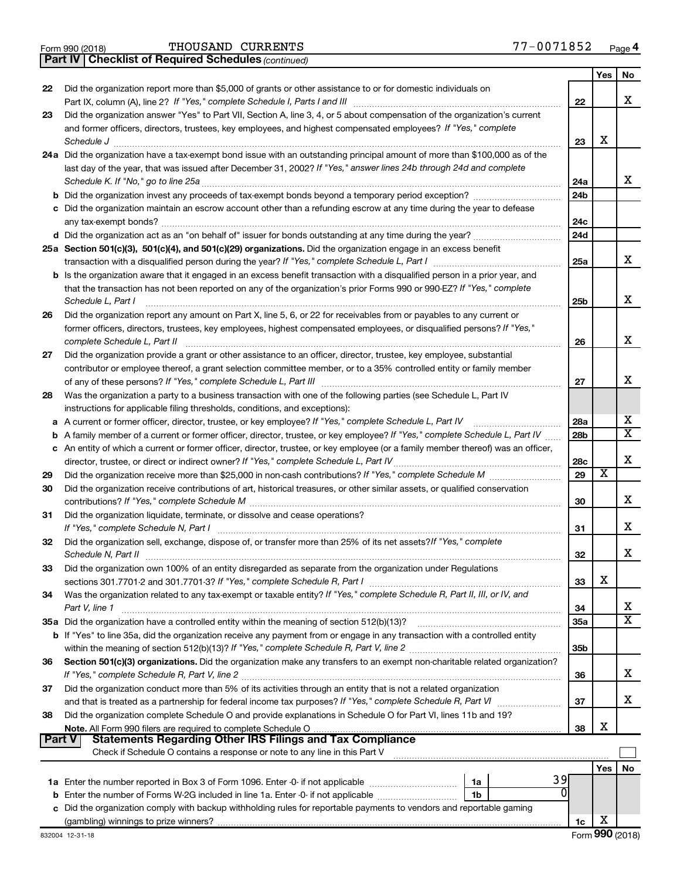| Form 990 (2018) |  |  |
|-----------------|--|--|

*(continued)* **Part IV Checklist of Required Schedules**

|               |                                                                                                                                                                                                                                                 |                 | Yes | No                      |
|---------------|-------------------------------------------------------------------------------------------------------------------------------------------------------------------------------------------------------------------------------------------------|-----------------|-----|-------------------------|
| 22            | Did the organization report more than \$5,000 of grants or other assistance to or for domestic individuals on                                                                                                                                   |                 |     |                         |
|               |                                                                                                                                                                                                                                                 | 22              |     | x                       |
| 23            | Did the organization answer "Yes" to Part VII, Section A, line 3, 4, or 5 about compensation of the organization's current                                                                                                                      |                 |     |                         |
|               | and former officers, directors, trustees, key employees, and highest compensated employees? If "Yes," complete                                                                                                                                  |                 |     |                         |
|               | Schedule J                                                                                                                                                                                                                                      | 23              | X   |                         |
|               | 24a Did the organization have a tax-exempt bond issue with an outstanding principal amount of more than \$100,000 as of the                                                                                                                     |                 |     |                         |
|               | last day of the year, that was issued after December 31, 2002? If "Yes," answer lines 24b through 24d and complete                                                                                                                              |                 |     |                         |
|               | Schedule K. If "No," go to line 25a                                                                                                                                                                                                             | 24a             |     | x                       |
|               |                                                                                                                                                                                                                                                 | 24 <sub>b</sub> |     |                         |
|               | c Did the organization maintain an escrow account other than a refunding escrow at any time during the year to defease                                                                                                                          |                 |     |                         |
|               |                                                                                                                                                                                                                                                 | 24c             |     |                         |
|               |                                                                                                                                                                                                                                                 | 24d             |     |                         |
|               | 25a Section 501(c)(3), 501(c)(4), and 501(c)(29) organizations. Did the organization engage in an excess benefit                                                                                                                                |                 |     | x                       |
|               |                                                                                                                                                                                                                                                 | 25a             |     |                         |
|               | b Is the organization aware that it engaged in an excess benefit transaction with a disqualified person in a prior year, and                                                                                                                    |                 |     |                         |
|               | that the transaction has not been reported on any of the organization's prior Forms 990 or 990-EZ? If "Yes," complete                                                                                                                           |                 |     | x                       |
|               | Schedule L, Part I                                                                                                                                                                                                                              | 25b             |     |                         |
| 26            | Did the organization report any amount on Part X, line 5, 6, or 22 for receivables from or payables to any current or<br>former officers, directors, trustees, key employees, highest compensated employees, or disqualified persons? If "Yes," |                 |     |                         |
|               | complete Schedule L, Part II                                                                                                                                                                                                                    | 26              |     | х                       |
| 27            | Did the organization provide a grant or other assistance to an officer, director, trustee, key employee, substantial                                                                                                                            |                 |     |                         |
|               | contributor or employee thereof, a grant selection committee member, or to a 35% controlled entity or family member                                                                                                                             |                 |     |                         |
|               |                                                                                                                                                                                                                                                 | 27              |     | x                       |
| 28            | Was the organization a party to a business transaction with one of the following parties (see Schedule L, Part IV                                                                                                                               |                 |     |                         |
|               | instructions for applicable filing thresholds, conditions, and exceptions):                                                                                                                                                                     |                 |     |                         |
| a             | A current or former officer, director, trustee, or key employee? If "Yes," complete Schedule L, Part IV                                                                                                                                         | 28a             |     | х                       |
| b             | A family member of a current or former officer, director, trustee, or key employee? If "Yes," complete Schedule L, Part IV                                                                                                                      | 28 <sub>b</sub> |     | $\overline{\mathtt{x}}$ |
| с             | An entity of which a current or former officer, director, trustee, or key employee (or a family member thereof) was an officer,                                                                                                                 |                 |     |                         |
|               |                                                                                                                                                                                                                                                 | 28c             |     | x                       |
| 29            |                                                                                                                                                                                                                                                 | 29              | X   |                         |
| 30            | Did the organization receive contributions of art, historical treasures, or other similar assets, or qualified conservation                                                                                                                     |                 |     |                         |
|               |                                                                                                                                                                                                                                                 | 30              |     | x                       |
| 31            | Did the organization liquidate, terminate, or dissolve and cease operations?                                                                                                                                                                    |                 |     |                         |
|               |                                                                                                                                                                                                                                                 | 31              |     | x                       |
| 32            | Did the organization sell, exchange, dispose of, or transfer more than 25% of its net assets? If "Yes," complete                                                                                                                                |                 |     |                         |
|               |                                                                                                                                                                                                                                                 | 32              |     | X                       |
| 33            | Did the organization own 100% of an entity disregarded as separate from the organization under Regulations                                                                                                                                      |                 |     |                         |
|               |                                                                                                                                                                                                                                                 | 33              | х   |                         |
| 34            | Was the organization related to any tax-exempt or taxable entity? If "Yes," complete Schedule R, Part II, III, or IV, and                                                                                                                       |                 |     |                         |
|               | Part V, line 1                                                                                                                                                                                                                                  | 34              |     | х                       |
|               | 35a Did the organization have a controlled entity within the meaning of section 512(b)(13)?                                                                                                                                                     | 35a             |     | $\overline{\mathbf{x}}$ |
|               | b If "Yes" to line 35a, did the organization receive any payment from or engage in any transaction with a controlled entity                                                                                                                     |                 |     |                         |
|               |                                                                                                                                                                                                                                                 | 35 <sub>b</sub> |     |                         |
| 36            | Section 501(c)(3) organizations. Did the organization make any transfers to an exempt non-charitable related organization?                                                                                                                      |                 |     |                         |
|               |                                                                                                                                                                                                                                                 | 36              |     | x                       |
| 37            | Did the organization conduct more than 5% of its activities through an entity that is not a related organization                                                                                                                                |                 |     |                         |
|               | and that is treated as a partnership for federal income tax purposes? If "Yes," complete Schedule R, Part VI                                                                                                                                    | 37              |     | x                       |
| 38            | Did the organization complete Schedule O and provide explanations in Schedule O for Part VI, lines 11b and 19?                                                                                                                                  |                 |     |                         |
|               | Note. All Form 990 filers are required to complete Schedule O                                                                                                                                                                                   | 38              | х   |                         |
| <b>Part V</b> | <b>Statements Regarding Other IRS Filings and Tax Compliance</b><br>Check if Schedule O contains a response or note to any line in this Part V                                                                                                  |                 |     |                         |
|               |                                                                                                                                                                                                                                                 |                 |     |                         |
|               |                                                                                                                                                                                                                                                 |                 | Yes | No                      |
|               | 39<br>1a<br>0                                                                                                                                                                                                                                   |                 |     |                         |
| b             | 1 <sub>b</sub><br>Enter the number of Forms W-2G included in line 1a. Enter -0- if not applicable                                                                                                                                               |                 |     |                         |
| с             | Did the organization comply with backup withholding rules for reportable payments to vendors and reportable gaming                                                                                                                              |                 | х   |                         |
|               |                                                                                                                                                                                                                                                 | 1c              |     |                         |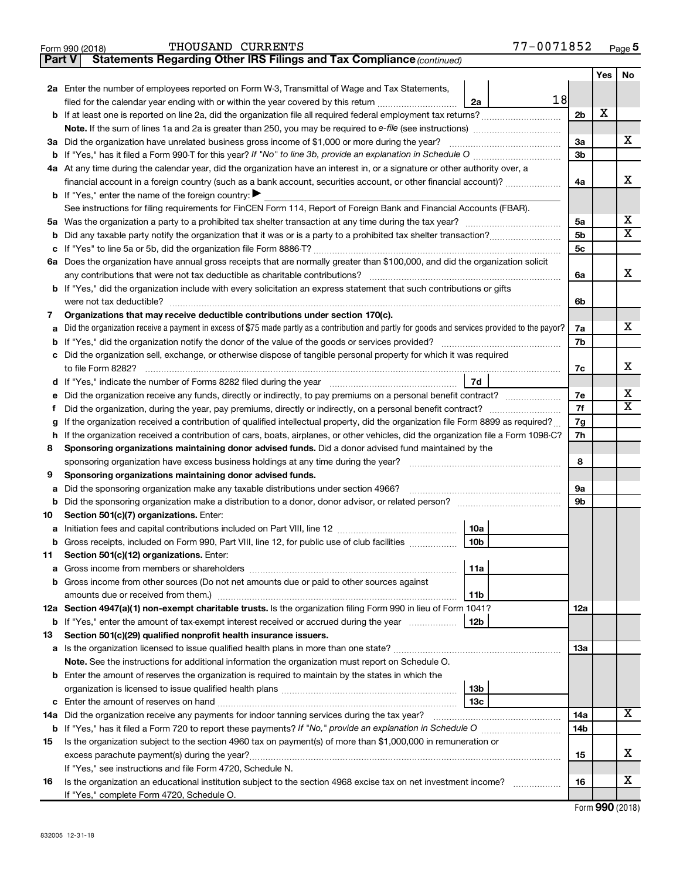| 0.710E<br><b>חה</b><br>THOUSAND<br><b>CURRENTS</b><br>0071<br>Form 990 (2018)<br>O. | -<br>Page <b>ວ</b> |
|-------------------------------------------------------------------------------------|--------------------|
|-------------------------------------------------------------------------------------|--------------------|

| THOUSAND CURRENTS | 77-0071852 |
|-------------------|------------|
|-------------------|------------|

|     | <b>Statements Regarding Other IRS Filings and Tax Compliance (continued)</b><br>Part V                                                               |                 |  |     |                         |  |  |
|-----|------------------------------------------------------------------------------------------------------------------------------------------------------|-----------------|--|-----|-------------------------|--|--|
|     |                                                                                                                                                      |                 |  | Yes | No                      |  |  |
|     | 2a Enter the number of employees reported on Form W-3, Transmittal of Wage and Tax Statements,                                                       |                 |  |     |                         |  |  |
|     | filed for the calendar year ending with or within the year covered by this return<br>2a                                                              | 18              |  |     |                         |  |  |
|     |                                                                                                                                                      | 2 <sub>b</sub>  |  | х   |                         |  |  |
|     |                                                                                                                                                      |                 |  |     |                         |  |  |
| За  | Did the organization have unrelated business gross income of \$1,000 or more during the year?                                                        | За              |  |     | х                       |  |  |
|     | If "Yes," has it filed a Form 990 T for this year? If "No" to line 3b, provide an explanation in Schedule O manumum<br>b                             |                 |  |     |                         |  |  |
|     | 4a At any time during the calendar year, did the organization have an interest in, or a signature or other authority over, a                         |                 |  |     |                         |  |  |
|     | financial account in a foreign country (such as a bank account, securities account, or other financial account)?                                     | 4a              |  |     | x                       |  |  |
|     | <b>b</b> If "Yes," enter the name of the foreign country: $\blacktriangleright$                                                                      |                 |  |     |                         |  |  |
|     | See instructions for filing requirements for FinCEN Form 114, Report of Foreign Bank and Financial Accounts (FBAR).                                  |                 |  |     |                         |  |  |
| 5a  |                                                                                                                                                      | 5a              |  |     | x                       |  |  |
|     | b                                                                                                                                                    | 5b              |  |     | $\overline{\texttt{X}}$ |  |  |
|     | с                                                                                                                                                    | 5c              |  |     |                         |  |  |
|     | 6a Does the organization have annual gross receipts that are normally greater than \$100,000, and did the organization solicit                       |                 |  |     |                         |  |  |
|     |                                                                                                                                                      | 6a              |  |     | x                       |  |  |
|     | <b>b</b> If "Yes," did the organization include with every solicitation an express statement that such contributions or gifts                        |                 |  |     |                         |  |  |
|     |                                                                                                                                                      | 6b              |  |     |                         |  |  |
| 7   | Organizations that may receive deductible contributions under section 170(c).                                                                        |                 |  |     |                         |  |  |
|     | Did the organization receive a payment in excess of \$75 made partly as a contribution and partly for goods and services provided to the payor?<br>а | 7a              |  |     | x                       |  |  |
|     | b                                                                                                                                                    | 7b              |  |     |                         |  |  |
|     | Did the organization sell, exchange, or otherwise dispose of tangible personal property for which it was required<br>с                               |                 |  |     |                         |  |  |
|     |                                                                                                                                                      | 7c              |  |     | х                       |  |  |
|     | 7d                                                                                                                                                   |                 |  |     | х                       |  |  |
|     | Did the organization receive any funds, directly or indirectly, to pay premiums on a personal benefit contract?<br>е                                 |                 |  |     |                         |  |  |
|     | f                                                                                                                                                    |                 |  |     |                         |  |  |
|     | If the organization received a contribution of qualified intellectual property, did the organization file Form 8899 as required?<br>g                | 7g              |  |     |                         |  |  |
|     | If the organization received a contribution of cars, boats, airplanes, or other vehicles, did the organization file a Form 1098-C?<br>h              | 7h              |  |     |                         |  |  |
| 8   | Sponsoring organizations maintaining donor advised funds. Did a donor advised fund maintained by the                                                 |                 |  |     |                         |  |  |
|     | sponsoring organization have excess business holdings at any time during the year?                                                                   | 8               |  |     |                         |  |  |
| 9   | Sponsoring organizations maintaining donor advised funds.                                                                                            |                 |  |     |                         |  |  |
|     | Did the sponsoring organization make any taxable distributions under section 4966?<br>а                                                              | 9а              |  |     |                         |  |  |
|     | b                                                                                                                                                    | 9b              |  |     |                         |  |  |
| 10  | Section 501(c)(7) organizations. Enter:                                                                                                              |                 |  |     |                         |  |  |
|     | 10a<br>а                                                                                                                                             |                 |  |     |                         |  |  |
|     | 10 <sub>b</sub><br><b>b</b> Gross receipts, included on Form 990, Part VIII, line 12, for public use of club facilities <i>manument</i> .            |                 |  |     |                         |  |  |
| 11  | Section 501(c)(12) organizations. Enter:                                                                                                             |                 |  |     |                         |  |  |
|     | 11a<br>а<br>b Gross income from other sources (Do not net amounts due or paid to other sources against                                               |                 |  |     |                         |  |  |
|     |                                                                                                                                                      |                 |  |     |                         |  |  |
|     | 11b<br>12a Section 4947(a)(1) non-exempt charitable trusts. Is the organization filing Form 990 in lieu of Form 1041?                                | 12a             |  |     |                         |  |  |
|     | <b>b</b> If "Yes," enter the amount of tax-exempt interest received or accrued during the year<br>12 <sub>b</sub>                                    |                 |  |     |                         |  |  |
| 13  | Section 501(c)(29) qualified nonprofit health insurance issuers.                                                                                     |                 |  |     |                         |  |  |
|     | a Is the organization licensed to issue qualified health plans in more than one state?                                                               | 1За             |  |     |                         |  |  |
|     | Note. See the instructions for additional information the organization must report on Schedule O.                                                    |                 |  |     |                         |  |  |
|     | <b>b</b> Enter the amount of reserves the organization is required to maintain by the states in which the                                            |                 |  |     |                         |  |  |
|     | 13b                                                                                                                                                  |                 |  |     |                         |  |  |
|     | 13c<br>с                                                                                                                                             |                 |  |     |                         |  |  |
| 14a | Did the organization receive any payments for indoor tanning services during the tax year?                                                           | 14a             |  |     | X                       |  |  |
|     | b                                                                                                                                                    | 14 <sub>b</sub> |  |     |                         |  |  |
| 15  | Is the organization subject to the section 4960 tax on payment(s) of more than \$1,000,000 in remuneration or                                        |                 |  |     |                         |  |  |
|     | excess parachute payment(s) during the year?                                                                                                         | 15              |  |     | x                       |  |  |
|     | If "Yes," see instructions and file Form 4720, Schedule N.                                                                                           |                 |  |     |                         |  |  |
| 16  | Is the organization an educational institution subject to the section 4968 excise tax on net investment income?                                      | 16              |  |     | x                       |  |  |
|     | If "Yes," complete Form 4720, Schedule O.                                                                                                            |                 |  |     |                         |  |  |

Form (2018) **990**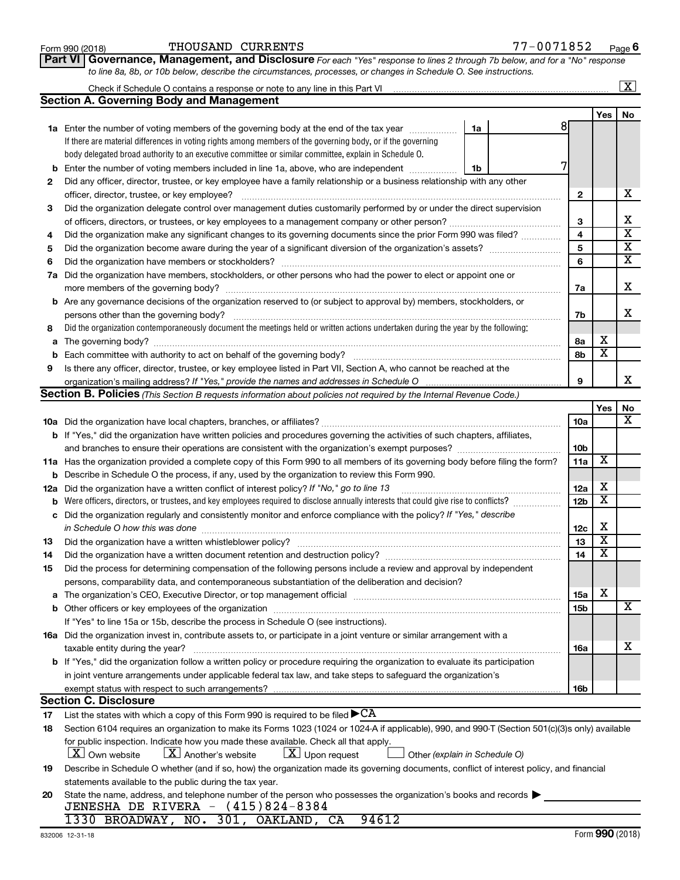## Form 990 (2018)  $THOUS AND \text{ CURRENTS}$   $77-0071852$   $Page$

**Part VI** Governance, Management, and Disclosure For each "Yes" response to lines 2 through 7b below, and for a "No" response *to line 8a, 8b, or 10b below, describe the circumstances, processes, or changes in Schedule O. See instructions.*

|     |                                                                                                                                                                                                                                |                 |                         | $\mathbf{X}$            |  |  |  |
|-----|--------------------------------------------------------------------------------------------------------------------------------------------------------------------------------------------------------------------------------|-----------------|-------------------------|-------------------------|--|--|--|
|     | <b>Section A. Governing Body and Management</b>                                                                                                                                                                                |                 |                         |                         |  |  |  |
|     |                                                                                                                                                                                                                                |                 | Yes                     | No                      |  |  |  |
|     | 8<br><b>1a</b> Enter the number of voting members of the governing body at the end of the tax year<br>1a                                                                                                                       |                 |                         |                         |  |  |  |
|     | If there are material differences in voting rights among members of the governing body, or if the governing                                                                                                                    |                 |                         |                         |  |  |  |
|     | body delegated broad authority to an executive committee or similar committee, explain in Schedule O.                                                                                                                          |                 |                         |                         |  |  |  |
| b   | Enter the number of voting members included in line 1a, above, who are independent <i>manumum</i><br>1b                                                                                                                        |                 |                         |                         |  |  |  |
| 2   | Did any officer, director, trustee, or key employee have a family relationship or a business relationship with any other                                                                                                       |                 |                         |                         |  |  |  |
|     | officer, director, trustee, or key employee?                                                                                                                                                                                   | $\mathbf{2}$    |                         | х                       |  |  |  |
| 3   | Did the organization delegate control over management duties customarily performed by or under the direct supervision                                                                                                          |                 |                         |                         |  |  |  |
|     |                                                                                                                                                                                                                                |                 |                         |                         |  |  |  |
| 4   | Did the organization make any significant changes to its governing documents since the prior Form 990 was filed?                                                                                                               |                 |                         |                         |  |  |  |
| 5   |                                                                                                                                                                                                                                | 5               |                         | $\overline{\mathbf{x}}$ |  |  |  |
| 6   | Did the organization have members or stockholders?                                                                                                                                                                             | 6               |                         | $\overline{\mathbf{x}}$ |  |  |  |
| 7a  | Did the organization have members, stockholders, or other persons who had the power to elect or appoint one or                                                                                                                 |                 |                         |                         |  |  |  |
|     | more members of the governing body?                                                                                                                                                                                            | 7a              |                         | х                       |  |  |  |
|     | <b>b</b> Are any governance decisions of the organization reserved to (or subject to approval by) members, stockholders, or                                                                                                    |                 |                         |                         |  |  |  |
|     | persons other than the governing body?                                                                                                                                                                                         | 7b              |                         | x                       |  |  |  |
| 8   | Did the organization contemporaneously document the meetings held or written actions undertaken during the year by the following:                                                                                              |                 |                         |                         |  |  |  |
| a   |                                                                                                                                                                                                                                | 8а              | х                       |                         |  |  |  |
| b   |                                                                                                                                                                                                                                | 8b              | $\overline{\textbf{x}}$ |                         |  |  |  |
| 9   | Is there any officer, director, trustee, or key employee listed in Part VII, Section A, who cannot be reached at the                                                                                                           |                 |                         |                         |  |  |  |
|     |                                                                                                                                                                                                                                | 9               |                         | x                       |  |  |  |
|     | <b>Section B. Policies</b> (This Section B requests information about policies not required by the Internal Revenue Code.)                                                                                                     |                 |                         |                         |  |  |  |
|     |                                                                                                                                                                                                                                |                 | Yes                     | No                      |  |  |  |
|     |                                                                                                                                                                                                                                | 10a             |                         | x                       |  |  |  |
|     | <b>b</b> If "Yes," did the organization have written policies and procedures governing the activities of such chapters, affiliates,                                                                                            |                 |                         |                         |  |  |  |
|     |                                                                                                                                                                                                                                | 10 <sub>b</sub> |                         |                         |  |  |  |
|     | 11a Has the organization provided a complete copy of this Form 990 to all members of its governing body before filing the form?                                                                                                | 11a             | X                       |                         |  |  |  |
| b   | Describe in Schedule O the process, if any, used by the organization to review this Form 990.                                                                                                                                  |                 |                         |                         |  |  |  |
| 12a | Did the organization have a written conflict of interest policy? If "No," go to line 13                                                                                                                                        | 12a             | х                       |                         |  |  |  |
| b   | Were officers, directors, or trustees, and key employees required to disclose annually interests that could give rise to conflicts?                                                                                            | 12 <sub>b</sub> | $\overline{\textbf{x}}$ |                         |  |  |  |
| с   | Did the organization regularly and consistently monitor and enforce compliance with the policy? If "Yes," describe                                                                                                             |                 |                         |                         |  |  |  |
|     | in Schedule O how this was done                                                                                                                                                                                                | 12c             | х                       |                         |  |  |  |
| 13  | Did the organization have a written whistleblower policy?                                                                                                                                                                      | 13              | $\overline{\textbf{x}}$ |                         |  |  |  |
| 14  | Did the organization have a written document retention and destruction policy? manufaction manufaction manufaction.                                                                                                            | 14              | $\overline{\textbf{x}}$ |                         |  |  |  |
| 15  | Did the process for determining compensation of the following persons include a review and approval by independent                                                                                                             |                 |                         |                         |  |  |  |
|     | persons, comparability data, and contemporaneous substantiation of the deliberation and decision?                                                                                                                              |                 |                         |                         |  |  |  |
| а   | The organization's CEO, Executive Director, or top management official manufactured content of the organization's CEO, Executive Director, or top management official manufactured content of the organization's CEO, Executiv | 15a             | х                       |                         |  |  |  |
|     |                                                                                                                                                                                                                                | 15b             |                         | х                       |  |  |  |
|     | If "Yes" to line 15a or 15b, describe the process in Schedule O (see instructions).                                                                                                                                            |                 |                         |                         |  |  |  |
|     | 16a Did the organization invest in, contribute assets to, or participate in a joint venture or similar arrangement with a                                                                                                      |                 |                         |                         |  |  |  |
|     | taxable entity during the year?                                                                                                                                                                                                | 16a             |                         | х                       |  |  |  |
|     | b If "Yes," did the organization follow a written policy or procedure requiring the organization to evaluate its participation                                                                                                 |                 |                         |                         |  |  |  |
|     | in joint venture arrangements under applicable federal tax law, and take steps to safeguard the organization's                                                                                                                 |                 |                         |                         |  |  |  |
|     | exempt status with respect to such arrangements?                                                                                                                                                                               | 16b             |                         |                         |  |  |  |
|     | <b>Section C. Disclosure</b>                                                                                                                                                                                                   |                 |                         |                         |  |  |  |
| 17  | List the states with which a copy of this Form 990 is required to be filed $\blacktriangleright$ CA                                                                                                                            |                 |                         |                         |  |  |  |
| 18  | Section 6104 requires an organization to make its Forms 1023 (1024 or 1024 A if applicable), 990, and 990-T (Section 501(c)(3)s only) available                                                                                |                 |                         |                         |  |  |  |
|     | for public inspection. Indicate how you made these available. Check all that apply.                                                                                                                                            |                 |                         |                         |  |  |  |
|     | $\lfloor x \rfloor$ Upon request<br>$ \mathbf{X} $ Own website<br>$\lfloor X \rfloor$ Another's website<br>Other (explain in Schedule O)                                                                                       |                 |                         |                         |  |  |  |
| 19  | Describe in Schedule O whether (and if so, how) the organization made its governing documents, conflict of interest policy, and financial                                                                                      |                 |                         |                         |  |  |  |
|     | statements available to the public during the tax year.                                                                                                                                                                        |                 |                         |                         |  |  |  |
| 20  | State the name, address, and telephone number of the person who possesses the organization's books and records                                                                                                                 |                 |                         |                         |  |  |  |
|     | JENESHA DE RIVERA - (415)824-8384<br>1330 BROADWAY, NO. 301, OAKLAND, CA<br>94612                                                                                                                                              |                 |                         |                         |  |  |  |
|     |                                                                                                                                                                                                                                |                 |                         |                         |  |  |  |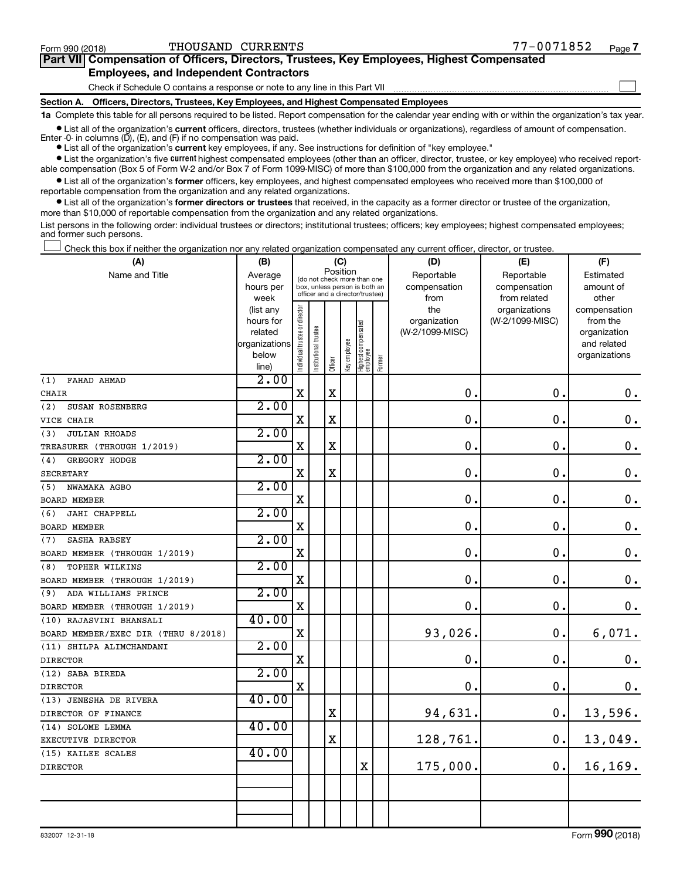$\Box$ 

| Part VII Compensation of Officers, Directors, Trustees, Key Employees, Highest Compensated |  |  |  |  |
|--------------------------------------------------------------------------------------------|--|--|--|--|
| <b>Employees, and Independent Contractors</b>                                              |  |  |  |  |

Check if Schedule O contains a response or note to any line in this Part VII

**Section A. Officers, Directors, Trustees, Key Employees, and Highest Compensated Employees**

**1a**  Complete this table for all persons required to be listed. Report compensation for the calendar year ending with or within the organization's tax year.

**•** List all of the organization's current officers, directors, trustees (whether individuals or organizations), regardless of amount of compensation. Enter -0- in columns  $(D)$ ,  $(E)$ , and  $(F)$  if no compensation was paid.

**•** List all of the organization's **current** key employees, if any. See instructions for definition of "key employee."

**•** List the organization's five current highest compensated employees (other than an officer, director, trustee, or key employee) who received reportable compensation (Box 5 of Form W-2 and/or Box 7 of Form 1099-MISC) of more than \$100,000 from the organization and any related organizations.

**•** List all of the organization's former officers, key employees, and highest compensated employees who received more than \$100,000 of reportable compensation from the organization and any related organizations.

**•** List all of the organization's former directors or trustees that received, in the capacity as a former director or trustee of the organization, more than \$10,000 of reportable compensation from the organization and any related organizations.

List persons in the following order: individual trustees or directors; institutional trustees; officers; key employees; highest compensated employees; and former such persons.

Check this box if neither the organization nor any related organization compensated any current officer, director, or trustee.  $\overline{a}$ 

| (A)                                 | (B)                    | (C)<br>Position               |                                                                  |             |              |                                 |        | (D)                 | (E)                              | (F)                      |  |  |
|-------------------------------------|------------------------|-------------------------------|------------------------------------------------------------------|-------------|--------------|---------------------------------|--------|---------------------|----------------------------------|--------------------------|--|--|
| Name and Title                      | Average                |                               | (do not check more than one                                      |             |              |                                 |        | Reportable          | Reportable                       | Estimated                |  |  |
|                                     | hours per              |                               | box, unless person is both an<br>officer and a director/trustee) |             |              |                                 |        | compensation        | compensation                     | amount of                |  |  |
|                                     | week                   |                               |                                                                  |             |              |                                 |        | from                | from related                     | other                    |  |  |
|                                     | (list any<br>hours for |                               |                                                                  |             |              |                                 |        | the<br>organization | organizations<br>(W-2/1099-MISC) | compensation<br>from the |  |  |
|                                     | related                |                               |                                                                  |             |              |                                 |        | (W-2/1099-MISC)     |                                  | organization             |  |  |
|                                     | organizations          |                               |                                                                  |             |              |                                 |        |                     |                                  | and related              |  |  |
|                                     | below                  | ndividual trustee or director | Institutional trustee                                            |             | Key employee | Highest compensated<br>employee |        |                     |                                  | organizations            |  |  |
|                                     | line)                  |                               |                                                                  | Officer     |              |                                 | Former |                     |                                  |                          |  |  |
| FAHAD AHMAD<br>(1)                  | 2.00                   |                               |                                                                  |             |              |                                 |        |                     |                                  |                          |  |  |
| CHAIR                               |                        | $\mathbf X$                   |                                                                  | $\mathbf X$ |              |                                 |        | $\mathbf 0$ .       | $\mathbf 0$ .                    | $\boldsymbol{0}$ .       |  |  |
| (2)<br>SUSAN ROSENBERG              | 2.00                   |                               |                                                                  |             |              |                                 |        |                     |                                  |                          |  |  |
| VICE CHAIR                          |                        | $\mathbf X$                   |                                                                  | X           |              |                                 |        | 0.                  | 0.                               | $\mathbf 0$ .            |  |  |
| <b>JULIAN RHOADS</b><br>(3)         | 2.00                   |                               |                                                                  |             |              |                                 |        |                     |                                  |                          |  |  |
| TREASURER (THROUGH 1/2019)          |                        | X                             |                                                                  | $\mathbf X$ |              |                                 |        | $\mathbf 0$ .       | 0.                               | $\mathbf 0$ .            |  |  |
| (4)<br>GREGORY HODGE                | 2.00                   |                               |                                                                  |             |              |                                 |        |                     |                                  |                          |  |  |
| <b>SECRETARY</b>                    |                        | X                             |                                                                  | $\mathbf X$ |              |                                 |        | $\mathbf 0$ .       | $\mathbf 0$ .                    | $\boldsymbol{0}$ .       |  |  |
| NWAMAKA AGBO<br>(5)                 | 2.00                   |                               |                                                                  |             |              |                                 |        |                     |                                  |                          |  |  |
| <b>BOARD MEMBER</b>                 |                        | X                             |                                                                  |             |              |                                 |        | 0.                  | О.                               | $\mathbf 0$ .            |  |  |
| JAHI CHAPPELL<br>(6)                | 2.00                   |                               |                                                                  |             |              |                                 |        |                     |                                  |                          |  |  |
| <b>BOARD MEMBER</b>                 |                        | $\mathbf X$                   |                                                                  |             |              |                                 |        | $\mathbf 0$ .       | О.                               | $\mathbf 0$ .            |  |  |
| SASHA RABSEY<br>(7)                 | 2.00                   |                               |                                                                  |             |              |                                 |        |                     |                                  |                          |  |  |
| BOARD MEMBER (THROUGH 1/2019)       |                        | X                             |                                                                  |             |              |                                 |        | 0.                  | $\mathbf 0$ .                    | $\mathbf 0$ .            |  |  |
| TOPHER WILKINS<br>(8)               | 2.00                   |                               |                                                                  |             |              |                                 |        |                     |                                  |                          |  |  |
| BOARD MEMBER (THROUGH 1/2019)       |                        | $\mathbf X$                   |                                                                  |             |              |                                 |        | 0.                  | $\mathbf 0$ .                    | $\mathbf 0$ .            |  |  |
| ADA WILLIAMS PRINCE<br>(9)          | 2.00                   |                               |                                                                  |             |              |                                 |        |                     |                                  |                          |  |  |
| BOARD MEMBER (THROUGH 1/2019)       |                        | $\rm X$                       |                                                                  |             |              |                                 |        | 0.                  | $\mathbf 0$ .                    | $0$ .                    |  |  |
| (10) RAJASVINI BHANSALI             | 40.00                  |                               |                                                                  |             |              |                                 |        |                     |                                  |                          |  |  |
| BOARD MEMBER/EXEC DIR (THRU 8/2018) |                        | $\mathbf X$                   |                                                                  |             |              |                                 |        | 93,026.             | $\mathbf 0$ .                    | 6,071.                   |  |  |
| (11) SHILPA ALIMCHANDANI            | 2.00                   |                               |                                                                  |             |              |                                 |        |                     |                                  |                          |  |  |
| <b>DIRECTOR</b>                     |                        | $\mathbf X$                   |                                                                  |             |              |                                 |        | 0.                  | $\mathbf 0$ .                    | 0.                       |  |  |
| (12) SABA BIREDA                    | 2.00                   |                               |                                                                  |             |              |                                 |        |                     |                                  |                          |  |  |
| <b>DIRECTOR</b>                     |                        | $\mathbf X$                   |                                                                  |             |              |                                 |        | $\mathbf 0$ .       | $\mathbf 0$ .                    | 0.                       |  |  |
| (13) JENESHA DE RIVERA              | 40.00                  |                               |                                                                  |             |              |                                 |        |                     |                                  |                          |  |  |
| DIRECTOR OF FINANCE                 |                        |                               |                                                                  | $\mathbf X$ |              |                                 |        | 94,631.             | 0.                               | 13,596.                  |  |  |
| (14) SOLOME LEMMA                   | 40.00                  |                               |                                                                  |             |              |                                 |        |                     |                                  |                          |  |  |
| EXECUTIVE DIRECTOR                  |                        |                               |                                                                  | X           |              |                                 |        | 128,761.            | $\mathbf 0$ .                    | 13,049.                  |  |  |
| (15) KAILEE SCALES                  | 40.00                  |                               |                                                                  |             |              |                                 |        |                     |                                  |                          |  |  |
| <b>DIRECTOR</b>                     |                        |                               |                                                                  |             |              | $\mathbf X$                     |        | 175,000.            | $\mathbf 0$ .                    | 16,169.                  |  |  |
|                                     |                        |                               |                                                                  |             |              |                                 |        |                     |                                  |                          |  |  |
|                                     |                        |                               |                                                                  |             |              |                                 |        |                     |                                  |                          |  |  |
|                                     |                        |                               |                                                                  |             |              |                                 |        |                     |                                  |                          |  |  |
|                                     |                        |                               |                                                                  |             |              |                                 |        |                     |                                  |                          |  |  |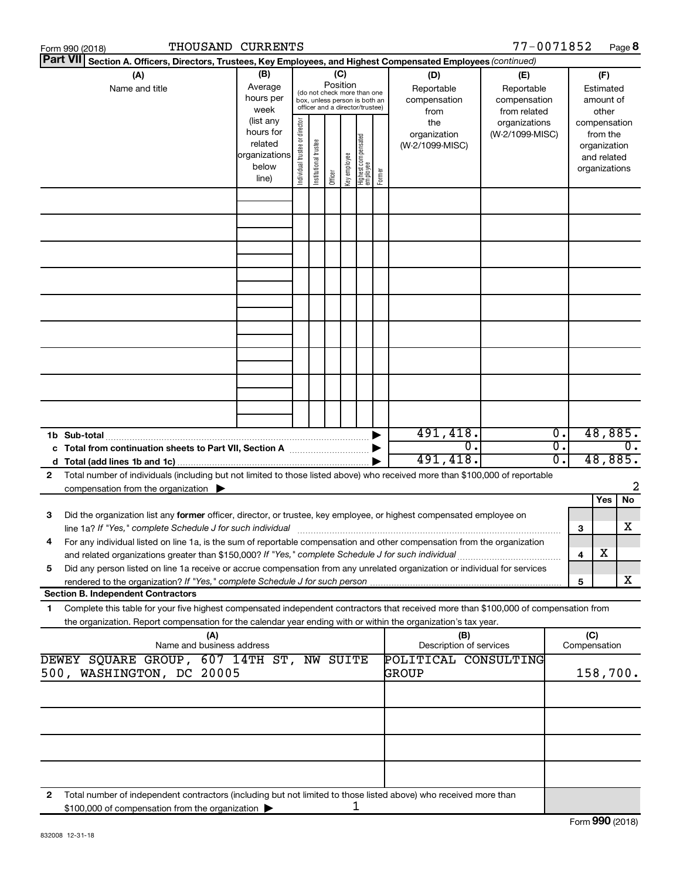|   | THOUSAND CURRENTS<br>Form 990 (2018)                                                                                                                                                                                                                   |                                                         |                                |                                                                                                                                                   |         |                  |                                   |         |                                                                                                       | 77-0071852                       |                  |                                                        | Page 8                                                   |
|---|--------------------------------------------------------------------------------------------------------------------------------------------------------------------------------------------------------------------------------------------------------|---------------------------------------------------------|--------------------------------|---------------------------------------------------------------------------------------------------------------------------------------------------|---------|------------------|-----------------------------------|---------|-------------------------------------------------------------------------------------------------------|----------------------------------|------------------|--------------------------------------------------------|----------------------------------------------------------|
|   | <b>Part VII</b><br>Section A. Officers, Directors, Trustees, Key Employees, and Highest Compensated Employees (continued)                                                                                                                              |                                                         |                                |                                                                                                                                                   |         |                  |                                   |         |                                                                                                       |                                  |                  |                                                        |                                                          |
|   | (A)<br>Name and title<br>week<br>(list any                                                                                                                                                                                                             |                                                         |                                | (B)<br>(C)<br>Position<br>Average<br>(do not check more than one<br>hours per<br>box, unless person is both an<br>officer and a director/trustee) |         |                  |                                   |         | (D)<br>(E)<br>Reportable<br>Reportable<br>compensation<br>compensation<br>from related<br>from<br>the |                                  |                  | (F)<br>Estimated<br>amount of<br>other<br>compensation |                                                          |
|   |                                                                                                                                                                                                                                                        | hours for<br>related<br>organizations<br>below<br>line) | Individual trustee or director | Institutional trustee                                                                                                                             | Officer | Key employee     | Highest compensated<br>  employee | Former  | organization<br>(W-2/1099-MISC)                                                                       | organizations<br>(W-2/1099-MISC) |                  |                                                        | from the<br>organization<br>and related<br>organizations |
|   |                                                                                                                                                                                                                                                        |                                                         |                                |                                                                                                                                                   |         |                  |                                   |         |                                                                                                       |                                  |                  |                                                        |                                                          |
|   |                                                                                                                                                                                                                                                        |                                                         |                                |                                                                                                                                                   |         |                  |                                   |         |                                                                                                       |                                  |                  |                                                        |                                                          |
|   |                                                                                                                                                                                                                                                        |                                                         |                                |                                                                                                                                                   |         |                  |                                   |         |                                                                                                       |                                  |                  |                                                        |                                                          |
|   |                                                                                                                                                                                                                                                        |                                                         |                                |                                                                                                                                                   |         |                  |                                   |         |                                                                                                       |                                  |                  |                                                        |                                                          |
|   |                                                                                                                                                                                                                                                        |                                                         |                                |                                                                                                                                                   |         |                  |                                   |         |                                                                                                       |                                  |                  |                                                        |                                                          |
|   |                                                                                                                                                                                                                                                        |                                                         |                                |                                                                                                                                                   |         |                  |                                   |         |                                                                                                       |                                  |                  |                                                        |                                                          |
|   |                                                                                                                                                                                                                                                        |                                                         |                                |                                                                                                                                                   |         |                  |                                   |         |                                                                                                       |                                  |                  |                                                        |                                                          |
|   | 491,418.<br>1b Sub-total                                                                                                                                                                                                                               |                                                         |                                |                                                                                                                                                   |         | $\overline{0}$ . |                                   | 48,885. |                                                                                                       |                                  |                  |                                                        |                                                          |
|   |                                                                                                                                                                                                                                                        |                                                         |                                |                                                                                                                                                   |         |                  |                                   |         | 0.                                                                                                    |                                  | $\overline{0}$ . | $\overline{0}$ .                                       |                                                          |
|   | Total number of individuals (including but not limited to those listed above) who received more than \$100,000 of reportable                                                                                                                           |                                                         |                                |                                                                                                                                                   |         |                  |                                   |         | 491,418.                                                                                              |                                  | $\overline{0}$ . |                                                        | 48,885.                                                  |
| 2 | compensation from the organization $\blacktriangleright$                                                                                                                                                                                               |                                                         |                                |                                                                                                                                                   |         |                  |                                   |         |                                                                                                       |                                  |                  |                                                        | 2                                                        |
|   |                                                                                                                                                                                                                                                        |                                                         |                                |                                                                                                                                                   |         |                  |                                   |         |                                                                                                       |                                  |                  |                                                        | Yes<br>No                                                |
| 3 | Did the organization list any former officer, director, or trustee, key employee, or highest compensated employee on<br>line 1a? If "Yes," complete Schedule J for such individual manufacture content to the successive complete schedu               |                                                         |                                |                                                                                                                                                   |         |                  |                                   |         |                                                                                                       |                                  |                  | З                                                      | х                                                        |
|   | For any individual listed on line 1a, is the sum of reportable compensation and other compensation from the organization<br>and related organizations greater than \$150,000? If "Yes," complete Schedule J for such individual                        |                                                         |                                |                                                                                                                                                   |         |                  |                                   |         |                                                                                                       |                                  |                  | 4                                                      | х                                                        |
| 5 | Did any person listed on line 1a receive or accrue compensation from any unrelated organization or individual for services                                                                                                                             |                                                         |                                |                                                                                                                                                   |         |                  |                                   |         |                                                                                                       |                                  |                  | 5                                                      | x                                                        |
|   | <b>Section B. Independent Contractors</b>                                                                                                                                                                                                              |                                                         |                                |                                                                                                                                                   |         |                  |                                   |         |                                                                                                       |                                  |                  |                                                        |                                                          |
| 1 | Complete this table for your five highest compensated independent contractors that received more than \$100,000 of compensation from<br>the organization. Report compensation for the calendar year ending with or within the organization's tax year. |                                                         |                                |                                                                                                                                                   |         |                  |                                   |         |                                                                                                       |                                  |                  |                                                        |                                                          |
|   | (A)<br>Name and business address<br>DEWEY SQUARE GROUP, 607 14TH ST, NW SUITE                                                                                                                                                                          |                                                         |                                |                                                                                                                                                   |         |                  |                                   |         | (B)<br>Description of services<br>POLITICAL CONSULTING                                                |                                  |                  | (C)<br>Compensation                                    |                                                          |
|   | 500, WASHINGTON, DC 20005                                                                                                                                                                                                                              |                                                         |                                |                                                                                                                                                   |         |                  |                                   |         | <b>GROUP</b>                                                                                          |                                  |                  |                                                        | 158,700.                                                 |
|   |                                                                                                                                                                                                                                                        |                                                         |                                |                                                                                                                                                   |         |                  |                                   |         |                                                                                                       |                                  |                  |                                                        |                                                          |
|   |                                                                                                                                                                                                                                                        |                                                         |                                |                                                                                                                                                   |         |                  |                                   |         |                                                                                                       |                                  |                  |                                                        |                                                          |
|   |                                                                                                                                                                                                                                                        |                                                         |                                |                                                                                                                                                   |         |                  |                                   |         |                                                                                                       |                                  |                  |                                                        |                                                          |
| 2 | Total number of independent contractors (including but not limited to those listed above) who received more than<br>\$100,000 of compensation from the organization                                                                                    |                                                         |                                |                                                                                                                                                   |         | 1                |                                   |         |                                                                                                       |                                  |                  |                                                        |                                                          |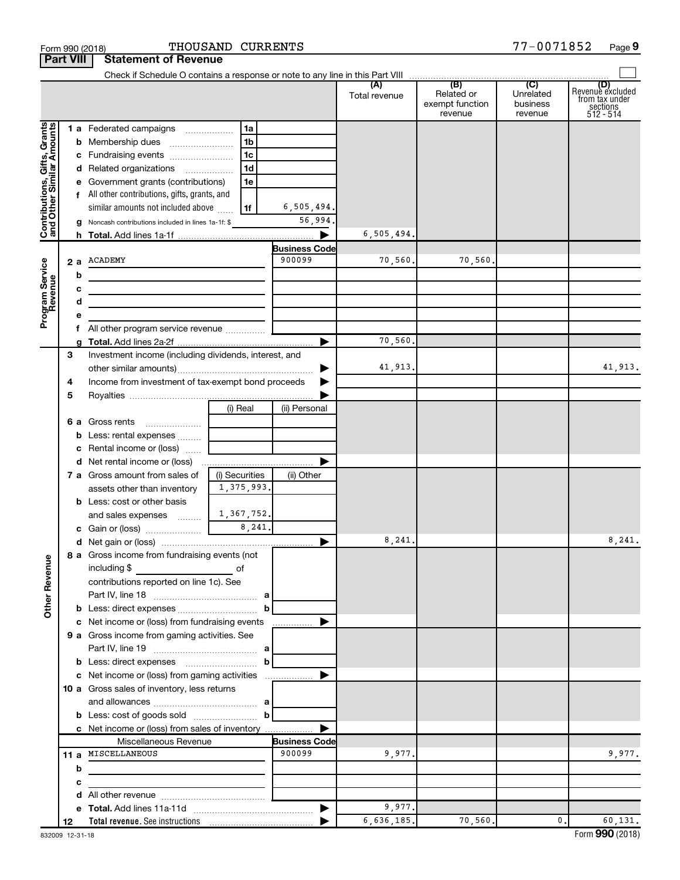|                                                           | <b>Part VIII</b> | <b>Statement of Revenue</b>                                                                                           |                              |                                |               |                                          |                                  |                                                                                  |
|-----------------------------------------------------------|------------------|-----------------------------------------------------------------------------------------------------------------------|------------------------------|--------------------------------|---------------|------------------------------------------|----------------------------------|----------------------------------------------------------------------------------|
|                                                           |                  |                                                                                                                       |                              |                                |               |                                          |                                  |                                                                                  |
|                                                           |                  |                                                                                                                       |                              |                                | Total revenue | Related or<br>exempt function<br>revenue | Unrelated<br>business<br>revenue | (D)<br>Revenue excluded<br>from tax under<br>$\frac{\text{sections}}{512 - 514}$ |
| Contributions, Gifts, Grants<br>and Other Similar Amounts |                  | 1 a Federated campaigns                                                                                               | 1a                           |                                |               |                                          |                                  |                                                                                  |
|                                                           |                  | <b>b</b> Membership dues                                                                                              | 1b                           |                                |               |                                          |                                  |                                                                                  |
|                                                           |                  | c Fundraising events                                                                                                  | 1c                           |                                |               |                                          |                                  |                                                                                  |
|                                                           |                  | d Related organizations                                                                                               | 1 <sub>d</sub>               |                                |               |                                          |                                  |                                                                                  |
|                                                           |                  | e Government grants (contributions)                                                                                   | 1e                           |                                |               |                                          |                                  |                                                                                  |
|                                                           |                  | f All other contributions, gifts, grants, and                                                                         |                              |                                |               |                                          |                                  |                                                                                  |
|                                                           |                  | similar amounts not included above                                                                                    | 1f                           | 6,505,494.                     |               |                                          |                                  |                                                                                  |
|                                                           |                  | g Noncash contributions included in lines 1a-1f: \$                                                                   |                              | 56,994.                        |               |                                          |                                  |                                                                                  |
|                                                           |                  |                                                                                                                       |                              |                                | 6, 505, 494.  |                                          |                                  |                                                                                  |
|                                                           |                  | 2 a ACADEMY                                                                                                           |                              | <b>Business Code</b><br>900099 | 70,560.       | 70,560.                                  |                                  |                                                                                  |
|                                                           |                  |                                                                                                                       |                              |                                |               |                                          |                                  |                                                                                  |
|                                                           | b<br>с           | <u> 1989 - Andrea Station, amerikansk politik (d. 1989)</u>                                                           |                              |                                |               |                                          |                                  |                                                                                  |
|                                                           | d                | the control of the control of the control of the control of the control of                                            |                              |                                |               |                                          |                                  |                                                                                  |
| Program Service<br>Revenue                                | е                | <u> 1989 - Johann Harry Harry Harry Harry Harry Harry Harry Harry Harry Harry Harry Harry Harry Harry Harry Harry</u> |                              |                                |               |                                          |                                  |                                                                                  |
|                                                           |                  | f All other program service revenue                                                                                   |                              |                                |               |                                          |                                  |                                                                                  |
|                                                           |                  |                                                                                                                       |                              |                                | 70,560.       |                                          |                                  |                                                                                  |
|                                                           | 3                | Investment income (including dividends, interest, and                                                                 |                              |                                |               |                                          |                                  |                                                                                  |
|                                                           |                  |                                                                                                                       |                              |                                | 41,913.       |                                          |                                  | 41,913.                                                                          |
|                                                           | 4                | Income from investment of tax-exempt bond proceeds                                                                    |                              |                                |               |                                          |                                  |                                                                                  |
|                                                           | 5                |                                                                                                                       |                              |                                |               |                                          |                                  |                                                                                  |
|                                                           |                  |                                                                                                                       | (i) Real                     | (ii) Personal                  |               |                                          |                                  |                                                                                  |
|                                                           |                  | 6 a Gross rents                                                                                                       |                              |                                |               |                                          |                                  |                                                                                  |
|                                                           |                  | <b>b</b> Less: rental expenses                                                                                        |                              |                                |               |                                          |                                  |                                                                                  |
|                                                           |                  | c Rental income or (loss)                                                                                             |                              |                                |               |                                          |                                  |                                                                                  |
|                                                           |                  |                                                                                                                       |                              |                                |               |                                          |                                  |                                                                                  |
|                                                           |                  | <b>7 a</b> Gross amount from sales of<br>assets other than inventory                                                  | (i) Securities<br>1,375,993. | (ii) Other                     |               |                                          |                                  |                                                                                  |
|                                                           |                  | <b>b</b> Less: cost or other basis                                                                                    |                              |                                |               |                                          |                                  |                                                                                  |
|                                                           |                  | and sales expenses                                                                                                    | 1,367,752.                   |                                |               |                                          |                                  |                                                                                  |
|                                                           |                  |                                                                                                                       |                              |                                |               |                                          |                                  |                                                                                  |
|                                                           |                  |                                                                                                                       |                              |                                | 8,241.        |                                          |                                  | 8,241.                                                                           |
|                                                           |                  | 8 a Gross income from fundraising events (not                                                                         |                              |                                |               |                                          |                                  |                                                                                  |
|                                                           |                  | including \$<br>of<br><u> 1990 - Johann Barbara, martin a</u>                                                         |                              |                                |               |                                          |                                  |                                                                                  |
|                                                           |                  | contributions reported on line 1c). See                                                                               |                              |                                |               |                                          |                                  |                                                                                  |
| <b>Other Revenue</b>                                      |                  |                                                                                                                       |                              |                                |               |                                          |                                  |                                                                                  |
|                                                           |                  |                                                                                                                       | b                            |                                |               |                                          |                                  |                                                                                  |
|                                                           |                  |                                                                                                                       |                              |                                |               |                                          |                                  |                                                                                  |
|                                                           |                  | 9 a Gross income from gaming activities. See                                                                          |                              |                                |               |                                          |                                  |                                                                                  |
|                                                           |                  |                                                                                                                       |                              |                                |               |                                          |                                  |                                                                                  |
|                                                           |                  |                                                                                                                       | $\mathbf b$                  |                                |               |                                          |                                  |                                                                                  |
|                                                           |                  | 10 a Gross sales of inventory, less returns                                                                           |                              |                                |               |                                          |                                  |                                                                                  |
|                                                           |                  |                                                                                                                       |                              |                                |               |                                          |                                  |                                                                                  |
|                                                           |                  |                                                                                                                       |                              |                                |               |                                          |                                  |                                                                                  |
|                                                           |                  |                                                                                                                       |                              |                                |               |                                          |                                  |                                                                                  |
|                                                           |                  | Miscellaneous Revenue                                                                                                 |                              | <b>Business Code</b>           |               |                                          |                                  |                                                                                  |
|                                                           |                  | 11 a MISCELLANEOUS                                                                                                    |                              | 900099                         | 9,977.        |                                          |                                  | 9,977.                                                                           |
|                                                           | b                | the control of the control of the control of                                                                          |                              |                                |               |                                          |                                  |                                                                                  |
|                                                           | с                |                                                                                                                       |                              |                                |               |                                          |                                  |                                                                                  |
|                                                           |                  |                                                                                                                       |                              |                                |               |                                          |                                  |                                                                                  |
|                                                           |                  |                                                                                                                       |                              |                                | 9,977.        |                                          |                                  |                                                                                  |
|                                                           | 12               |                                                                                                                       |                              |                                | 6,636,185.    | 70,560.                                  | $\mathbf{0}$ .                   | 60,131.                                                                          |

Form 990 (2018) **THOUSAND CURRENTS** 77-0071852 Page

**9**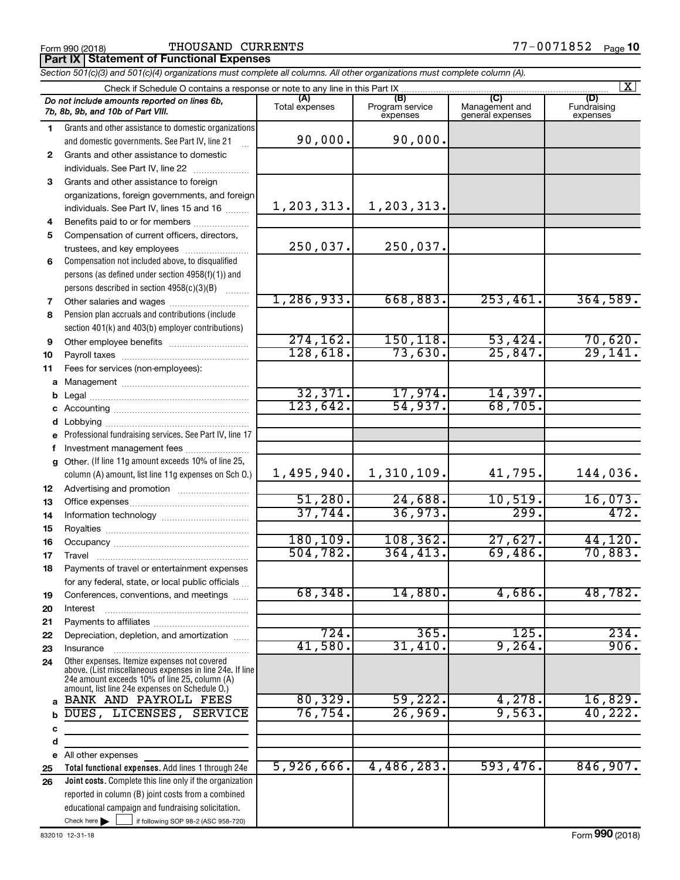Form 990 (2018) 'I'HOUSAND(URRENTS) / /-UU/I 8 D 2 Page THOUSAND CURRENTS 77-0071852

**Part IX Statement of Functional Expenses**

|              | Section 501(c)(3) and 501(c)(4) organizations must complete all columns. All other organizations must complete column (A).                                                                                  |                       |                                    |                                           |                                |
|--------------|-------------------------------------------------------------------------------------------------------------------------------------------------------------------------------------------------------------|-----------------------|------------------------------------|-------------------------------------------|--------------------------------|
|              | Check if Schedule O contains a response or note to any line in this Part IX                                                                                                                                 |                       |                                    |                                           | $\overline{\mathbf{X}}$        |
|              | Do not include amounts reported on lines 6b,<br>7b, 8b, 9b, and 10b of Part VIII.                                                                                                                           | (A)<br>Total expenses | (B)<br>Program service<br>expenses | (C)<br>Management and<br>general expenses | (D)<br>Fundraising<br>expenses |
| 1.           | Grants and other assistance to domestic organizations                                                                                                                                                       |                       |                                    |                                           |                                |
|              | and domestic governments. See Part IV, line 21                                                                                                                                                              | 90,000.               | 90,000.                            |                                           |                                |
| $\mathbf{2}$ | Grants and other assistance to domestic                                                                                                                                                                     |                       |                                    |                                           |                                |
|              | individuals. See Part IV, line 22                                                                                                                                                                           |                       |                                    |                                           |                                |
| 3            | Grants and other assistance to foreign                                                                                                                                                                      |                       |                                    |                                           |                                |
|              | organizations, foreign governments, and foreign                                                                                                                                                             |                       |                                    |                                           |                                |
|              | individuals. See Part IV, lines 15 and 16                                                                                                                                                                   | 1, 203, 313.          | 1,203,313.                         |                                           |                                |
| 4            | Benefits paid to or for members                                                                                                                                                                             |                       |                                    |                                           |                                |
| 5            | Compensation of current officers, directors,                                                                                                                                                                |                       |                                    |                                           |                                |
|              |                                                                                                                                                                                                             | 250,037.              | 250,037.                           |                                           |                                |
| 6            | Compensation not included above, to disqualified                                                                                                                                                            |                       |                                    |                                           |                                |
|              | persons (as defined under section 4958(f)(1)) and                                                                                                                                                           |                       |                                    |                                           |                                |
|              | persons described in section 4958(c)(3)(B)                                                                                                                                                                  | 1, 286, 933.          |                                    |                                           |                                |
| 7            | Other salaries and wages                                                                                                                                                                                    |                       | 668,883.                           | 253,461.                                  | 364,589.                       |
| 8            | Pension plan accruals and contributions (include                                                                                                                                                            |                       |                                    |                                           |                                |
|              | section 401(k) and 403(b) employer contributions)                                                                                                                                                           | 274, 162.             | 150, 118.                          | 53,424.                                   | 70,620.                        |
| 9            |                                                                                                                                                                                                             | 128,618.              | 73,630.                            | 25,847.                                   | 29,141.                        |
| 10           |                                                                                                                                                                                                             |                       |                                    |                                           |                                |
| 11           | Fees for services (non-employees):                                                                                                                                                                          |                       |                                    |                                           |                                |
| a            |                                                                                                                                                                                                             | 32,371.               | 17,974.                            | 14,397.                                   |                                |
| b            |                                                                                                                                                                                                             | 123,642.              | 54,937.                            | 68,705.                                   |                                |
| с            |                                                                                                                                                                                                             |                       |                                    |                                           |                                |
| d<br>е       | Professional fundraising services. See Part IV, line 17                                                                                                                                                     |                       |                                    |                                           |                                |
| f            | Investment management fees                                                                                                                                                                                  |                       |                                    |                                           |                                |
| g            | Other. (If line 11g amount exceeds 10% of line 25,                                                                                                                                                          |                       |                                    |                                           |                                |
|              | column (A) amount, list line 11g expenses on Sch O.)                                                                                                                                                        | 1,495,940.            | 1,310,109.                         | 41,795.                                   | 144,036.                       |
| 12           |                                                                                                                                                                                                             |                       |                                    |                                           |                                |
| 13           |                                                                                                                                                                                                             | 51,280.<br>37,744.    | 24,688.                            | 10,519.<br>299.                           | 16,073.<br>472.                |
| 14           |                                                                                                                                                                                                             |                       | 36,973.                            |                                           |                                |
| 15           |                                                                                                                                                                                                             | 180,109.              | 108, 362.                          | 27,627.                                   | 44,120.                        |
| 16           |                                                                                                                                                                                                             | 504, 782.             | 364, 413.                          | 69,486.                                   | 70,883.                        |
| 17           |                                                                                                                                                                                                             |                       |                                    |                                           |                                |
| 18           | Payments of travel or entertainment expenses                                                                                                                                                                |                       |                                    |                                           |                                |
|              | for any federal, state, or local public officials                                                                                                                                                           | 68,348.               | 14,880.                            | 4,686.                                    | 48,782.                        |
| 19           | Conferences, conventions, and meetings                                                                                                                                                                      |                       |                                    |                                           |                                |
| 20           | Interest                                                                                                                                                                                                    |                       |                                    |                                           |                                |
| 21<br>22     | Depreciation, depletion, and amortization                                                                                                                                                                   | 724.                  | 365.                               | 125.                                      | 234.                           |
| 23           | Insurance                                                                                                                                                                                                   | 41,580.               | 31,410.                            | 9,264.                                    | 906.                           |
| 24           | Other expenses. Itemize expenses not covered<br>above. (List miscellaneous expenses in line 24e. If line<br>24e amount exceeds 10% of line 25, column (A)<br>amount, list line 24e expenses on Schedule O.) |                       |                                    |                                           |                                |
| $\mathbf{a}$ | BANK AND PAYROLL FEES                                                                                                                                                                                       | 80, 329.              | 59,222.                            | 4,278.                                    | 16,829.                        |
| b            | DUES, LICENSES,<br><b>SERVICE</b>                                                                                                                                                                           | 76,754.               | 26,969.                            | 9,563.                                    | 40, 222.                       |
| c            |                                                                                                                                                                                                             |                       |                                    |                                           |                                |
| d            |                                                                                                                                                                                                             |                       |                                    |                                           |                                |
| е            | All other expenses                                                                                                                                                                                          |                       |                                    |                                           |                                |
| 25           | Total functional expenses. Add lines 1 through 24e                                                                                                                                                          | 5,926,666.            | 4,486,283.                         | 593,476.                                  | 846,907.                       |
| 26           | <b>Joint costs.</b> Complete this line only if the organization                                                                                                                                             |                       |                                    |                                           |                                |
|              | reported in column (B) joint costs from a combined<br>educational campaign and fundraising solicitation.                                                                                                    |                       |                                    |                                           |                                |

Check here  $\blacktriangleright$   $\lfloor$ 

Check here  $\begin{array}{c} \begin{array}{|c} \hline \end{array} \end{array}$  if following SOP 98-2 (ASC 958-720)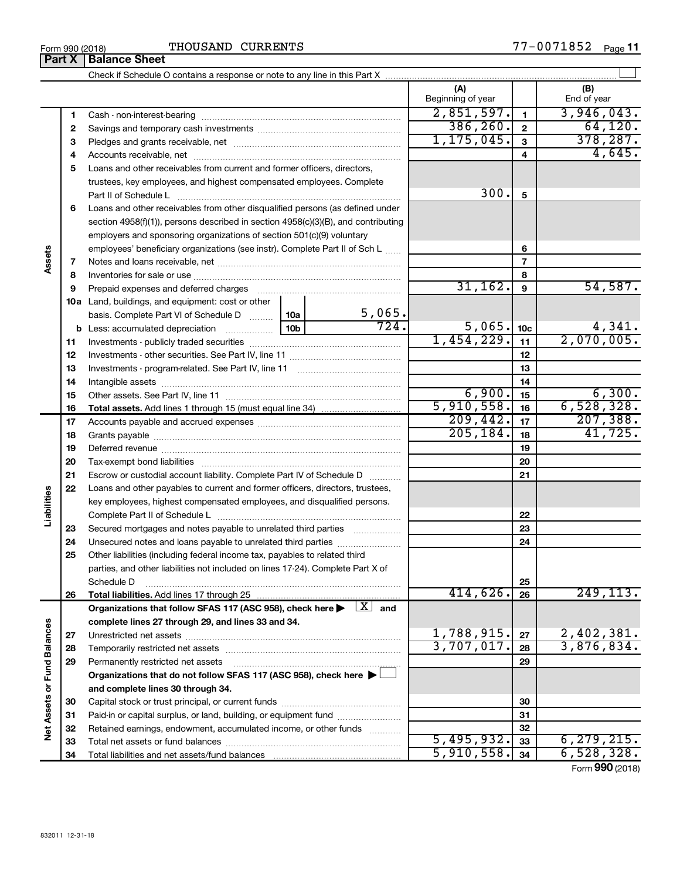Form 990 (2018)  $THOUSAND$   $CURRENTS$   $77-0071852$   $Page$ 

|                             |              |                                                                                                                                                                               |                 |        | (A)<br>Beginning of year |                 | (B)<br>End of year        |
|-----------------------------|--------------|-------------------------------------------------------------------------------------------------------------------------------------------------------------------------------|-----------------|--------|--------------------------|-----------------|---------------------------|
|                             | 1            |                                                                                                                                                                               |                 |        | 2,851,597.               | $\mathbf{1}$    | 3,946,043.                |
|                             | $\mathbf{2}$ |                                                                                                                                                                               |                 |        | 386, 260.                | $\mathbf{2}$    | 64, 120.                  |
|                             | З            |                                                                                                                                                                               |                 |        | 1, 175, 045.             | 3               | 378, 287.                 |
|                             | 4            |                                                                                                                                                                               |                 |        |                          | 4               | 4,645.                    |
|                             | 5            | Loans and other receivables from current and former officers, directors,                                                                                                      |                 |        |                          |                 |                           |
|                             |              | trustees, key employees, and highest compensated employees. Complete                                                                                                          |                 |        |                          |                 |                           |
|                             |              |                                                                                                                                                                               |                 |        | 300.                     | 5               |                           |
|                             | 6            | Loans and other receivables from other disqualified persons (as defined under                                                                                                 |                 |        |                          |                 |                           |
|                             |              | section 4958(f)(1)), persons described in section 4958(c)(3)(B), and contributing                                                                                             |                 |        |                          |                 |                           |
|                             |              | employers and sponsoring organizations of section 501(c)(9) voluntary                                                                                                         |                 |        |                          |                 |                           |
|                             |              | employees' beneficiary organizations (see instr). Complete Part II of Sch L                                                                                                   |                 |        |                          | 6               |                           |
| Assets                      | 7            |                                                                                                                                                                               |                 |        |                          | $\overline{7}$  |                           |
|                             | 8            |                                                                                                                                                                               |                 |        |                          | 8               |                           |
|                             | 9            | Prepaid expenses and deferred charges                                                                                                                                         |                 |        | 31, 162.                 | 9               | 54,587.                   |
|                             |              | <b>10a</b> Land, buildings, and equipment: cost or other                                                                                                                      |                 |        |                          |                 |                           |
|                             |              | basis. Complete Part VI of Schedule D  10a                                                                                                                                    |                 | 5,065. |                          |                 |                           |
|                             |              | <b>b</b> Less: accumulated depreciation                                                                                                                                       | 10 <sub>b</sub> | 724.   | 5,065.                   | 10 <sub>c</sub> | $\frac{4,341}{2,070,005}$ |
|                             | 11           |                                                                                                                                                                               |                 |        | 1,454,229.               | 11              |                           |
|                             | 12           |                                                                                                                                                                               |                 |        |                          | 12              |                           |
|                             | 13           |                                                                                                                                                                               |                 |        |                          | 13              |                           |
|                             | 14           |                                                                                                                                                                               |                 |        |                          | 14              |                           |
|                             | 15           |                                                                                                                                                                               |                 |        | 6,900.                   | 15              | 6,300.                    |
|                             | 16           |                                                                                                                                                                               |                 |        | 5,910,558.               | 16              | 6,528,328.                |
|                             | 17           |                                                                                                                                                                               |                 |        | 209,442.                 | 17              | 207, 388.                 |
|                             | 18           |                                                                                                                                                                               | 205, 184.       | 18     | 41,725.                  |                 |                           |
|                             | 19           |                                                                                                                                                                               |                 |        | 19                       |                 |                           |
|                             | 20           |                                                                                                                                                                               |                 |        |                          | 20              |                           |
|                             | 21           | Escrow or custodial account liability. Complete Part IV of Schedule D                                                                                                         |                 |        |                          | 21              |                           |
|                             | 22           | Loans and other payables to current and former officers, directors, trustees,                                                                                                 |                 |        |                          |                 |                           |
| Liabilities                 |              | key employees, highest compensated employees, and disqualified persons.                                                                                                       |                 |        |                          |                 |                           |
|                             |              |                                                                                                                                                                               |                 |        |                          | 22              |                           |
|                             | 23           | Secured mortgages and notes payable to unrelated third parties                                                                                                                |                 |        |                          | 23              |                           |
|                             | 24           | Unsecured notes and loans payable to unrelated third parties                                                                                                                  |                 |        |                          | 24              |                           |
|                             | 25           | Other liabilities (including federal income tax, payables to related third                                                                                                    |                 |        |                          |                 |                           |
|                             |              | parties, and other liabilities not included on lines 17-24). Complete Part X of                                                                                               |                 |        |                          |                 |                           |
|                             |              | Schedule D                                                                                                                                                                    |                 |        | 414,626.                 | 25              | 249, 113.                 |
|                             | 26           | Total liabilities. Add lines 17 through 25                                                                                                                                    |                 |        |                          | 26              |                           |
|                             |              | Organizations that follow SFAS 117 (ASC 958), check here $\blacktriangleright \begin{array}{c} \perp X \end{array}$ and<br>complete lines 27 through 29, and lines 33 and 34. |                 |        |                          |                 |                           |
|                             | 27           |                                                                                                                                                                               |                 |        | 1,788,915.               | 27              | 2,402,381.                |
|                             | 28           |                                                                                                                                                                               |                 |        | $\overline{3,707,017.}$  | 28              | 3,876,834.                |
|                             | 29           | Permanently restricted net assets                                                                                                                                             |                 |        |                          | 29              |                           |
|                             |              | Organizations that do not follow SFAS 117 (ASC 958), check here ▶                                                                                                             |                 |        |                          |                 |                           |
|                             |              | and complete lines 30 through 34.                                                                                                                                             |                 |        |                          |                 |                           |
|                             | 30           |                                                                                                                                                                               |                 |        |                          | 30              |                           |
|                             | 31           | Paid-in or capital surplus, or land, building, or equipment fund                                                                                                              |                 |        |                          | 31              |                           |
| Net Assets or Fund Balances | 32           | Retained earnings, endowment, accumulated income, or other funds                                                                                                              |                 |        |                          | 32              |                           |
|                             | 33           |                                                                                                                                                                               |                 |        | 5,495,932.               | 33              | 6, 279, 215.              |
|                             | 34           |                                                                                                                                                                               |                 |        | 5,910,558.               | 34              | 6,528,328.                |
|                             |              |                                                                                                                                                                               |                 |        |                          |                 | $000 \times 20$           |

Form (2018) **990**

**Part X Balance Sheet**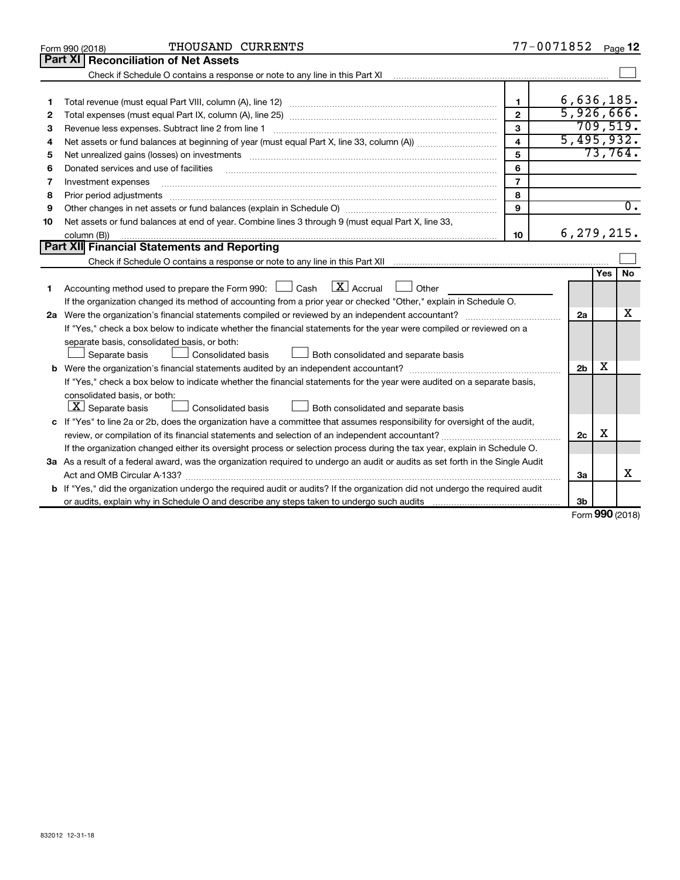|    | THOUSAND CURRENTS<br>Form 990 (2018)                                                                                            |                         | 77-0071852     |            | Page 12          |  |  |  |
|----|---------------------------------------------------------------------------------------------------------------------------------|-------------------------|----------------|------------|------------------|--|--|--|
|    | <b>Part XI Reconciliation of Net Assets</b>                                                                                     |                         |                |            |                  |  |  |  |
|    |                                                                                                                                 |                         |                |            |                  |  |  |  |
|    |                                                                                                                                 |                         |                |            |                  |  |  |  |
| 1  |                                                                                                                                 | $\mathbf{1}$            | 6,636,185.     |            |                  |  |  |  |
| 2  |                                                                                                                                 | $\overline{2}$          | 5,926,666.     |            |                  |  |  |  |
| 3  | Revenue less expenses. Subtract line 2 from line 1                                                                              | 3                       |                |            | 709,519.         |  |  |  |
| 4  |                                                                                                                                 | $\overline{\mathbf{4}}$ | 5,495,932.     |            |                  |  |  |  |
| 5  |                                                                                                                                 | 5                       |                |            | 73,764.          |  |  |  |
| 6  | Donated services and use of facilities                                                                                          | 6                       |                |            |                  |  |  |  |
| 7  | Investment expenses                                                                                                             | $\overline{7}$          |                |            |                  |  |  |  |
| 8  | Prior period adjustments                                                                                                        | 8                       |                |            |                  |  |  |  |
| 9  |                                                                                                                                 | 9                       |                |            | $\overline{0}$ . |  |  |  |
| 10 | Net assets or fund balances at end of year. Combine lines 3 through 9 (must equal Part X, line 33,                              |                         |                |            |                  |  |  |  |
|    | column (B))                                                                                                                     | 10                      | 6, 279, 215.   |            |                  |  |  |  |
|    | Part XII Financial Statements and Reporting                                                                                     |                         |                |            |                  |  |  |  |
|    |                                                                                                                                 |                         |                |            |                  |  |  |  |
|    |                                                                                                                                 |                         |                | <b>Yes</b> | No               |  |  |  |
| 1  | Accounting method used to prepare the Form 990: $\Box$ Cash $\Box$ Accrual $\Box$ Other                                         |                         |                |            |                  |  |  |  |
|    | If the organization changed its method of accounting from a prior year or checked "Other," explain in Schedule O.               |                         |                |            |                  |  |  |  |
|    |                                                                                                                                 |                         | 2a             |            | x                |  |  |  |
|    | If "Yes," check a box below to indicate whether the financial statements for the year were compiled or reviewed on a            |                         |                |            |                  |  |  |  |
|    | separate basis, consolidated basis, or both:                                                                                    |                         |                |            |                  |  |  |  |
|    | Separate basis<br>Both consolidated and separate basis<br><b>Consolidated basis</b>                                             |                         |                |            |                  |  |  |  |
|    |                                                                                                                                 |                         | 2 <sub>b</sub> | х          |                  |  |  |  |
|    | If "Yes," check a box below to indicate whether the financial statements for the year were audited on a separate basis,         |                         |                |            |                  |  |  |  |
|    | consolidated basis, or both:                                                                                                    |                         |                |            |                  |  |  |  |
|    | $\lfloor x \rfloor$ Separate basis<br>Consolidated basis<br>Both consolidated and separate basis                                |                         |                |            |                  |  |  |  |
|    | c If "Yes" to line 2a or 2b, does the organization have a committee that assumes responsibility for oversight of the audit,     |                         |                |            |                  |  |  |  |
|    | review, or compilation of its financial statements and selection of an independent accountant?                                  |                         | 2c             | X          |                  |  |  |  |
|    | If the organization changed either its oversight process or selection process during the tax year, explain in Schedule O.       |                         |                |            |                  |  |  |  |
|    | 3a As a result of a federal award, was the organization required to undergo an audit or audits as set forth in the Single Audit |                         |                |            |                  |  |  |  |
|    |                                                                                                                                 |                         | 3a             |            | х                |  |  |  |
|    | b If "Yes," did the organization undergo the required audit or audits? If the organization did not undergo the required audit   |                         |                |            |                  |  |  |  |
|    |                                                                                                                                 |                         | 3b             |            |                  |  |  |  |
|    |                                                                                                                                 |                         |                | <b>000</b> |                  |  |  |  |

Form (2018) **990**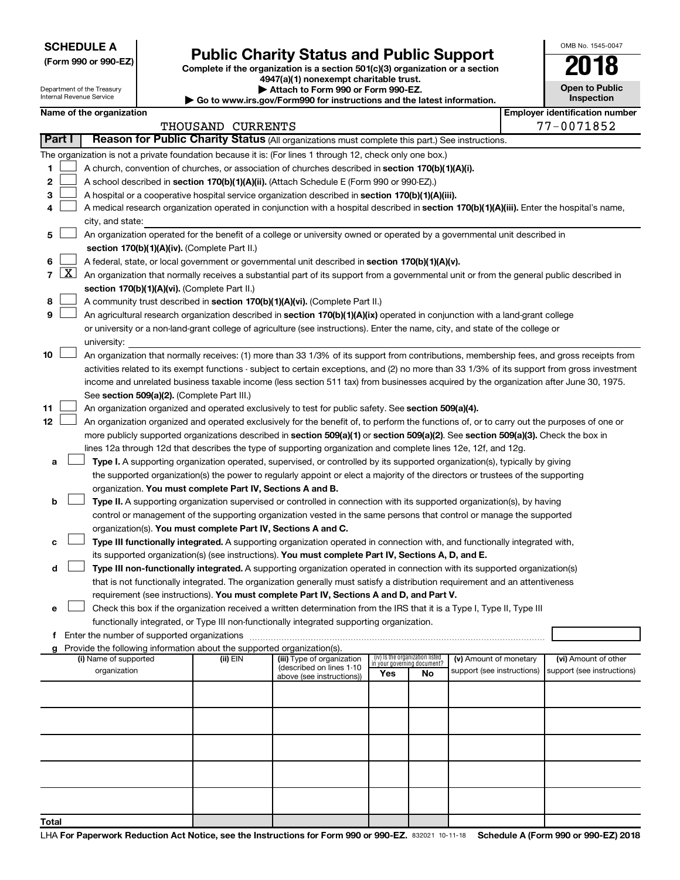| <b>SCHEDULE A</b> |  |
|-------------------|--|
|-------------------|--|

| (Form 990 or 990-EZ) |  |
|----------------------|--|
|----------------------|--|

Department of the Treasury Internal Revenue Service

# Form 990 or 990-EZ) **Public Charity Status and Public Support**<br>
Complete if the organization is a section 501(c)(3) organization or a section<br> **2018**

**4947(a)(1) nonexempt charitable trust.**

**| Attach to Form 990 or Form 990-EZ.** 

**| Go to www.irs.gov/Form990 for instructions and the latest information.**

| OMB No 1545-0047                    |  |  |  |  |  |  |  |  |
|-------------------------------------|--|--|--|--|--|--|--|--|
|                                     |  |  |  |  |  |  |  |  |
| <b>Open to Public</b><br>Inspection |  |  |  |  |  |  |  |  |
|                                     |  |  |  |  |  |  |  |  |

|        |              |                                                                                                                                                                                                                          |                   | and to www.insigov/r ormsso for mad actions and the fatest mnormation. |                                                                |                                                     |                            |  |                            |  |  |
|--------|--------------|--------------------------------------------------------------------------------------------------------------------------------------------------------------------------------------------------------------------------|-------------------|------------------------------------------------------------------------|----------------------------------------------------------------|-----------------------------------------------------|----------------------------|--|----------------------------|--|--|
|        |              | Name of the organization                                                                                                                                                                                                 | THOUSAND CURRENTS |                                                                        |                                                                | <b>Employer identification number</b><br>77-0071852 |                            |  |                            |  |  |
| Part I |              | Reason for Public Charity Status (All organizations must complete this part.) See instructions.                                                                                                                          |                   |                                                                        |                                                                |                                                     |                            |  |                            |  |  |
|        |              | The organization is not a private foundation because it is: (For lines 1 through 12, check only one box.)                                                                                                                |                   |                                                                        |                                                                |                                                     |                            |  |                            |  |  |
| 1.     |              | A church, convention of churches, or association of churches described in section 170(b)(1)(A)(i).                                                                                                                       |                   |                                                                        |                                                                |                                                     |                            |  |                            |  |  |
| 2      |              | A school described in section 170(b)(1)(A)(ii). (Attach Schedule E (Form 990 or 990-EZ).)                                                                                                                                |                   |                                                                        |                                                                |                                                     |                            |  |                            |  |  |
| 3      |              | A hospital or a cooperative hospital service organization described in section 170(b)(1)(A)(iii).                                                                                                                        |                   |                                                                        |                                                                |                                                     |                            |  |                            |  |  |
| 4      |              | A medical research organization operated in conjunction with a hospital described in section 170(b)(1)(A)(iii). Enter the hospital's name,                                                                               |                   |                                                                        |                                                                |                                                     |                            |  |                            |  |  |
|        |              | city, and state:                                                                                                                                                                                                         |                   |                                                                        |                                                                |                                                     |                            |  |                            |  |  |
| 5      |              | An organization operated for the benefit of a college or university owned or operated by a governmental unit described in                                                                                                |                   |                                                                        |                                                                |                                                     |                            |  |                            |  |  |
|        |              | section 170(b)(1)(A)(iv). (Complete Part II.)                                                                                                                                                                            |                   |                                                                        |                                                                |                                                     |                            |  |                            |  |  |
| 6      |              | A federal, state, or local government or governmental unit described in section 170(b)(1)(A)(v).                                                                                                                         |                   |                                                                        |                                                                |                                                     |                            |  |                            |  |  |
| 7      | <u>  X  </u> | An organization that normally receives a substantial part of its support from a governmental unit or from the general public described in                                                                                |                   |                                                                        |                                                                |                                                     |                            |  |                            |  |  |
|        |              | section 170(b)(1)(A)(vi). (Complete Part II.)                                                                                                                                                                            |                   |                                                                        |                                                                |                                                     |                            |  |                            |  |  |
| 8      |              | A community trust described in section 170(b)(1)(A)(vi). (Complete Part II.)                                                                                                                                             |                   |                                                                        |                                                                |                                                     |                            |  |                            |  |  |
| 9      |              | An agricultural research organization described in section 170(b)(1)(A)(ix) operated in conjunction with a land-grant college                                                                                            |                   |                                                                        |                                                                |                                                     |                            |  |                            |  |  |
|        |              | or university or a non-land-grant college of agriculture (see instructions). Enter the name, city, and state of the college or                                                                                           |                   |                                                                        |                                                                |                                                     |                            |  |                            |  |  |
|        |              | university:                                                                                                                                                                                                              |                   |                                                                        |                                                                |                                                     |                            |  |                            |  |  |
| 10     |              | An organization that normally receives: (1) more than 33 1/3% of its support from contributions, membership fees, and gross receipts from                                                                                |                   |                                                                        |                                                                |                                                     |                            |  |                            |  |  |
|        |              | activities related to its exempt functions - subject to certain exceptions, and (2) no more than 33 1/3% of its support from gross investment                                                                            |                   |                                                                        |                                                                |                                                     |                            |  |                            |  |  |
|        |              | income and unrelated business taxable income (less section 511 tax) from businesses acquired by the organization after June 30, 1975.                                                                                    |                   |                                                                        |                                                                |                                                     |                            |  |                            |  |  |
|        |              | See section 509(a)(2). (Complete Part III.)                                                                                                                                                                              |                   |                                                                        |                                                                |                                                     |                            |  |                            |  |  |
| 11     |              | An organization organized and operated exclusively to test for public safety. See section 509(a)(4).                                                                                                                     |                   |                                                                        |                                                                |                                                     |                            |  |                            |  |  |
| 12     |              | An organization organized and operated exclusively for the benefit of, to perform the functions of, or to carry out the purposes of one or                                                                               |                   |                                                                        |                                                                |                                                     |                            |  |                            |  |  |
|        |              | more publicly supported organizations described in section 509(a)(1) or section 509(a)(2). See section 509(a)(3). Check the box in                                                                                       |                   |                                                                        |                                                                |                                                     |                            |  |                            |  |  |
|        |              | lines 12a through 12d that describes the type of supporting organization and complete lines 12e, 12f, and 12g.                                                                                                           |                   |                                                                        |                                                                |                                                     |                            |  |                            |  |  |
| а      |              | Type I. A supporting organization operated, supervised, or controlled by its supported organization(s), typically by giving                                                                                              |                   |                                                                        |                                                                |                                                     |                            |  |                            |  |  |
|        |              | the supported organization(s) the power to regularly appoint or elect a majority of the directors or trustees of the supporting                                                                                          |                   |                                                                        |                                                                |                                                     |                            |  |                            |  |  |
|        |              | organization. You must complete Part IV, Sections A and B.                                                                                                                                                               |                   |                                                                        |                                                                |                                                     |                            |  |                            |  |  |
| b      |              | Type II. A supporting organization supervised or controlled in connection with its supported organization(s), by having                                                                                                  |                   |                                                                        |                                                                |                                                     |                            |  |                            |  |  |
|        |              | control or management of the supporting organization vested in the same persons that control or manage the supported                                                                                                     |                   |                                                                        |                                                                |                                                     |                            |  |                            |  |  |
|        |              | organization(s). You must complete Part IV, Sections A and C.                                                                                                                                                            |                   |                                                                        |                                                                |                                                     |                            |  |                            |  |  |
| с      |              | Type III functionally integrated. A supporting organization operated in connection with, and functionally integrated with,                                                                                               |                   |                                                                        |                                                                |                                                     |                            |  |                            |  |  |
|        |              | its supported organization(s) (see instructions). You must complete Part IV, Sections A, D, and E.                                                                                                                       |                   |                                                                        |                                                                |                                                     |                            |  |                            |  |  |
| d      |              | Type III non-functionally integrated. A supporting organization operated in connection with its supported organization(s)                                                                                                |                   |                                                                        |                                                                |                                                     |                            |  |                            |  |  |
|        |              | that is not functionally integrated. The organization generally must satisfy a distribution requirement and an attentiveness<br>requirement (see instructions). You must complete Part IV, Sections A and D, and Part V. |                   |                                                                        |                                                                |                                                     |                            |  |                            |  |  |
| е      |              | Check this box if the organization received a written determination from the IRS that it is a Type I, Type II, Type III                                                                                                  |                   |                                                                        |                                                                |                                                     |                            |  |                            |  |  |
|        |              | functionally integrated, or Type III non-functionally integrated supporting organization.                                                                                                                                |                   |                                                                        |                                                                |                                                     |                            |  |                            |  |  |
| f      |              | Enter the number of supported organizations                                                                                                                                                                              |                   |                                                                        |                                                                |                                                     |                            |  |                            |  |  |
| g      |              | Provide the following information about the supported organization(s).                                                                                                                                                   |                   |                                                                        |                                                                |                                                     |                            |  |                            |  |  |
|        |              | (i) Name of supported                                                                                                                                                                                                    | (ii) EIN          | (iii) Type of organization                                             | (iv) Is the organization listed<br>in your governing document? |                                                     | (v) Amount of monetary     |  | (vi) Amount of other       |  |  |
|        |              | organization                                                                                                                                                                                                             |                   | (described on lines 1-10<br>above (see instructions))                  | Yes                                                            | No                                                  | support (see instructions) |  | support (see instructions) |  |  |
|        |              |                                                                                                                                                                                                                          |                   |                                                                        |                                                                |                                                     |                            |  |                            |  |  |
|        |              |                                                                                                                                                                                                                          |                   |                                                                        |                                                                |                                                     |                            |  |                            |  |  |
|        |              |                                                                                                                                                                                                                          |                   |                                                                        |                                                                |                                                     |                            |  |                            |  |  |
|        |              |                                                                                                                                                                                                                          |                   |                                                                        |                                                                |                                                     |                            |  |                            |  |  |
|        |              |                                                                                                                                                                                                                          |                   |                                                                        |                                                                |                                                     |                            |  |                            |  |  |
|        |              |                                                                                                                                                                                                                          |                   |                                                                        |                                                                |                                                     |                            |  |                            |  |  |
|        |              |                                                                                                                                                                                                                          |                   |                                                                        |                                                                |                                                     |                            |  |                            |  |  |
|        |              |                                                                                                                                                                                                                          |                   |                                                                        |                                                                |                                                     |                            |  |                            |  |  |
|        |              |                                                                                                                                                                                                                          |                   |                                                                        |                                                                |                                                     |                            |  |                            |  |  |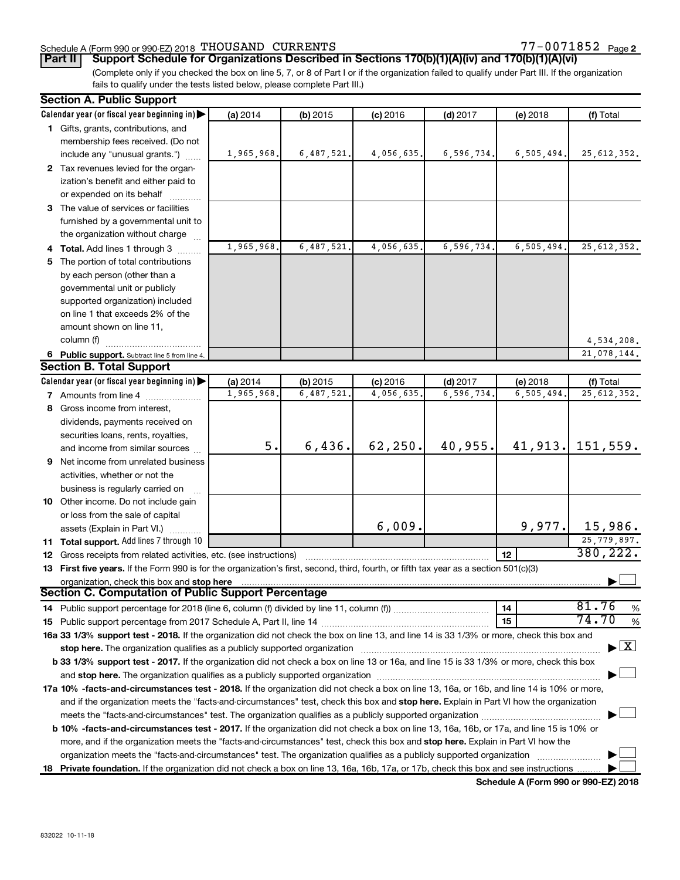## Schedule A (Form 990 or 990-EZ) 2018  $THOUS AND$   $CURRENTS$   $77-0071852$   $Page$

**Part II Support Schedule for Organizations Described in Sections 170(b)(1)(A)(iv) and 170(b)(1)(A)(vi)**

(Complete only if you checked the box on line 5, 7, or 8 of Part I or if the organization failed to qualify under Part III. If the organization fails to qualify under the tests listed below, please complete Part III.)

| <b>Section A. Public Support</b>                                                                                                                                                                                               |            |            |            |            |              |                                    |  |  |
|--------------------------------------------------------------------------------------------------------------------------------------------------------------------------------------------------------------------------------|------------|------------|------------|------------|--------------|------------------------------------|--|--|
| Calendar year (or fiscal year beginning in)                                                                                                                                                                                    | (a) 2014   | $(b)$ 2015 | $(c)$ 2016 | $(d)$ 2017 | (e) 2018     | (f) Total                          |  |  |
| 1 Gifts, grants, contributions, and                                                                                                                                                                                            |            |            |            |            |              |                                    |  |  |
| membership fees received. (Do not                                                                                                                                                                                              |            |            |            |            |              |                                    |  |  |
| include any "unusual grants.")                                                                                                                                                                                                 | 1,965,968. | 6,487,521. | 4,056,635. | 6,596,734. | 6, 505, 494. | 25, 612, 352.                      |  |  |
| 2 Tax revenues levied for the organ-                                                                                                                                                                                           |            |            |            |            |              |                                    |  |  |
| ization's benefit and either paid to                                                                                                                                                                                           |            |            |            |            |              |                                    |  |  |
| or expended on its behalf                                                                                                                                                                                                      |            |            |            |            |              |                                    |  |  |
| 3 The value of services or facilities                                                                                                                                                                                          |            |            |            |            |              |                                    |  |  |
| furnished by a governmental unit to                                                                                                                                                                                            |            |            |            |            |              |                                    |  |  |
| the organization without charge                                                                                                                                                                                                |            |            |            |            |              |                                    |  |  |
| 4 Total. Add lines 1 through 3                                                                                                                                                                                                 | 1,965,968. | 6,487,521. | 4,056,635  | 6,596,734. | 6, 505, 494. | 25, 612, 352.                      |  |  |
| 5 The portion of total contributions                                                                                                                                                                                           |            |            |            |            |              |                                    |  |  |
| by each person (other than a                                                                                                                                                                                                   |            |            |            |            |              |                                    |  |  |
| governmental unit or publicly                                                                                                                                                                                                  |            |            |            |            |              |                                    |  |  |
| supported organization) included                                                                                                                                                                                               |            |            |            |            |              |                                    |  |  |
| on line 1 that exceeds 2% of the                                                                                                                                                                                               |            |            |            |            |              |                                    |  |  |
| amount shown on line 11,                                                                                                                                                                                                       |            |            |            |            |              |                                    |  |  |
| column (f)                                                                                                                                                                                                                     |            |            |            |            |              | 4,534,208.                         |  |  |
| 6 Public support. Subtract line 5 from line 4.                                                                                                                                                                                 |            |            |            |            |              | 21,078,144.                        |  |  |
| <b>Section B. Total Support</b>                                                                                                                                                                                                |            |            |            |            |              |                                    |  |  |
| Calendar year (or fiscal year beginning in)                                                                                                                                                                                    | (a) 2014   | $(b)$ 2015 | $(c)$ 2016 | $(d)$ 2017 | (e) 2018     | (f) Total                          |  |  |
| <b>7</b> Amounts from line 4                                                                                                                                                                                                   | 1,965,968  | 6,487,521  | 4,056,635  | 6,596,734. | 6, 505, 494. | 25, 612, 352.                      |  |  |
| 8 Gross income from interest,                                                                                                                                                                                                  |            |            |            |            |              |                                    |  |  |
| dividends, payments received on                                                                                                                                                                                                |            |            |            |            |              |                                    |  |  |
|                                                                                                                                                                                                                                |            |            |            |            |              |                                    |  |  |
| securities loans, rents, royalties,                                                                                                                                                                                            | 5.         | 6,436.     | 62, 250.   | 40,955.    |              | 41, 913. 151, 559.                 |  |  |
| and income from similar sources                                                                                                                                                                                                |            |            |            |            |              |                                    |  |  |
| 9 Net income from unrelated business                                                                                                                                                                                           |            |            |            |            |              |                                    |  |  |
| activities, whether or not the                                                                                                                                                                                                 |            |            |            |            |              |                                    |  |  |
| business is regularly carried on                                                                                                                                                                                               |            |            |            |            |              |                                    |  |  |
| 10 Other income. Do not include gain                                                                                                                                                                                           |            |            |            |            |              |                                    |  |  |
| or loss from the sale of capital                                                                                                                                                                                               |            |            | 6,009.     |            | 9,977.       | 15,986.                            |  |  |
| assets (Explain in Part VI.)                                                                                                                                                                                                   |            |            |            |            |              |                                    |  |  |
| <b>11 Total support.</b> Add lines 7 through 10                                                                                                                                                                                |            |            |            |            |              | 25,779,897.<br>380, 222.           |  |  |
| <b>12</b> Gross receipts from related activities, etc. (see instructions)                                                                                                                                                      |            |            |            |            | 12           |                                    |  |  |
| 13 First five years. If the Form 990 is for the organization's first, second, third, fourth, or fifth tax year as a section 501(c)(3)                                                                                          |            |            |            |            |              |                                    |  |  |
| organization, check this box and stop here<br><b>Section C. Computation of Public Support Percentage</b>                                                                                                                       |            |            |            |            |              |                                    |  |  |
|                                                                                                                                                                                                                                |            |            |            |            |              | 81.76                              |  |  |
|                                                                                                                                                                                                                                |            |            |            |            | 14           | %<br>74.70                         |  |  |
|                                                                                                                                                                                                                                |            |            |            |            | 15           | %                                  |  |  |
| 16a 33 1/3% support test - 2018. If the organization did not check the box on line 13, and line 14 is 33 1/3% or more, check this box and                                                                                      |            |            |            |            |              |                                    |  |  |
| stop here. The organization qualifies as a publicly supported organization manufaction manufacture or the organization manufacture or the organization manufacture or the organization manufacture or the state of the state o |            |            |            |            |              | $\blacktriangleright$ $\mathbf{X}$ |  |  |
| b 33 1/3% support test - 2017. If the organization did not check a box on line 13 or 16a, and line 15 is 33 1/3% or more, check this box                                                                                       |            |            |            |            |              |                                    |  |  |
|                                                                                                                                                                                                                                |            |            |            |            |              |                                    |  |  |
| 17a 10% -facts-and-circumstances test - 2018. If the organization did not check a box on line 13, 16a, or 16b, and line 14 is 10% or more,                                                                                     |            |            |            |            |              |                                    |  |  |
| and if the organization meets the "facts-and-circumstances" test, check this box and stop here. Explain in Part VI how the organization                                                                                        |            |            |            |            |              |                                    |  |  |
|                                                                                                                                                                                                                                |            |            |            |            |              |                                    |  |  |
| <b>b 10%</b> -facts-and-circumstances test - 2017. If the organization did not check a box on line 13, 16a, 16b, or 17a, and line 15 is 10% or                                                                                 |            |            |            |            |              |                                    |  |  |
| more, and if the organization meets the "facts-and-circumstances" test, check this box and stop here. Explain in Part VI how the                                                                                               |            |            |            |            |              |                                    |  |  |
| organization meets the "facts-and-circumstances" test. The organization qualifies as a publicly supported organization                                                                                                         |            |            |            |            |              |                                    |  |  |
| 18 Private foundation. If the organization did not check a box on line 13, 16a, 16b, 17a, or 17b, check this box and see instructions                                                                                          |            |            |            |            |              |                                    |  |  |

**Schedule A (Form 990 or 990-EZ) 2018**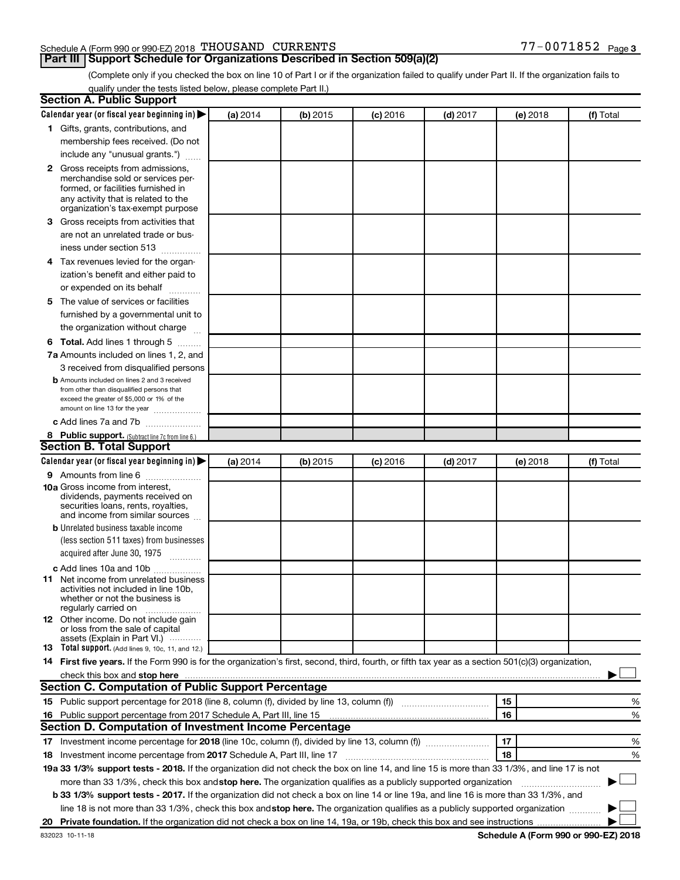## Schedule A (Form 990 or 990-EZ) 2018  $THOUS AND$   $CURRENTS$   $77-0071852$   $Page$

77-0071852 Page 3

(Complete only if you checked the box on line 10 of Part I or if the organization failed to qualify under Part II. If the organization fails to qualify under the tests listed below, please complete Part II.)

| <b>Section A. Public Support</b>                                                                                                                                                                                              |          |          |            |            |          |           |
|-------------------------------------------------------------------------------------------------------------------------------------------------------------------------------------------------------------------------------|----------|----------|------------|------------|----------|-----------|
| Calendar year (or fiscal year beginning in)                                                                                                                                                                                   | (a) 2014 | (b) 2015 | $(c)$ 2016 | $(d)$ 2017 | (e) 2018 | (f) Total |
| 1 Gifts, grants, contributions, and                                                                                                                                                                                           |          |          |            |            |          |           |
| membership fees received. (Do not                                                                                                                                                                                             |          |          |            |            |          |           |
| include any "unusual grants.")                                                                                                                                                                                                |          |          |            |            |          |           |
| <b>2</b> Gross receipts from admissions,                                                                                                                                                                                      |          |          |            |            |          |           |
| merchandise sold or services per-                                                                                                                                                                                             |          |          |            |            |          |           |
| formed, or facilities furnished in                                                                                                                                                                                            |          |          |            |            |          |           |
| any activity that is related to the<br>organization's tax-exempt purpose                                                                                                                                                      |          |          |            |            |          |           |
| 3 Gross receipts from activities that                                                                                                                                                                                         |          |          |            |            |          |           |
| are not an unrelated trade or bus-                                                                                                                                                                                            |          |          |            |            |          |           |
|                                                                                                                                                                                                                               |          |          |            |            |          |           |
| iness under section 513                                                                                                                                                                                                       |          |          |            |            |          |           |
| 4 Tax revenues levied for the organ-                                                                                                                                                                                          |          |          |            |            |          |           |
| ization's benefit and either paid to                                                                                                                                                                                          |          |          |            |            |          |           |
| or expended on its behalf                                                                                                                                                                                                     |          |          |            |            |          |           |
| 5 The value of services or facilities                                                                                                                                                                                         |          |          |            |            |          |           |
| furnished by a governmental unit to                                                                                                                                                                                           |          |          |            |            |          |           |
| the organization without charge                                                                                                                                                                                               |          |          |            |            |          |           |
| 6 Total. Add lines 1 through 5                                                                                                                                                                                                |          |          |            |            |          |           |
| 7a Amounts included on lines 1, 2, and                                                                                                                                                                                        |          |          |            |            |          |           |
| 3 received from disqualified persons                                                                                                                                                                                          |          |          |            |            |          |           |
| <b>b</b> Amounts included on lines 2 and 3 received                                                                                                                                                                           |          |          |            |            |          |           |
| from other than disqualified persons that<br>exceed the greater of \$5,000 or 1% of the                                                                                                                                       |          |          |            |            |          |           |
| amount on line 13 for the year                                                                                                                                                                                                |          |          |            |            |          |           |
| c Add lines 7a and 7b                                                                                                                                                                                                         |          |          |            |            |          |           |
| 8 Public support. (Subtract line 7c from line 6.)                                                                                                                                                                             |          |          |            |            |          |           |
| <b>Section B. Total Support</b>                                                                                                                                                                                               |          |          |            |            |          |           |
| Calendar year (or fiscal year beginning in)                                                                                                                                                                                   | (a) 2014 | (b) 2015 | $(c)$ 2016 | $(d)$ 2017 | (e) 2018 | (f) Total |
| 9 Amounts from line 6                                                                                                                                                                                                         |          |          |            |            |          |           |
| <b>10a</b> Gross income from interest,                                                                                                                                                                                        |          |          |            |            |          |           |
| dividends, payments received on                                                                                                                                                                                               |          |          |            |            |          |           |
| securities loans, rents, royalties,<br>and income from similar sources                                                                                                                                                        |          |          |            |            |          |           |
| <b>b</b> Unrelated business taxable income                                                                                                                                                                                    |          |          |            |            |          |           |
| (less section 511 taxes) from businesses                                                                                                                                                                                      |          |          |            |            |          |           |
| acquired after June 30, 1975<br>$\overline{\phantom{a}}$                                                                                                                                                                      |          |          |            |            |          |           |
| c Add lines 10a and 10b                                                                                                                                                                                                       |          |          |            |            |          |           |
| <b>11</b> Net income from unrelated business                                                                                                                                                                                  |          |          |            |            |          |           |
| activities not included in line 10b.                                                                                                                                                                                          |          |          |            |            |          |           |
| whether or not the business is                                                                                                                                                                                                |          |          |            |            |          |           |
| regularly carried on<br>12 Other income. Do not include gain                                                                                                                                                                  |          |          |            |            |          |           |
| or loss from the sale of capital                                                                                                                                                                                              |          |          |            |            |          |           |
| assets (Explain in Part VI.)                                                                                                                                                                                                  |          |          |            |            |          |           |
| <b>13</b> Total support. (Add lines 9, 10c, 11, and 12.)                                                                                                                                                                      |          |          |            |            |          |           |
| 14 First five years. If the Form 990 is for the organization's first, second, third, fourth, or fifth tax year as a section 501(c)(3) organization,                                                                           |          |          |            |            |          |           |
| check this box and stop here manufactured and stop here and stop here are constructed and stop here and stop here and stop here and stop here and stop here and stop here and stop here and stop here are all the stop of the |          |          |            |            |          |           |
| <b>Section C. Computation of Public Support Percentage</b>                                                                                                                                                                    |          |          |            |            |          |           |
|                                                                                                                                                                                                                               |          |          |            |            | 15       | %         |
|                                                                                                                                                                                                                               |          |          |            |            | 16       | %         |
| Section D. Computation of Investment Income Percentage                                                                                                                                                                        |          |          |            |            |          |           |
| 17 Investment income percentage for 2018 (line 10c, column (f), divided by line 13, column (f))                                                                                                                               |          |          |            |            | 17       | %         |
| 18 Investment income percentage from 2017 Schedule A, Part III, line 17                                                                                                                                                       |          |          |            |            | 18       | %         |
| 19a 33 1/3% support tests - 2018. If the organization did not check the box on line 14, and line 15 is more than 33 1/3%, and line 17 is not                                                                                  |          |          |            |            |          |           |
| more than 33 1/3%, check this box and stop here. The organization qualifies as a publicly supported organization                                                                                                              |          |          |            |            |          |           |
| b 33 1/3% support tests - 2017. If the organization did not check a box on line 14 or line 19a, and line 16 is more than 33 1/3%, and                                                                                         |          |          |            |            |          |           |
| line 18 is not more than 33 1/3%, check this box and stop here. The organization qualifies as a publicly supported organization                                                                                               |          |          |            |            |          |           |
|                                                                                                                                                                                                                               |          |          |            |            |          |           |

**Schedule A (Form 990 or 990-EZ) 2018**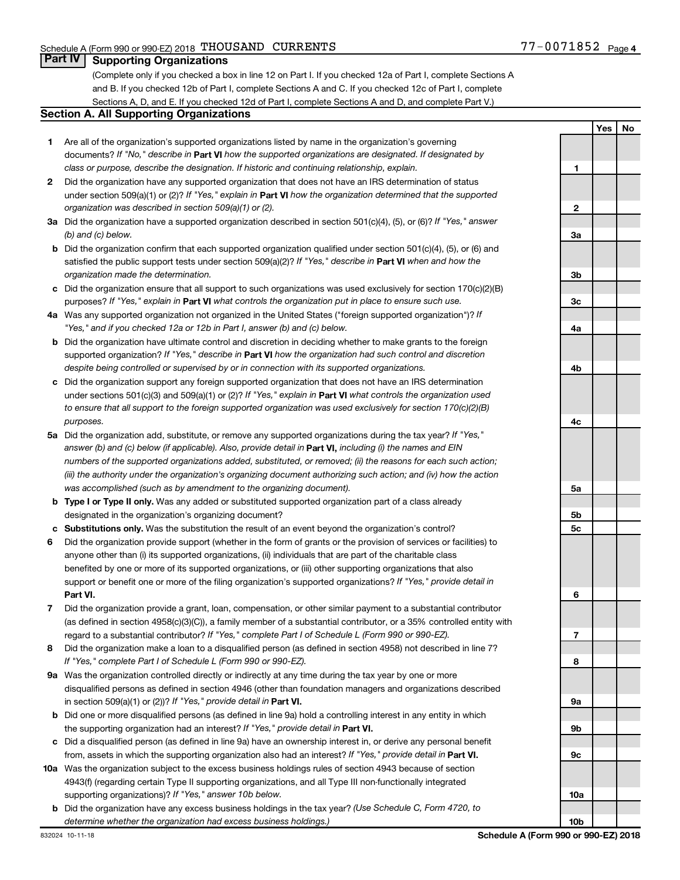## **Part IV Supporting Organizations**

(Complete only if you checked a box in line 12 on Part I. If you checked 12a of Part I, complete Sections A and B. If you checked 12b of Part I, complete Sections A and C. If you checked 12c of Part I, complete Sections A, D, and E. If you checked 12d of Part I, complete Sections A and D, and complete Part V.)

## **Section A. All Supporting Organizations**

- **1** Are all of the organization's supported organizations listed by name in the organization's governing documents? If "No," describe in Part VI how the supported organizations are designated. If designated by *class or purpose, describe the designation. If historic and continuing relationship, explain.*
- **2** Did the organization have any supported organization that does not have an IRS determination of status under section 509(a)(1) or (2)? If "Yes," explain in Part **VI** how the organization determined that the supported *organization was described in section 509(a)(1) or (2).*
- **3a** Did the organization have a supported organization described in section 501(c)(4), (5), or (6)? If "Yes," answer *(b) and (c) below.*
- **b** Did the organization confirm that each supported organization qualified under section 501(c)(4), (5), or (6) and satisfied the public support tests under section 509(a)(2)? If "Yes," describe in Part VI when and how the *organization made the determination.*
- **c** Did the organization ensure that all support to such organizations was used exclusively for section 170(c)(2)(B) purposes? If "Yes," explain in Part VI what controls the organization put in place to ensure such use.
- **4 a** *If* Was any supported organization not organized in the United States ("foreign supported organization")? *"Yes," and if you checked 12a or 12b in Part I, answer (b) and (c) below.*
- **b** Did the organization have ultimate control and discretion in deciding whether to make grants to the foreign supported organization? If "Yes," describe in Part VI how the organization had such control and discretion *despite being controlled or supervised by or in connection with its supported organizations.*
- **c** Did the organization support any foreign supported organization that does not have an IRS determination under sections 501(c)(3) and 509(a)(1) or (2)? If "Yes," explain in Part VI what controls the organization used *to ensure that all support to the foreign supported organization was used exclusively for section 170(c)(2)(B) purposes.*
- **5a** Did the organization add, substitute, or remove any supported organizations during the tax year? If "Yes," answer (b) and (c) below (if applicable). Also, provide detail in **Part VI,** including (i) the names and EIN *numbers of the supported organizations added, substituted, or removed; (ii) the reasons for each such action; (iii) the authority under the organization's organizing document authorizing such action; and (iv) how the action was accomplished (such as by amendment to the organizing document).*
- **b Type I or Type II only.** Was any added or substituted supported organization part of a class already designated in the organization's organizing document?
- **c Substitutions only.**  Was the substitution the result of an event beyond the organization's control?
- **6** Did the organization provide support (whether in the form of grants or the provision of services or facilities) to **Part VI.** support or benefit one or more of the filing organization's supported organizations? If "Yes," provide detail in anyone other than (i) its supported organizations, (ii) individuals that are part of the charitable class benefited by one or more of its supported organizations, or (iii) other supporting organizations that also
- **7** Did the organization provide a grant, loan, compensation, or other similar payment to a substantial contributor regard to a substantial contributor? If "Yes," complete Part I of Schedule L (Form 990 or 990-EZ). (as defined in section 4958(c)(3)(C)), a family member of a substantial contributor, or a 35% controlled entity with
- **8** Did the organization make a loan to a disqualified person (as defined in section 4958) not described in line 7? *If "Yes," complete Part I of Schedule L (Form 990 or 990-EZ).*
- **9 a** Was the organization controlled directly or indirectly at any time during the tax year by one or more in section 509(a)(1) or (2))? If "Yes," provide detail in **Part VI.** disqualified persons as defined in section 4946 (other than foundation managers and organizations described
- **b** Did one or more disqualified persons (as defined in line 9a) hold a controlling interest in any entity in which the supporting organization had an interest? If "Yes," provide detail in Part VI.
- **c** Did a disqualified person (as defined in line 9a) have an ownership interest in, or derive any personal benefit from, assets in which the supporting organization also had an interest? If "Yes," provide detail in Part VI.
- **10 a** Was the organization subject to the excess business holdings rules of section 4943 because of section supporting organizations)? If "Yes," answer 10b below. 4943(f) (regarding certain Type II supporting organizations, and all Type III non-functionally integrated
	- **b** Did the organization have any excess business holdings in the tax year? (Use Schedule C, Form 4720, to *determine whether the organization had excess business holdings.)*

**Yes No 1 2 3a 3b 3c 4a 4b 4c 5a 5b 5c 6 7 8 9a 9b 9c 10a 10b**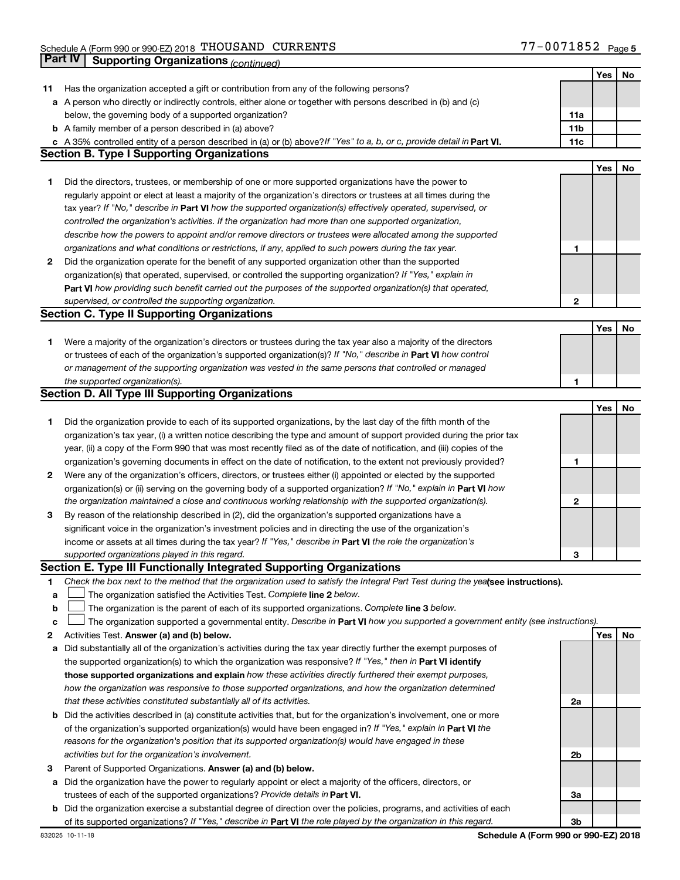|    |                                                                                                                                 |                | Yes | No |
|----|---------------------------------------------------------------------------------------------------------------------------------|----------------|-----|----|
| 11 | Has the organization accepted a gift or contribution from any of the following persons?                                         |                |     |    |
|    | a A person who directly or indirectly controls, either alone or together with persons described in (b) and (c)                  |                |     |    |
|    | below, the governing body of a supported organization?                                                                          | 11a            |     |    |
|    | <b>b</b> A family member of a person described in (a) above?                                                                    | 11b            |     |    |
|    | A 35% controlled entity of a person described in (a) or (b) above? If "Yes" to a, b, or c, provide detail in Part VI.           | 11c            |     |    |
|    | <b>Section B. Type I Supporting Organizations</b>                                                                               |                |     |    |
|    |                                                                                                                                 |                | Yes | No |
| 1. | Did the directors, trustees, or membership of one or more supported organizations have the power to                             |                |     |    |
|    | regularly appoint or elect at least a majority of the organization's directors or trustees at all times during the              |                |     |    |
|    | tax year? If "No," describe in Part VI how the supported organization(s) effectively operated, supervised, or                   |                |     |    |
|    |                                                                                                                                 |                |     |    |
|    | controlled the organization's activities. If the organization had more than one supported organization,                         |                |     |    |
|    | describe how the powers to appoint and/or remove directors or trustees were allocated among the supported                       |                |     |    |
|    | organizations and what conditions or restrictions, if any, applied to such powers during the tax year.                          | 1              |     |    |
| 2  | Did the organization operate for the benefit of any supported organization other than the supported                             |                |     |    |
|    | organization(s) that operated, supervised, or controlled the supporting organization? If "Yes," explain in                      |                |     |    |
|    | Part VI how providing such benefit carried out the purposes of the supported organization(s) that operated,                     |                |     |    |
|    | supervised, or controlled the supporting organization.                                                                          | $\mathbf{2}$   |     |    |
|    | <b>Section C. Type II Supporting Organizations</b>                                                                              |                |     |    |
|    |                                                                                                                                 |                | Yes | No |
| 1. | Were a majority of the organization's directors or trustees during the tax year also a majority of the directors                |                |     |    |
|    | or trustees of each of the organization's supported organization(s)? If "No," describe in Part VI how control                   |                |     |    |
|    | or management of the supporting organization was vested in the same persons that controlled or managed                          |                |     |    |
|    | the supported organization(s).                                                                                                  | 1              |     |    |
|    | <b>Section D. All Type III Supporting Organizations</b>                                                                         |                |     |    |
|    |                                                                                                                                 |                | Yes | No |
| 1  | Did the organization provide to each of its supported organizations, by the last day of the fifth month of the                  |                |     |    |
|    | organization's tax year, (i) a written notice describing the type and amount of support provided during the prior tax           |                |     |    |
|    | year, (ii) a copy of the Form 990 that was most recently filed as of the date of notification, and (iii) copies of the          |                |     |    |
|    | organization's governing documents in effect on the date of notification, to the extent not previously provided?                | 1              |     |    |
| 2  | Were any of the organization's officers, directors, or trustees either (i) appointed or elected by the supported                |                |     |    |
|    | organization(s) or (ii) serving on the governing body of a supported organization? If "No," explain in Part VI how              |                |     |    |
|    | the organization maintained a close and continuous working relationship with the supported organization(s).                     | 2              |     |    |
| 3  | By reason of the relationship described in (2), did the organization's supported organizations have a                           |                |     |    |
|    | significant voice in the organization's investment policies and in directing the use of the organization's                      |                |     |    |
|    | income or assets at all times during the tax year? If "Yes," describe in Part VI the role the organization's                    |                |     |    |
|    | supported organizations played in this regard.                                                                                  | 3              |     |    |
|    | Section E. Type III Functionally Integrated Supporting Organizations                                                            |                |     |    |
| 1. | Check the box next to the method that the organization used to satisfy the Integral Part Test during the yealsee instructions). |                |     |    |
| а  | The organization satisfied the Activities Test. Complete line 2 below.                                                          |                |     |    |
| b  | The organization is the parent of each of its supported organizations. Complete line 3 below.                                   |                |     |    |
| с  | The organization supported a governmental entity. Describe in Part VI how you supported a government entity (see instructions). |                |     |    |
| 2  | Activities Test. Answer (a) and (b) below.                                                                                      |                | Yes | No |
| а  | Did substantially all of the organization's activities during the tax year directly further the exempt purposes of              |                |     |    |
|    | the supported organization(s) to which the organization was responsive? If "Yes," then in Part VI identify                      |                |     |    |
|    | those supported organizations and explain how these activities directly furthered their exempt purposes,                        |                |     |    |
|    | how the organization was responsive to those supported organizations, and how the organization determined                       |                |     |    |
|    | that these activities constituted substantially all of its activities.                                                          | 2a             |     |    |
|    |                                                                                                                                 |                |     |    |
| b  | Did the activities described in (a) constitute activities that, but for the organization's involvement, one or more             |                |     |    |
|    | of the organization's supported organization(s) would have been engaged in? If "Yes," explain in Part VI the                    |                |     |    |
|    | reasons for the organization's position that its supported organization(s) would have engaged in these                          |                |     |    |
|    | activities but for the organization's involvement.                                                                              | 2b             |     |    |
| 3  | Parent of Supported Organizations. Answer (a) and (b) below.                                                                    |                |     |    |
| а  | Did the organization have the power to regularly appoint or elect a majority of the officers, directors, or                     |                |     |    |
|    | trustees of each of the supported organizations? Provide details in Part VI.                                                    | За             |     |    |
| b  | Did the organization exercise a substantial degree of direction over the policies, programs, and activities of each             |                |     |    |
|    | of its supported organizations? If "Yes," describe in Part VI the role played by the organization in this regard.               | 3 <sub>b</sub> |     |    |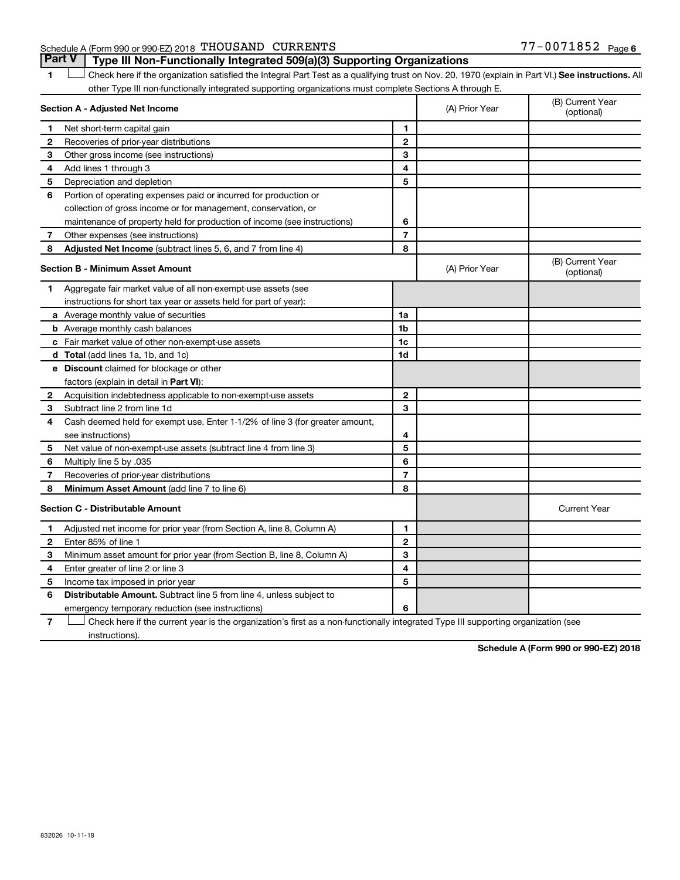## Schedule A (Form 990 or 990-EZ) 2018  $THOUS AND$   $CURRENTS$   $77-0071852$   $Page$

1 **Letter See instructions.** All Check here if the organization satisfied the Integral Part Test as a qualifying trust on Nov. 20, 1970 (explain in Part VI.) See instructions. All other Type III non-functionally integrated supporting organizations must complete Sections A through E. **Part V Type III Non-Functionally Integrated 509(a)(3) Supporting Organizations** 

|              | Section A - Adjusted Net Income                                              |                | (A) Prior Year | (B) Current Year<br>(optional) |
|--------------|------------------------------------------------------------------------------|----------------|----------------|--------------------------------|
| 1            | Net short-term capital gain                                                  | 1              |                |                                |
| $\mathbf{2}$ | Recoveries of prior-year distributions                                       | $\mathbf{2}$   |                |                                |
| З            | Other gross income (see instructions)                                        | 3              |                |                                |
| 4            | Add lines 1 through 3                                                        | 4              |                |                                |
| 5            | Depreciation and depletion                                                   | 5              |                |                                |
| 6            | Portion of operating expenses paid or incurred for production or             |                |                |                                |
|              | collection of gross income or for management, conservation, or               |                |                |                                |
|              | maintenance of property held for production of income (see instructions)     | 6              |                |                                |
| 7            | Other expenses (see instructions)                                            | $\overline{7}$ |                |                                |
| 8            | Adjusted Net Income (subtract lines 5, 6, and 7 from line 4)                 | 8              |                |                                |
|              | <b>Section B - Minimum Asset Amount</b>                                      |                | (A) Prior Year | (B) Current Year<br>(optional) |
| 1            | Aggregate fair market value of all non-exempt-use assets (see                |                |                |                                |
|              | instructions for short tax year or assets held for part of year):            |                |                |                                |
|              | a Average monthly value of securities                                        | 1a             |                |                                |
|              | <b>b</b> Average monthly cash balances                                       | 1b             |                |                                |
|              | c Fair market value of other non-exempt-use assets                           | 1c             |                |                                |
|              | d Total (add lines 1a, 1b, and 1c)                                           | 1d             |                |                                |
|              | <b>e</b> Discount claimed for blockage or other                              |                |                |                                |
|              | factors (explain in detail in Part VI):                                      |                |                |                                |
| $\mathbf{2}$ | Acquisition indebtedness applicable to non-exempt-use assets                 | $\mathbf{2}$   |                |                                |
| З            | Subtract line 2 from line 1d                                                 | 3              |                |                                |
| 4            | Cash deemed held for exempt use. Enter 1-1/2% of line 3 (for greater amount, |                |                |                                |
|              | see instructions)                                                            | 4              |                |                                |
| 5            | Net value of non-exempt-use assets (subtract line 4 from line 3)             | 5              |                |                                |
| 6            | Multiply line 5 by .035                                                      | 6              |                |                                |
| 7            | Recoveries of prior-year distributions                                       | 7              |                |                                |
| 8            | <b>Minimum Asset Amount (add line 7 to line 6)</b>                           | 8              |                |                                |
|              | <b>Section C - Distributable Amount</b>                                      |                |                | <b>Current Year</b>            |
| 1            | Adjusted net income for prior year (from Section A, line 8, Column A)        | 1              |                |                                |
| $\mathbf{2}$ | Enter 85% of line 1                                                          | $\overline{2}$ |                |                                |
| 3            | Minimum asset amount for prior year (from Section B, line 8, Column A)       | 3              |                |                                |
| 4            | Enter greater of line 2 or line 3                                            | 4              |                |                                |
| 5            | Income tax imposed in prior year                                             | 5              |                |                                |
| 6            | Distributable Amount. Subtract line 5 from line 4, unless subject to         |                |                |                                |
|              | emergency temporary reduction (see instructions)                             | 6              |                |                                |
|              |                                                                              |                |                |                                |

**7** Check here if the current year is the organization's first as a non-functionally integrated Type III supporting organization (see † instructions).

**Schedule A (Form 990 or 990-EZ) 2018**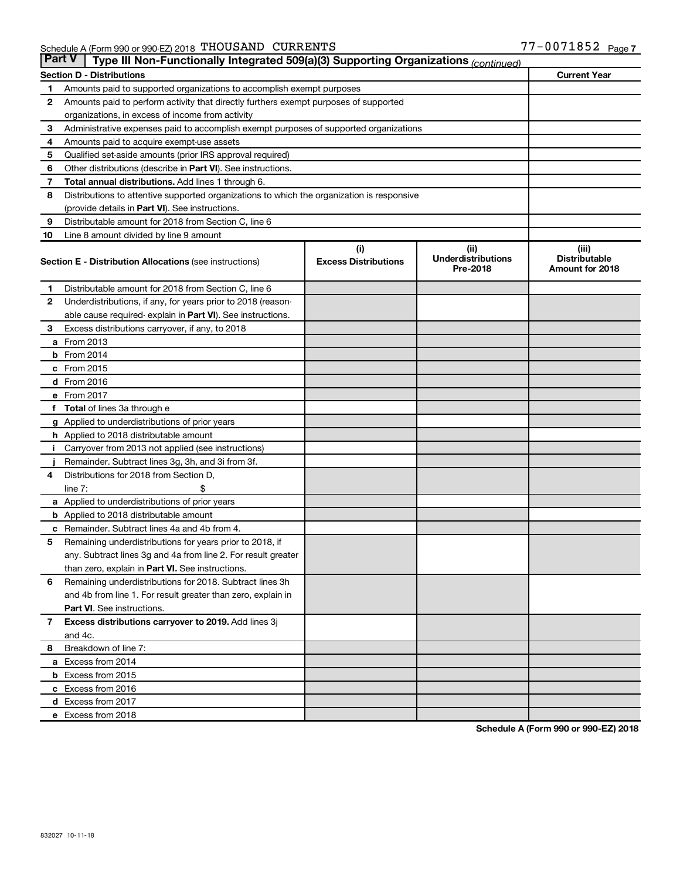| <b>Part V</b><br>Type III Non-Functionally Integrated 509(a)(3) Supporting Organizations (continued) |                                                                                            |                             |                                       |                                         |
|------------------------------------------------------------------------------------------------------|--------------------------------------------------------------------------------------------|-----------------------------|---------------------------------------|-----------------------------------------|
|                                                                                                      | <b>Section D - Distributions</b>                                                           |                             |                                       | <b>Current Year</b>                     |
| 1                                                                                                    | Amounts paid to supported organizations to accomplish exempt purposes                      |                             |                                       |                                         |
| 2                                                                                                    | Amounts paid to perform activity that directly furthers exempt purposes of supported       |                             |                                       |                                         |
|                                                                                                      | organizations, in excess of income from activity                                           |                             |                                       |                                         |
| 3                                                                                                    | Administrative expenses paid to accomplish exempt purposes of supported organizations      |                             |                                       |                                         |
| 4                                                                                                    | Amounts paid to acquire exempt-use assets                                                  |                             |                                       |                                         |
| 5                                                                                                    | Qualified set-aside amounts (prior IRS approval required)                                  |                             |                                       |                                         |
| 6                                                                                                    | Other distributions (describe in Part VI). See instructions.                               |                             |                                       |                                         |
| 7                                                                                                    | Total annual distributions. Add lines 1 through 6.                                         |                             |                                       |                                         |
| 8                                                                                                    | Distributions to attentive supported organizations to which the organization is responsive |                             |                                       |                                         |
|                                                                                                      | (provide details in Part VI). See instructions.                                            |                             |                                       |                                         |
| 9                                                                                                    | Distributable amount for 2018 from Section C, line 6                                       |                             |                                       |                                         |
| 10                                                                                                   | Line 8 amount divided by line 9 amount                                                     |                             |                                       |                                         |
|                                                                                                      |                                                                                            | (i)                         | (ii)                                  | (iii)                                   |
|                                                                                                      | <b>Section E - Distribution Allocations (see instructions)</b>                             | <b>Excess Distributions</b> | <b>Underdistributions</b><br>Pre-2018 | <b>Distributable</b><br>Amount for 2018 |
| 1.                                                                                                   | Distributable amount for 2018 from Section C, line 6                                       |                             |                                       |                                         |
| $\mathbf{2}$                                                                                         | Underdistributions, if any, for years prior to 2018 (reason-                               |                             |                                       |                                         |
|                                                                                                      | able cause required- explain in Part VI). See instructions.                                |                             |                                       |                                         |
| 3                                                                                                    | Excess distributions carryover, if any, to 2018                                            |                             |                                       |                                         |
|                                                                                                      | a From 2013                                                                                |                             |                                       |                                         |
|                                                                                                      | <b>b</b> From 2014                                                                         |                             |                                       |                                         |
|                                                                                                      | c From 2015                                                                                |                             |                                       |                                         |
|                                                                                                      | d From 2016                                                                                |                             |                                       |                                         |
|                                                                                                      | e From 2017                                                                                |                             |                                       |                                         |
|                                                                                                      | f Total of lines 3a through e                                                              |                             |                                       |                                         |
|                                                                                                      | <b>g</b> Applied to underdistributions of prior years                                      |                             |                                       |                                         |
|                                                                                                      | <b>h</b> Applied to 2018 distributable amount                                              |                             |                                       |                                         |
|                                                                                                      | Carryover from 2013 not applied (see instructions)                                         |                             |                                       |                                         |
|                                                                                                      | Remainder. Subtract lines 3g, 3h, and 3i from 3f.                                          |                             |                                       |                                         |
| 4                                                                                                    | Distributions for 2018 from Section D,                                                     |                             |                                       |                                         |
|                                                                                                      | $line 7$ :                                                                                 |                             |                                       |                                         |
|                                                                                                      | a Applied to underdistributions of prior years                                             |                             |                                       |                                         |
|                                                                                                      | <b>b</b> Applied to 2018 distributable amount                                              |                             |                                       |                                         |
| с                                                                                                    | Remainder. Subtract lines 4a and 4b from 4.                                                |                             |                                       |                                         |
| 5                                                                                                    | Remaining underdistributions for years prior to 2018, if                                   |                             |                                       |                                         |
|                                                                                                      | any. Subtract lines 3g and 4a from line 2. For result greater                              |                             |                                       |                                         |
|                                                                                                      | than zero, explain in Part VI. See instructions.                                           |                             |                                       |                                         |
| 6                                                                                                    | Remaining underdistributions for 2018. Subtract lines 3h                                   |                             |                                       |                                         |
|                                                                                                      | and 4b from line 1. For result greater than zero, explain in                               |                             |                                       |                                         |
|                                                                                                      | <b>Part VI.</b> See instructions.                                                          |                             |                                       |                                         |
| $\mathbf{7}$                                                                                         | Excess distributions carryover to 2019. Add lines 3j                                       |                             |                                       |                                         |
|                                                                                                      | and 4c.                                                                                    |                             |                                       |                                         |
| 8                                                                                                    | Breakdown of line 7:                                                                       |                             |                                       |                                         |
|                                                                                                      | a Excess from 2014                                                                         |                             |                                       |                                         |
|                                                                                                      | <b>b</b> Excess from 2015                                                                  |                             |                                       |                                         |
|                                                                                                      | c Excess from 2016                                                                         |                             |                                       |                                         |
|                                                                                                      | d Excess from 2017                                                                         |                             |                                       |                                         |
|                                                                                                      | e Excess from 2018                                                                         |                             |                                       |                                         |

**Schedule A (Form 990 or 990-EZ) 2018**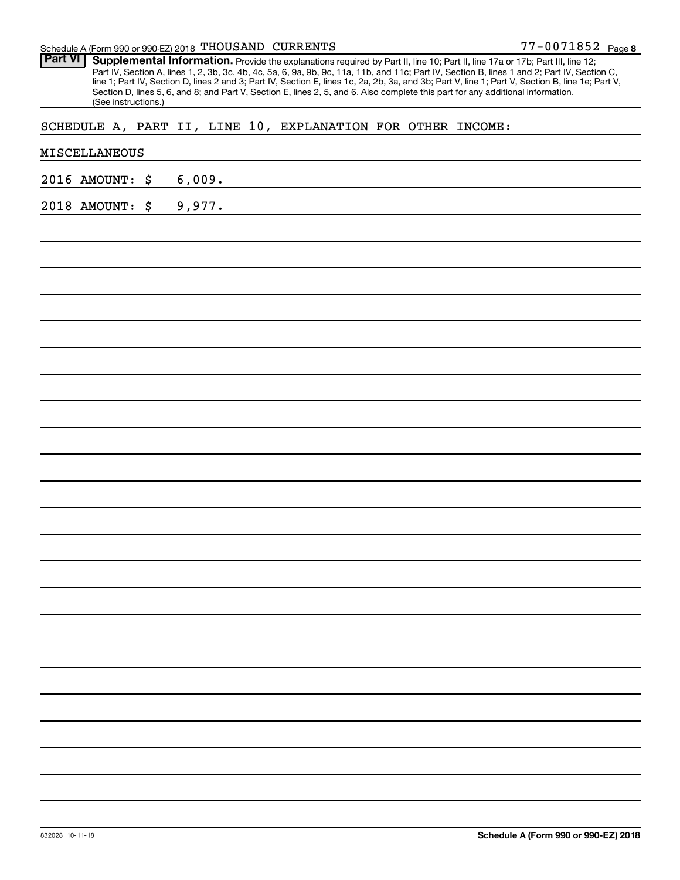| Schedule A (Form 990 or 990-EZ) 2018 THOUSAND CURRENTS |  | $77 - 0071852$ Page 8 |
|--------------------------------------------------------|--|-----------------------|
|--------------------------------------------------------|--|-----------------------|

Provide the explanations required by Part II, line 10; Part II, line 17a or 17b; Part III, line 12; Part IV, Section A, lines 1, 2, 3b, 3c, 4b, 4c, 5a, 6, 9a, 9b, 9c, 11a, 11b, and 11c; Part IV, Section B, lines 1 and 2; Part IV, Section C, line 1; Part IV, Section D, lines 2 and 3; Part IV, Section E, lines 1c, 2a, 2b, 3a, and 3b; Part V, line 1; Part V, Section B, line 1e; Part V, Section D, lines 5, 6, and 8; and Part V, Section E, lines 2, 5, and 6. Also complete this part for any additional information. (See instructions.) **Part VI Supplemental Information.** 

SCHEDULE A, PART II, LINE 10, EXPLANATION FOR OTHER INCOME:

## MISCELLANEOUS

2016 AMOUNT: \$ 6,009.

2018 AMOUNT: \$ 9,977.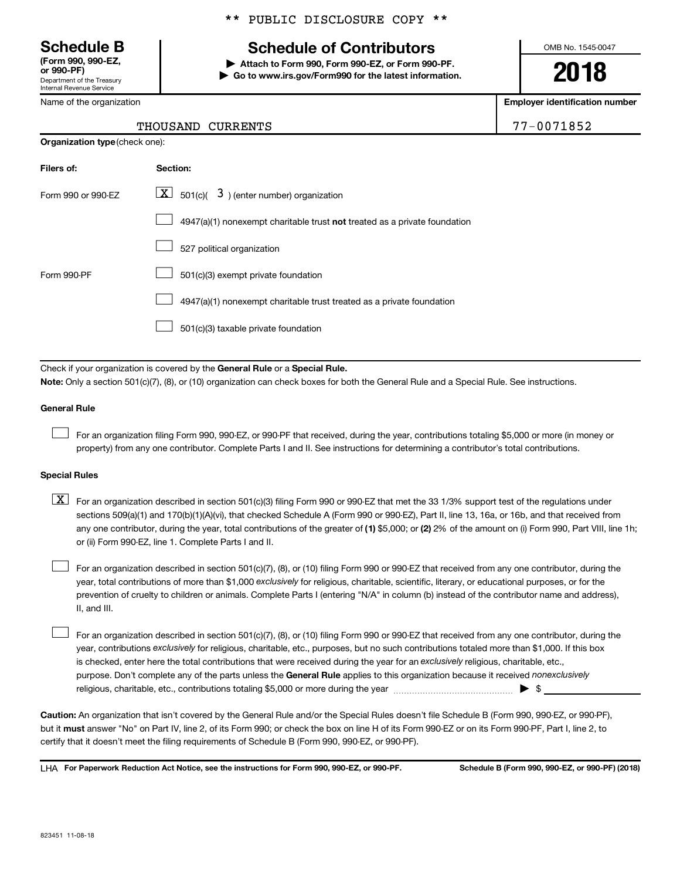Department of the Treasury Internal Revenue Service **(Form 990, 990-EZ,**

Name of the organization

## \*\* PUBLIC DISCLOSURE COPY \*\*

# **Schedule B Schedule of Contributors**

**or 990-PF) | Attach to Form 990, Form 990-EZ, or Form 990-PF. | Go to www.irs.gov/Form990 for the latest information.** OMB No. 1545-0047

**2018**

**Employer identification number**

| $7 - 0071852$ |  |  |  |  |
|---------------|--|--|--|--|
|---------------|--|--|--|--|

| THOUSAND CURRENTS | 77-0071852 |
|-------------------|------------|
|                   |            |

| <b>Organization type (check one):</b> |                                                                                    |  |  |
|---------------------------------------|------------------------------------------------------------------------------------|--|--|
| Filers of:                            | Section:                                                                           |  |  |
| Form 990 or 990-EZ                    | $ \mathbf{X} $ 501(c)( 3) (enter number) organization                              |  |  |
|                                       | $4947(a)(1)$ nonexempt charitable trust <b>not</b> treated as a private foundation |  |  |
|                                       | 527 political organization                                                         |  |  |
| Form 990-PF                           | 501(c)(3) exempt private foundation                                                |  |  |
|                                       | 4947(a)(1) nonexempt charitable trust treated as a private foundation              |  |  |
|                                       | 501(c)(3) taxable private foundation                                               |  |  |

Check if your organization is covered by the General Rule or a Special Rule.

**Note:**  Only a section 501(c)(7), (8), or (10) organization can check boxes for both the General Rule and a Special Rule. See instructions.

## **General Rule**

 $\Box$ 

For an organization filing Form 990, 990-EZ, or 990-PF that received, during the year, contributions totaling \$5,000 or more (in money or property) from any one contributor. Complete Parts I and II. See instructions for determining a contributor's total contributions.

### **Special Rules**

any one contributor, during the year, total contributions of the greater of (1) \$5,000; or (2) 2% of the amount on (i) Form 990, Part VIII, line 1h;  $\boxed{\text{X}}$  For an organization described in section 501(c)(3) filing Form 990 or 990-EZ that met the 33 1/3% support test of the regulations under sections 509(a)(1) and 170(b)(1)(A)(vi), that checked Schedule A (Form 990 or 990-EZ), Part II, line 13, 16a, or 16b, and that received from or (ii) Form 990-EZ, line 1. Complete Parts I and II.

year, total contributions of more than \$1,000 *exclusively* for religious, charitable, scientific, literary, or educational purposes, or for the For an organization described in section 501(c)(7), (8), or (10) filing Form 990 or 990-EZ that received from any one contributor, during the prevention of cruelty to children or animals. Complete Parts I (entering "N/A" in column (b) instead of the contributor name and address), II, and III.  $\Box$ 

purpose. Don't complete any of the parts unless the General Rule applies to this organization because it received nonexclusively year, contributions exclusively for religious, charitable, etc., purposes, but no such contributions totaled more than \$1,000. If this box is checked, enter here the total contributions that were received during the year for an exclusively religious, charitable, etc., For an organization described in section 501(c)(7), (8), or (10) filing Form 990 or 990-EZ that received from any one contributor, during the religious, charitable, etc., contributions totaling \$5,000 or more during the year  $\ldots$  $\ldots$  $\ldots$  $\ldots$  $\ldots$  $\ldots$  $\Box$ 

**Caution:**  An organization that isn't covered by the General Rule and/or the Special Rules doesn't file Schedule B (Form 990, 990-EZ, or 990-PF),  **must** but it answer "No" on Part IV, line 2, of its Form 990; or check the box on line H of its Form 990-EZ or on its Form 990-PF, Part I, line 2, to certify that it doesn't meet the filing requirements of Schedule B (Form 990, 990-EZ, or 990-PF).

**For Paperwork Reduction Act Notice, see the instructions for Form 990, 990-EZ, or 990-PF. Schedule B (Form 990, 990-EZ, or 990-PF) (2018)** LHA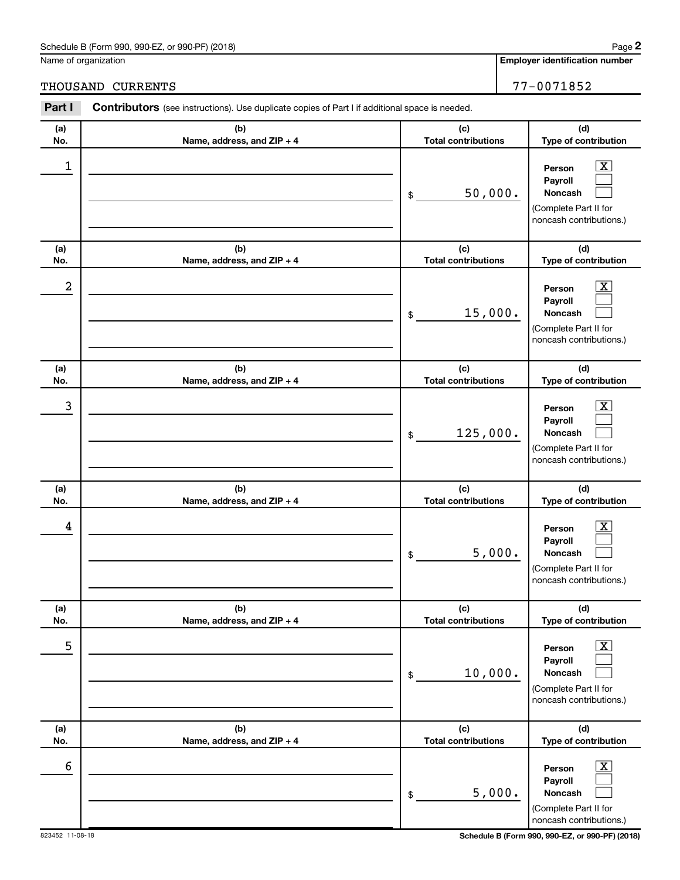Name of organization

**Employer identification number**

# THOUSAND CURRENTS 77-0071852

| Part I     | <b>Contributors</b> (see instructions). Use duplicate copies of Part I if additional space is needed. |                                                                                                                                |
|------------|-------------------------------------------------------------------------------------------------------|--------------------------------------------------------------------------------------------------------------------------------|
| (a)<br>No. | (b)<br>Name, address, and ZIP + 4                                                                     | (d)<br>(c)<br><b>Total contributions</b><br>Type of contribution                                                               |
| 1          |                                                                                                       | $\overline{\mathbf{X}}$<br>Person<br>Payroll<br>50,000.<br>Noncash<br>\$<br>(Complete Part II for<br>noncash contributions.)   |
| (a)<br>No. | (b)<br>Name, address, and ZIP + 4                                                                     | (c)<br>(d)<br><b>Total contributions</b><br>Type of contribution                                                               |
| 2          |                                                                                                       | $\overline{\text{X}}$<br>Person<br>Payroll<br>15,000.<br>Noncash<br>\$<br>(Complete Part II for<br>noncash contributions.)     |
| (a)<br>No. | (b)<br>Name, address, and ZIP + 4                                                                     | (c)<br>(d)<br><b>Total contributions</b><br>Type of contribution                                                               |
| 3          |                                                                                                       | $\mathbf{X}$<br>Person<br>Payroll<br>125,000.<br>Noncash<br>\$<br>(Complete Part II for<br>noncash contributions.)             |
| (a)<br>No. | (b)<br>Name, address, and ZIP + 4                                                                     | (c)<br>(d)<br><b>Total contributions</b><br>Type of contribution                                                               |
| 4          |                                                                                                       | $\overline{\mathbf{X}}$<br>Person<br>Payroll<br>5,000.<br>Noncash<br>\$<br>(Complete Part II for<br>noncash contributions.)    |
| (a)<br>No. | (b)<br>Name, address, and ZIP + 4                                                                     | (c)<br>(d)<br>Type of contribution<br><b>Total contributions</b>                                                               |
| 5          |                                                                                                       | $\boxed{\text{X}}$<br>Person<br>Payroll<br>10,000.<br><b>Noncash</b><br>\$<br>(Complete Part II for<br>noncash contributions.) |
| (a)<br>No. | (b)<br>Name, address, and ZIP + 4                                                                     | (c)<br>(d)<br><b>Total contributions</b><br>Type of contribution                                                               |
| 6          |                                                                                                       | $\boxed{\textbf{X}}$<br>Person<br>Payroll<br>5,000.<br>Noncash<br>\$<br>(Complete Part II for<br>noncash contributions.)       |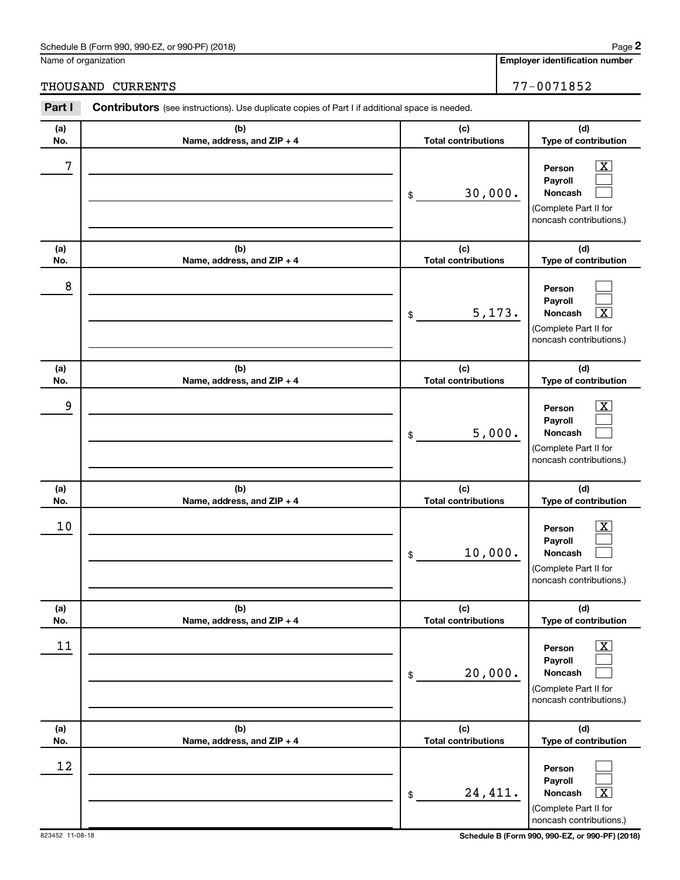Name of organization

**Employer identification number**

# THOUSAND CURRENTS 77-0071852

| Part I     | <b>Contributors</b> (see instructions). Use duplicate copies of Part I if additional space is needed. |                                                                                                                                                         |                         |
|------------|-------------------------------------------------------------------------------------------------------|---------------------------------------------------------------------------------------------------------------------------------------------------------|-------------------------|
| (a)<br>No. | (b)<br>Name, address, and ZIP + 4                                                                     | (d)<br>(c)<br><b>Total contributions</b><br>Type of contribution                                                                                        |                         |
| 7          |                                                                                                       | Person<br>Payroll<br>30,000.<br>Noncash<br>\$<br>(Complete Part II for<br>noncash contributions.)                                                       | $\mathbf{X}$            |
| (a)<br>No. | (b)<br>Name, address, and ZIP + 4                                                                     | (c)<br>(d)<br><b>Total contributions</b><br>Type of contribution                                                                                        |                         |
| 8          |                                                                                                       | Person<br>Payroll<br>5,173.<br>Noncash<br>\$<br>(Complete Part II for<br>noncash contributions.)                                                        | $\overline{\text{X}}$   |
| (a)<br>No. | (b)<br>Name, address, and ZIP + 4                                                                     | (c)<br>(d)<br><b>Total contributions</b><br>Type of contribution                                                                                        |                         |
| 9          |                                                                                                       | Person<br>Payroll<br>5,000.<br>Noncash<br>\$<br>(Complete Part II for<br>noncash contributions.)                                                        | $\overline{\mathbf{X}}$ |
| (a)        | (b)                                                                                                   | (c)<br>(d)                                                                                                                                              |                         |
| No.<br>10  | Name, address, and ZIP + 4                                                                            | <b>Total contributions</b><br>Type of contribution<br>Person<br>Payroll<br>10,000.<br>Noncash<br>\$<br>(Complete Part II for<br>noncash contributions.) | $\overline{\mathbf{X}}$ |
| (a)<br>No. | (b)<br>Name, address, and ZIP + 4                                                                     | (c)<br>(d)<br><b>Total contributions</b><br>Type of contribution                                                                                        |                         |
| 11         |                                                                                                       | Person<br>Payroll<br>20,000.<br><b>Noncash</b><br>\$<br>(Complete Part II for<br>noncash contributions.)                                                | $\boxed{\text{X}}$      |
| (a)<br>No. | (b)<br>Name, address, and ZIP + 4                                                                     | (c)<br>(d)<br><b>Total contributions</b><br>Type of contribution                                                                                        |                         |
| 12         |                                                                                                       | Person<br>Payroll<br>24,411.<br>Noncash<br>\$<br>(Complete Part II for<br>noncash contributions.)                                                       | $\overline{\textbf{x}}$ |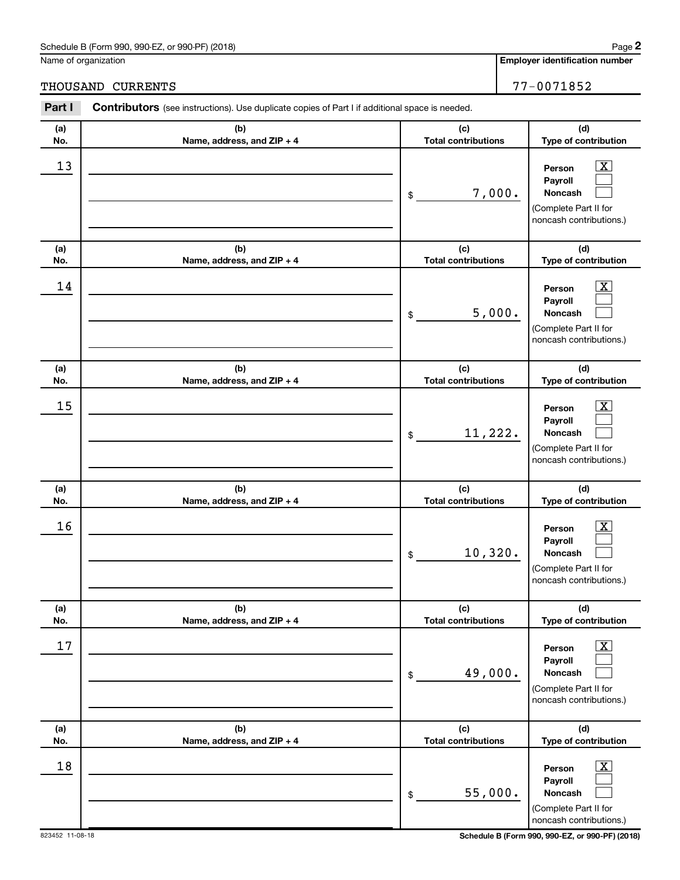Name of organization

THOUSAND CURRENTS 77-0071852

| Part I     | <b>Contributors</b> (see instructions). Use duplicate copies of Part I if additional space is needed. |                                   |                                                                                                                    |
|------------|-------------------------------------------------------------------------------------------------------|-----------------------------------|--------------------------------------------------------------------------------------------------------------------|
| (a)<br>No. | (b)<br>Name, address, and ZIP + 4                                                                     | (c)<br><b>Total contributions</b> | (d)<br>Type of contribution                                                                                        |
| 13         |                                                                                                       | 7,000.<br>\$                      | $\overline{\mathbf{X}}$<br>Person<br>Payroll<br><b>Noncash</b><br>(Complete Part II for<br>noncash contributions.) |
| (a)<br>No. | (b)<br>Name, address, and ZIP + 4                                                                     | (c)<br><b>Total contributions</b> | (d)<br>Type of contribution                                                                                        |
| 14         |                                                                                                       | 5,000.<br>\$                      | $\overline{\text{X}}$<br>Person<br>Payroll<br><b>Noncash</b><br>(Complete Part II for<br>noncash contributions.)   |
| (a)<br>No. | (b)<br>Name, address, and ZIP + 4                                                                     | (c)<br><b>Total contributions</b> | (d)<br>Type of contribution                                                                                        |
| 15         |                                                                                                       | 11,222.<br>\$                     | $\overline{\text{X}}$<br>Person<br>Payroll<br><b>Noncash</b><br>(Complete Part II for<br>noncash contributions.)   |
| (a)<br>No. | (b)<br>Name, address, and ZIP + 4                                                                     | (c)<br><b>Total contributions</b> | (d)<br>Type of contribution                                                                                        |
| 16         |                                                                                                       | 10,320.<br>\$                     | $\overline{\mathbf{X}}$<br>Person<br>Payroll<br>Noncash<br>(Complete Part II for<br>noncash contributions.)        |
| (a)<br>No. | (b)<br>Name, address, and ZIP + 4                                                                     | (c)<br><b>Total contributions</b> | (d)<br>Type of contribution                                                                                        |
| 17         |                                                                                                       | 49,000.<br>\$                     | $\overline{\text{X}}$<br>Person<br>Payroll<br><b>Noncash</b><br>(Complete Part II for<br>noncash contributions.)   |
| (a)<br>No. | (b)<br>Name, address, and ZIP + 4                                                                     | (c)<br><b>Total contributions</b> | (d)<br>Type of contribution                                                                                        |
| 18         |                                                                                                       | 55,000.<br>\$                     | $\overline{\text{X}}$<br>Person<br>Payroll<br>Noncash<br>(Complete Part II for<br>noncash contributions.)          |

823452 11-08-18 **Schedule B (Form 990, 990-EZ, or 990-PF) (2018)**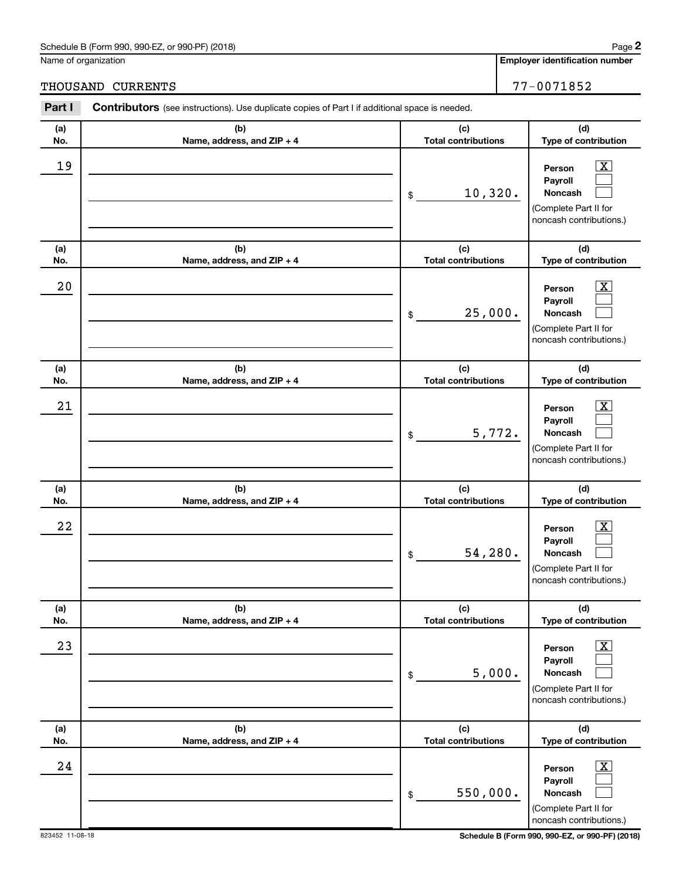Name of organization

THOUSAND CURRENTS 77-0071852

| Part I     | <b>Contributors</b> (see instructions). Use duplicate copies of Part I if additional space is needed. |                                                                                                                                                                                    |
|------------|-------------------------------------------------------------------------------------------------------|------------------------------------------------------------------------------------------------------------------------------------------------------------------------------------|
| (a)<br>No. | (b)<br>Name, address, and ZIP + 4                                                                     | (d)<br>(c)<br><b>Total contributions</b><br>Type of contribution                                                                                                                   |
| 19         |                                                                                                       | $\overline{\mathbf{X}}$<br>Person<br>Payroll<br>10,320.<br>Noncash<br>\$<br>(Complete Part II for<br>noncash contributions.)                                                       |
| (a)<br>No. | (b)<br>Name, address, and ZIP + 4                                                                     | (c)<br>(d)<br><b>Total contributions</b><br>Type of contribution                                                                                                                   |
| 20         |                                                                                                       | $\overline{\mathbf{X}}$<br>Person<br>Payroll<br>25,000.<br>Noncash<br>\$<br>(Complete Part II for<br>noncash contributions.)                                                       |
| (a)<br>No. | (b)<br>Name, address, and ZIP + 4                                                                     | (c)<br>(d)<br><b>Total contributions</b><br>Type of contribution                                                                                                                   |
| 21         |                                                                                                       | $\mathbf{X}$<br>Person<br>Payroll<br>5,772.<br>Noncash<br>\$<br>(Complete Part II for<br>noncash contributions.)                                                                   |
| (a)        | (b)                                                                                                   | (c)<br>(d)                                                                                                                                                                         |
| No.<br>22  | Name, address, and ZIP + 4                                                                            | <b>Total contributions</b><br>Type of contribution<br>$\overline{\mathbf{X}}$<br>Person<br>Payroll<br>54,280.<br>Noncash<br>\$<br>(Complete Part II for<br>noncash contributions.) |
| (a)<br>No. | (b)<br>Name, address, and ZIP + 4                                                                     | (c)<br>(d)<br>Type of contribution<br><b>Total contributions</b>                                                                                                                   |
| 23         |                                                                                                       | $\boxed{\text{X}}$<br>Person<br>Payroll<br>5,000.<br><b>Noncash</b><br>\$<br>(Complete Part II for<br>noncash contributions.)                                                      |
| (a)<br>No. | (b)<br>Name, address, and ZIP + 4                                                                     | (c)<br>(d)<br><b>Total contributions</b><br>Type of contribution                                                                                                                   |
| 24         |                                                                                                       | $\boxed{\textbf{X}}$<br>Person<br>Payroll<br>550,000.<br>Noncash<br>\$<br>(Complete Part II for<br>noncash contributions.)                                                         |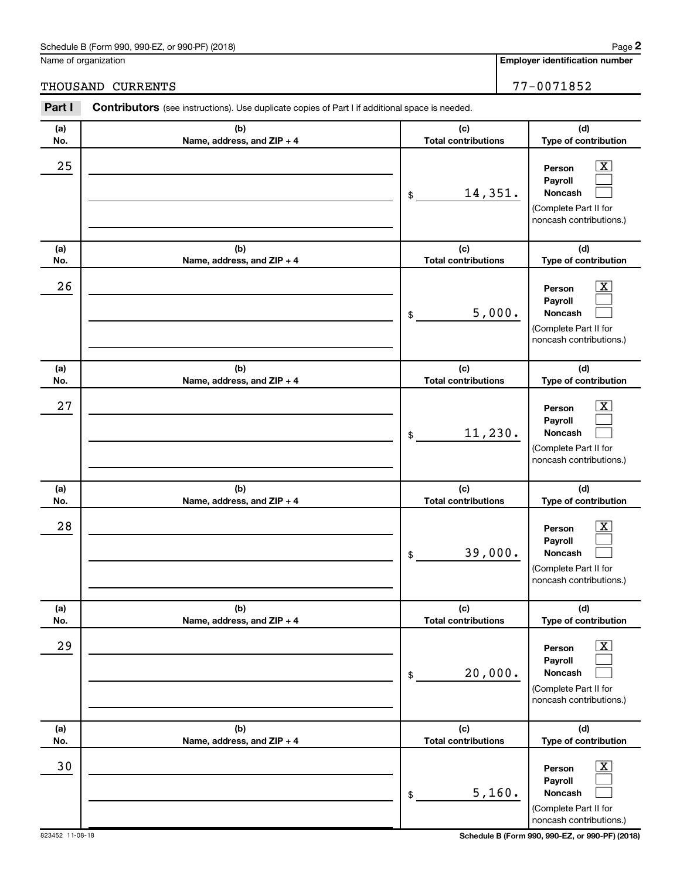Name of organization

|                                                                                                                 | THOUSAND CURRENTS                   | 77-0071852                        |                                                                     |  |
|-----------------------------------------------------------------------------------------------------------------|-------------------------------------|-----------------------------------|---------------------------------------------------------------------|--|
| Part I<br><b>Contributors</b> (see instructions). Use duplicate copies of Part I if additional space is needed. |                                     |                                   |                                                                     |  |
| (a)<br>No.                                                                                                      | (b)<br>Name, address, and $ZIP + 4$ | (c)<br><b>Total contributions</b> | (d)<br>Type of contribution                                         |  |
| $\frac{25}{1}$                                                                                                  |                                     | 14.351                            | $\overline{\text{X}}$<br>Person<br><b>Payroll</b><br><b>Noncash</b> |  |

|            |                                   | 14,351.<br>\$                     | r ayı vıı<br>Noncash<br>(Complete Part II for<br>noncash contributions.)                                  |
|------------|-----------------------------------|-----------------------------------|-----------------------------------------------------------------------------------------------------------|
| (a)<br>No. | (b)<br>Name, address, and ZIP + 4 | (c)<br><b>Total contributions</b> | (d)<br>Type of contribution                                                                               |
| 26         |                                   | 5,000.<br>\$                      | $\overline{\text{X}}$<br>Person<br>Payroll<br>Noncash<br>(Complete Part II for<br>noncash contributions.) |
| (a)<br>No. | (b)<br>Name, address, and ZIP + 4 | (c)<br><b>Total contributions</b> | (d)<br>Type of contribution                                                                               |
| 27         |                                   | 11,230.<br>\$                     | $\overline{\text{X}}$<br>Person<br>Payroll<br>Noncash<br>(Complete Part II for<br>noncash contributions.) |
| (a)<br>No. | (b)<br>Name, address, and ZIP + 4 | (c)<br><b>Total contributions</b> | (d)<br>Type of contribution                                                                               |
| 28         |                                   | 39,000.<br>\$                     | $\overline{\text{X}}$<br>Person<br>Payroll<br>Noncash<br>(Complete Part II for<br>noncash contributions.) |
| (a)<br>No. | (b)<br>Name, address, and ZIP + 4 | (c)<br><b>Total contributions</b> | (d)<br>Type of contribution                                                                               |
| 29         |                                   | 20,000.<br>\$                     | $\overline{\text{X}}$<br>Person<br>Payroll<br>Noncash<br>(Complete Part II for<br>noncash contributions.) |
| (a)<br>No. | (b)<br>Name, address, and ZIP + 4 | (c)<br><b>Total contributions</b> | (d)<br>Type of contribution                                                                               |
| 30         |                                   | 5,160.<br>\$                      | $\overline{\text{X}}$<br>Person<br>Payroll<br>Noncash<br>(Complete Part II for<br>noncash contributions.) |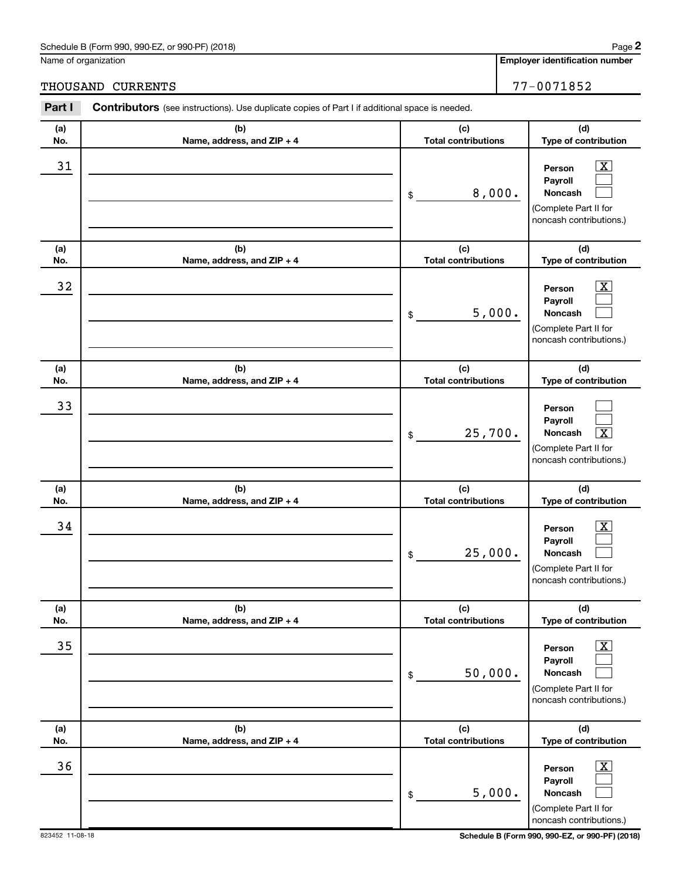Name of organization

|            | THOUSAND CURRENTS                                                                                     |                                   | 77-0071852                                                                                              |  |
|------------|-------------------------------------------------------------------------------------------------------|-----------------------------------|---------------------------------------------------------------------------------------------------------|--|
| Part I     | <b>Contributors</b> (see instructions). Use duplicate copies of Part I if additional space is needed. |                                   |                                                                                                         |  |
| (a)<br>No. | (b)<br>Name, address, and $ZIP + 4$                                                                   | (c)<br><b>Total contributions</b> | (d)<br>Type of contribution                                                                             |  |
| 31         |                                                                                                       | 8,000.<br>\$                      | $\mathbf{X}$<br>Person<br>Payroll<br><b>Noncash</b><br>(Complete Part II for<br>noncash contributions.) |  |

|            |                                   |                                   | (Complete Part II for<br>noncash contributions.)                                                            |
|------------|-----------------------------------|-----------------------------------|-------------------------------------------------------------------------------------------------------------|
| (a)<br>No. | (b)<br>Name, address, and ZIP + 4 | (c)<br><b>Total contributions</b> | (d)<br>Type of contribution                                                                                 |
| 32         |                                   | 5,000.<br>\$                      | $\overline{\mathbf{X}}$<br>Person<br>Payroll<br>Noncash<br>(Complete Part II for<br>noncash contributions.) |
| (a)<br>No. | (b)<br>Name, address, and ZIP + 4 | (c)<br><b>Total contributions</b> | (d)<br>Type of contribution                                                                                 |
| 33         |                                   | 25,700.<br>\$                     | Person<br>Payroll<br>$\overline{\textbf{x}}$<br>Noncash<br>(Complete Part II for<br>noncash contributions.) |
| (a)<br>No. | (b)<br>Name, address, and ZIP + 4 | (c)<br><b>Total contributions</b> | (d)<br>Type of contribution                                                                                 |
| 34         |                                   | 25,000.<br>\$                     | $\overline{\text{X}}$<br>Person<br>Payroll<br>Noncash<br>(Complete Part II for<br>noncash contributions.)   |
| (a)<br>No. | (b)<br>Name, address, and ZIP + 4 | (c)<br><b>Total contributions</b> | (d)<br>Type of contribution                                                                                 |
| 35         |                                   | 50,000.<br>\$                     | $\overline{\text{X}}$<br>Person<br>Payroll<br>Noncash<br>(Complete Part II for<br>noncash contributions.)   |
| (a)<br>No. | (b)<br>Name, address, and ZIP + 4 | (c)<br><b>Total contributions</b> | (d)<br>Type of contribution                                                                                 |
| 36         |                                   | 5,000.<br>\$                      | $\overline{\mathbf{X}}$<br>Person<br>Payroll<br>Noncash<br>(Complete Part II for<br>noncash contributions.) |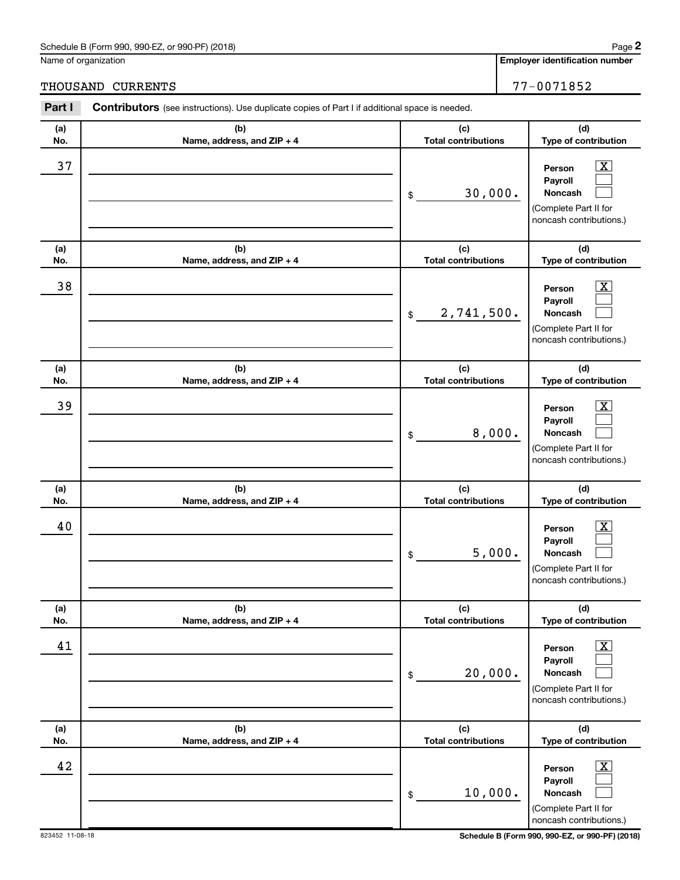Name of organization

## THOUSAND CURRENTS 77-0071852

| Part I     | <b>Contributors</b> (see instructions). Use duplicate copies of Part I if additional space is needed. |                                   |                                    |
|------------|-------------------------------------------------------------------------------------------------------|-----------------------------------|------------------------------------|
| (a)<br>No. | (b)<br>Name, address, and $ZIP + 4$                                                                   | (c)<br><b>Total contributions</b> | (d)<br><b>Type of contribution</b> |
| 37         |                                                                                                       |                                   | $\overline{\text{X}}$<br>Person    |
|            |                                                                                                       | 30,000.<br>\$                     | Payroll<br><b>Noncash</b>          |

|            |                                   | Payroll<br>30,000.<br>Noncash<br>\$<br>(Complete Part II for<br>noncash contributions.)                                     |
|------------|-----------------------------------|-----------------------------------------------------------------------------------------------------------------------------|
| (a)        | (b)                               | (c)<br>(d)                                                                                                                  |
| No.        | Name, address, and ZIP + 4        | <b>Total contributions</b><br>Type of contribution                                                                          |
| 38         |                                   | $\mathbf{X}$<br>Person<br>Payroll<br>2,741,500.<br><b>Noncash</b><br>\$<br>(Complete Part II for<br>noncash contributions.) |
| (a)        | (b)                               | (c)<br>(d)                                                                                                                  |
| No.        | Name, address, and ZIP + 4        | <b>Total contributions</b><br>Type of contribution                                                                          |
| 39         |                                   | $\overline{\mathbf{X}}$<br>Person<br>Payroll<br>8,000.<br>Noncash<br>\$<br>(Complete Part II for<br>noncash contributions.) |
| (a)        | (b)                               | (c)<br>(d)                                                                                                                  |
| No.        | Name, address, and ZIP + 4        | <b>Total contributions</b><br>Type of contribution                                                                          |
| 40         |                                   | $\overline{\text{X}}$<br>Person<br>Payroll<br>5,000.<br>Noncash<br>\$<br>(Complete Part II for<br>noncash contributions.)   |
| (a)<br>No. | (b)<br>Name, address, and ZIP + 4 | (c)<br>(d)<br><b>Total contributions</b><br>Type of contribution                                                            |
| 41         |                                   | $\overline{\textbf{X}}$<br>Person<br>Payroll<br>20,000.<br>Noncash<br>(Complete Part II for<br>noncash contributions.)      |
| (a)        | (b)                               | (d)<br>(c)                                                                                                                  |
| No.        | Name, address, and ZIP + 4        | <b>Total contributions</b><br>Type of contribution                                                                          |
| 42         |                                   | $\overline{\text{X}}$<br>Person<br>Payroll                                                                                  |

noncash contributions.)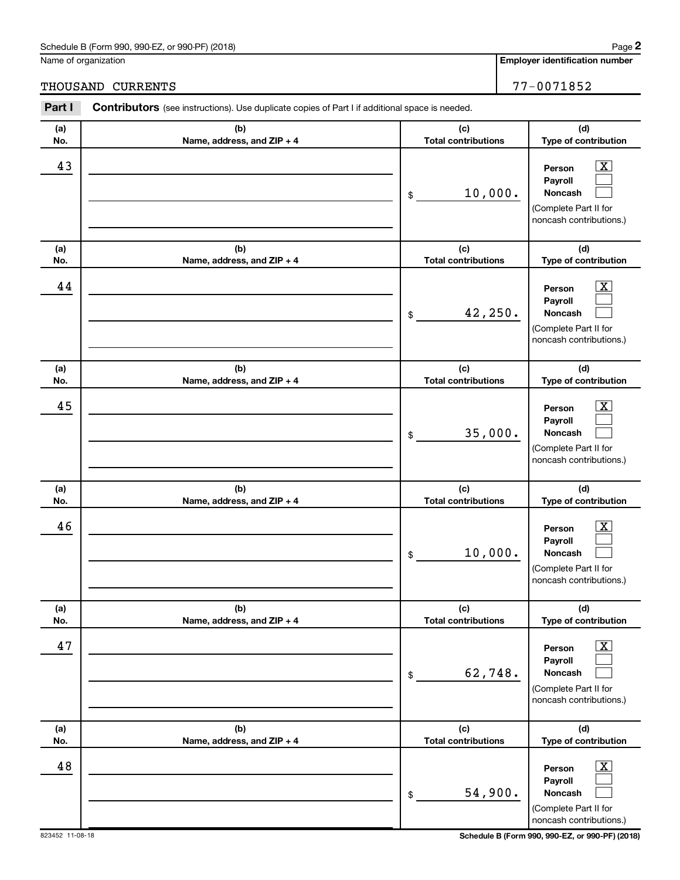Name of organization

**Employer identification number 2**

THOUSAND CURRENTS THOUSAND THAT THE THE THE SERVICE SERVICE SERVICE SERVICE SERVICE SERVICE SERVICE SERVICE SE

### **(a) No. (b) Name, address, and ZIP + 4 (c) Total contributions (d) Type of contribution Person Payroll Noncash (a) No. (b) Name, address, and ZIP + 4 (c) Total contributions (d) Type of contribution Person Payroll Noncash (a) No. (b) Name, address, and ZIP + 4 (c) Total contributions (d) Type of contribution Person Payroll Noncash (a) No. (b) Name, address, and ZIP + 4 (c) Total contributions (d) Type of contribution Person Payroll Noncash (a) No. (b) Name, address, and ZIP + 4 (c) Total contributions (d) Type of contribution Person Payroll Noncash (a) No. (b) Name, address, and ZIP + 4 (c) Total contributions (d) Type of contribution Person Payroll Noncash Part I** Contributors (see instructions). Use duplicate copies of Part I if additional space is needed. \$ (Complete Part II for noncash contributions.) \$ (Complete Part II for noncash contributions.) \$ (Complete Part II for noncash contributions.) \$ (Complete Part II for noncash contributions.) \$ (Complete Part II for noncash contributions.) \$ (Complete Part II for noncash contributions.)  $\boxed{\textbf{X}}$  $\Box$  $\Box$  $\overline{\mathbf{X}}$  $\Box$  $\Box$  $\boxed{\textbf{X}}$  $\Box$  $\Box$  $\boxed{\text{X}}$  $\Box$  $\Box$  $\boxed{\text{X}}$  $\Box$  $\Box$  $\boxed{\text{X}}$  $\Box$  $\Box$  $43$  Person  $\overline{\text{X}}$ 10,000.  $44$  Person  $\overline{\text{X}}$ 42,250.  $45$  Person  $\overline{\text{X}}$ 35,000.  $46$  Person  $\overline{\text{X}}$ 10,000.  $47$  Person  $\overline{\text{X}}$ 62,748.  $48$  Person  $\overline{\text{X}}$ 54,900.

823452 11-08-18 **Schedule B (Form 990, 990-EZ, or 990-PF) (2018)**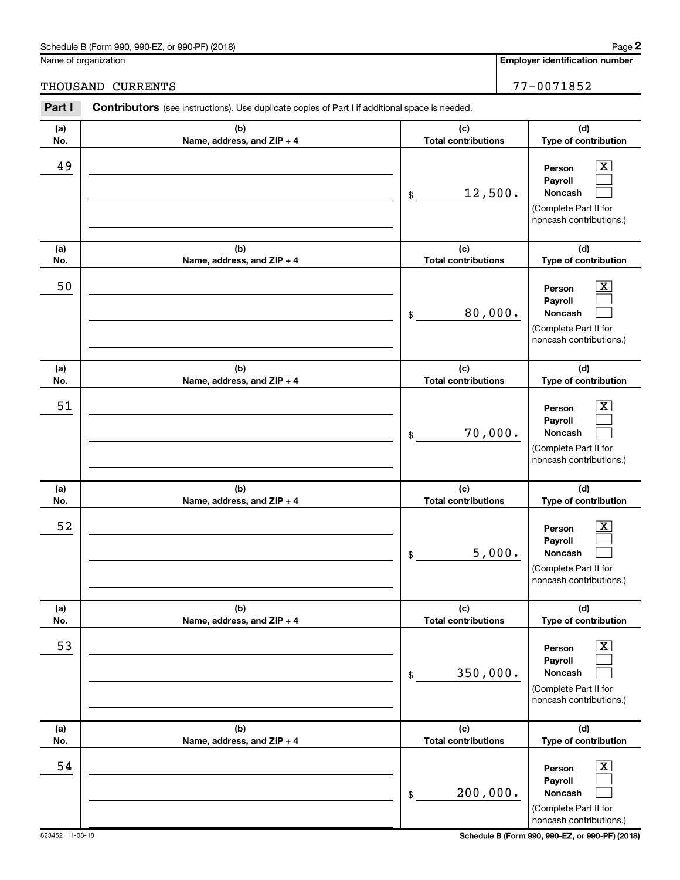Name of organization

# THOUSAND CURRENTS

|                          | <b>THOUSAND CURRENTS</b>                                                                              |  | 77-0071852 |  |
|--------------------------|-------------------------------------------------------------------------------------------------------|--|------------|--|
| Part I                   | <b>Contributors</b> (see instructions). Use duplicate copies of Part I if additional space is needed. |  |            |  |
| (a)<br>(d)<br>(b)<br>(c) |                                                                                                       |  |            |  |

| (a)        | (b)                               | (c)                               | (d)                                                                                                         |
|------------|-----------------------------------|-----------------------------------|-------------------------------------------------------------------------------------------------------------|
| No.        | Name, address, and ZIP + 4        | <b>Total contributions</b>        | Type of contribution                                                                                        |
| 49         |                                   | 12,500.<br>\$                     | $\overline{\mathbf{X}}$<br>Person<br>Payroll<br>Noncash<br>(Complete Part II for<br>noncash contributions.) |
| (a)<br>No. | (b)<br>Name, address, and ZIP + 4 | (c)<br><b>Total contributions</b> | (d)<br>Type of contribution                                                                                 |
| 50         |                                   | 80,000.<br>\$                     | $\overline{\mathbf{X}}$<br>Person<br>Payroll<br>Noncash<br>(Complete Part II for<br>noncash contributions.) |
| (a)<br>No. | (b)<br>Name, address, and ZIP + 4 | (c)<br><b>Total contributions</b> | (d)<br>Type of contribution                                                                                 |
| 51         |                                   | 70,000.<br>\$                     | $\overline{\mathbf{X}}$<br>Person<br>Payroll<br>Noncash<br>(Complete Part II for<br>noncash contributions.) |
| (a)<br>No. | (b)<br>Name, address, and ZIP + 4 | (c)<br><b>Total contributions</b> | (d)<br>Type of contribution                                                                                 |
| 52         |                                   | 5,000.<br>\$                      | $\overline{\mathbf{X}}$<br>Person<br>Payroll<br>Noncash<br>(Complete Part II for<br>noncash contributions.) |
| (a)<br>No. | (b)<br>Name, address, and ZIP + 4 | (c)<br><b>Total contributions</b> | (d)<br>Type of contribution                                                                                 |
| 53         |                                   | 350,000.<br>\$                    | $\overline{\text{X}}$<br>Person<br>Payroll<br>Noncash<br>(Complete Part II for<br>noncash contributions.)   |
| (a)<br>No. | (b)<br>Name, address, and ZIP + 4 | (c)<br><b>Total contributions</b> | (d)<br>Type of contribution                                                                                 |
| 54         |                                   | 200,000.<br>\$                    | $\overline{\text{X}}$<br>Person<br>Payroll<br>Noncash<br>(Complete Part II for<br>noncash contributions.)   |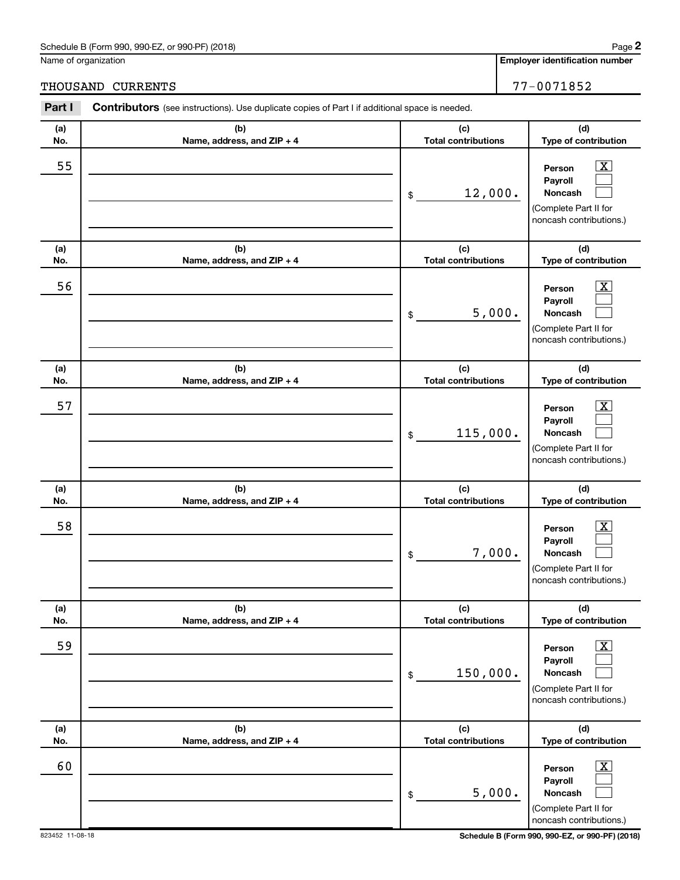Name of organization

THOUSAND CURRENTS 77-0071852

| Part I     | <b>Contributors</b> (see instructions). Use duplicate copies of Part I if additional space is needed. |                                   |                                                                                                                  |
|------------|-------------------------------------------------------------------------------------------------------|-----------------------------------|------------------------------------------------------------------------------------------------------------------|
| (a)<br>No. | (b)<br>Name, address, and ZIP + 4                                                                     | (c)<br><b>Total contributions</b> | (d)<br>Type of contribution                                                                                      |
| 55         |                                                                                                       | 12,000.<br>\$                     | $\overline{\text{X}}$<br>Person<br>Payroll<br><b>Noncash</b><br>(Complete Part II for<br>noncash contributions.) |
| (a)<br>No. | (b)<br>Name, address, and ZIP + 4                                                                     | (c)<br><b>Total contributions</b> | (d)<br>Type of contribution                                                                                      |
| 56         |                                                                                                       | 5,000.<br>\$                      | $\overline{\text{X}}$<br>Person<br>Payroll<br><b>Noncash</b><br>(Complete Part II for<br>noncash contributions.) |
| (a)<br>No. | (b)<br>Name, address, and ZIP + 4                                                                     | (c)<br><b>Total contributions</b> | (d)<br>Type of contribution                                                                                      |
| 57         |                                                                                                       | 115,000.<br>\$                    | $\overline{\text{X}}$<br>Person<br>Payroll<br><b>Noncash</b><br>(Complete Part II for<br>noncash contributions.) |
| (a)<br>No. | (b)<br>Name, address, and ZIP + 4                                                                     | (c)<br><b>Total contributions</b> | (d)<br>Type of contribution                                                                                      |
| 58         |                                                                                                       | 7,000.<br>\$                      | $\overline{\mathbf{X}}$<br>Person<br>Payroll<br>Noncash<br>(Complete Part II for<br>noncash contributions.)      |
| (a)<br>No. | (b)<br>Name, address, and ZIP + 4                                                                     | (c)<br><b>Total contributions</b> | (d)<br>Type of contribution                                                                                      |
| 59         |                                                                                                       | 150,000.<br>$\$$                  | $\overline{\text{X}}$<br>Person<br>Payroll<br><b>Noncash</b><br>(Complete Part II for<br>noncash contributions.) |
| (a)<br>No. | (b)<br>Name, address, and ZIP + 4                                                                     | (c)<br><b>Total contributions</b> | (d)<br>Type of contribution                                                                                      |
| 60         |                                                                                                       | 5,000.<br>\$                      | $\overline{\text{X}}$<br>Person<br>Payroll<br>Noncash<br>(Complete Part II for<br>noncash contributions.)        |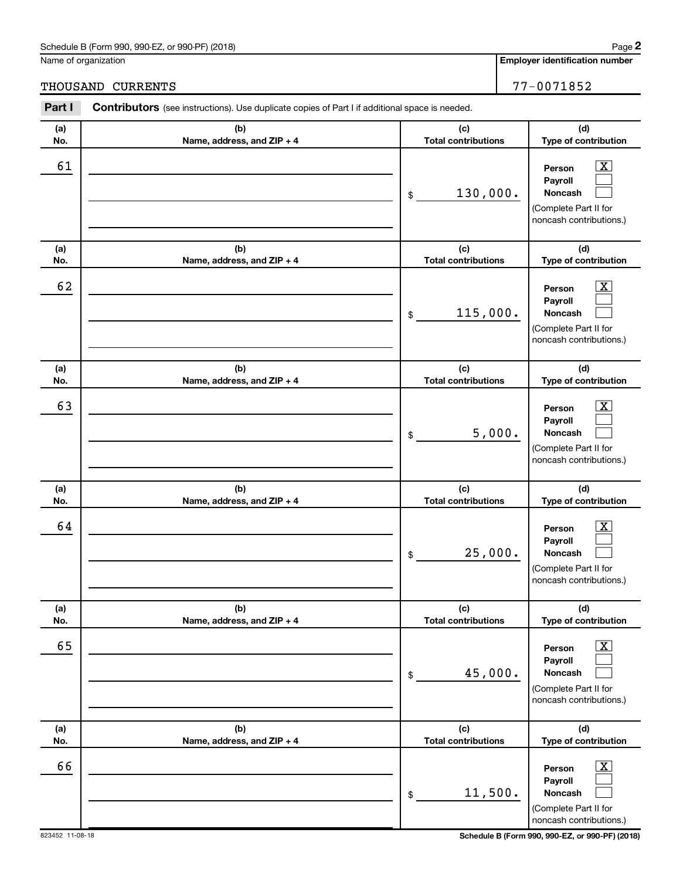Name of organization

**Employer identification number 2**

THOUSAND CURRENTS THOUSAND THAT THE THE THE SERVICE SERVICE SERVICE SERVICE SERVICE SERVICE SERVICE SERVICE SE

### **(a) No. (b) Name, address, and ZIP + 4 (c) Total contributions (d) Type of contribution Person Payroll Noncash (a) No. (b) Name, address, and ZIP + 4 (c) Total contributions (d) Type of contribution Person Payroll Noncash (a) No. (b) Name, address, and ZIP + 4 (c) Total contributions (d) Type of contribution Person Payroll Noncash (a) No. (b) Name, address, and ZIP + 4 (c) Total contributions (d) Type of contribution Person Payroll Noncash (a) No. (b) Name, address, and ZIP + 4 (c) Total contributions (d) Type of contribution Person Payroll Noncash (a) No. (b) Name, address, and ZIP + 4 (c) Total contributions (d) Type of contribution Person Payroll Noncash Part I** Contributors (see instructions). Use duplicate copies of Part I if additional space is needed. \$ (Complete Part II for noncash contributions.) \$ (Complete Part II for noncash contributions.) \$ (Complete Part II for noncash contributions.) \$ (Complete Part II for noncash contributions.) \$ (Complete Part II for noncash contributions.) \$ (Complete Part II for noncash contributions.)  $\boxed{\textbf{X}}$  $\Box$  $\Box$  $\overline{\mathbf{X}}$  $\Box$  $\Box$  $\boxed{\textbf{X}}$  $\Box$  $\Box$  $\boxed{\text{X}}$  $\Box$  $\Box$  $\boxed{\text{X}}$  $\Box$  $\Box$  $\boxed{\textbf{X}}$  $\Box$  $\Box$  $\begin{array}{|c|c|c|c|c|c|}\hline \text{61} & \text{Person} & \text{X} \end{array}$ 130,000.  $\begin{array}{|c|c|c|c|c|c|}\hline \text{62} & \text{Person} & \text{X} \end{array}$ 115,000.  $\begin{array}{|c|c|c|c|c|c|}\hline \text{63} & \text{Person} & \text{X} \end{array}$ 5,000.  $\begin{array}{|c|c|c|c|c|}\hline \text{64} & \text{Person} & \text{X} \\\hline \end{array}$ 25,000. 65 X 45,000.  $\overline{\phantom{a}}$  66  $\overline{\phantom{a}}$  Person  $\overline{\phantom{a}}$   $\overline{\phantom{a}}$ 11,500.

823452 11-08-18 **Schedule B (Form 990, 990-EZ, or 990-PF) (2018)**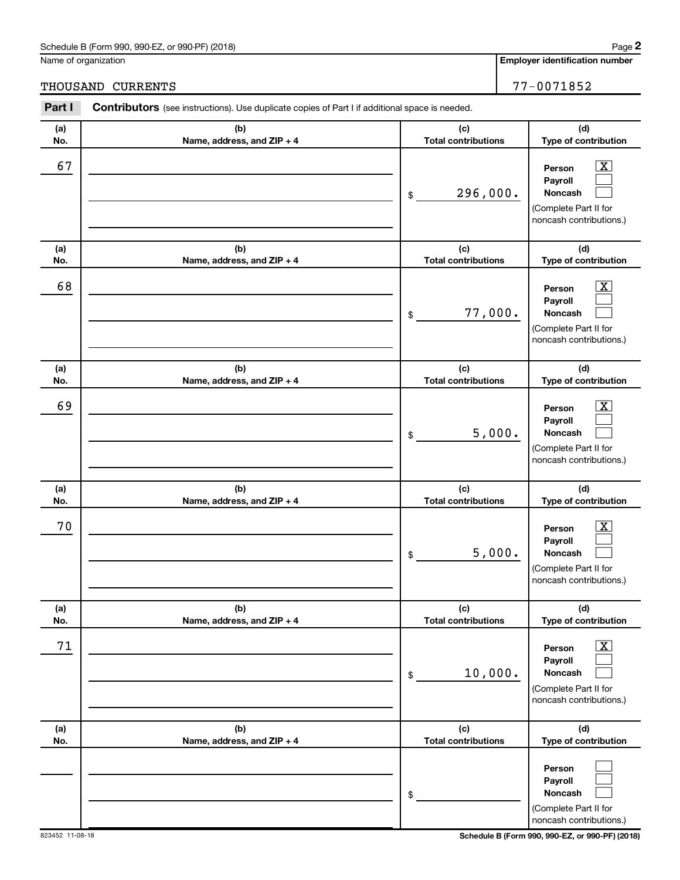Name of organization

**Employer identification number**

# THOUSAND CURRENTS 77-0071852

| Part I     | <b>Contributors</b> (see instructions). Use duplicate copies of Part I if additional space is needed. |                                   |                                                                                                             |
|------------|-------------------------------------------------------------------------------------------------------|-----------------------------------|-------------------------------------------------------------------------------------------------------------|
| (a)<br>No. | (b)<br>Name, address, and ZIP + 4                                                                     | (c)<br><b>Total contributions</b> | (d)<br>Type of contribution                                                                                 |
| 67         |                                                                                                       | 296,000.<br>\$                    | $\mathbf{X}$<br>Person<br>Payroll<br>Noncash<br>(Complete Part II for<br>noncash contributions.)            |
| (a)<br>No. | (b)<br>Name, address, and ZIP + 4                                                                     | (c)<br><b>Total contributions</b> | (d)<br>Type of contribution                                                                                 |
| 68         |                                                                                                       | 77,000.<br>\$                     | $\overline{\mathbf{X}}$<br>Person<br>Payroll<br>Noncash<br>(Complete Part II for<br>noncash contributions.) |
| (a)<br>No. | (b)<br>Name, address, and ZIP + 4                                                                     | (c)<br><b>Total contributions</b> | (d)<br>Type of contribution                                                                                 |
| 69         |                                                                                                       | 5,000.<br>\$                      | $\overline{\mathbf{X}}$<br>Person<br>Payroll<br>Noncash<br>(Complete Part II for<br>noncash contributions.) |
| (a)<br>No. | (b)<br>Name, address, and ZIP + 4                                                                     | (c)<br><b>Total contributions</b> | (d)<br>Type of contribution                                                                                 |
| 70         |                                                                                                       | 5,000.<br>\$                      | $\overline{\mathbf{X}}$<br>Person<br>Payroll<br>Noncash<br>(Complete Part II for<br>noncash contributions.) |
| (a)<br>No. | (b)<br>Name, address, and ZIP + 4                                                                     | (c)<br><b>Total contributions</b> | (d)<br>Type of contribution                                                                                 |
| 71         |                                                                                                       | 10,000.<br>\$                     | $\overline{\text{X}}$<br>Person<br>Payroll<br>Noncash<br>(Complete Part II for<br>noncash contributions.)   |
| (a)<br>No. | (b)<br>Name, address, and ZIP + 4                                                                     | (c)<br><b>Total contributions</b> | (d)<br>Type of contribution                                                                                 |
|            |                                                                                                       | \$                                | Person<br>Payroll<br>Noncash<br>(Complete Part II for<br>noncash contributions.)                            |

**Schedule B (Form 990, 990-EZ, or 990-PF) (2018)**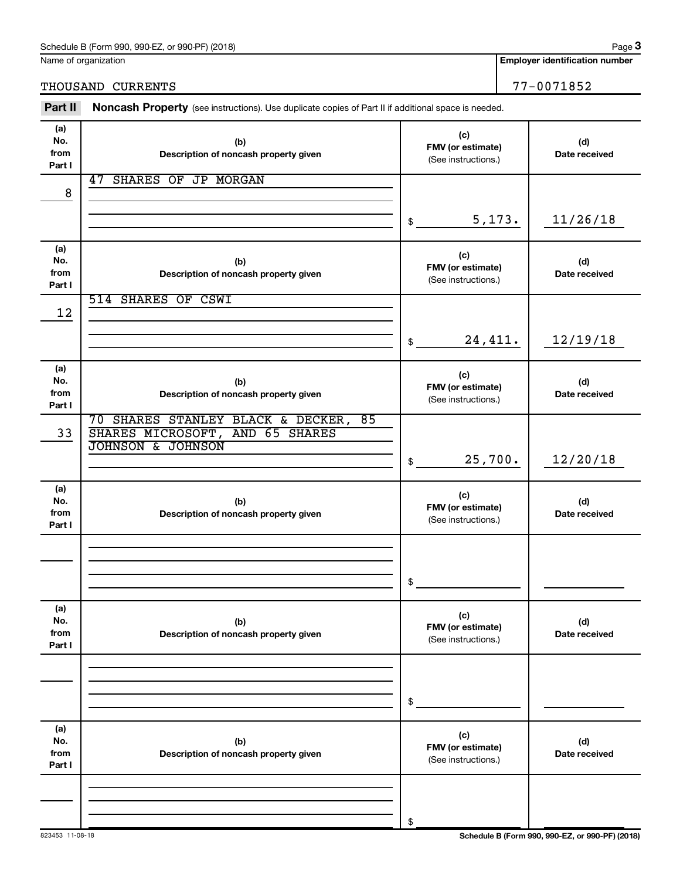| Schedule B (Form 990,<br>(2018)<br>or 990-PF)<br>990-EZ<br>Page |  |
|-----------------------------------------------------------------|--|
|-----------------------------------------------------------------|--|

Name of organization

**Employer identification number**

THOUSAND CURRENTS 77-0071852

Part II Noncash Property (see instructions). Use duplicate copies of Part II if additional space is needed.

| (a)<br>No.<br>from<br>Part I | (b)<br>Description of noncash property given                                                            | (c)<br>FMV (or estimate)<br>(See instructions.) | (d)<br>Date received |
|------------------------------|---------------------------------------------------------------------------------------------------------|-------------------------------------------------|----------------------|
| 8                            | <b>SHARES OF JP MORGAN</b><br>47                                                                        |                                                 |                      |
|                              |                                                                                                         | 5,173.<br>\$                                    | 11/26/18             |
| (a)<br>No.<br>from<br>Part I | (b)<br>Description of noncash property given                                                            | (c)<br>FMV (or estimate)<br>(See instructions.) | (d)<br>Date received |
| 12                           | 514 SHARES OF CSWI                                                                                      |                                                 |                      |
|                              |                                                                                                         | 24,411.<br>$\$\$                                | 12/19/18             |
| (a)<br>No.<br>from<br>Part I | (b)<br>Description of noncash property given                                                            | (c)<br>FMV (or estimate)<br>(See instructions.) | (d)<br>Date received |
| 33                           | 70 SHARES STANLEY BLACK & DECKER, 85<br>SHARES MICROSOFT, AND 65 SHARES<br><b>JOHNSON &amp; JOHNSON</b> | 25,700.<br>$\$\$                                | 12/20/18             |
|                              |                                                                                                         |                                                 |                      |
| (a)<br>No.<br>from<br>Part I | (b)<br>Description of noncash property given                                                            | (c)<br>FMV (or estimate)<br>(See instructions.) | (d)<br>Date received |
|                              |                                                                                                         |                                                 |                      |
|                              |                                                                                                         | \$                                              |                      |
| (a)<br>No.<br>from<br>Part I | (b)<br>Description of noncash property given                                                            | (c)<br>FMV (or estimate)<br>(See instructions.) | (d)<br>Date received |
|                              |                                                                                                         |                                                 |                      |
|                              |                                                                                                         | \$                                              |                      |
| (a)<br>No.<br>from<br>Part I | (b)<br>Description of noncash property given                                                            | (c)<br>FMV (or estimate)<br>(See instructions.) | (d)<br>Date received |
|                              |                                                                                                         | \$                                              |                      |

823453 11-08-18 **Schedule B (Form 990, 990-EZ, or 990-PF) (2018)**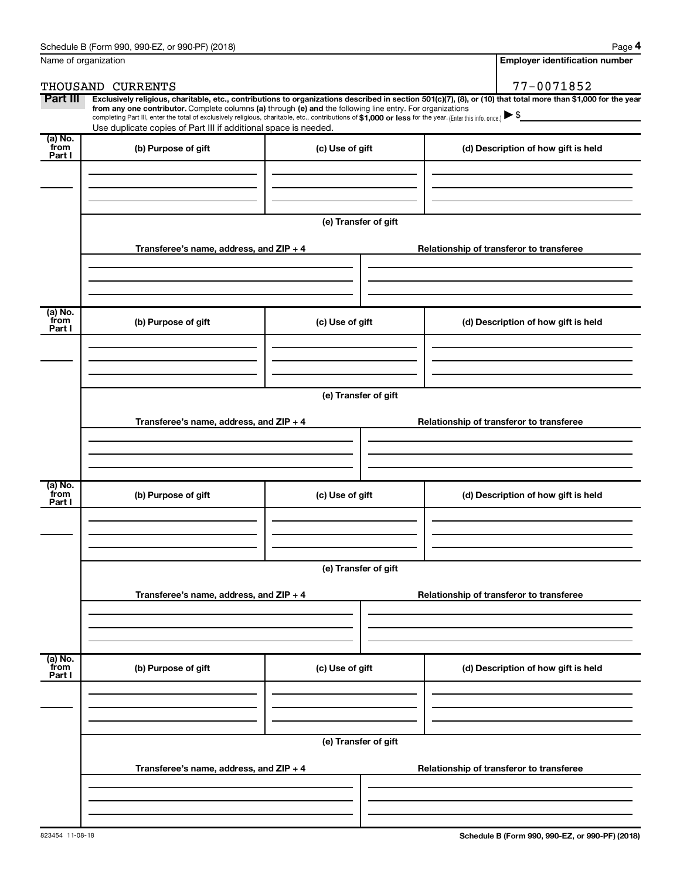| Name of organization        |                                                                                                                                                                                                                                                                                                                                                                    |                      | <b>Employer identification number</b>                                                                                                                          |
|-----------------------------|--------------------------------------------------------------------------------------------------------------------------------------------------------------------------------------------------------------------------------------------------------------------------------------------------------------------------------------------------------------------|----------------------|----------------------------------------------------------------------------------------------------------------------------------------------------------------|
|                             | THOUSAND CURRENTS                                                                                                                                                                                                                                                                                                                                                  |                      | 77-0071852                                                                                                                                                     |
| Part III                    | from any one contributor. Complete columns (a) through (e) and the following line entry. For organizations<br>completing Part III, enter the total of exclusively religious, charitable, etc., contributions of \$1,000 or less for the year. (Enter this info. once.) $\blacktriangleright$ \$<br>Use duplicate copies of Part III if additional space is needed. |                      | Exclusively religious, charitable, etc., contributions to organizations described in section 501(c)(7), (8), or (10) that total more than \$1,000 for the year |
| $(a)$ No.<br>from<br>Part I | (b) Purpose of gift                                                                                                                                                                                                                                                                                                                                                | (c) Use of gift      | (d) Description of how gift is held                                                                                                                            |
|                             |                                                                                                                                                                                                                                                                                                                                                                    | (e) Transfer of gift |                                                                                                                                                                |
|                             | Transferee's name, address, and $ZIP + 4$                                                                                                                                                                                                                                                                                                                          |                      | Relationship of transferor to transferee                                                                                                                       |
| (a) No.<br>from<br>Part I   | (b) Purpose of gift                                                                                                                                                                                                                                                                                                                                                | (c) Use of gift      | (d) Description of how gift is held                                                                                                                            |
|                             | Transferee's name, address, and $ZIP + 4$                                                                                                                                                                                                                                                                                                                          | (e) Transfer of gift | Relationship of transferor to transferee                                                                                                                       |
| $(a)$ No.<br>from<br>Part I | (b) Purpose of gift                                                                                                                                                                                                                                                                                                                                                | (c) Use of gift      | (d) Description of how gift is held                                                                                                                            |
|                             |                                                                                                                                                                                                                                                                                                                                                                    | (e) Transfer of gift |                                                                                                                                                                |
|                             | Transferee's name, address, and ZIP + 4                                                                                                                                                                                                                                                                                                                            |                      | Relationship of transferor to transferee                                                                                                                       |
| (a) No.<br>from<br>Part I   | (b) Purpose of gift                                                                                                                                                                                                                                                                                                                                                | (c) Use of gift      | (d) Description of how gift is held                                                                                                                            |
|                             |                                                                                                                                                                                                                                                                                                                                                                    | (e) Transfer of gift |                                                                                                                                                                |
|                             | Transferee's name, address, and $ZIP + 4$                                                                                                                                                                                                                                                                                                                          |                      | Relationship of transferor to transferee                                                                                                                       |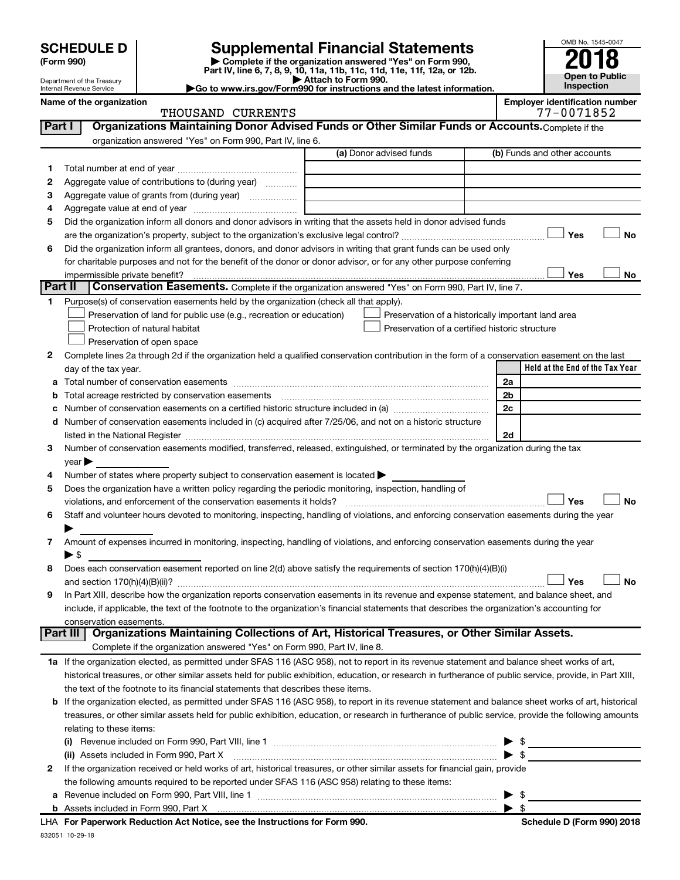| <b>SCHEDULE D</b> |  |
|-------------------|--|
|-------------------|--|

# **SCHEDULE D Supplemental Financial Statements**<br> **Form 990 2018**<br> **Part IV** line 6.7.8.9.10, 11a, 11b, 11d, 11d, 11d, 11d, 11d, 12a, 0r, 12b

**(Form 990) | Complete if the organization answered "Yes" on Form 990, Part IV, line 6, 7, 8, 9, 10, 11a, 11b, 11c, 11d, 11e, 11f, 12a, or 12b.**

**| Attach to Form 990. |Go to www.irs.gov/Form990 for instructions and the latest information.**



Department of the Treasury Internal Revenue Service **Name of the organization Employer identification Employer in the organization**  $\mathbf{E}$ 

| ployer identification number |            |  |  |  |
|------------------------------|------------|--|--|--|
|                              | 55 A051050 |  |  |  |

|                | name or the organization<br>THOUSAND CURRENTS                                                                                                                                                                                 |                                                    |                          | Linpioyer iuentinication number<br>77-0071852 |
|----------------|-------------------------------------------------------------------------------------------------------------------------------------------------------------------------------------------------------------------------------|----------------------------------------------------|--------------------------|-----------------------------------------------|
| <b>Part I</b>  | Organizations Maintaining Donor Advised Funds or Other Similar Funds or Accounts. Complete if the                                                                                                                             |                                                    |                          |                                               |
|                | organization answered "Yes" on Form 990, Part IV, line 6.                                                                                                                                                                     |                                                    |                          |                                               |
|                |                                                                                                                                                                                                                               | (a) Donor advised funds                            |                          | (b) Funds and other accounts                  |
| 1.             |                                                                                                                                                                                                                               |                                                    |                          |                                               |
| 2              | Aggregate value of contributions to (during year)                                                                                                                                                                             |                                                    |                          |                                               |
| з              | Aggregate value of grants from (during year)                                                                                                                                                                                  |                                                    |                          |                                               |
| 4              |                                                                                                                                                                                                                               |                                                    |                          |                                               |
| 5              | Did the organization inform all donors and donor advisors in writing that the assets held in donor advised funds                                                                                                              |                                                    |                          |                                               |
|                |                                                                                                                                                                                                                               |                                                    |                          | Yes<br><b>No</b>                              |
| 6              | Did the organization inform all grantees, donors, and donor advisors in writing that grant funds can be used only                                                                                                             |                                                    |                          |                                               |
|                | for charitable purposes and not for the benefit of the donor or donor advisor, or for any other purpose conferring                                                                                                            |                                                    |                          |                                               |
|                | impermissible private benefit?                                                                                                                                                                                                |                                                    |                          | Yes<br>No                                     |
| <b>Part II</b> | Conservation Easements. Complete if the organization answered "Yes" on Form 990, Part IV, line 7.                                                                                                                             |                                                    |                          |                                               |
| 1              | Purpose(s) of conservation easements held by the organization (check all that apply).                                                                                                                                         |                                                    |                          |                                               |
|                | Preservation of land for public use (e.g., recreation or education)                                                                                                                                                           | Preservation of a historically important land area |                          |                                               |
|                | Protection of natural habitat                                                                                                                                                                                                 | Preservation of a certified historic structure     |                          |                                               |
|                | Preservation of open space                                                                                                                                                                                                    |                                                    |                          |                                               |
| 2              | Complete lines 2a through 2d if the organization held a qualified conservation contribution in the form of a conservation easement on the last                                                                                |                                                    |                          |                                               |
|                | day of the tax year.                                                                                                                                                                                                          |                                                    |                          | Held at the End of the Tax Year               |
| a              |                                                                                                                                                                                                                               |                                                    | 2a                       |                                               |
| b              | Total acreage restricted by conservation easements                                                                                                                                                                            |                                                    | 2 <sub>b</sub>           |                                               |
| с              | Number of conservation easements on a certified historic structure included in (a) manufacture included in (a)                                                                                                                |                                                    | 2c                       |                                               |
| d              | Number of conservation easements included in (c) acquired after 7/25/06, and not on a historic structure                                                                                                                      |                                                    |                          |                                               |
|                | listed in the National Register [111] Marshall Register [11] Marshall Register [11] Marshall Register [11] Marshall Register [11] Marshall Register [11] Marshall Register [11] Marshall Register [11] Marshall Register [11] |                                                    | 2d                       |                                               |
| З              | Number of conservation easements modified, transferred, released, extinguished, or terminated by the organization during the tax                                                                                              |                                                    |                          |                                               |
|                | year                                                                                                                                                                                                                          |                                                    |                          |                                               |
| 4              | Number of states where property subject to conservation easement is located >                                                                                                                                                 |                                                    |                          |                                               |
| 5              | Does the organization have a written policy regarding the periodic monitoring, inspection, handling of                                                                                                                        |                                                    |                          |                                               |
|                | violations, and enforcement of the conservation easements it holds?                                                                                                                                                           |                                                    |                          | Yes<br><b>No</b>                              |
| 6              | Staff and volunteer hours devoted to monitoring, inspecting, handling of violations, and enforcing conservation easements during the year                                                                                     |                                                    |                          |                                               |
|                |                                                                                                                                                                                                                               |                                                    |                          |                                               |
| 7              | Amount of expenses incurred in monitoring, inspecting, handling of violations, and enforcing conservation easements during the year                                                                                           |                                                    |                          |                                               |
|                | $\blacktriangleright$ \$                                                                                                                                                                                                      |                                                    |                          |                                               |
| 8              | Does each conservation easement reported on line 2(d) above satisfy the requirements of section 170(h)(4)(B)(i)                                                                                                               |                                                    |                          |                                               |
|                |                                                                                                                                                                                                                               |                                                    |                          | Yes<br><b>No</b>                              |
| 9              | In Part XIII, describe how the organization reports conservation easements in its revenue and expense statement, and balance sheet, and                                                                                       |                                                    |                          |                                               |
|                | include, if applicable, the text of the footnote to the organization's financial statements that describes the organization's accounting for                                                                                  |                                                    |                          |                                               |
|                | conservation easements.                                                                                                                                                                                                       |                                                    |                          |                                               |
|                | Organizations Maintaining Collections of Art, Historical Treasures, or Other Similar Assets.<br>Part III                                                                                                                      |                                                    |                          |                                               |
|                | Complete if the organization answered "Yes" on Form 990, Part IV, line 8.                                                                                                                                                     |                                                    |                          |                                               |
|                | 1a If the organization elected, as permitted under SFAS 116 (ASC 958), not to report in its revenue statement and balance sheet works of art,                                                                                 |                                                    |                          |                                               |
|                | historical treasures, or other similar assets held for public exhibition, education, or research in furtherance of public service, provide, in Part XIII,                                                                     |                                                    |                          |                                               |
|                | the text of the footnote to its financial statements that describes these items.                                                                                                                                              |                                                    |                          |                                               |
|                | If the organization elected, as permitted under SFAS 116 (ASC 958), to report in its revenue statement and balance sheet works of art, historical                                                                             |                                                    |                          |                                               |
|                | treasures, or other similar assets held for public exhibition, education, or research in furtherance of public service, provide the following amounts                                                                         |                                                    |                          |                                               |
|                | relating to these items:                                                                                                                                                                                                      |                                                    |                          |                                               |
|                |                                                                                                                                                                                                                               |                                                    |                          | $\triangleright$ \$                           |
|                | (ii) Assets included in Form 990, Part X [11] Marson Martin Marson Marson Marson Marson Marson Marson Marson M                                                                                                                |                                                    |                          | $\blacktriangleright$ \$                      |
| $\mathbf{2}$   | If the organization received or held works of art, historical treasures, or other similar assets for financial gain, provide                                                                                                  |                                                    |                          |                                               |
|                | the following amounts required to be reported under SFAS 116 (ASC 958) relating to these items:                                                                                                                               |                                                    |                          |                                               |
|                | a Revenue included on Form 990, Part VIII, line 1                                                                                                                                                                             |                                                    | $\blacktriangleright$ \$ |                                               |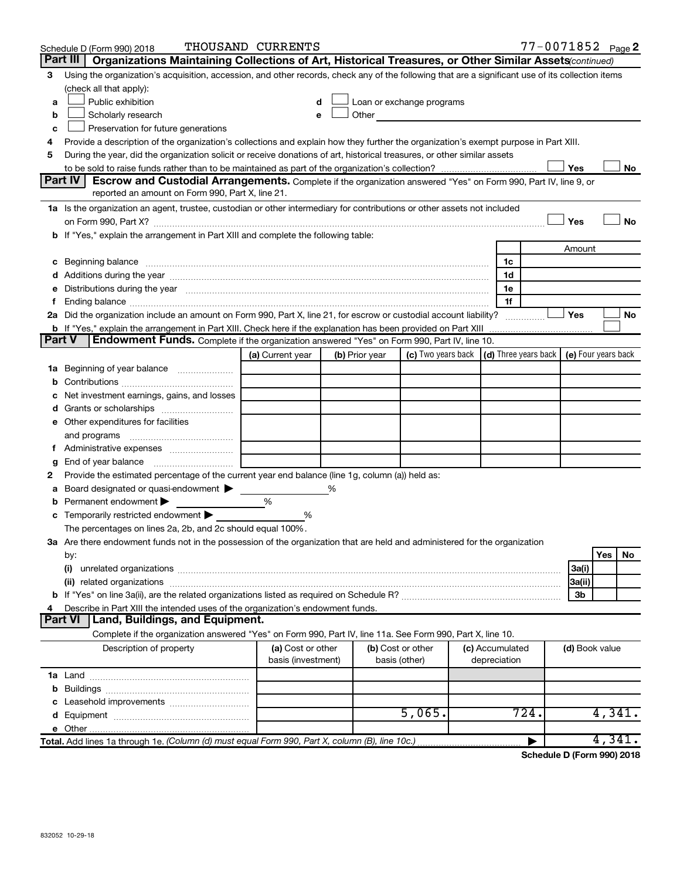| Part III<br>Organizations Maintaining Collections of Art, Historical Treasures, or Other Similar Assets (continued)<br>Using the organization's acquisition, accession, and other records, check any of the following that are a significant use of its collection items<br>3<br>(check all that apply):<br>Public exhibition<br>Loan or exchange programs<br>d<br>a<br>Other<br>Scholarly research<br>b<br>e<br>Preservation for future generations<br>c<br>Provide a description of the organization's collections and explain how they further the organization's exempt purpose in Part XIII.<br>During the year, did the organization solicit or receive donations of art, historical treasures, or other similar assets<br>5<br>Yes<br>No<br>Part IV<br>Escrow and Custodial Arrangements. Complete if the organization answered "Yes" on Form 990, Part IV, line 9, or<br>reported an amount on Form 990, Part X, line 21.<br>1a Is the organization an agent, trustee, custodian or other intermediary for contributions or other assets not included<br>Yes<br><b>No</b><br>b If "Yes," explain the arrangement in Part XIII and complete the following table:<br>Amount<br>c Beginning balance<br>1c<br>1d<br>Distributions during the year manufactured and an account of the year manufactured and the year manufactured and the year manufactured and the year manufactured and the year manufactured and the year manufactured and the y<br>1e<br>1f<br>2a Did the organization include an amount on Form 990, Part X, line 21, for escrow or custodial account liability?<br>Yes<br>No<br>b If "Yes," explain the arrangement in Part XIII. Check here if the explanation has been provided on Part XIII<br><b>Endowment Funds.</b> Complete if the organization answered "Yes" on Form 990, Part IV, line 10.<br><b>Part V</b><br>(d) Three years back $ $ (e) Four years back<br>(c) Two years back<br>(a) Current year<br>(b) Prior year<br>Beginning of year balance<br>٦а<br>b<br>Net investment earnings, gains, and losses<br>e Other expenditures for facilities<br>and programs<br>End of year balance<br>g<br>Provide the estimated percentage of the current year end balance (line 1g, column (a)) held as:<br>2<br>Board designated or quasi-endowment<br>%<br>Permanent endowment<br>%<br>Temporarily restricted endowment<br>%<br>The percentages on lines 2a, 2b, and 2c should equal 100%.<br>3a Are there endowment funds not in the possession of the organization that are held and administered for the organization<br>Yes<br>No<br>by:<br>(i)<br>3a(i)<br>3a(ii)<br>3b<br>Describe in Part XIII the intended uses of the organization's endowment funds.<br>Land, Buildings, and Equipment.<br>Part VI<br>Complete if the organization answered "Yes" on Form 990, Part IV, line 11a. See Form 990, Part X, line 10.<br>(a) Cost or other<br>(b) Cost or other<br>Description of property<br>(c) Accumulated<br>(d) Book value<br>basis (investment)<br>depreciation<br>basis (other)<br>5,065.<br>724.<br>4,341.<br>4,341.<br>Total. Add lines 1a through 1e. (Column (d) must equal Form 990, Part X, column (B), line 10c.) | Schedule D (Form 990) 2018 | THOUSAND CURRENTS |  |  | 77-0071852 Page 2 |  |  |
|----------------------------------------------------------------------------------------------------------------------------------------------------------------------------------------------------------------------------------------------------------------------------------------------------------------------------------------------------------------------------------------------------------------------------------------------------------------------------------------------------------------------------------------------------------------------------------------------------------------------------------------------------------------------------------------------------------------------------------------------------------------------------------------------------------------------------------------------------------------------------------------------------------------------------------------------------------------------------------------------------------------------------------------------------------------------------------------------------------------------------------------------------------------------------------------------------------------------------------------------------------------------------------------------------------------------------------------------------------------------------------------------------------------------------------------------------------------------------------------------------------------------------------------------------------------------------------------------------------------------------------------------------------------------------------------------------------------------------------------------------------------------------------------------------------------------------------------------------------------------------------------------------------------------------------------------------------------------------------------------------------------------------------------------------------------------------------------------------------------------------------------------------------------------------------------------------------------------------------------------------------------------------------------------------------------------------------------------------------------------------------------------------------------------------------------------------------------------------------------------------------------------------------------------------------------------------------------------------------------------------------------------------------------------------------------------------------------------------------------------------------------------------------------------------------------------------------------------------------------------------------------------------------------------------------------------------------------------------------------------------------------------------------------------------------------------------------------------------------------------------------------------------------------------|----------------------------|-------------------|--|--|-------------------|--|--|
|                                                                                                                                                                                                                                                                                                                                                                                                                                                                                                                                                                                                                                                                                                                                                                                                                                                                                                                                                                                                                                                                                                                                                                                                                                                                                                                                                                                                                                                                                                                                                                                                                                                                                                                                                                                                                                                                                                                                                                                                                                                                                                                                                                                                                                                                                                                                                                                                                                                                                                                                                                                                                                                                                                                                                                                                                                                                                                                                                                                                                                                                                                                                                                      |                            |                   |  |  |                   |  |  |
|                                                                                                                                                                                                                                                                                                                                                                                                                                                                                                                                                                                                                                                                                                                                                                                                                                                                                                                                                                                                                                                                                                                                                                                                                                                                                                                                                                                                                                                                                                                                                                                                                                                                                                                                                                                                                                                                                                                                                                                                                                                                                                                                                                                                                                                                                                                                                                                                                                                                                                                                                                                                                                                                                                                                                                                                                                                                                                                                                                                                                                                                                                                                                                      |                            |                   |  |  |                   |  |  |
|                                                                                                                                                                                                                                                                                                                                                                                                                                                                                                                                                                                                                                                                                                                                                                                                                                                                                                                                                                                                                                                                                                                                                                                                                                                                                                                                                                                                                                                                                                                                                                                                                                                                                                                                                                                                                                                                                                                                                                                                                                                                                                                                                                                                                                                                                                                                                                                                                                                                                                                                                                                                                                                                                                                                                                                                                                                                                                                                                                                                                                                                                                                                                                      |                            |                   |  |  |                   |  |  |
|                                                                                                                                                                                                                                                                                                                                                                                                                                                                                                                                                                                                                                                                                                                                                                                                                                                                                                                                                                                                                                                                                                                                                                                                                                                                                                                                                                                                                                                                                                                                                                                                                                                                                                                                                                                                                                                                                                                                                                                                                                                                                                                                                                                                                                                                                                                                                                                                                                                                                                                                                                                                                                                                                                                                                                                                                                                                                                                                                                                                                                                                                                                                                                      |                            |                   |  |  |                   |  |  |
|                                                                                                                                                                                                                                                                                                                                                                                                                                                                                                                                                                                                                                                                                                                                                                                                                                                                                                                                                                                                                                                                                                                                                                                                                                                                                                                                                                                                                                                                                                                                                                                                                                                                                                                                                                                                                                                                                                                                                                                                                                                                                                                                                                                                                                                                                                                                                                                                                                                                                                                                                                                                                                                                                                                                                                                                                                                                                                                                                                                                                                                                                                                                                                      |                            |                   |  |  |                   |  |  |
|                                                                                                                                                                                                                                                                                                                                                                                                                                                                                                                                                                                                                                                                                                                                                                                                                                                                                                                                                                                                                                                                                                                                                                                                                                                                                                                                                                                                                                                                                                                                                                                                                                                                                                                                                                                                                                                                                                                                                                                                                                                                                                                                                                                                                                                                                                                                                                                                                                                                                                                                                                                                                                                                                                                                                                                                                                                                                                                                                                                                                                                                                                                                                                      |                            |                   |  |  |                   |  |  |
|                                                                                                                                                                                                                                                                                                                                                                                                                                                                                                                                                                                                                                                                                                                                                                                                                                                                                                                                                                                                                                                                                                                                                                                                                                                                                                                                                                                                                                                                                                                                                                                                                                                                                                                                                                                                                                                                                                                                                                                                                                                                                                                                                                                                                                                                                                                                                                                                                                                                                                                                                                                                                                                                                                                                                                                                                                                                                                                                                                                                                                                                                                                                                                      |                            |                   |  |  |                   |  |  |
|                                                                                                                                                                                                                                                                                                                                                                                                                                                                                                                                                                                                                                                                                                                                                                                                                                                                                                                                                                                                                                                                                                                                                                                                                                                                                                                                                                                                                                                                                                                                                                                                                                                                                                                                                                                                                                                                                                                                                                                                                                                                                                                                                                                                                                                                                                                                                                                                                                                                                                                                                                                                                                                                                                                                                                                                                                                                                                                                                                                                                                                                                                                                                                      |                            |                   |  |  |                   |  |  |
|                                                                                                                                                                                                                                                                                                                                                                                                                                                                                                                                                                                                                                                                                                                                                                                                                                                                                                                                                                                                                                                                                                                                                                                                                                                                                                                                                                                                                                                                                                                                                                                                                                                                                                                                                                                                                                                                                                                                                                                                                                                                                                                                                                                                                                                                                                                                                                                                                                                                                                                                                                                                                                                                                                                                                                                                                                                                                                                                                                                                                                                                                                                                                                      |                            |                   |  |  |                   |  |  |
|                                                                                                                                                                                                                                                                                                                                                                                                                                                                                                                                                                                                                                                                                                                                                                                                                                                                                                                                                                                                                                                                                                                                                                                                                                                                                                                                                                                                                                                                                                                                                                                                                                                                                                                                                                                                                                                                                                                                                                                                                                                                                                                                                                                                                                                                                                                                                                                                                                                                                                                                                                                                                                                                                                                                                                                                                                                                                                                                                                                                                                                                                                                                                                      |                            |                   |  |  |                   |  |  |
|                                                                                                                                                                                                                                                                                                                                                                                                                                                                                                                                                                                                                                                                                                                                                                                                                                                                                                                                                                                                                                                                                                                                                                                                                                                                                                                                                                                                                                                                                                                                                                                                                                                                                                                                                                                                                                                                                                                                                                                                                                                                                                                                                                                                                                                                                                                                                                                                                                                                                                                                                                                                                                                                                                                                                                                                                                                                                                                                                                                                                                                                                                                                                                      |                            |                   |  |  |                   |  |  |
|                                                                                                                                                                                                                                                                                                                                                                                                                                                                                                                                                                                                                                                                                                                                                                                                                                                                                                                                                                                                                                                                                                                                                                                                                                                                                                                                                                                                                                                                                                                                                                                                                                                                                                                                                                                                                                                                                                                                                                                                                                                                                                                                                                                                                                                                                                                                                                                                                                                                                                                                                                                                                                                                                                                                                                                                                                                                                                                                                                                                                                                                                                                                                                      |                            |                   |  |  |                   |  |  |
|                                                                                                                                                                                                                                                                                                                                                                                                                                                                                                                                                                                                                                                                                                                                                                                                                                                                                                                                                                                                                                                                                                                                                                                                                                                                                                                                                                                                                                                                                                                                                                                                                                                                                                                                                                                                                                                                                                                                                                                                                                                                                                                                                                                                                                                                                                                                                                                                                                                                                                                                                                                                                                                                                                                                                                                                                                                                                                                                                                                                                                                                                                                                                                      |                            |                   |  |  |                   |  |  |
|                                                                                                                                                                                                                                                                                                                                                                                                                                                                                                                                                                                                                                                                                                                                                                                                                                                                                                                                                                                                                                                                                                                                                                                                                                                                                                                                                                                                                                                                                                                                                                                                                                                                                                                                                                                                                                                                                                                                                                                                                                                                                                                                                                                                                                                                                                                                                                                                                                                                                                                                                                                                                                                                                                                                                                                                                                                                                                                                                                                                                                                                                                                                                                      |                            |                   |  |  |                   |  |  |
|                                                                                                                                                                                                                                                                                                                                                                                                                                                                                                                                                                                                                                                                                                                                                                                                                                                                                                                                                                                                                                                                                                                                                                                                                                                                                                                                                                                                                                                                                                                                                                                                                                                                                                                                                                                                                                                                                                                                                                                                                                                                                                                                                                                                                                                                                                                                                                                                                                                                                                                                                                                                                                                                                                                                                                                                                                                                                                                                                                                                                                                                                                                                                                      |                            |                   |  |  |                   |  |  |
|                                                                                                                                                                                                                                                                                                                                                                                                                                                                                                                                                                                                                                                                                                                                                                                                                                                                                                                                                                                                                                                                                                                                                                                                                                                                                                                                                                                                                                                                                                                                                                                                                                                                                                                                                                                                                                                                                                                                                                                                                                                                                                                                                                                                                                                                                                                                                                                                                                                                                                                                                                                                                                                                                                                                                                                                                                                                                                                                                                                                                                                                                                                                                                      |                            |                   |  |  |                   |  |  |
|                                                                                                                                                                                                                                                                                                                                                                                                                                                                                                                                                                                                                                                                                                                                                                                                                                                                                                                                                                                                                                                                                                                                                                                                                                                                                                                                                                                                                                                                                                                                                                                                                                                                                                                                                                                                                                                                                                                                                                                                                                                                                                                                                                                                                                                                                                                                                                                                                                                                                                                                                                                                                                                                                                                                                                                                                                                                                                                                                                                                                                                                                                                                                                      |                            |                   |  |  |                   |  |  |
|                                                                                                                                                                                                                                                                                                                                                                                                                                                                                                                                                                                                                                                                                                                                                                                                                                                                                                                                                                                                                                                                                                                                                                                                                                                                                                                                                                                                                                                                                                                                                                                                                                                                                                                                                                                                                                                                                                                                                                                                                                                                                                                                                                                                                                                                                                                                                                                                                                                                                                                                                                                                                                                                                                                                                                                                                                                                                                                                                                                                                                                                                                                                                                      |                            |                   |  |  |                   |  |  |
|                                                                                                                                                                                                                                                                                                                                                                                                                                                                                                                                                                                                                                                                                                                                                                                                                                                                                                                                                                                                                                                                                                                                                                                                                                                                                                                                                                                                                                                                                                                                                                                                                                                                                                                                                                                                                                                                                                                                                                                                                                                                                                                                                                                                                                                                                                                                                                                                                                                                                                                                                                                                                                                                                                                                                                                                                                                                                                                                                                                                                                                                                                                                                                      |                            |                   |  |  |                   |  |  |
|                                                                                                                                                                                                                                                                                                                                                                                                                                                                                                                                                                                                                                                                                                                                                                                                                                                                                                                                                                                                                                                                                                                                                                                                                                                                                                                                                                                                                                                                                                                                                                                                                                                                                                                                                                                                                                                                                                                                                                                                                                                                                                                                                                                                                                                                                                                                                                                                                                                                                                                                                                                                                                                                                                                                                                                                                                                                                                                                                                                                                                                                                                                                                                      |                            |                   |  |  |                   |  |  |
|                                                                                                                                                                                                                                                                                                                                                                                                                                                                                                                                                                                                                                                                                                                                                                                                                                                                                                                                                                                                                                                                                                                                                                                                                                                                                                                                                                                                                                                                                                                                                                                                                                                                                                                                                                                                                                                                                                                                                                                                                                                                                                                                                                                                                                                                                                                                                                                                                                                                                                                                                                                                                                                                                                                                                                                                                                                                                                                                                                                                                                                                                                                                                                      |                            |                   |  |  |                   |  |  |
|                                                                                                                                                                                                                                                                                                                                                                                                                                                                                                                                                                                                                                                                                                                                                                                                                                                                                                                                                                                                                                                                                                                                                                                                                                                                                                                                                                                                                                                                                                                                                                                                                                                                                                                                                                                                                                                                                                                                                                                                                                                                                                                                                                                                                                                                                                                                                                                                                                                                                                                                                                                                                                                                                                                                                                                                                                                                                                                                                                                                                                                                                                                                                                      |                            |                   |  |  |                   |  |  |
|                                                                                                                                                                                                                                                                                                                                                                                                                                                                                                                                                                                                                                                                                                                                                                                                                                                                                                                                                                                                                                                                                                                                                                                                                                                                                                                                                                                                                                                                                                                                                                                                                                                                                                                                                                                                                                                                                                                                                                                                                                                                                                                                                                                                                                                                                                                                                                                                                                                                                                                                                                                                                                                                                                                                                                                                                                                                                                                                                                                                                                                                                                                                                                      |                            |                   |  |  |                   |  |  |
|                                                                                                                                                                                                                                                                                                                                                                                                                                                                                                                                                                                                                                                                                                                                                                                                                                                                                                                                                                                                                                                                                                                                                                                                                                                                                                                                                                                                                                                                                                                                                                                                                                                                                                                                                                                                                                                                                                                                                                                                                                                                                                                                                                                                                                                                                                                                                                                                                                                                                                                                                                                                                                                                                                                                                                                                                                                                                                                                                                                                                                                                                                                                                                      |                            |                   |  |  |                   |  |  |
|                                                                                                                                                                                                                                                                                                                                                                                                                                                                                                                                                                                                                                                                                                                                                                                                                                                                                                                                                                                                                                                                                                                                                                                                                                                                                                                                                                                                                                                                                                                                                                                                                                                                                                                                                                                                                                                                                                                                                                                                                                                                                                                                                                                                                                                                                                                                                                                                                                                                                                                                                                                                                                                                                                                                                                                                                                                                                                                                                                                                                                                                                                                                                                      |                            |                   |  |  |                   |  |  |
|                                                                                                                                                                                                                                                                                                                                                                                                                                                                                                                                                                                                                                                                                                                                                                                                                                                                                                                                                                                                                                                                                                                                                                                                                                                                                                                                                                                                                                                                                                                                                                                                                                                                                                                                                                                                                                                                                                                                                                                                                                                                                                                                                                                                                                                                                                                                                                                                                                                                                                                                                                                                                                                                                                                                                                                                                                                                                                                                                                                                                                                                                                                                                                      |                            |                   |  |  |                   |  |  |
|                                                                                                                                                                                                                                                                                                                                                                                                                                                                                                                                                                                                                                                                                                                                                                                                                                                                                                                                                                                                                                                                                                                                                                                                                                                                                                                                                                                                                                                                                                                                                                                                                                                                                                                                                                                                                                                                                                                                                                                                                                                                                                                                                                                                                                                                                                                                                                                                                                                                                                                                                                                                                                                                                                                                                                                                                                                                                                                                                                                                                                                                                                                                                                      |                            |                   |  |  |                   |  |  |
|                                                                                                                                                                                                                                                                                                                                                                                                                                                                                                                                                                                                                                                                                                                                                                                                                                                                                                                                                                                                                                                                                                                                                                                                                                                                                                                                                                                                                                                                                                                                                                                                                                                                                                                                                                                                                                                                                                                                                                                                                                                                                                                                                                                                                                                                                                                                                                                                                                                                                                                                                                                                                                                                                                                                                                                                                                                                                                                                                                                                                                                                                                                                                                      |                            |                   |  |  |                   |  |  |
|                                                                                                                                                                                                                                                                                                                                                                                                                                                                                                                                                                                                                                                                                                                                                                                                                                                                                                                                                                                                                                                                                                                                                                                                                                                                                                                                                                                                                                                                                                                                                                                                                                                                                                                                                                                                                                                                                                                                                                                                                                                                                                                                                                                                                                                                                                                                                                                                                                                                                                                                                                                                                                                                                                                                                                                                                                                                                                                                                                                                                                                                                                                                                                      |                            |                   |  |  |                   |  |  |
|                                                                                                                                                                                                                                                                                                                                                                                                                                                                                                                                                                                                                                                                                                                                                                                                                                                                                                                                                                                                                                                                                                                                                                                                                                                                                                                                                                                                                                                                                                                                                                                                                                                                                                                                                                                                                                                                                                                                                                                                                                                                                                                                                                                                                                                                                                                                                                                                                                                                                                                                                                                                                                                                                                                                                                                                                                                                                                                                                                                                                                                                                                                                                                      |                            |                   |  |  |                   |  |  |
|                                                                                                                                                                                                                                                                                                                                                                                                                                                                                                                                                                                                                                                                                                                                                                                                                                                                                                                                                                                                                                                                                                                                                                                                                                                                                                                                                                                                                                                                                                                                                                                                                                                                                                                                                                                                                                                                                                                                                                                                                                                                                                                                                                                                                                                                                                                                                                                                                                                                                                                                                                                                                                                                                                                                                                                                                                                                                                                                                                                                                                                                                                                                                                      |                            |                   |  |  |                   |  |  |
|                                                                                                                                                                                                                                                                                                                                                                                                                                                                                                                                                                                                                                                                                                                                                                                                                                                                                                                                                                                                                                                                                                                                                                                                                                                                                                                                                                                                                                                                                                                                                                                                                                                                                                                                                                                                                                                                                                                                                                                                                                                                                                                                                                                                                                                                                                                                                                                                                                                                                                                                                                                                                                                                                                                                                                                                                                                                                                                                                                                                                                                                                                                                                                      |                            |                   |  |  |                   |  |  |
|                                                                                                                                                                                                                                                                                                                                                                                                                                                                                                                                                                                                                                                                                                                                                                                                                                                                                                                                                                                                                                                                                                                                                                                                                                                                                                                                                                                                                                                                                                                                                                                                                                                                                                                                                                                                                                                                                                                                                                                                                                                                                                                                                                                                                                                                                                                                                                                                                                                                                                                                                                                                                                                                                                                                                                                                                                                                                                                                                                                                                                                                                                                                                                      |                            |                   |  |  |                   |  |  |
|                                                                                                                                                                                                                                                                                                                                                                                                                                                                                                                                                                                                                                                                                                                                                                                                                                                                                                                                                                                                                                                                                                                                                                                                                                                                                                                                                                                                                                                                                                                                                                                                                                                                                                                                                                                                                                                                                                                                                                                                                                                                                                                                                                                                                                                                                                                                                                                                                                                                                                                                                                                                                                                                                                                                                                                                                                                                                                                                                                                                                                                                                                                                                                      |                            |                   |  |  |                   |  |  |
|                                                                                                                                                                                                                                                                                                                                                                                                                                                                                                                                                                                                                                                                                                                                                                                                                                                                                                                                                                                                                                                                                                                                                                                                                                                                                                                                                                                                                                                                                                                                                                                                                                                                                                                                                                                                                                                                                                                                                                                                                                                                                                                                                                                                                                                                                                                                                                                                                                                                                                                                                                                                                                                                                                                                                                                                                                                                                                                                                                                                                                                                                                                                                                      |                            |                   |  |  |                   |  |  |
|                                                                                                                                                                                                                                                                                                                                                                                                                                                                                                                                                                                                                                                                                                                                                                                                                                                                                                                                                                                                                                                                                                                                                                                                                                                                                                                                                                                                                                                                                                                                                                                                                                                                                                                                                                                                                                                                                                                                                                                                                                                                                                                                                                                                                                                                                                                                                                                                                                                                                                                                                                                                                                                                                                                                                                                                                                                                                                                                                                                                                                                                                                                                                                      |                            |                   |  |  |                   |  |  |
|                                                                                                                                                                                                                                                                                                                                                                                                                                                                                                                                                                                                                                                                                                                                                                                                                                                                                                                                                                                                                                                                                                                                                                                                                                                                                                                                                                                                                                                                                                                                                                                                                                                                                                                                                                                                                                                                                                                                                                                                                                                                                                                                                                                                                                                                                                                                                                                                                                                                                                                                                                                                                                                                                                                                                                                                                                                                                                                                                                                                                                                                                                                                                                      |                            |                   |  |  |                   |  |  |
|                                                                                                                                                                                                                                                                                                                                                                                                                                                                                                                                                                                                                                                                                                                                                                                                                                                                                                                                                                                                                                                                                                                                                                                                                                                                                                                                                                                                                                                                                                                                                                                                                                                                                                                                                                                                                                                                                                                                                                                                                                                                                                                                                                                                                                                                                                                                                                                                                                                                                                                                                                                                                                                                                                                                                                                                                                                                                                                                                                                                                                                                                                                                                                      |                            |                   |  |  |                   |  |  |
|                                                                                                                                                                                                                                                                                                                                                                                                                                                                                                                                                                                                                                                                                                                                                                                                                                                                                                                                                                                                                                                                                                                                                                                                                                                                                                                                                                                                                                                                                                                                                                                                                                                                                                                                                                                                                                                                                                                                                                                                                                                                                                                                                                                                                                                                                                                                                                                                                                                                                                                                                                                                                                                                                                                                                                                                                                                                                                                                                                                                                                                                                                                                                                      |                            |                   |  |  |                   |  |  |
|                                                                                                                                                                                                                                                                                                                                                                                                                                                                                                                                                                                                                                                                                                                                                                                                                                                                                                                                                                                                                                                                                                                                                                                                                                                                                                                                                                                                                                                                                                                                                                                                                                                                                                                                                                                                                                                                                                                                                                                                                                                                                                                                                                                                                                                                                                                                                                                                                                                                                                                                                                                                                                                                                                                                                                                                                                                                                                                                                                                                                                                                                                                                                                      |                            |                   |  |  |                   |  |  |
|                                                                                                                                                                                                                                                                                                                                                                                                                                                                                                                                                                                                                                                                                                                                                                                                                                                                                                                                                                                                                                                                                                                                                                                                                                                                                                                                                                                                                                                                                                                                                                                                                                                                                                                                                                                                                                                                                                                                                                                                                                                                                                                                                                                                                                                                                                                                                                                                                                                                                                                                                                                                                                                                                                                                                                                                                                                                                                                                                                                                                                                                                                                                                                      |                            |                   |  |  |                   |  |  |
|                                                                                                                                                                                                                                                                                                                                                                                                                                                                                                                                                                                                                                                                                                                                                                                                                                                                                                                                                                                                                                                                                                                                                                                                                                                                                                                                                                                                                                                                                                                                                                                                                                                                                                                                                                                                                                                                                                                                                                                                                                                                                                                                                                                                                                                                                                                                                                                                                                                                                                                                                                                                                                                                                                                                                                                                                                                                                                                                                                                                                                                                                                                                                                      |                            |                   |  |  |                   |  |  |
|                                                                                                                                                                                                                                                                                                                                                                                                                                                                                                                                                                                                                                                                                                                                                                                                                                                                                                                                                                                                                                                                                                                                                                                                                                                                                                                                                                                                                                                                                                                                                                                                                                                                                                                                                                                                                                                                                                                                                                                                                                                                                                                                                                                                                                                                                                                                                                                                                                                                                                                                                                                                                                                                                                                                                                                                                                                                                                                                                                                                                                                                                                                                                                      |                            |                   |  |  |                   |  |  |
|                                                                                                                                                                                                                                                                                                                                                                                                                                                                                                                                                                                                                                                                                                                                                                                                                                                                                                                                                                                                                                                                                                                                                                                                                                                                                                                                                                                                                                                                                                                                                                                                                                                                                                                                                                                                                                                                                                                                                                                                                                                                                                                                                                                                                                                                                                                                                                                                                                                                                                                                                                                                                                                                                                                                                                                                                                                                                                                                                                                                                                                                                                                                                                      |                            |                   |  |  |                   |  |  |
|                                                                                                                                                                                                                                                                                                                                                                                                                                                                                                                                                                                                                                                                                                                                                                                                                                                                                                                                                                                                                                                                                                                                                                                                                                                                                                                                                                                                                                                                                                                                                                                                                                                                                                                                                                                                                                                                                                                                                                                                                                                                                                                                                                                                                                                                                                                                                                                                                                                                                                                                                                                                                                                                                                                                                                                                                                                                                                                                                                                                                                                                                                                                                                      |                            |                   |  |  |                   |  |  |
|                                                                                                                                                                                                                                                                                                                                                                                                                                                                                                                                                                                                                                                                                                                                                                                                                                                                                                                                                                                                                                                                                                                                                                                                                                                                                                                                                                                                                                                                                                                                                                                                                                                                                                                                                                                                                                                                                                                                                                                                                                                                                                                                                                                                                                                                                                                                                                                                                                                                                                                                                                                                                                                                                                                                                                                                                                                                                                                                                                                                                                                                                                                                                                      |                            |                   |  |  |                   |  |  |
|                                                                                                                                                                                                                                                                                                                                                                                                                                                                                                                                                                                                                                                                                                                                                                                                                                                                                                                                                                                                                                                                                                                                                                                                                                                                                                                                                                                                                                                                                                                                                                                                                                                                                                                                                                                                                                                                                                                                                                                                                                                                                                                                                                                                                                                                                                                                                                                                                                                                                                                                                                                                                                                                                                                                                                                                                                                                                                                                                                                                                                                                                                                                                                      |                            |                   |  |  |                   |  |  |
|                                                                                                                                                                                                                                                                                                                                                                                                                                                                                                                                                                                                                                                                                                                                                                                                                                                                                                                                                                                                                                                                                                                                                                                                                                                                                                                                                                                                                                                                                                                                                                                                                                                                                                                                                                                                                                                                                                                                                                                                                                                                                                                                                                                                                                                                                                                                                                                                                                                                                                                                                                                                                                                                                                                                                                                                                                                                                                                                                                                                                                                                                                                                                                      |                            |                   |  |  |                   |  |  |
|                                                                                                                                                                                                                                                                                                                                                                                                                                                                                                                                                                                                                                                                                                                                                                                                                                                                                                                                                                                                                                                                                                                                                                                                                                                                                                                                                                                                                                                                                                                                                                                                                                                                                                                                                                                                                                                                                                                                                                                                                                                                                                                                                                                                                                                                                                                                                                                                                                                                                                                                                                                                                                                                                                                                                                                                                                                                                                                                                                                                                                                                                                                                                                      |                            |                   |  |  |                   |  |  |
|                                                                                                                                                                                                                                                                                                                                                                                                                                                                                                                                                                                                                                                                                                                                                                                                                                                                                                                                                                                                                                                                                                                                                                                                                                                                                                                                                                                                                                                                                                                                                                                                                                                                                                                                                                                                                                                                                                                                                                                                                                                                                                                                                                                                                                                                                                                                                                                                                                                                                                                                                                                                                                                                                                                                                                                                                                                                                                                                                                                                                                                                                                                                                                      |                            |                   |  |  |                   |  |  |
|                                                                                                                                                                                                                                                                                                                                                                                                                                                                                                                                                                                                                                                                                                                                                                                                                                                                                                                                                                                                                                                                                                                                                                                                                                                                                                                                                                                                                                                                                                                                                                                                                                                                                                                                                                                                                                                                                                                                                                                                                                                                                                                                                                                                                                                                                                                                                                                                                                                                                                                                                                                                                                                                                                                                                                                                                                                                                                                                                                                                                                                                                                                                                                      |                            |                   |  |  |                   |  |  |

**Schedule D (Form 990) 2018**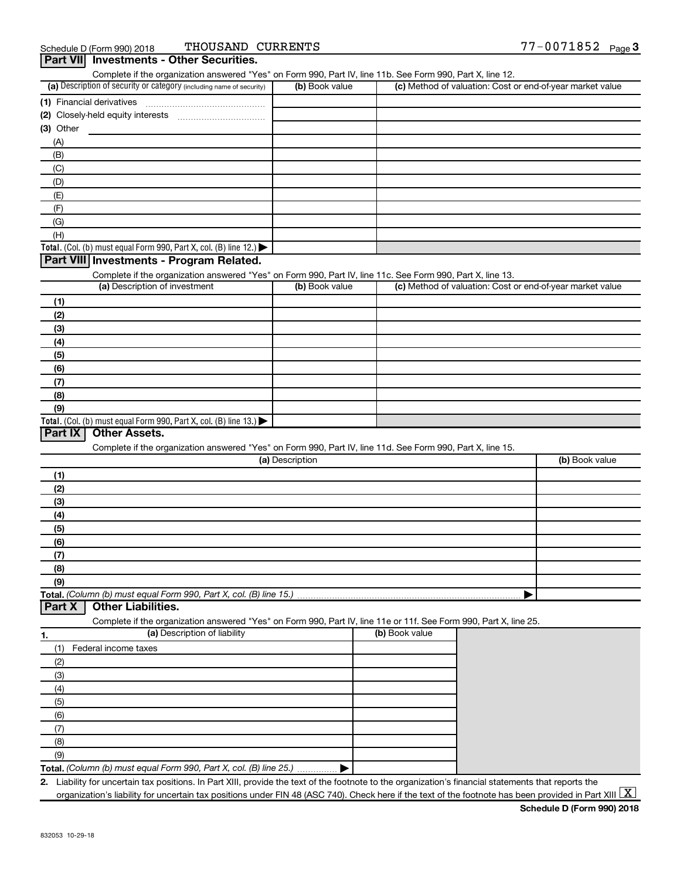| (a) Description of security or category (including name of security)                                              | (b) Book value  |                | (c) Method of valuation: Cost or end-of-year market value |
|-------------------------------------------------------------------------------------------------------------------|-----------------|----------------|-----------------------------------------------------------|
|                                                                                                                   |                 |                |                                                           |
|                                                                                                                   |                 |                |                                                           |
| (3) Other                                                                                                         |                 |                |                                                           |
| (A)                                                                                                               |                 |                |                                                           |
| (B)                                                                                                               |                 |                |                                                           |
|                                                                                                                   |                 |                |                                                           |
| (C)                                                                                                               |                 |                |                                                           |
| (D)                                                                                                               |                 |                |                                                           |
| (E)                                                                                                               |                 |                |                                                           |
| (F)                                                                                                               |                 |                |                                                           |
| (G)                                                                                                               |                 |                |                                                           |
| (H)                                                                                                               |                 |                |                                                           |
| Total. (Col. (b) must equal Form 990, Part X, col. (B) line 12.)                                                  |                 |                |                                                           |
| Part VIII Investments - Program Related.                                                                          |                 |                |                                                           |
| Complete if the organization answered "Yes" on Form 990, Part IV, line 11c. See Form 990, Part X, line 13.        |                 |                |                                                           |
| (a) Description of investment                                                                                     | (b) Book value  |                | (c) Method of valuation: Cost or end-of-year market value |
| (1)                                                                                                               |                 |                |                                                           |
| (2)                                                                                                               |                 |                |                                                           |
| (3)                                                                                                               |                 |                |                                                           |
| (4)                                                                                                               |                 |                |                                                           |
|                                                                                                                   |                 |                |                                                           |
| (5)                                                                                                               |                 |                |                                                           |
| (6)                                                                                                               |                 |                |                                                           |
| (7)                                                                                                               |                 |                |                                                           |
| (8)                                                                                                               |                 |                |                                                           |
| (9)                                                                                                               |                 |                |                                                           |
| Total. (Col. (b) must equal Form 990, Part X, col. (B) line 13.) $\blacktriangleright$                            |                 |                |                                                           |
| Part IX<br><b>Other Assets.</b>                                                                                   |                 |                |                                                           |
|                                                                                                                   |                 |                |                                                           |
| Complete if the organization answered "Yes" on Form 990, Part IV, line 11d. See Form 990, Part X, line 15.        |                 |                |                                                           |
|                                                                                                                   | (a) Description |                | (b) Book value                                            |
| (1)                                                                                                               |                 |                |                                                           |
| (2)                                                                                                               |                 |                |                                                           |
|                                                                                                                   |                 |                |                                                           |
| (3)                                                                                                               |                 |                |                                                           |
| (4)                                                                                                               |                 |                |                                                           |
| (5)                                                                                                               |                 |                |                                                           |
| (6)                                                                                                               |                 |                |                                                           |
| (7)                                                                                                               |                 |                |                                                           |
| (8)                                                                                                               |                 |                |                                                           |
| (9)                                                                                                               |                 |                |                                                           |
|                                                                                                                   |                 |                |                                                           |
| <b>Other Liabilities.</b>                                                                                         |                 |                |                                                           |
| Complete if the organization answered "Yes" on Form 990, Part IV, line 11e or 11f. See Form 990, Part X, line 25. |                 |                |                                                           |
| (a) Description of liability                                                                                      |                 | (b) Book value |                                                           |
| Federal income taxes<br>(1)                                                                                       |                 |                |                                                           |
|                                                                                                                   |                 |                |                                                           |
| (2)                                                                                                               |                 |                |                                                           |
| (3)                                                                                                               |                 |                |                                                           |
| (4)                                                                                                               |                 |                |                                                           |
| Total. (Column (b) must equal Form 990, Part X, col. (B) line 15.)<br>Part X<br>1.<br>(5)                         |                 |                |                                                           |
| (6)                                                                                                               |                 |                |                                                           |
| (7)                                                                                                               |                 |                |                                                           |
| (8)                                                                                                               |                 |                |                                                           |
| (9)<br>Total. (Column (b) must equal Form 990, Part X, col. (B) line 25.)                                         |                 |                |                                                           |

organization's liability for uncertain tax positions under FIN 48 (ASC 740). Check here if the text of the footnote has been provided in Part XIII  $\boxed{\text{X}}$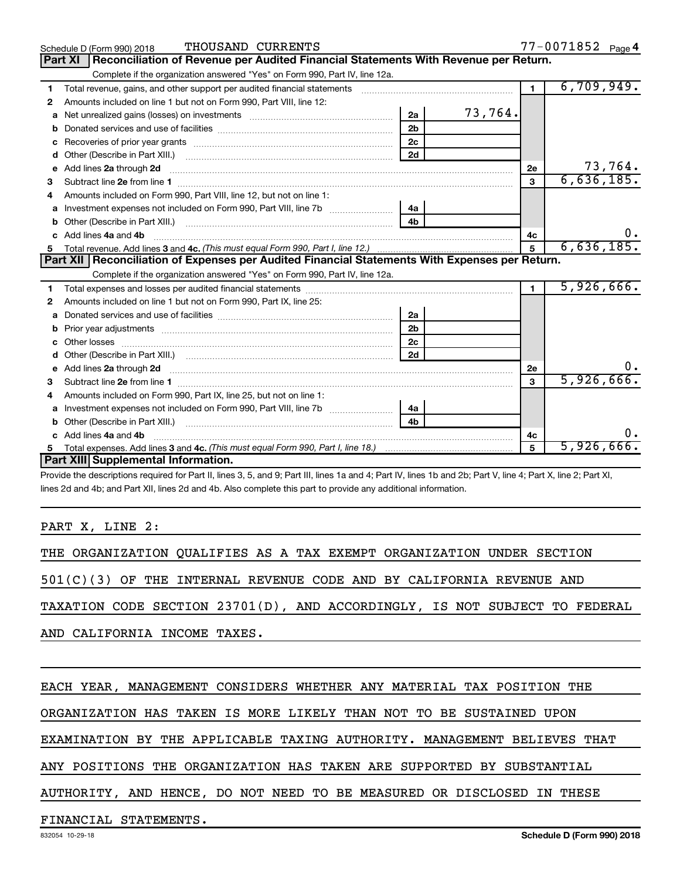|   | THOUSAND CURRENTS<br>Schedule D (Form 990) 2018                                                                                                                                                                                      |                | 77-0071852 Page 4 |
|---|--------------------------------------------------------------------------------------------------------------------------------------------------------------------------------------------------------------------------------------|----------------|-------------------|
|   | Reconciliation of Revenue per Audited Financial Statements With Revenue per Return.<br><b>Part XI</b>                                                                                                                                |                |                   |
|   | Complete if the organization answered "Yes" on Form 990, Part IV, line 12a.                                                                                                                                                          |                |                   |
| 1 | Total revenue, gains, and other support per audited financial statements                                                                                                                                                             | $\mathbf{1}$   | 6,709,949.        |
| 2 | Amounts included on line 1 but not on Form 990, Part VIII, line 12:                                                                                                                                                                  |                |                   |
| a | 73,764.<br>2a<br>Net unrealized gains (losses) on investments [111] Net unrealized gains (losses) on investments [11] Net unrealized gains (losses) on investments                                                                   |                |                   |
| b | 2 <sub>b</sub>                                                                                                                                                                                                                       |                |                   |
| с | 2 <sub>c</sub>                                                                                                                                                                                                                       |                |                   |
| d | 2d                                                                                                                                                                                                                                   |                |                   |
| е | Add lines 2a through 2d <b>[10]</b> University of the state of the state of the state of the state of the state of the state of the state of the state of the state of the state of the state of the state of the state of the stat  | 2e             | 73,764.           |
| 3 | Subtract line 2e from line 1 <b>manufacture in the contract of the 2e</b> from line 1                                                                                                                                                | $\overline{3}$ | 6,636,185.        |
|   | Amounts included on Form 990, Part VIII, line 12, but not on line 1:                                                                                                                                                                 |                |                   |
| a | 4a                                                                                                                                                                                                                                   |                |                   |
| b | 4b                                                                                                                                                                                                                                   |                |                   |
|   | Add lines 4a and 4b                                                                                                                                                                                                                  | 4c             |                   |
| 5 |                                                                                                                                                                                                                                      | 5              | 6,636,185.        |
|   | Part XII   Reconciliation of Expenses per Audited Financial Statements With Expenses per Return.                                                                                                                                     |                |                   |
|   | Complete if the organization answered "Yes" on Form 990, Part IV, line 12a.                                                                                                                                                          |                |                   |
| 1 |                                                                                                                                                                                                                                      | $\blacksquare$ | 5,926,666.        |
| 2 | Amounts included on line 1 but not on Form 990, Part IX, line 25:                                                                                                                                                                    |                |                   |
| a | 2a                                                                                                                                                                                                                                   |                |                   |
| b | 2 <sub>b</sub><br>Prior year adjustments [ www.communications of the contract of the contract of the contract of the contract of                                                                                                     |                |                   |
| c | 2 <sub>c</sub>                                                                                                                                                                                                                       |                |                   |
|   | 2d                                                                                                                                                                                                                                   |                |                   |
| е | Add lines 2a through 2d <b>continuum continuum contract and all the contract of the contract of the contract of the contract of the contract of the contract of the contract of the contract of the contract of the contract of </b> | 2e             | 0.                |
| 3 |                                                                                                                                                                                                                                      | $\mathbf{a}$   | 5,926,666.        |
| 4 | Amounts included on Form 990, Part IX, line 25, but not on line 1:                                                                                                                                                                   |                |                   |
| a | 4a                                                                                                                                                                                                                                   |                |                   |
| b | 4h.                                                                                                                                                                                                                                  |                |                   |
|   | Add lines 4a and 4b                                                                                                                                                                                                                  | 4c             |                   |
| 5 |                                                                                                                                                                                                                                      | 5              | 5,926,666.        |
|   | Part XIII Supplemental Information.                                                                                                                                                                                                  |                |                   |

Provide the descriptions required for Part II, lines 3, 5, and 9; Part III, lines 1a and 4; Part IV, lines 1b and 2b; Part V, line 4; Part X, line 2; Part XI, lines 2d and 4b; and Part XII, lines 2d and 4b. Also complete this part to provide any additional information.

## PART X, LINE 2:

THE ORGANIZATION QUALIFIES AS A TAX EXEMPT ORGANIZATION UNDER SECTION

501(C)(3) OF THE INTERNAL REVENUE CODE AND BY CALIFORNIA REVENUE AND

TAXATION CODE SECTION 23701(D), AND ACCORDINGLY, IS NOT SUBJECT TO FEDERAL

AND CALIFORNIA INCOME TAXES.

EACH YEAR, MANAGEMENT CONSIDERS WHETHER ANY MATERIAL TAX POSITION THE

ORGANIZATION HAS TAKEN IS MORE LIKELY THAN NOT TO BE SUSTAINED UPON

EXAMINATION BY THE APPLICABLE TAXING AUTHORITY. MANAGEMENT BELIEVES THAT

ANY POSITIONS THE ORGANIZATION HAS TAKEN ARE SUPPORTED BY SUBSTANTIAL

AUTHORITY, AND HENCE, DO NOT NEED TO BE MEASURED OR DISCLOSED IN THESE

FINANCIAL STATEMENTS.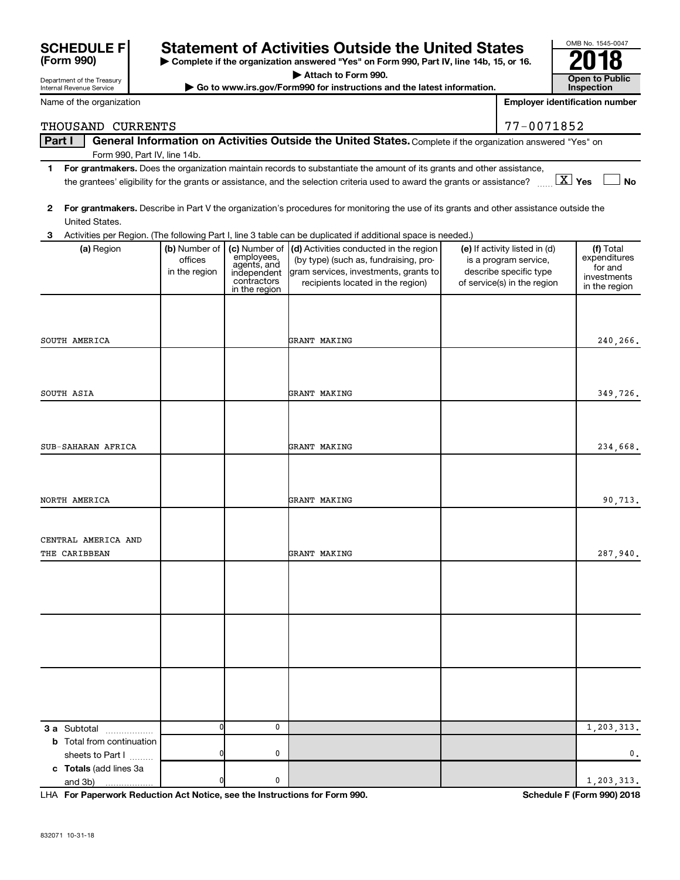# **| Complete if the organization answered "Yes" on Form 990, Part IV, line 14b, 15, or 16. | Attach to Form 990. Exercise Form 990.**<br>■ Go to www.irs.gov/Form990 for instructions and the latest information. <br>■ Inspection **SCHEDULE F** Statement of Activities Outside the United States  $\frac{1008 \text{ No. 1545-004}}{2018}$

THOUSAND CURRENTS 77-0071852

## Part I | General Information on Activities Outside the United States. Complete if the organization answered "Yes" on Form 990, Part IV, line 14b.

- **1 For grantmakers.**  Does the organization maintain records to substantiate the amount of its grants and other assistance, **Yes No** the grantees' eligibility for the grants or assistance, and the selection criteria used to award the grants or assistance? ~~ † † X
- **2 For grantmakers.**  Describe in Part V the organization's procedures for monitoring the use of its grants and other assistance outside the United States.

| 3                                                    |                                           |                                                                                           | Activities per Region. (The following Part I, line 3 table can be duplicated if additional space is needed.)                                                  |                                                                                                                 |                                                                      |
|------------------------------------------------------|-------------------------------------------|-------------------------------------------------------------------------------------------|---------------------------------------------------------------------------------------------------------------------------------------------------------------|-----------------------------------------------------------------------------------------------------------------|----------------------------------------------------------------------|
| (a) Region                                           | (b) Number of<br>offices<br>in the region | (c) Number of<br>employees,<br>agents, and<br>independent<br>contractors<br>in the region | (d) Activities conducted in the region<br>(by type) (such as, fundraising, pro-<br>gram services, investments, grants to<br>recipients located in the region) | (e) If activity listed in (d)<br>is a program service,<br>describe specific type<br>of service(s) in the region | (f) Total<br>expenditures<br>for and<br>investments<br>in the region |
| SOUTH AMERICA                                        |                                           |                                                                                           | GRANT MAKING                                                                                                                                                  |                                                                                                                 | 240,266.                                                             |
| SOUTH ASIA                                           |                                           |                                                                                           | GRANT MAKING                                                                                                                                                  |                                                                                                                 | 349,726.                                                             |
| SUB-SAHARAN AFRICA                                   |                                           |                                                                                           | GRANT MAKING                                                                                                                                                  |                                                                                                                 | 234,668.                                                             |
| NORTH AMERICA                                        |                                           |                                                                                           | GRANT MAKING                                                                                                                                                  |                                                                                                                 | 90,713.                                                              |
| CENTRAL AMERICA AND<br>THE CARIBBEAN                 |                                           |                                                                                           | GRANT MAKING                                                                                                                                                  |                                                                                                                 | 287,940.                                                             |
|                                                      |                                           |                                                                                           |                                                                                                                                                               |                                                                                                                 |                                                                      |
|                                                      |                                           |                                                                                           |                                                                                                                                                               |                                                                                                                 |                                                                      |
|                                                      |                                           |                                                                                           |                                                                                                                                                               |                                                                                                                 |                                                                      |
| 3 a Subtotal<br>.                                    | $\mathbf 0$                               | $\mathbf 0$                                                                               |                                                                                                                                                               |                                                                                                                 | 1,203,313.                                                           |
| <b>b</b> Total from continuation<br>sheets to Part I | 0                                         | 0                                                                                         |                                                                                                                                                               |                                                                                                                 | 0.                                                                   |
| c Totals (add lines 3a<br>and 3b)<br>.               | $\overline{0}$                            | $\mathbf 0$                                                                               |                                                                                                                                                               |                                                                                                                 | 1,203,313.                                                           |

Department of the Treasury

**(Form 990)**

| Internal Revenue Service |  |
|--------------------------|--|
| Name of the organization |  |

**Employer identification number**

**For Paperwork Reduction Act Notice, see the Instructions for Form 990. Schedule F (Form 990) 2018** LHA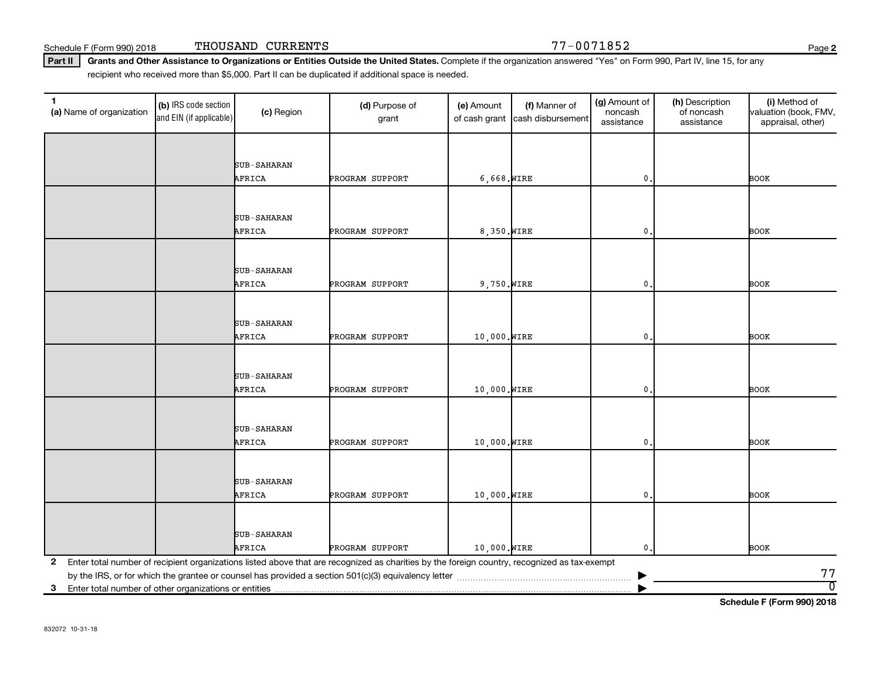832072 10-31-18

| Schedule F (Form 990) 2018 | <b>CURRENTS</b><br>THOUSAND | 7-0071852 | Page |
|----------------------------|-----------------------------|-----------|------|

Part II | Grants and Other Assistance to Organizations or Entities Outside the United States. Complete if the organization answered "Yes" on Form 990, Part IV, line 15, for any recipient who received more than \$5,000. Part II can be duplicated if additional space is needed.

| $\mathbf{1}$<br>(a) Name of organization                   | (b) IRS code section<br>and EIN (if applicable) | (c) Region                   | (d) Purpose of<br>grant                                                                                                                      | (e) Amount<br>of cash grant | (f) Manner of<br>cash disbursement | (g) Amount of<br>noncash<br>assistance | (h) Description<br>of noncash<br>assistance | (i) Method of<br>valuation (book, FMV,<br>appraisal, other) |
|------------------------------------------------------------|-------------------------------------------------|------------------------------|----------------------------------------------------------------------------------------------------------------------------------------------|-----------------------------|------------------------------------|----------------------------------------|---------------------------------------------|-------------------------------------------------------------|
|                                                            |                                                 |                              |                                                                                                                                              |                             |                                    |                                        |                                             |                                                             |
|                                                            |                                                 | <b>SUB-SAHARAN</b>           |                                                                                                                                              |                             |                                    |                                        |                                             |                                                             |
|                                                            |                                                 | AFRICA                       | PROGRAM SUPPORT                                                                                                                              | 6,668. WIRE                 |                                    | 0                                      |                                             | <b>BOOK</b>                                                 |
|                                                            |                                                 |                              |                                                                                                                                              |                             |                                    |                                        |                                             |                                                             |
|                                                            |                                                 |                              |                                                                                                                                              |                             |                                    |                                        |                                             |                                                             |
|                                                            |                                                 | SUB-SAHARAN                  |                                                                                                                                              |                             |                                    |                                        |                                             |                                                             |
|                                                            |                                                 | AFRICA                       | PROGRAM SUPPORT                                                                                                                              | 8,350. WIRE                 |                                    | 0                                      |                                             | <b>BOOK</b>                                                 |
|                                                            |                                                 |                              |                                                                                                                                              |                             |                                    |                                        |                                             |                                                             |
|                                                            |                                                 |                              |                                                                                                                                              |                             |                                    |                                        |                                             |                                                             |
|                                                            |                                                 | <b>SUB-SAHARAN</b><br>AFRICA |                                                                                                                                              |                             |                                    |                                        |                                             |                                                             |
|                                                            |                                                 |                              | PROGRAM SUPPORT                                                                                                                              | 9,750. WIRE                 |                                    | 0                                      |                                             | <b>BOOK</b>                                                 |
|                                                            |                                                 |                              |                                                                                                                                              |                             |                                    |                                        |                                             |                                                             |
|                                                            |                                                 | <b>SUB-SAHARAN</b>           |                                                                                                                                              |                             |                                    |                                        |                                             |                                                             |
|                                                            |                                                 | AFRICA                       | PROGRAM SUPPORT                                                                                                                              | 10,000. WIRE                |                                    | $\mathbf 0$                            |                                             | <b>BOOK</b>                                                 |
|                                                            |                                                 |                              |                                                                                                                                              |                             |                                    |                                        |                                             |                                                             |
|                                                            |                                                 |                              |                                                                                                                                              |                             |                                    |                                        |                                             |                                                             |
|                                                            |                                                 | <b>SUB-SAHARAN</b>           |                                                                                                                                              |                             |                                    |                                        |                                             |                                                             |
|                                                            |                                                 | AFRICA                       | PROGRAM SUPPORT                                                                                                                              | 10,000. WIRE                |                                    | 0                                      |                                             | <b>BOOK</b>                                                 |
|                                                            |                                                 |                              |                                                                                                                                              |                             |                                    |                                        |                                             |                                                             |
|                                                            |                                                 | <b>SUB-SAHARAN</b>           |                                                                                                                                              |                             |                                    |                                        |                                             |                                                             |
|                                                            |                                                 | AFRICA                       | PROGRAM SUPPORT                                                                                                                              | 10,000. WIRE                |                                    | 0                                      |                                             | <b>BOOK</b>                                                 |
|                                                            |                                                 |                              |                                                                                                                                              |                             |                                    |                                        |                                             |                                                             |
|                                                            |                                                 |                              |                                                                                                                                              |                             |                                    |                                        |                                             |                                                             |
|                                                            |                                                 | SUB-SAHARAN                  |                                                                                                                                              |                             |                                    |                                        |                                             |                                                             |
|                                                            |                                                 | AFRICA                       | PROGRAM SUPPORT                                                                                                                              | 10,000. WIRE                |                                    | 0                                      |                                             | <b>BOOK</b>                                                 |
|                                                            |                                                 |                              |                                                                                                                                              |                             |                                    |                                        |                                             |                                                             |
|                                                            |                                                 |                              |                                                                                                                                              |                             |                                    |                                        |                                             |                                                             |
|                                                            |                                                 | <b>SUB-SAHARAN</b>           |                                                                                                                                              |                             |                                    |                                        |                                             |                                                             |
|                                                            |                                                 | AFRICA                       | PROGRAM SUPPORT                                                                                                                              | 10,000. WIRE                |                                    | 0                                      |                                             | <b>BOOK</b>                                                 |
| $\mathbf{2}$                                               |                                                 |                              | Enter total number of recipient organizations listed above that are recognized as charities by the foreign country, recognized as tax-exempt |                             |                                    |                                        |                                             | 77                                                          |
| Enter total number of other organizations or entities<br>3 |                                                 |                              |                                                                                                                                              |                             |                                    |                                        |                                             | $\overline{0}$                                              |
|                                                            |                                                 |                              |                                                                                                                                              |                             |                                    |                                        |                                             |                                                             |

**Schedule F (Form 990) 2018**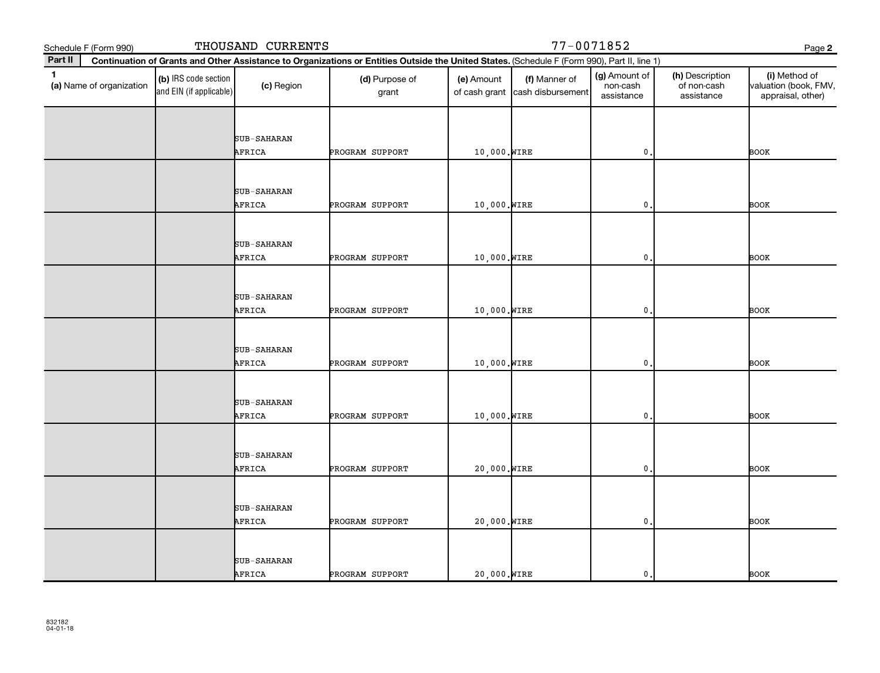|         | Schedule F (Form 990)    |                                                 | THOUSAND CURRENTS            |                                                                                                                                              |              | 77-0071852                                       |                                         |                                              | Page 2                                                      |
|---------|--------------------------|-------------------------------------------------|------------------------------|----------------------------------------------------------------------------------------------------------------------------------------------|--------------|--------------------------------------------------|-----------------------------------------|----------------------------------------------|-------------------------------------------------------------|
| Part II |                          |                                                 |                              | Continuation of Grants and Other Assistance to Organizations or Entities Outside the United States. (Schedule F (Form 990), Part II, line 1) |              |                                                  |                                         |                                              |                                                             |
| 1       | (a) Name of organization | (b) IRS code section<br>and EIN (if applicable) | (c) Region                   | (d) Purpose of<br>grant                                                                                                                      | (e) Amount   | (f) Manner of<br>of cash grant cash disbursement | (g) Amount of<br>non-cash<br>assistance | (h) Description<br>of non-cash<br>assistance | (i) Method of<br>valuation (book, FMV,<br>appraisal, other) |
|         |                          |                                                 | SUB-SAHARAN<br>AFRICA        | PROGRAM SUPPORT                                                                                                                              | 10,000. WIRE |                                                  | $\mathfrak o$ .                         |                                              | <b>BOOK</b>                                                 |
|         |                          |                                                 | <b>SUB-SAHARAN</b><br>AFRICA | PROGRAM SUPPORT                                                                                                                              | 10,000. WIRE |                                                  | $\mathfrak o$ .                         |                                              | <b>BOOK</b>                                                 |
|         |                          |                                                 | <b>SUB-SAHARAN</b><br>AFRICA | PROGRAM SUPPORT                                                                                                                              | 10,000. WIRE |                                                  | $\mathbf 0$ .                           |                                              | <b>BOOK</b>                                                 |
|         |                          |                                                 | SUB-SAHARAN<br>AFRICA        | PROGRAM SUPPORT                                                                                                                              | 10,000. WIRE |                                                  | $\mathfrak{o}$ .                        |                                              | <b>BOOK</b>                                                 |
|         |                          |                                                 | SUB-SAHARAN<br>AFRICA        | PROGRAM SUPPORT                                                                                                                              | 10,000. WIRE |                                                  | $\mathbf 0$                             |                                              | <b>BOOK</b>                                                 |
|         |                          |                                                 | <b>SUB-SAHARAN</b><br>AFRICA | PROGRAM SUPPORT                                                                                                                              | 10,000. WIRE |                                                  | $\mathbf{0}$ .                          |                                              | <b>BOOK</b>                                                 |
|         |                          |                                                 | <b>SUB-SAHARAN</b><br>AFRICA | PROGRAM SUPPORT                                                                                                                              | 20,000. WIRE |                                                  | $\mathbf{0}$                            |                                              | <b>BOOK</b>                                                 |
|         |                          |                                                 | <b>SUB-SAHARAN</b><br>AFRICA | PROGRAM SUPPORT                                                                                                                              | 20,000. WIRE |                                                  | $\mathbf{0}$ .                          |                                              | <b>BOOK</b>                                                 |
|         |                          |                                                 | SUB-SAHARAN<br>AFRICA        | PROGRAM SUPPORT                                                                                                                              | 20,000. WIRE |                                                  | $\mathbf{0}$                            |                                              | <b>BOOK</b>                                                 |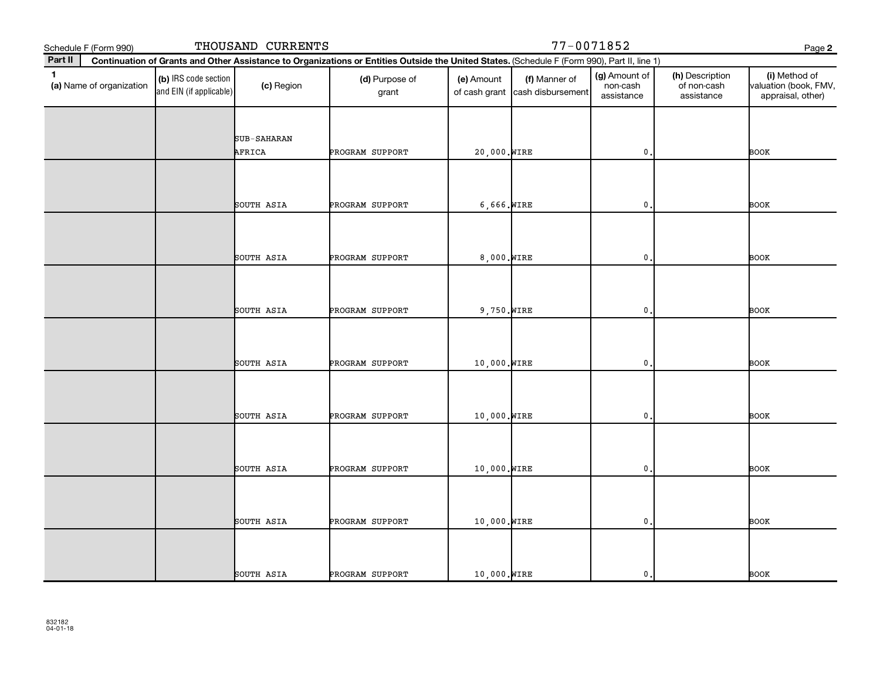|              | Schedule F (Form 990)    |                                                 | THOUSAND CURRENTS            |                                                                                                                                              | 77-0071852<br>Page 2        |                                    |                                         |                                              |                                                             |  |
|--------------|--------------------------|-------------------------------------------------|------------------------------|----------------------------------------------------------------------------------------------------------------------------------------------|-----------------------------|------------------------------------|-----------------------------------------|----------------------------------------------|-------------------------------------------------------------|--|
| Part II      |                          |                                                 |                              | Continuation of Grants and Other Assistance to Organizations or Entities Outside the United States. (Schedule F (Form 990), Part II, line 1) |                             |                                    |                                         |                                              |                                                             |  |
| $\mathbf{1}$ | (a) Name of organization | (b) IRS code section<br>and EIN (if applicable) | (c) Region                   | (d) Purpose of<br>grant                                                                                                                      | (e) Amount<br>of cash grant | (f) Manner of<br>cash disbursement | (g) Amount of<br>non-cash<br>assistance | (h) Description<br>of non-cash<br>assistance | (i) Method of<br>valuation (book, FMV,<br>appraisal, other) |  |
|              |                          |                                                 | <b>SUB-SAHARAN</b><br>AFRICA | PROGRAM SUPPORT                                                                                                                              | 20,000. WIRE                |                                    | $\mathbf{0}$                            |                                              | <b>BOOK</b>                                                 |  |
|              |                          |                                                 | SOUTH ASIA                   | PROGRAM SUPPORT                                                                                                                              | 6,666. WIRE                 |                                    | $\mathbf{0}$                            |                                              | <b>BOOK</b>                                                 |  |
|              |                          |                                                 | SOUTH ASIA                   | PROGRAM SUPPORT                                                                                                                              | 8,000. WIRE                 |                                    | $\mathbf{0}$                            |                                              | <b>BOOK</b>                                                 |  |
|              |                          |                                                 | SOUTH ASIA                   | PROGRAM SUPPORT                                                                                                                              | 9,750. WIRE                 |                                    | $\mathbf{0}$                            |                                              | <b>BOOK</b>                                                 |  |
|              |                          |                                                 | SOUTH ASIA                   | PROGRAM SUPPORT                                                                                                                              | 10,000. WIRE                |                                    | $\mathbf{0}$                            |                                              | <b>BOOK</b>                                                 |  |
|              |                          |                                                 | SOUTH ASIA                   | PROGRAM SUPPORT                                                                                                                              | 10,000. WIRE                |                                    | $\mathbf{0}$                            |                                              | <b>BOOK</b>                                                 |  |
|              |                          |                                                 | SOUTH ASIA                   | PROGRAM SUPPORT                                                                                                                              | 10,000. WIRE                |                                    | $\mathbf{0}$                            |                                              | <b>BOOK</b>                                                 |  |
|              |                          |                                                 | SOUTH ASIA                   | PROGRAM SUPPORT                                                                                                                              | 10,000. WIRE                |                                    | $\mathbf 0$ .                           |                                              | <b>BOOK</b>                                                 |  |
|              |                          |                                                 | SOUTH ASIA                   | PROGRAM SUPPORT                                                                                                                              | 10,000. WIRE                |                                    | $\mathbf{0}$                            |                                              | <b>BOOK</b>                                                 |  |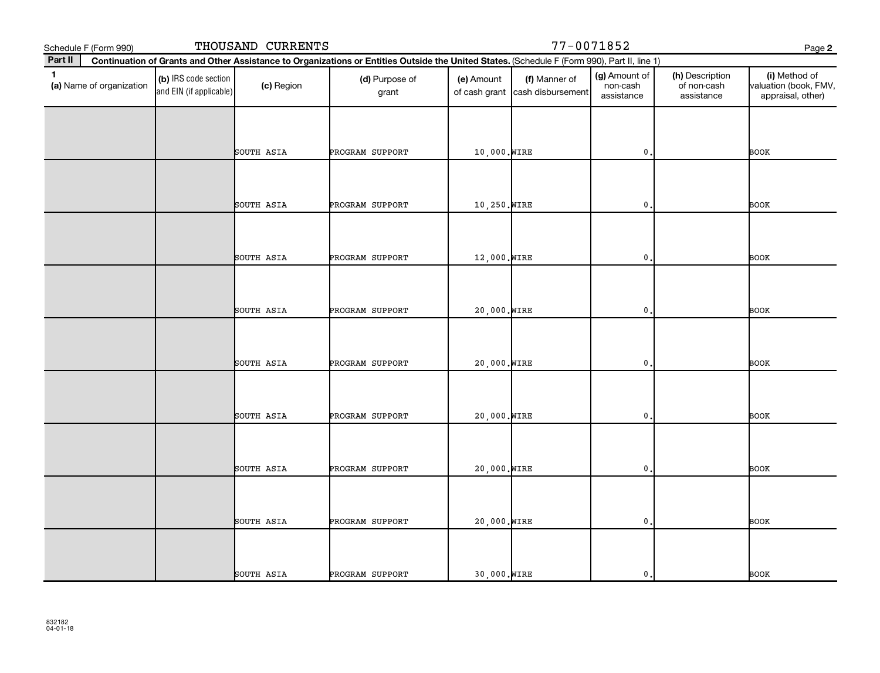|             | Schedule F (Form 990)    |                                                 | THOUSAND CURRENTS |                                                                                                                                              | 77-0071852<br>Page 2        |                                    |                                         |                                              |                                                             |  |  |
|-------------|--------------------------|-------------------------------------------------|-------------------|----------------------------------------------------------------------------------------------------------------------------------------------|-----------------------------|------------------------------------|-----------------------------------------|----------------------------------------------|-------------------------------------------------------------|--|--|
| Part II     |                          |                                                 |                   | Continuation of Grants and Other Assistance to Organizations or Entities Outside the United States. (Schedule F (Form 990), Part II, line 1) |                             |                                    |                                         |                                              |                                                             |  |  |
| $\mathbf 1$ | (a) Name of organization | (b) IRS code section<br>and EIN (if applicable) | (c) Region        | (d) Purpose of<br>grant                                                                                                                      | (e) Amount<br>of cash grant | (f) Manner of<br>cash disbursement | (g) Amount of<br>non-cash<br>assistance | (h) Description<br>of non-cash<br>assistance | (i) Method of<br>valuation (book, FMV,<br>appraisal, other) |  |  |
|             |                          |                                                 |                   |                                                                                                                                              |                             |                                    |                                         |                                              |                                                             |  |  |
|             |                          |                                                 | SOUTH ASIA        | PROGRAM SUPPORT                                                                                                                              | 10,000. WIRE                |                                    | $\mathbf{0}$                            |                                              | <b>BOOK</b>                                                 |  |  |
|             |                          |                                                 | SOUTH ASIA        | PROGRAM SUPPORT                                                                                                                              | 10,250. WIRE                |                                    | 0                                       |                                              | <b>BOOK</b>                                                 |  |  |
|             |                          |                                                 |                   |                                                                                                                                              |                             |                                    |                                         |                                              |                                                             |  |  |
|             |                          |                                                 | SOUTH ASIA        | PROGRAM SUPPORT                                                                                                                              | 12,000. WIRE                |                                    | $\mathbf 0$                             |                                              | <b>BOOK</b>                                                 |  |  |
|             |                          |                                                 |                   |                                                                                                                                              |                             |                                    |                                         |                                              |                                                             |  |  |
|             |                          |                                                 | SOUTH ASIA        | PROGRAM SUPPORT                                                                                                                              | 20,000. WIRE                |                                    | $\mathbf{0}$                            |                                              | <b>BOOK</b>                                                 |  |  |
|             |                          |                                                 | SOUTH ASIA        | PROGRAM SUPPORT                                                                                                                              | 20,000. WIRE                |                                    | 0                                       |                                              | <b>BOOK</b>                                                 |  |  |
|             |                          |                                                 |                   |                                                                                                                                              |                             |                                    |                                         |                                              |                                                             |  |  |
|             |                          |                                                 | SOUTH ASIA        | PROGRAM SUPPORT                                                                                                                              | 20,000. WIRE                |                                    | $\mathbf{0}$                            |                                              | <b>BOOK</b>                                                 |  |  |
|             |                          |                                                 | SOUTH ASIA        | PROGRAM SUPPORT                                                                                                                              | 20,000. WIRE                |                                    | $\mathbf{0}$                            |                                              | <b>BOOK</b>                                                 |  |  |
|             |                          |                                                 |                   |                                                                                                                                              |                             |                                    |                                         |                                              |                                                             |  |  |
|             |                          |                                                 | SOUTH ASIA        | PROGRAM SUPPORT                                                                                                                              | 20,000. WIRE                |                                    | $\mathbf 0$                             |                                              | <b>BOOK</b>                                                 |  |  |
|             |                          |                                                 |                   |                                                                                                                                              |                             |                                    |                                         |                                              |                                                             |  |  |
|             |                          |                                                 | SOUTH ASIA        | PROGRAM SUPPORT                                                                                                                              | 30,000. WIRE                |                                    | 0                                       |                                              | <b>BOOK</b>                                                 |  |  |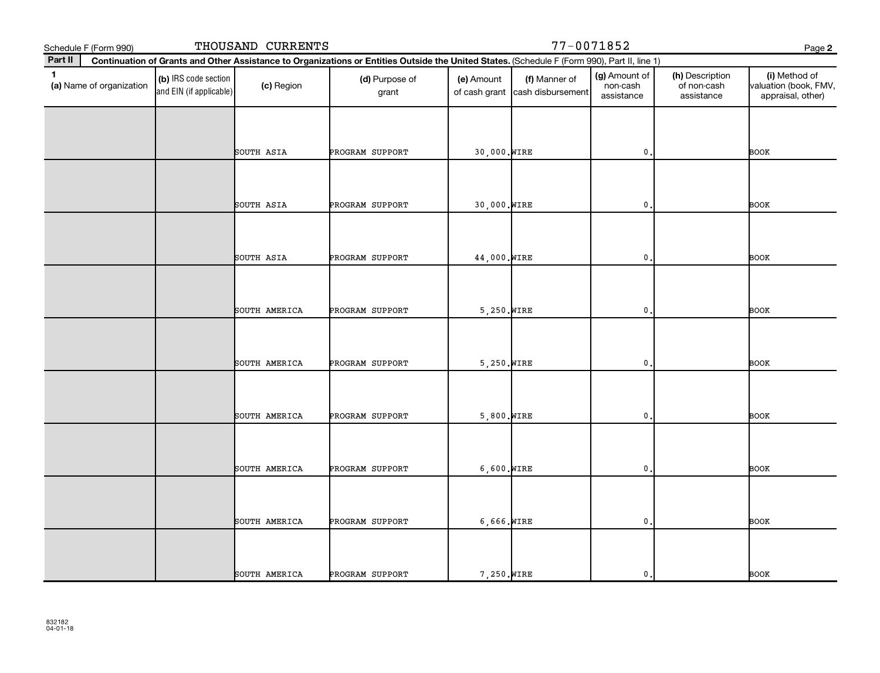|             | Schedule F (Form 990)    |                                                 | THOUSAND CURRENTS |                                                                                                                                              | 77-0071852<br>Page 2        |                                    |                                         |                                              |                                                             |  |  |
|-------------|--------------------------|-------------------------------------------------|-------------------|----------------------------------------------------------------------------------------------------------------------------------------------|-----------------------------|------------------------------------|-----------------------------------------|----------------------------------------------|-------------------------------------------------------------|--|--|
| Part II     |                          |                                                 |                   | Continuation of Grants and Other Assistance to Organizations or Entities Outside the United States. (Schedule F (Form 990), Part II, line 1) |                             |                                    |                                         |                                              |                                                             |  |  |
| $\mathbf 1$ | (a) Name of organization | (b) IRS code section<br>and EIN (if applicable) | (c) Region        | (d) Purpose of<br>grant                                                                                                                      | (e) Amount<br>of cash grant | (f) Manner of<br>cash disbursement | (g) Amount of<br>non-cash<br>assistance | (h) Description<br>of non-cash<br>assistance | (i) Method of<br>valuation (book, FMV,<br>appraisal, other) |  |  |
|             |                          |                                                 | SOUTH ASIA        | PROGRAM SUPPORT                                                                                                                              | 30,000. WIRE                |                                    | $\mathbf{0}$                            |                                              | <b>BOOK</b>                                                 |  |  |
|             |                          |                                                 |                   |                                                                                                                                              |                             |                                    |                                         |                                              |                                                             |  |  |
|             |                          |                                                 | SOUTH ASIA        | PROGRAM SUPPORT                                                                                                                              | 30,000. WIRE                |                                    | 0                                       |                                              | <b>BOOK</b>                                                 |  |  |
|             |                          |                                                 |                   |                                                                                                                                              |                             |                                    |                                         |                                              |                                                             |  |  |
|             |                          |                                                 | SOUTH ASIA        | PROGRAM SUPPORT                                                                                                                              | 44,000. WIRE                |                                    | 0                                       |                                              | <b>BOOK</b>                                                 |  |  |
|             |                          |                                                 | SOUTH AMERICA     | PROGRAM SUPPORT                                                                                                                              | 5,250. WIRE                 |                                    | 0                                       |                                              | <b>BOOK</b>                                                 |  |  |
|             |                          |                                                 |                   |                                                                                                                                              |                             |                                    |                                         |                                              |                                                             |  |  |
|             |                          |                                                 | SOUTH AMERICA     | PROGRAM SUPPORT                                                                                                                              | 5,250. WIRE                 |                                    | $\mathbf{0}$                            |                                              | <b>BOOK</b>                                                 |  |  |
|             |                          |                                                 | SOUTH AMERICA     | PROGRAM SUPPORT                                                                                                                              | 5,800. WIRE                 |                                    | $\mathbf 0$                             |                                              | <b>BOOK</b>                                                 |  |  |
|             |                          |                                                 |                   |                                                                                                                                              |                             |                                    |                                         |                                              |                                                             |  |  |
|             |                          |                                                 | SOUTH AMERICA     | PROGRAM SUPPORT                                                                                                                              | 6,600. WIRE                 |                                    | $\mathbf{0}$                            |                                              | <b>BOOK</b>                                                 |  |  |
|             |                          |                                                 | SOUTH AMERICA     | PROGRAM SUPPORT                                                                                                                              | 6,666. WIRE                 |                                    | 0                                       |                                              | <b>BOOK</b>                                                 |  |  |
|             |                          |                                                 |                   |                                                                                                                                              |                             |                                    |                                         |                                              |                                                             |  |  |
|             |                          |                                                 | SOUTH AMERICA     | PROGRAM SUPPORT                                                                                                                              | 7,250. WIRE                 |                                    | $\mathbf{0}$                            |                                              | <b>BOOK</b>                                                 |  |  |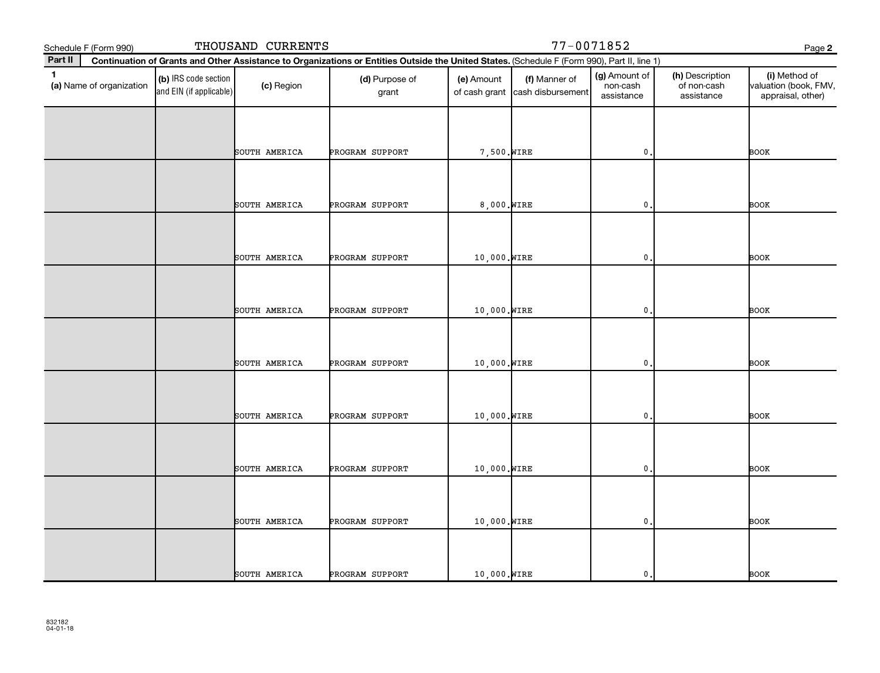|         | Schedule F (Form 990)    |                                                 | THOUSAND CURRENTS |                                                                                                                                              | 77-0071852<br>Page 2        |                                    |                                         |                                              |                                                             |  |  |  |
|---------|--------------------------|-------------------------------------------------|-------------------|----------------------------------------------------------------------------------------------------------------------------------------------|-----------------------------|------------------------------------|-----------------------------------------|----------------------------------------------|-------------------------------------------------------------|--|--|--|
| Part II |                          |                                                 |                   | Continuation of Grants and Other Assistance to Organizations or Entities Outside the United States. (Schedule F (Form 990), Part II, line 1) |                             |                                    |                                         |                                              |                                                             |  |  |  |
| 1       | (a) Name of organization | (b) IRS code section<br>and EIN (if applicable) | (c) Region        | (d) Purpose of<br>grant                                                                                                                      | (e) Amount<br>of cash grant | (f) Manner of<br>cash disbursement | (g) Amount of<br>non-cash<br>assistance | (h) Description<br>of non-cash<br>assistance | (i) Method of<br>valuation (book, FMV,<br>appraisal, other) |  |  |  |
|         |                          |                                                 |                   |                                                                                                                                              |                             |                                    |                                         |                                              |                                                             |  |  |  |
|         |                          |                                                 | SOUTH AMERICA     | PROGRAM SUPPORT                                                                                                                              | 7,500. WIRE                 |                                    | $\mathbf{0}$                            |                                              | <b>BOOK</b>                                                 |  |  |  |
|         |                          |                                                 | SOUTH AMERICA     | PROGRAM SUPPORT                                                                                                                              | 8,000. WIRE                 |                                    | 0                                       |                                              | <b>BOOK</b>                                                 |  |  |  |
|         |                          |                                                 |                   |                                                                                                                                              |                             |                                    |                                         |                                              |                                                             |  |  |  |
|         |                          |                                                 | SOUTH AMERICA     | PROGRAM SUPPORT                                                                                                                              | 10,000. WIRE                |                                    | $\mathbf{0}$                            |                                              | <b>BOOK</b>                                                 |  |  |  |
|         |                          |                                                 | SOUTH AMERICA     | PROGRAM SUPPORT                                                                                                                              | 10,000. WIRE                |                                    | 0                                       |                                              | <b>BOOK</b>                                                 |  |  |  |
|         |                          |                                                 |                   |                                                                                                                                              |                             |                                    |                                         |                                              |                                                             |  |  |  |
|         |                          |                                                 | SOUTH AMERICA     | PROGRAM SUPPORT                                                                                                                              | 10,000. WIRE                |                                    | $\mathbf 0$ .                           |                                              | <b>BOOK</b>                                                 |  |  |  |
|         |                          |                                                 | SOUTH AMERICA     | PROGRAM SUPPORT                                                                                                                              | 10,000. WIRE                |                                    | 0                                       |                                              | <b>BOOK</b>                                                 |  |  |  |
|         |                          |                                                 |                   |                                                                                                                                              |                             |                                    |                                         |                                              |                                                             |  |  |  |
|         |                          |                                                 | SOUTH AMERICA     | PROGRAM SUPPORT                                                                                                                              | 10,000. WIRE                |                                    | $\mathbf{0}$                            |                                              | <b>BOOK</b>                                                 |  |  |  |
|         |                          |                                                 |                   |                                                                                                                                              |                             |                                    |                                         |                                              |                                                             |  |  |  |
|         |                          |                                                 | SOUTH AMERICA     | PROGRAM SUPPORT                                                                                                                              | 10,000. WIRE                |                                    | 0                                       |                                              | <b>BOOK</b>                                                 |  |  |  |
|         |                          |                                                 | SOUTH AMERICA     | PROGRAM SUPPORT                                                                                                                              | 10,000. WIRE                |                                    | $\mathbf 0$ .                           |                                              | <b>BOOK</b>                                                 |  |  |  |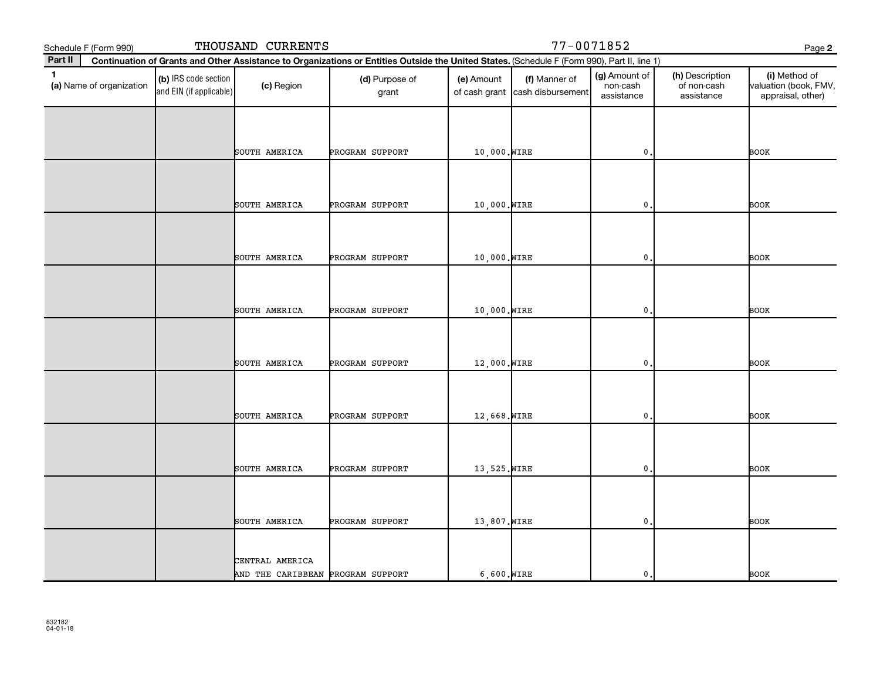|         | Schedule F (Form 990)    |                                                 | THOUSAND CURRENTS                 |                                                                                                                                              | 77-0071852<br>Page 2        |                                    |                                         |                                              |                                                             |  |
|---------|--------------------------|-------------------------------------------------|-----------------------------------|----------------------------------------------------------------------------------------------------------------------------------------------|-----------------------------|------------------------------------|-----------------------------------------|----------------------------------------------|-------------------------------------------------------------|--|
| Part II |                          |                                                 |                                   | Continuation of Grants and Other Assistance to Organizations or Entities Outside the United States. (Schedule F (Form 990), Part II, line 1) |                             |                                    |                                         |                                              |                                                             |  |
| 1       | (a) Name of organization | (b) IRS code section<br>and EIN (if applicable) | (c) Region                        | (d) Purpose of<br>grant                                                                                                                      | (e) Amount<br>of cash grant | (f) Manner of<br>cash disbursement | (g) Amount of<br>non-cash<br>assistance | (h) Description<br>of non-cash<br>assistance | (i) Method of<br>valuation (book, FMV,<br>appraisal, other) |  |
|         |                          |                                                 | SOUTH AMERICA                     | PROGRAM SUPPORT                                                                                                                              | 10,000. WIRE                |                                    | $\mathbf 0$ .                           |                                              | <b>BOOK</b>                                                 |  |
|         |                          |                                                 |                                   |                                                                                                                                              |                             |                                    |                                         |                                              |                                                             |  |
|         |                          |                                                 | SOUTH AMERICA                     | PROGRAM SUPPORT                                                                                                                              | 10,000. WIRE                |                                    | 0                                       |                                              | <b>BOOK</b>                                                 |  |
|         |                          |                                                 | SOUTH AMERICA                     | PROGRAM SUPPORT                                                                                                                              | 10,000. WIRE                |                                    | 0                                       |                                              | <b>BOOK</b>                                                 |  |
|         |                          |                                                 | SOUTH AMERICA                     | PROGRAM SUPPORT                                                                                                                              | 10,000. WIRE                |                                    | 0                                       |                                              | <b>BOOK</b>                                                 |  |
|         |                          |                                                 | SOUTH AMERICA                     | PROGRAM SUPPORT                                                                                                                              | 12,000. WIRE                |                                    | 0                                       |                                              | <b>BOOK</b>                                                 |  |
|         |                          |                                                 |                                   |                                                                                                                                              |                             |                                    |                                         |                                              |                                                             |  |
|         |                          |                                                 | SOUTH AMERICA                     | PROGRAM SUPPORT                                                                                                                              | 12,668. WIRE                |                                    | 0                                       |                                              | <b>BOOK</b>                                                 |  |
|         |                          |                                                 | SOUTH AMERICA                     | PROGRAM SUPPORT                                                                                                                              | 13,525. WIRE                |                                    | $\mathbf{0}$                            |                                              | <b>BOOK</b>                                                 |  |
|         |                          |                                                 |                                   |                                                                                                                                              |                             |                                    |                                         |                                              |                                                             |  |
|         |                          |                                                 | SOUTH AMERICA<br>CENTRAL AMERICA  | PROGRAM SUPPORT                                                                                                                              | 13,807. WIRE                |                                    | 0                                       |                                              | <b>BOOK</b>                                                 |  |
|         |                          |                                                 | AND THE CARIBBEAN PROGRAM SUPPORT |                                                                                                                                              | 6,600. WIRE                 |                                    | $\mathbf 0$ .                           |                                              | <b>BOOK</b>                                                 |  |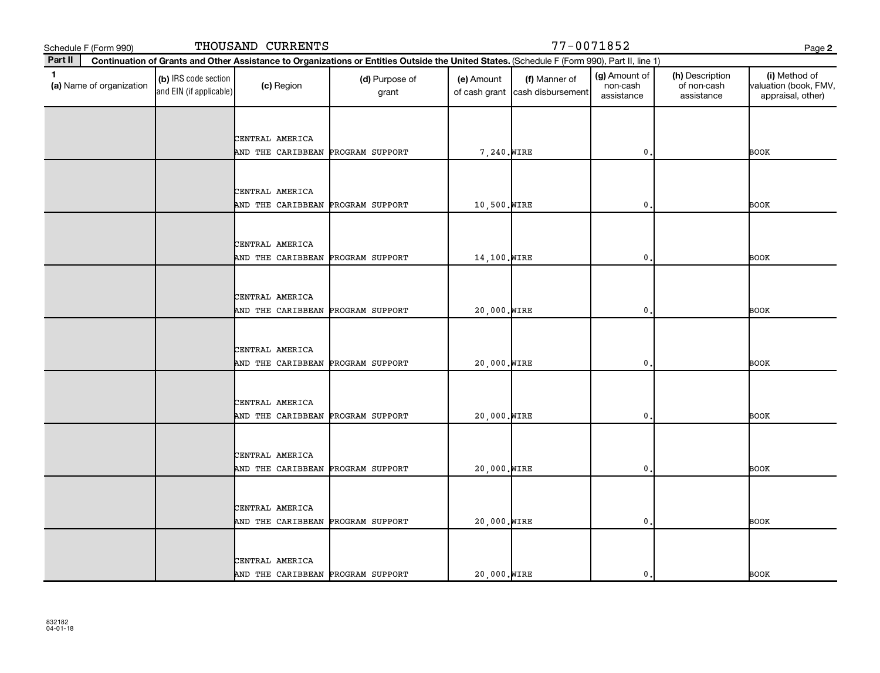| Schedule F (Form 990)                    |                                                 | THOUSAND CURRENTS                                    |                                                                                                                                              | 77-0071852<br>Page 2        |                                    |                                         |                                              |                                                             |  |
|------------------------------------------|-------------------------------------------------|------------------------------------------------------|----------------------------------------------------------------------------------------------------------------------------------------------|-----------------------------|------------------------------------|-----------------------------------------|----------------------------------------------|-------------------------------------------------------------|--|
| Part II                                  |                                                 |                                                      | Continuation of Grants and Other Assistance to Organizations or Entities Outside the United States. (Schedule F (Form 990), Part II, line 1) |                             |                                    |                                         |                                              |                                                             |  |
| $\mathbf{1}$<br>(a) Name of organization | (b) IRS code section<br>and EIN (if applicable) | (c) Region                                           | (d) Purpose of<br>grant                                                                                                                      | (e) Amount<br>of cash grant | (f) Manner of<br>cash disbursement | (g) Amount of<br>non-cash<br>assistance | (h) Description<br>of non-cash<br>assistance | (i) Method of<br>valuation (book, FMV,<br>appraisal, other) |  |
|                                          |                                                 | CENTRAL AMERICA<br>AND THE CARIBBEAN PROGRAM SUPPORT |                                                                                                                                              | 7,240. WIRE                 |                                    | 0                                       |                                              | BOOK                                                        |  |
|                                          |                                                 | CENTRAL AMERICA                                      |                                                                                                                                              |                             |                                    |                                         |                                              |                                                             |  |
|                                          |                                                 | AND THE CARIBBEAN PROGRAM SUPPORT                    |                                                                                                                                              | 10,500. WIRE                |                                    | 0                                       |                                              | <b>BOOK</b>                                                 |  |
|                                          |                                                 | CENTRAL AMERICA                                      |                                                                                                                                              |                             |                                    |                                         |                                              |                                                             |  |
|                                          |                                                 | AND THE CARIBBEAN PROGRAM SUPPORT                    |                                                                                                                                              | 14,100. WIRE                |                                    | 0                                       |                                              | <b>BOOK</b>                                                 |  |
|                                          |                                                 | CENTRAL AMERICA<br>AND THE CARIBBEAN PROGRAM SUPPORT |                                                                                                                                              | 20,000. WIRE                |                                    | 0                                       |                                              | <b>BOOK</b>                                                 |  |
|                                          |                                                 | CENTRAL AMERICA<br>AND THE CARIBBEAN PROGRAM SUPPORT |                                                                                                                                              | 20,000. WIRE                |                                    | 0                                       |                                              | BOOK                                                        |  |
|                                          |                                                 |                                                      |                                                                                                                                              |                             |                                    |                                         |                                              |                                                             |  |
|                                          |                                                 | CENTRAL AMERICA<br>AND THE CARIBBEAN PROGRAM SUPPORT |                                                                                                                                              | 20,000. WIRE                |                                    | 0                                       |                                              | <b>BOOK</b>                                                 |  |
|                                          |                                                 | CENTRAL AMERICA                                      |                                                                                                                                              |                             |                                    |                                         |                                              |                                                             |  |
|                                          |                                                 | AND THE CARIBBEAN PROGRAM SUPPORT                    |                                                                                                                                              | 20,000. WIRE                |                                    | 0                                       |                                              | BOOK                                                        |  |
|                                          |                                                 | CENTRAL AMERICA<br>AND THE CARIBBEAN PROGRAM SUPPORT |                                                                                                                                              | 20,000. WIRE                |                                    | 0                                       |                                              | <b>BOOK</b>                                                 |  |
|                                          |                                                 | CENTRAL AMERICA                                      |                                                                                                                                              |                             |                                    |                                         |                                              |                                                             |  |
|                                          |                                                 | AND THE CARIBBEAN PROGRAM SUPPORT                    |                                                                                                                                              | 20,000. WIRE                |                                    | 0                                       |                                              | BOOK                                                        |  |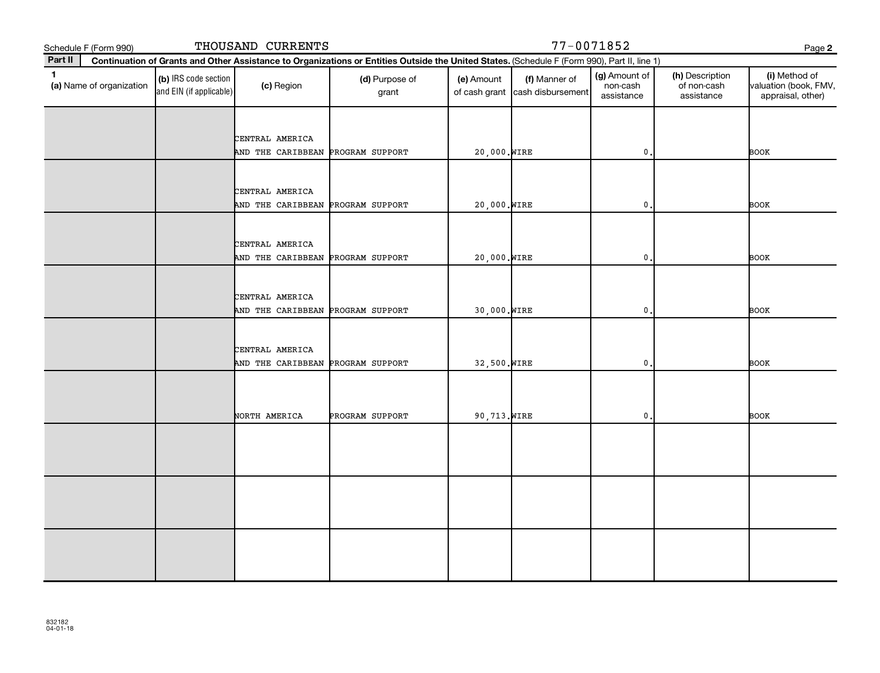|              | Schedule F (Form 990)    |                                                 | THOUSAND CURRENTS                                    |                                                                                                                                              | 77-0071852<br>Page 2 |                                                  |                                         |                                              |                                                             |  |  |
|--------------|--------------------------|-------------------------------------------------|------------------------------------------------------|----------------------------------------------------------------------------------------------------------------------------------------------|----------------------|--------------------------------------------------|-----------------------------------------|----------------------------------------------|-------------------------------------------------------------|--|--|
| Part II      |                          |                                                 |                                                      | Continuation of Grants and Other Assistance to Organizations or Entities Outside the United States. (Schedule F (Form 990), Part II, line 1) |                      |                                                  |                                         |                                              |                                                             |  |  |
| $\mathbf{1}$ | (a) Name of organization | (b) IRS code section<br>and EIN (if applicable) | (c) Region                                           | (d) Purpose of<br>grant                                                                                                                      | (e) Amount           | (f) Manner of<br>of cash grant cash disbursement | (g) Amount of<br>non-cash<br>assistance | (h) Description<br>of non-cash<br>assistance | (i) Method of<br>valuation (book, FMV,<br>appraisal, other) |  |  |
|              |                          |                                                 | CENTRAL AMERICA<br>AND THE CARIBBEAN PROGRAM SUPPORT |                                                                                                                                              | 20,000. WIRE         |                                                  | $\mathbf{0}$                            |                                              | BOOK                                                        |  |  |
|              |                          |                                                 | CENTRAL AMERICA<br>AND THE CARIBBEAN PROGRAM SUPPORT |                                                                                                                                              | 20,000. WIRE         |                                                  | $\mathbf{0}$                            |                                              | <b>BOOK</b>                                                 |  |  |
|              |                          |                                                 | CENTRAL AMERICA<br>AND THE CARIBBEAN PROGRAM SUPPORT |                                                                                                                                              | 20,000. WIRE         |                                                  | 0                                       |                                              | <b>BOOK</b>                                                 |  |  |
|              |                          |                                                 | CENTRAL AMERICA<br>AND THE CARIBBEAN PROGRAM SUPPORT |                                                                                                                                              | 30,000. WIRE         |                                                  | $\mathbf{0}$                            |                                              | <b>BOOK</b>                                                 |  |  |
|              |                          |                                                 | CENTRAL AMERICA<br>AND THE CARIBBEAN PROGRAM SUPPORT |                                                                                                                                              | 32,500. WIRE         |                                                  | $\mathbf{0}$                            |                                              | <b>BOOK</b>                                                 |  |  |
|              |                          |                                                 | NORTH AMERICA                                        | PROGRAM SUPPORT                                                                                                                              | 90,713. WIRE         |                                                  | $\mathbf{0}$                            |                                              | <b>BOOK</b>                                                 |  |  |
|              |                          |                                                 |                                                      |                                                                                                                                              |                      |                                                  |                                         |                                              |                                                             |  |  |
|              |                          |                                                 |                                                      |                                                                                                                                              |                      |                                                  |                                         |                                              |                                                             |  |  |
|              |                          |                                                 |                                                      |                                                                                                                                              |                      |                                                  |                                         |                                              |                                                             |  |  |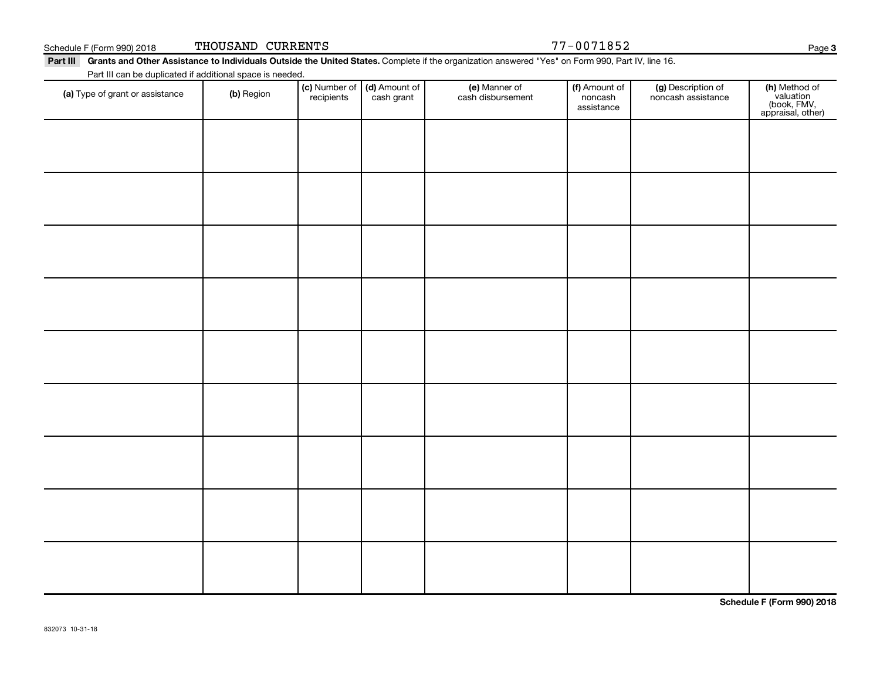# Part III Grants and Other Assistance to Individuals Outside the United States. Complete if the organization answered "Yes" on Form 990, Part IV, line 16. (a) Type of grant or assistance (b) Region (b) Region (c) Number of (d) Amount of (e) Manner of (f) Amount of (f)<br>Region (cash grant cash dishursement popcash noncash assistance v Schedule F (Form 990) 2018 THOUSAND CURRENTS 77-0071852 Part III can be duplicated if additional space is needed. (c) Number of **recipients** (d) Amount of cash grant (e) Manner of cash disbursement (f) Amount of noncash assistance noncash assistance THOUSAND CURRENTS

**Schedule F (Form 990) 2018**

Page 3

**(h)** Method of<br>valuation<br>(book, FMV,<br>appraisal, other)

(g) Description of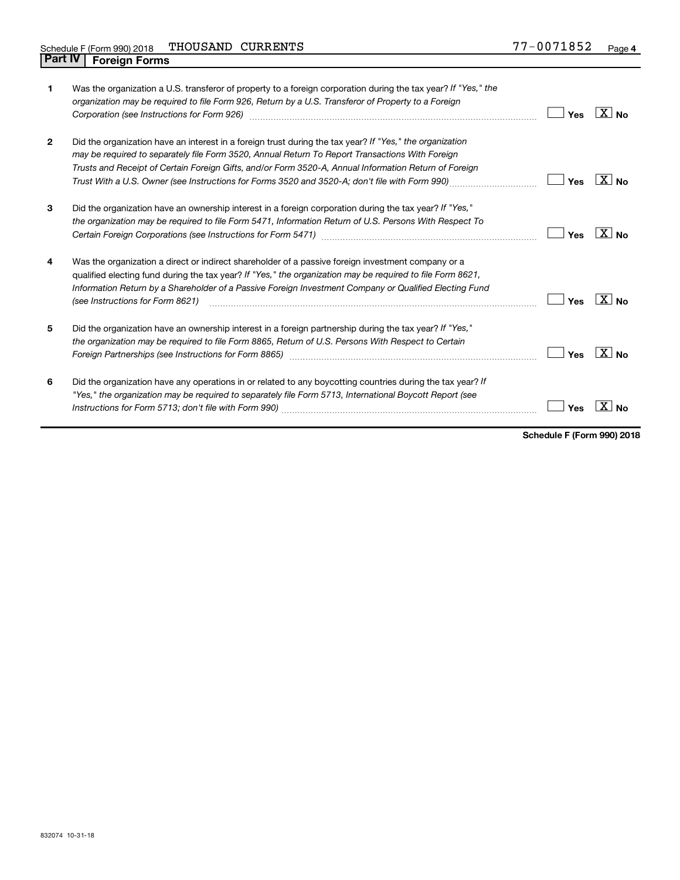| $\mathbf{1}$   | Was the organization a U.S. transferor of property to a foreign corporation during the tax year? If "Yes," the<br>organization may be required to file Form 926, Return by a U.S. Transferor of Property to a Foreign<br>Corporation (see Instructions for Form 926) manufactured control and the control of the control of the control of the control of the control of the control of the control of the control of the control of the control of the | Yes | $ X _{\text{No}}$            |
|----------------|---------------------------------------------------------------------------------------------------------------------------------------------------------------------------------------------------------------------------------------------------------------------------------------------------------------------------------------------------------------------------------------------------------------------------------------------------------|-----|------------------------------|
| $\overline{2}$ | Did the organization have an interest in a foreign trust during the tax year? If "Yes," the organization<br>may be required to separately file Form 3520, Annual Return To Report Transactions With Foreign<br>Trusts and Receipt of Certain Foreign Gifts, and/or Form 3520-A, Annual Information Return of Foreign<br>Trust With a U.S. Owner (see Instructions for Forms 3520 and 3520-A; don't file with Form 990)                                  | Yes | ∣X I <sub>No</sub>           |
| 3              | Did the organization have an ownership interest in a foreign corporation during the tax year? If "Yes,"<br>the organization may be required to file Form 5471, Information Return of U.S. Persons With Respect To                                                                                                                                                                                                                                       | Yes | ∣X∣ <sub>No</sub>            |
| 4              | Was the organization a direct or indirect shareholder of a passive foreign investment company or a<br>qualified electing fund during the tax year? If "Yes," the organization may be required to file Form 8621,<br>Information Return by a Shareholder of a Passive Foreign Investment Company or Qualified Electing Fund<br>(see Instructions for Form 8621)                                                                                          | Yes | $ X _{\mathsf{No}}$          |
| 5              | Did the organization have an ownership interest in a foreign partnership during the tax year? If "Yes,"<br>the organization may be required to file Form 8865, Return of U.S. Persons With Respect to Certain<br>Foreign Partnerships (see Instructions for Form 8865)                                                                                                                                                                                  | Yes | $\overline{\mathbf{X}}$   No |
| 6              | Did the organization have any operations in or related to any boycotting countries during the tax year? If<br>"Yes," the organization may be required to separately file Form 5713, International Boycott Report (see                                                                                                                                                                                                                                   | Yes |                              |

**Schedule F (Form 990) 2018**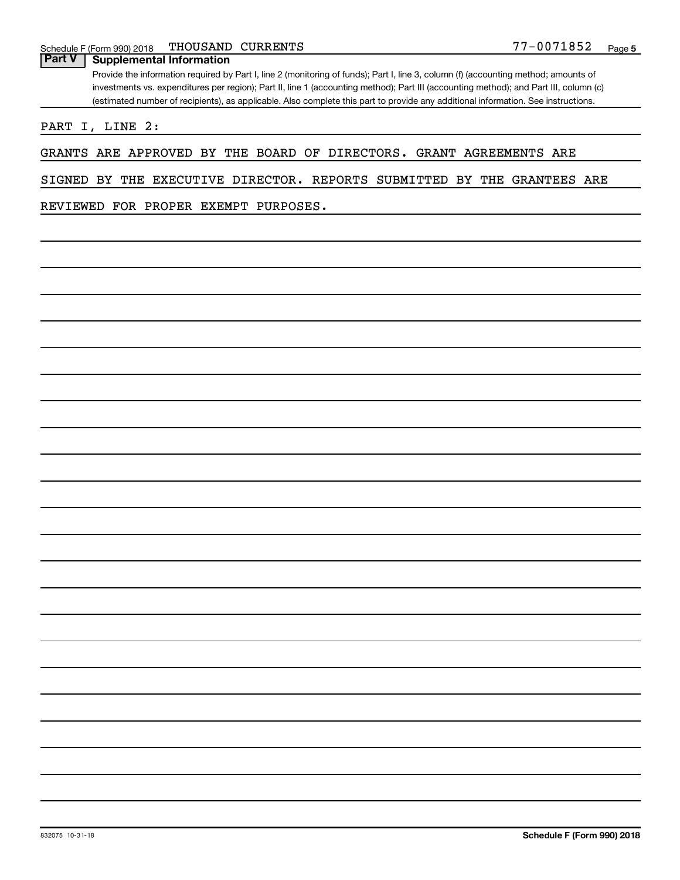## **Part V Supplemental Information**

Provide the information required by Part I, line 2 (monitoring of funds); Part I, line 3, column (f) (accounting method; amounts of investments vs. expenditures per region); Part II, line 1 (accounting method); Part III (accounting method); and Part III, column (c) (estimated number of recipients), as applicable. Also complete this part to provide any additional information. See instructions.

PART I, LINE 2:

GRANTS ARE APPROVED BY THE BOARD OF DIRECTORS. GRANT AGREEMENTS ARE

## SIGNED BY THE EXECUTIVE DIRECTOR. REPORTS SUBMITTED BY THE GRANTEES ARE

REVIEWED FOR PROPER EXEMPT PURPOSES.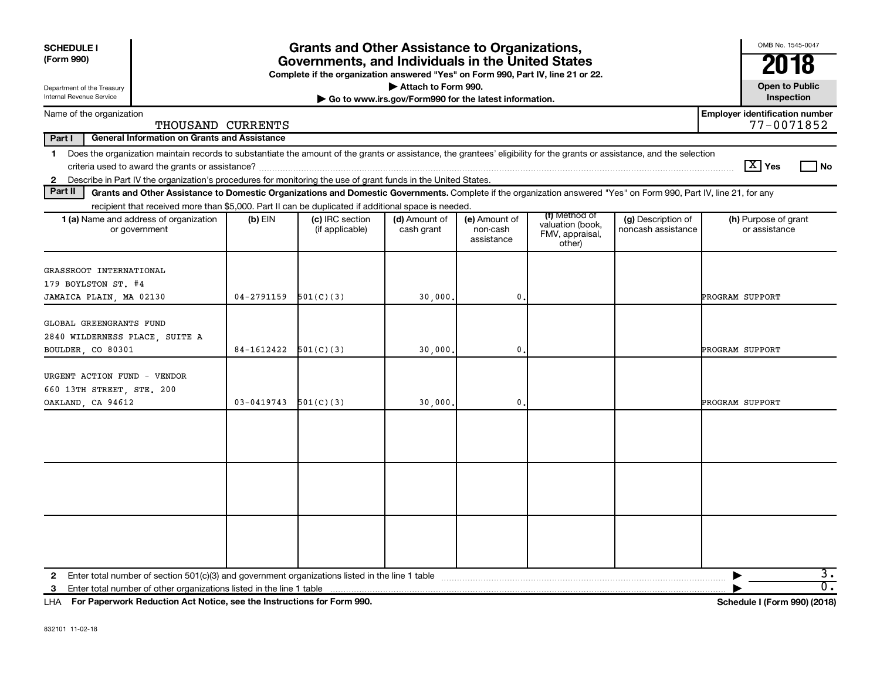| OMB No. 1545-0047<br><b>Grants and Other Assistance to Organizations,</b><br><b>SCHEDULE I</b><br>(Form 990)<br>Governments, and Individuals in the United States                                                                                                         |                   |                                                                                  |                                                                              |                                         |                                                                |                                          |                                                     |
|---------------------------------------------------------------------------------------------------------------------------------------------------------------------------------------------------------------------------------------------------------------------------|-------------------|----------------------------------------------------------------------------------|------------------------------------------------------------------------------|-----------------------------------------|----------------------------------------------------------------|------------------------------------------|-----------------------------------------------------|
|                                                                                                                                                                                                                                                                           |                   | Complete if the organization answered "Yes" on Form 990, Part IV, line 21 or 22. |                                                                              |                                         |                                                                |                                          | 2018                                                |
| Department of the Treasury<br>Internal Revenue Service                                                                                                                                                                                                                    |                   |                                                                                  | Attach to Form 990.<br>Go to www.irs.gov/Form990 for the latest information. |                                         |                                                                |                                          | <b>Open to Public</b><br>Inspection                 |
| Name of the organization                                                                                                                                                                                                                                                  | THOUSAND CURRENTS |                                                                                  |                                                                              |                                         |                                                                |                                          | <b>Employer identification number</b><br>77-0071852 |
| Part I<br><b>General Information on Grants and Assistance</b>                                                                                                                                                                                                             |                   |                                                                                  |                                                                              |                                         |                                                                |                                          |                                                     |
| Does the organization maintain records to substantiate the amount of the grants or assistance, the grantees' eligibility for the grants or assistance, and the selection<br>$\mathbf 1$                                                                                   |                   |                                                                                  |                                                                              |                                         |                                                                |                                          | $ \mathbf{X} $ Yes<br>  No                          |
| Describe in Part IV the organization's procedures for monitoring the use of grant funds in the United States.<br>$\mathbf{2}$<br>Part II                                                                                                                                  |                   |                                                                                  |                                                                              |                                         |                                                                |                                          |                                                     |
| Grants and Other Assistance to Domestic Organizations and Domestic Governments. Complete if the organization answered "Yes" on Form 990, Part IV, line 21, for any<br>recipient that received more than \$5,000. Part II can be duplicated if additional space is needed. |                   |                                                                                  |                                                                              |                                         |                                                                |                                          |                                                     |
| <b>1 (a)</b> Name and address of organization<br>or government                                                                                                                                                                                                            | $(b)$ EIN         | (c) IRC section<br>(if applicable)                                               | (d) Amount of<br>cash grant                                                  | (e) Amount of<br>non-cash<br>assistance | (f) Method of<br>valuation (book,<br>FMV, appraisal,<br>other) | (g) Description of<br>noncash assistance | (h) Purpose of grant<br>or assistance               |
| GRASSROOT INTERNATIONAL<br>179 BOYLSTON ST. #4<br>JAMAICA PLAIN, MA 02130                                                                                                                                                                                                 | 04-2791159        | 501(C)(3)                                                                        | 30,000,                                                                      | $\mathbf 0$ .                           |                                                                |                                          | PROGRAM SUPPORT                                     |
| GLOBAL GREENGRANTS FUND<br>2840 WILDERNESS PLACE, SUITE A<br>BOULDER, CO 80301                                                                                                                                                                                            | 84-1612422        | 501(C)(3)                                                                        | 30,000                                                                       | $\mathbf 0$                             |                                                                |                                          | PROGRAM SUPPORT                                     |
| URGENT ACTION FUND - VENDOR<br>660 13TH STREET, STE. 200                                                                                                                                                                                                                  |                   |                                                                                  |                                                                              |                                         |                                                                |                                          |                                                     |
| OAKLAND, CA 94612                                                                                                                                                                                                                                                         | 03-0419743        | 501(C)(3)                                                                        | 30,000                                                                       | 0.                                      |                                                                |                                          | PROGRAM SUPPORT                                     |
|                                                                                                                                                                                                                                                                           |                   |                                                                                  |                                                                              |                                         |                                                                |                                          |                                                     |
|                                                                                                                                                                                                                                                                           |                   |                                                                                  |                                                                              |                                         |                                                                |                                          |                                                     |
| 3                                                                                                                                                                                                                                                                         |                   |                                                                                  |                                                                              |                                         |                                                                |                                          | з.<br>$\overline{0}$ .                              |

**For Paperwork Reduction Act Notice, see the Instructions for Form 990. Schedule I (Form 990) (2018)** LHA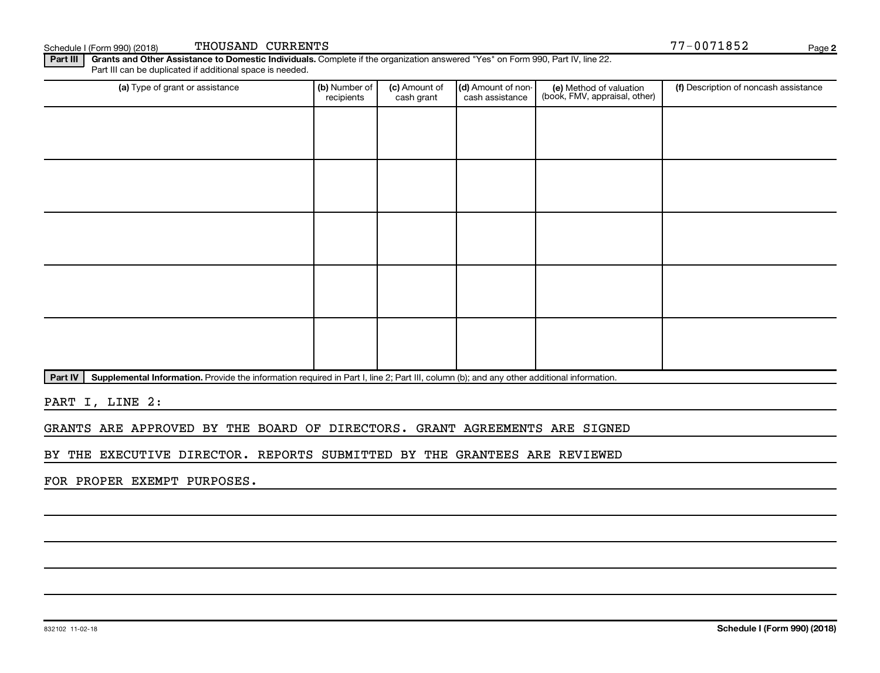Schedule I (Form 990) (2018) THOUSAND CURRENTS TO A SCHEDULE 1 (Form 990) (2018) TO PAGE 1890 THOUSAND CURRENTS

**2**

Part III | Grants and Other Assistance to Domestic Individuals. Complete if the organization answered "Yes" on Form 990, Part IV, line 22. Part III can be duplicated if additional space is needed.

| (a) Type of grant or assistance | (b) Number of<br>recipients | (c) Amount of<br>cash grant | (d) Amount of non-<br>cash assistance | (e) Method of valuation<br>(book, FMV, appraisal, other) | (f) Description of noncash assistance |
|---------------------------------|-----------------------------|-----------------------------|---------------------------------------|----------------------------------------------------------|---------------------------------------|
|                                 |                             |                             |                                       |                                                          |                                       |
|                                 |                             |                             |                                       |                                                          |                                       |
|                                 |                             |                             |                                       |                                                          |                                       |
|                                 |                             |                             |                                       |                                                          |                                       |
|                                 |                             |                             |                                       |                                                          |                                       |
|                                 |                             |                             |                                       |                                                          |                                       |
|                                 |                             |                             |                                       |                                                          |                                       |
|                                 |                             |                             |                                       |                                                          |                                       |
|                                 |                             |                             |                                       |                                                          |                                       |
|                                 |                             |                             |                                       |                                                          |                                       |

Part IV | Supplemental Information. Provide the information required in Part I, line 2; Part III, column (b); and any other additional information.

PART I, LINE 2:

GRANTS ARE APPROVED BY THE BOARD OF DIRECTORS. GRANT AGREEMENTS ARE SIGNED

BY THE EXECUTIVE DIRECTOR. REPORTS SUBMITTED BY THE GRANTEES ARE REVIEWED

FOR PROPER EXEMPT PURPOSES.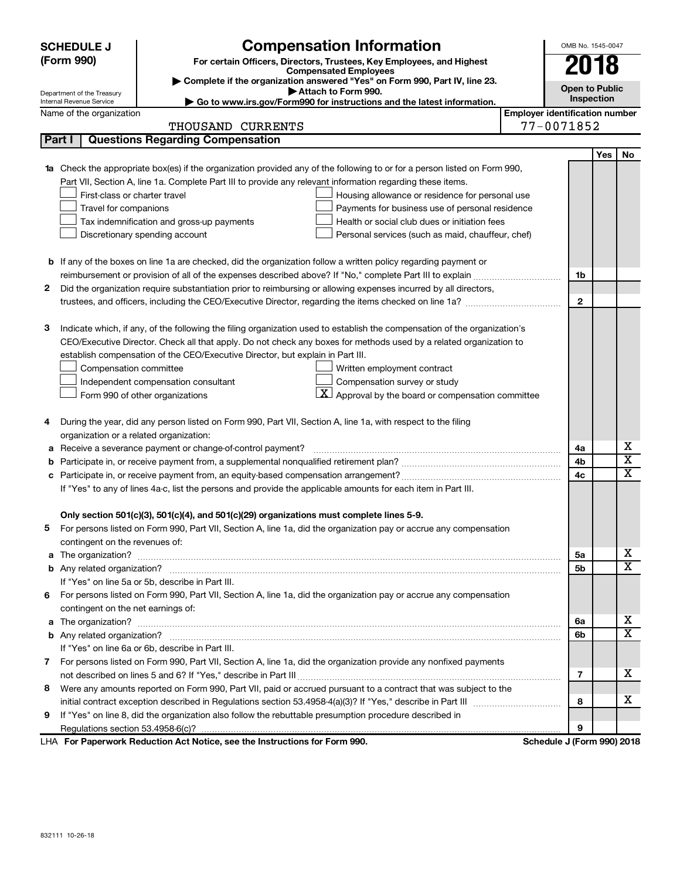|        | <b>SCHEDULE J</b>                                    |                                                                                                                                                                        | OMB No. 1545-0047                     |                            |     |                            |
|--------|------------------------------------------------------|------------------------------------------------------------------------------------------------------------------------------------------------------------------------|---------------------------------------|----------------------------|-----|----------------------------|
|        | (Form 990)                                           | <b>Compensation Information</b><br>For certain Officers, Directors, Trustees, Key Employees, and Highest                                                               |                                       | <b>2018</b>                |     |                            |
|        |                                                      | <b>Compensated Employees</b><br>Complete if the organization answered "Yes" on Form 990, Part IV, line 23.                                                             |                                       |                            |     |                            |
|        | Department of the Treasury                           | Attach to Form 990.                                                                                                                                                    |                                       | <b>Open to Public</b>      |     |                            |
|        | Internal Revenue Service<br>Name of the organization | Go to www.irs.gov/Form990 for instructions and the latest information.                                                                                                 | <b>Employer identification number</b> | Inspection                 |     |                            |
|        |                                                      | THOUSAND CURRENTS                                                                                                                                                      |                                       | 77-0071852                 |     |                            |
| Part I |                                                      | <b>Questions Regarding Compensation</b>                                                                                                                                |                                       |                            |     |                            |
|        |                                                      |                                                                                                                                                                        |                                       |                            | Yes | No                         |
| 1a     |                                                      | Check the appropriate box(es) if the organization provided any of the following to or for a person listed on Form 990,                                                 |                                       |                            |     |                            |
|        |                                                      | Part VII, Section A, line 1a. Complete Part III to provide any relevant information regarding these items.                                                             |                                       |                            |     |                            |
|        | First-class or charter travel                        | Housing allowance or residence for personal use                                                                                                                        |                                       |                            |     |                            |
|        | Travel for companions                                | Payments for business use of personal residence                                                                                                                        |                                       |                            |     |                            |
|        |                                                      | Health or social club dues or initiation fees<br>Tax indemnification and gross-up payments                                                                             |                                       |                            |     |                            |
|        |                                                      | Discretionary spending account<br>Personal services (such as maid, chauffeur, chef)                                                                                    |                                       |                            |     |                            |
|        |                                                      |                                                                                                                                                                        |                                       |                            |     |                            |
|        |                                                      | <b>b</b> If any of the boxes on line 1a are checked, did the organization follow a written policy regarding payment or                                                 |                                       |                            |     |                            |
|        |                                                      |                                                                                                                                                                        |                                       | 1b                         |     |                            |
| 2      |                                                      | Did the organization require substantiation prior to reimbursing or allowing expenses incurred by all directors,                                                       |                                       |                            |     |                            |
|        |                                                      | trustees, and officers, including the CEO/Executive Director, regarding the items checked on line 1a?                                                                  |                                       | $\overline{2}$             |     |                            |
|        |                                                      |                                                                                                                                                                        |                                       |                            |     |                            |
| З      |                                                      | Indicate which, if any, of the following the filing organization used to establish the compensation of the organization's                                              |                                       |                            |     |                            |
|        |                                                      | CEO/Executive Director. Check all that apply. Do not check any boxes for methods used by a related organization to                                                     |                                       |                            |     |                            |
|        |                                                      | establish compensation of the CEO/Executive Director, but explain in Part III.                                                                                         |                                       |                            |     |                            |
|        | Compensation committee                               | Written employment contract                                                                                                                                            |                                       |                            |     |                            |
|        |                                                      | Compensation survey or study<br>Independent compensation consultant                                                                                                    |                                       |                            |     |                            |
|        |                                                      | X <br>Approval by the board or compensation committee<br>Form 990 of other organizations                                                                               |                                       |                            |     |                            |
|        |                                                      |                                                                                                                                                                        |                                       |                            |     |                            |
| 4      |                                                      | During the year, did any person listed on Form 990, Part VII, Section A, line 1a, with respect to the filing                                                           |                                       |                            |     |                            |
|        | organization or a related organization:              |                                                                                                                                                                        |                                       |                            |     |                            |
| а      |                                                      | Receive a severance payment or change-of-control payment?                                                                                                              |                                       | 4a                         |     | x                          |
| b      |                                                      |                                                                                                                                                                        |                                       | 4b                         |     | X                          |
| c      |                                                      |                                                                                                                                                                        |                                       | 4c                         |     | $\overline{\textbf{x}}$    |
|        |                                                      | If "Yes" to any of lines 4a-c, list the persons and provide the applicable amounts for each item in Part III.                                                          |                                       |                            |     |                            |
|        |                                                      |                                                                                                                                                                        |                                       |                            |     |                            |
|        |                                                      | Only section 501(c)(3), 501(c)(4), and 501(c)(29) organizations must complete lines 5-9.                                                                               |                                       |                            |     |                            |
|        |                                                      | For persons listed on Form 990, Part VII, Section A, line 1a, did the organization pay or accrue any compensation                                                      |                                       |                            |     |                            |
|        | contingent on the revenues of:                       |                                                                                                                                                                        |                                       |                            |     |                            |
|        |                                                      |                                                                                                                                                                        |                                       | 5a                         |     | X<br>$\overline{\text{X}}$ |
|        |                                                      |                                                                                                                                                                        |                                       | 5b                         |     |                            |
|        |                                                      | If "Yes" on line 5a or 5b, describe in Part III.                                                                                                                       |                                       |                            |     |                            |
| 6.     |                                                      | For persons listed on Form 990, Part VII, Section A, line 1a, did the organization pay or accrue any compensation                                                      |                                       |                            |     |                            |
|        | contingent on the net earnings of:                   |                                                                                                                                                                        |                                       |                            |     | X                          |
|        |                                                      |                                                                                                                                                                        |                                       | 6a                         |     | $\overline{\textbf{X}}$    |
|        |                                                      |                                                                                                                                                                        |                                       | 6b                         |     |                            |
|        |                                                      | If "Yes" on line 6a or 6b, describe in Part III.<br>7 For persons listed on Form 990, Part VII, Section A, line 1a, did the organization provide any nonfixed payments |                                       |                            |     |                            |
|        |                                                      |                                                                                                                                                                        |                                       |                            |     | x                          |
|        |                                                      | Were any amounts reported on Form 990, Part VII, paid or accrued pursuant to a contract that was subject to the                                                        |                                       | 7                          |     |                            |
| 8      |                                                      |                                                                                                                                                                        |                                       | 8                          |     | x                          |
| 9      |                                                      | If "Yes" on line 8, did the organization also follow the rebuttable presumption procedure described in                                                                 |                                       |                            |     |                            |
|        |                                                      |                                                                                                                                                                        |                                       | 9                          |     |                            |
|        |                                                      | LHA For Paperwork Reduction Act Notice, see the Instructions for Form 990.                                                                                             |                                       | Schedule J (Form 990) 2018 |     |                            |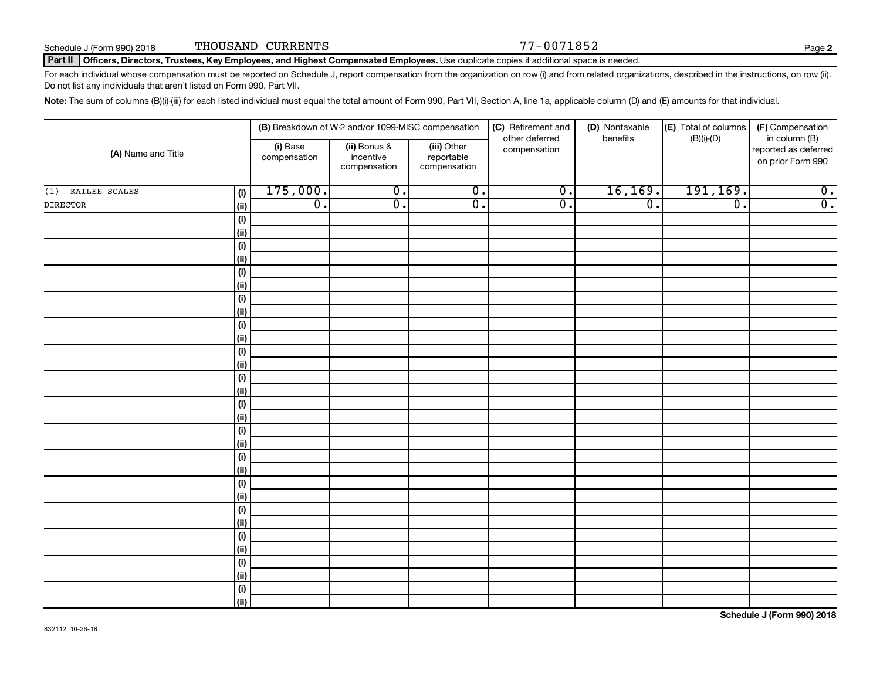**2**

### Part II | Officers, Directors, Trustees, Key Employees, and Highest Compensated Employees. Use duplicate copies if additional space is needed.

For each individual whose compensation must be reported on Schedule J, report compensation from the organization on row (i) and from related organizations, described in the instructions, on row (ii). Do not list any individuals that aren't listed on Form 990, Part VII.

Note: The sum of columns (B)(i)-(iii) for each listed individual must equal the total amount of Form 990, Part VII, Section A, line 1a, applicable column (D) and (E) amounts for that individual.

|                      |                    |                          | (B) Breakdown of W-2 and/or 1099-MISC compensation |                                           | (C) Retirement and<br>other deferred | (D) Nontaxable<br>benefits | (E) Total of columns        | (F) Compensation<br>in column (B)         |  |
|----------------------|--------------------|--------------------------|----------------------------------------------------|-------------------------------------------|--------------------------------------|----------------------------|-----------------------------|-------------------------------------------|--|
| (A) Name and Title   |                    | (i) Base<br>compensation | (ii) Bonus &<br>incentive<br>compensation          | (iii) Other<br>reportable<br>compensation | compensation                         |                            | $(B)(i)$ - $(D)$            | reported as deferred<br>on prior Form 990 |  |
| KAILEE SCALES<br>(1) | (i)                | 175,000.                 | $\overline{\mathfrak{o}}$ .                        | $\overline{0}$ .                          | $\overline{0}$ .                     | 16, 169.                   | 191,169.                    | $\overline{0}$ .                          |  |
| <b>DIRECTOR</b>      | (ii)               | $\overline{0}$ .         | $\overline{\mathfrak{o}}$ .                        | $\overline{0}$ .                          | $\overline{0}$ .                     | $\overline{0}$ .           | $\overline{\mathfrak{o}}$ . | $\overline{0}$ .                          |  |
|                      | (i)                |                          |                                                    |                                           |                                      |                            |                             |                                           |  |
|                      | $\vert$ (ii)       |                          |                                                    |                                           |                                      |                            |                             |                                           |  |
|                      | (i)                |                          |                                                    |                                           |                                      |                            |                             |                                           |  |
|                      | $\vert$ (ii)       |                          |                                                    |                                           |                                      |                            |                             |                                           |  |
|                      | (i)                |                          |                                                    |                                           |                                      |                            |                             |                                           |  |
|                      | (ii)               |                          |                                                    |                                           |                                      |                            |                             |                                           |  |
|                      | (i)                |                          |                                                    |                                           |                                      |                            |                             |                                           |  |
|                      | (ii)               |                          |                                                    |                                           |                                      |                            |                             |                                           |  |
|                      | (i)                |                          |                                                    |                                           |                                      |                            |                             |                                           |  |
|                      | (ii)               |                          |                                                    |                                           |                                      |                            |                             |                                           |  |
|                      | (i)                |                          |                                                    |                                           |                                      |                            |                             |                                           |  |
|                      | (ii)               |                          |                                                    |                                           |                                      |                            |                             |                                           |  |
|                      | $(\sf{i})$         |                          |                                                    |                                           |                                      |                            |                             |                                           |  |
|                      | (ii)               |                          |                                                    |                                           |                                      |                            |                             |                                           |  |
|                      | $(\sf{i})$         |                          |                                                    |                                           |                                      |                            |                             |                                           |  |
|                      | (ii)               |                          |                                                    |                                           |                                      |                            |                             |                                           |  |
|                      | $(\sf{i})$<br>(ii) |                          |                                                    |                                           |                                      |                            |                             |                                           |  |
|                      | (i)                |                          |                                                    |                                           |                                      |                            |                             |                                           |  |
|                      | (ii)               |                          |                                                    |                                           |                                      |                            |                             |                                           |  |
|                      | (i)                |                          |                                                    |                                           |                                      |                            |                             |                                           |  |
|                      | (ii)               |                          |                                                    |                                           |                                      |                            |                             |                                           |  |
|                      | (i)                |                          |                                                    |                                           |                                      |                            |                             |                                           |  |
|                      | (ii)               |                          |                                                    |                                           |                                      |                            |                             |                                           |  |
|                      | (i)                |                          |                                                    |                                           |                                      |                            |                             |                                           |  |
|                      | (ii)               |                          |                                                    |                                           |                                      |                            |                             |                                           |  |
|                      | (i)                |                          |                                                    |                                           |                                      |                            |                             |                                           |  |
|                      | (ii)               |                          |                                                    |                                           |                                      |                            |                             |                                           |  |
|                      | $(\sf{i})$         |                          |                                                    |                                           |                                      |                            |                             |                                           |  |
|                      | (ii)               |                          |                                                    |                                           |                                      |                            |                             |                                           |  |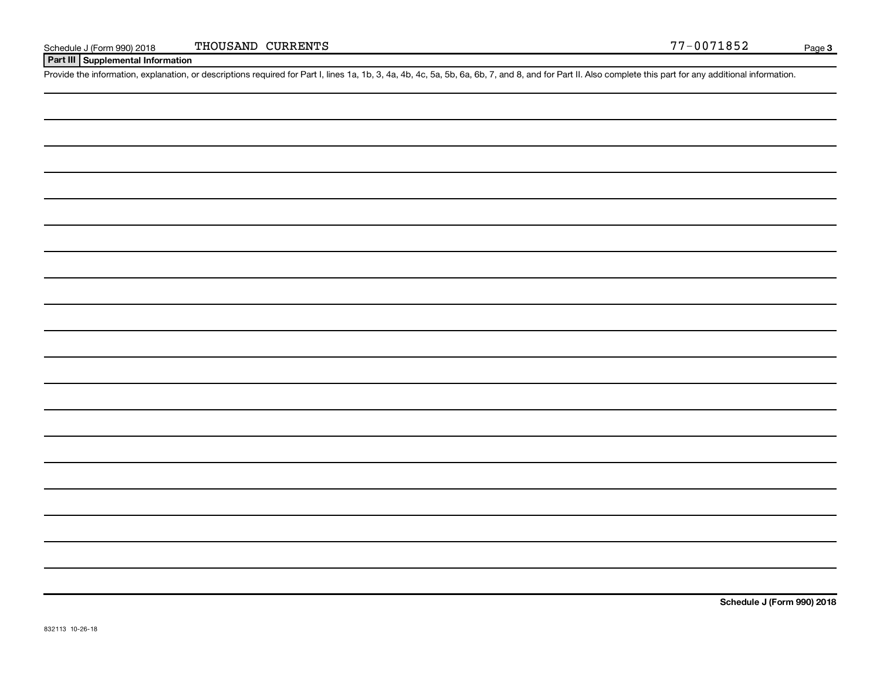**Part III Supplemental Information**

Provide the information, explanation, or descriptions required for Part I, lines 1a, 1b, 3, 4a, 4b, 4c, 5a, 5b, 6a, 6b, 7, and 8, and for Part II. Also complete this part for any additional information.

**Schedule J (Form 990) 2018**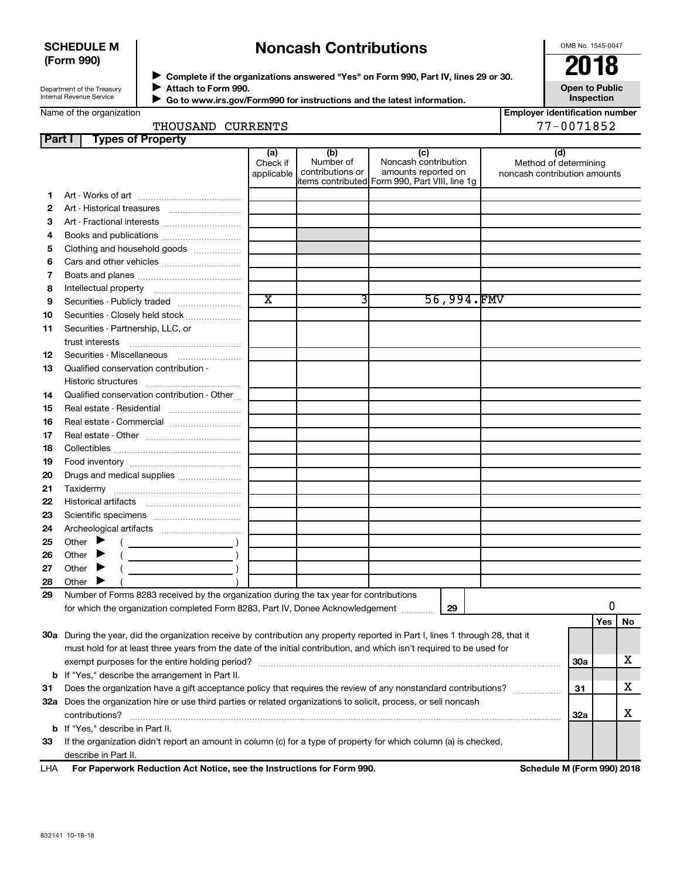## **SCHEDULE M (Form 990)**

# **Noncash Contributions**

OMB No. 1545-0047

| Department of the Treasury      |  |
|---------------------------------|--|
| <b>Internal Revenue Service</b> |  |

◆ Complete if the organizations answered "Yes" on Form 990, Part IV, lines 29 or 30.<br>▶ Complete if the organizations answered "Yes" on Form 990, Part IV, lines 29 or 30. **Attach to Form 990.**  $\blacktriangleright$ 

**Open to Public Inspection**

Name of the organization

| Go to www.irs.gov/Form990 for instructions and the latest information |
|-----------------------------------------------------------------------|
|                                                                       |

**Employer identification number**  $77-0071852$ 

| THOUSAND CURRENTS |  |
|-------------------|--|
| nge of Dronarty   |  |

| Part I | <b>Types of Property</b>                                                                                                       |                         |                               |                                                |            |                                                       |            |     |    |
|--------|--------------------------------------------------------------------------------------------------------------------------------|-------------------------|-------------------------------|------------------------------------------------|------------|-------------------------------------------------------|------------|-----|----|
|        |                                                                                                                                | (a)                     | (b)                           | (c)                                            |            | (d)                                                   |            |     |    |
|        |                                                                                                                                | Check if<br>applicable  | Number of<br>contributions or | Noncash contribution<br>amounts reported on    |            | Method of determining<br>noncash contribution amounts |            |     |    |
|        |                                                                                                                                |                         |                               | items contributed Form 990, Part VIII, line 1g |            |                                                       |            |     |    |
| 1.     |                                                                                                                                |                         |                               |                                                |            |                                                       |            |     |    |
| 2      |                                                                                                                                |                         |                               |                                                |            |                                                       |            |     |    |
| З      | Art - Fractional interests                                                                                                     |                         |                               |                                                |            |                                                       |            |     |    |
| 4      |                                                                                                                                |                         |                               |                                                |            |                                                       |            |     |    |
| 5      | Clothing and household goods                                                                                                   |                         |                               |                                                |            |                                                       |            |     |    |
| 6      |                                                                                                                                |                         |                               |                                                |            |                                                       |            |     |    |
| 7      |                                                                                                                                |                         |                               |                                                |            |                                                       |            |     |    |
| 8      |                                                                                                                                |                         |                               |                                                |            |                                                       |            |     |    |
| 9      | Securities - Publicly traded                                                                                                   | $\overline{\textbf{x}}$ | 31                            |                                                | 56,994.FMV |                                                       |            |     |    |
| 10     | Securities - Closely held stock                                                                                                |                         |                               |                                                |            |                                                       |            |     |    |
| 11     | Securities - Partnership, LLC, or                                                                                              |                         |                               |                                                |            |                                                       |            |     |    |
|        |                                                                                                                                |                         |                               |                                                |            |                                                       |            |     |    |
| 12     | Securities - Miscellaneous                                                                                                     |                         |                               |                                                |            |                                                       |            |     |    |
| 13     | Qualified conservation contribution -                                                                                          |                         |                               |                                                |            |                                                       |            |     |    |
|        |                                                                                                                                |                         |                               |                                                |            |                                                       |            |     |    |
| 14     | Qualified conservation contribution - Other                                                                                    |                         |                               |                                                |            |                                                       |            |     |    |
| 15     | Real estate - Residential                                                                                                      |                         |                               |                                                |            |                                                       |            |     |    |
| 16     | Real estate - Commercial                                                                                                       |                         |                               |                                                |            |                                                       |            |     |    |
| 17     |                                                                                                                                |                         |                               |                                                |            |                                                       |            |     |    |
| 18     |                                                                                                                                |                         |                               |                                                |            |                                                       |            |     |    |
| 19     |                                                                                                                                |                         |                               |                                                |            |                                                       |            |     |    |
| 20     | Drugs and medical supplies                                                                                                     |                         |                               |                                                |            |                                                       |            |     |    |
| 21     |                                                                                                                                |                         |                               |                                                |            |                                                       |            |     |    |
| 22     |                                                                                                                                |                         |                               |                                                |            |                                                       |            |     |    |
| 23     |                                                                                                                                |                         |                               |                                                |            |                                                       |            |     |    |
| 24     |                                                                                                                                |                         |                               |                                                |            |                                                       |            |     |    |
| 25     | Other $\blacktriangleright$                                                                                                    |                         |                               |                                                |            |                                                       |            |     |    |
| 26     | Other $\blacktriangleright$                                                                                                    |                         |                               |                                                |            |                                                       |            |     |    |
| 27     | Other                                                                                                                          |                         |                               |                                                |            |                                                       |            |     |    |
| 28     | Other $\blacktriangleright$                                                                                                    |                         |                               |                                                |            |                                                       |            |     |    |
| 29     | Number of Forms 8283 received by the organization during the tax year for contributions                                        |                         |                               |                                                |            |                                                       |            |     |    |
|        | for which the organization completed Form 8283, Part IV, Donee Acknowledgement [1111]                                          |                         |                               |                                                | 29         |                                                       |            | 0   |    |
|        |                                                                                                                                |                         |                               |                                                |            |                                                       |            | Yes | No |
|        | 30a During the year, did the organization receive by contribution any property reported in Part I, lines 1 through 28, that it |                         |                               |                                                |            |                                                       |            |     |    |
|        | must hold for at least three years from the date of the initial contribution, and which isn't required to be used for          |                         |                               |                                                |            |                                                       |            |     |    |
|        |                                                                                                                                |                         |                               |                                                |            |                                                       | <b>30a</b> |     | x  |
|        | <b>b</b> If "Yes," describe the arrangement in Part II.                                                                        |                         |                               |                                                |            |                                                       |            |     |    |
| 31     | Does the organization have a gift acceptance policy that requires the review of any nonstandard contributions?                 |                         |                               |                                                |            |                                                       | 31         |     | x  |
|        | 32a Does the organization hire or use third parties or related organizations to solicit, process, or sell noncash              |                         |                               |                                                |            |                                                       |            |     |    |
|        | contributions?                                                                                                                 |                         |                               |                                                |            |                                                       | 32a        |     | х  |
|        | <b>b</b> If "Yes," describe in Part II.                                                                                        |                         |                               |                                                |            |                                                       |            |     |    |
| 33     | If the organization didn't report an amount in column (c) for a type of property for which column (a) is checked,              |                         |                               |                                                |            |                                                       |            |     |    |
|        | describe in Part II.                                                                                                           |                         |                               |                                                |            |                                                       |            |     |    |
| LHA    | For Paperwork Reduction Act Notice, see the Instructions for Form 990.                                                         |                         |                               |                                                |            | Schedule M (Form 990) 2018                            |            |     |    |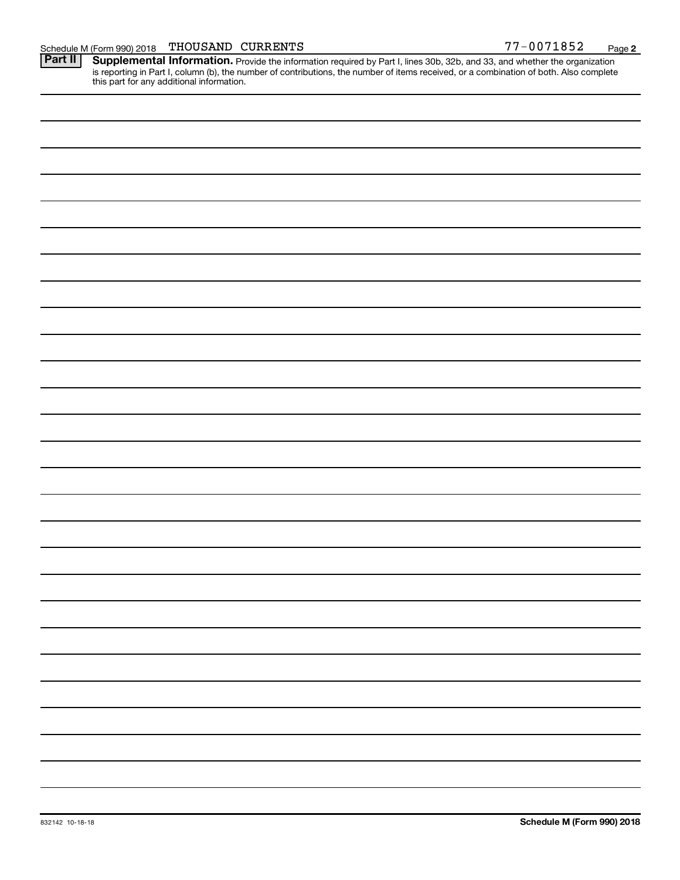**2**

Provide the information required by Part I, lines 30b, 32b, and 33, and whether the organization is reporting in Part I, column (b), the number of contributions, the number of items received, or a combination of both. Also complete this part for any additional information. **Part II Supplemental Information.**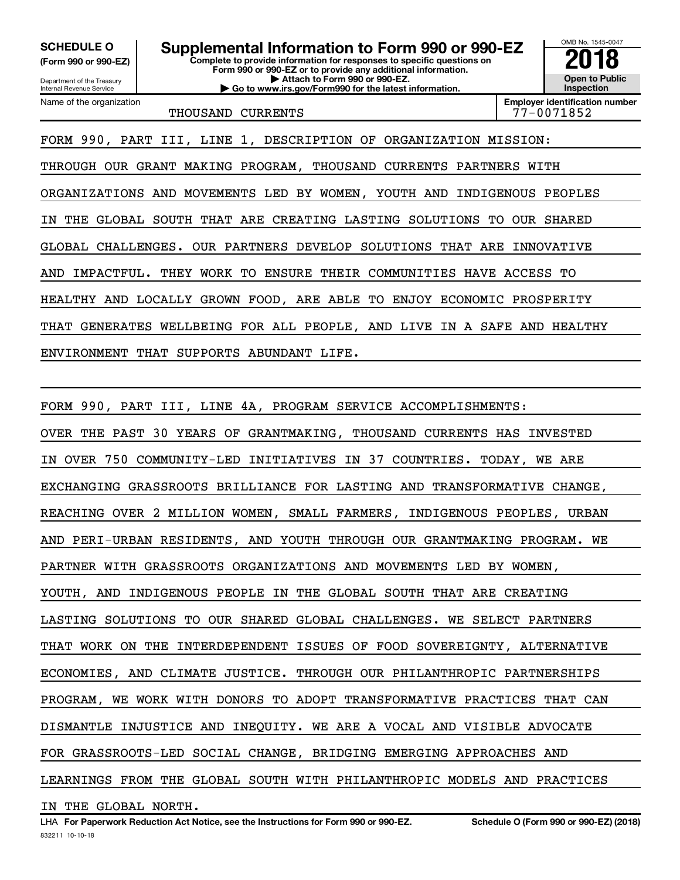**(Form 990 or 990-EZ)**

**Complete to provide information for responses to specific questions on Form 990 or 990-EZ or to provide any additional information. | Attach to Form 990 or 990-EZ. | Go to www.irs.gov/Form990 for the latest information.** SCHEDULE O **Supplemental Information to Form 990 or 990-EZ 2018**<br>(Form 990 or 990-EZ) Complete to provide information for responses to specific questions on



Department of the Treasury Internal Revenue Service Name of the organization

THOUSAND CURRENTS THOUSAND THAT THE THOUS AND THE THOUS AND THE THOUSAND THAT THE THING THAT THE THING THAT THE TH

**Employer identification number**

FORM 990, PART III, LINE 1, DESCRIPTION OF ORGANIZATION MISSION: THROUGH OUR GRANT MAKING PROGRAM, THOUSAND CURRENTS PARTNERS WITH ORGANIZATIONS AND MOVEMENTS LED BY WOMEN, YOUTH AND INDIGENOUS PEOPLES IN THE GLOBAL SOUTH THAT ARE CREATING LASTING SOLUTIONS TO OUR SHARED GLOBAL CHALLENGES. OUR PARTNERS DEVELOP SOLUTIONS THAT ARE INNOVATIVE AND IMPACTFUL. THEY WORK TO ENSURE THEIR COMMUNITIES HAVE ACCESS TO HEALTHY AND LOCALLY GROWN FOOD, ARE ABLE TO ENJOY ECONOMIC PROSPERITY THAT GENERATES WELLBEING FOR ALL PEOPLE, AND LIVE IN A SAFE AND HEALTHY ENVIRONMENT THAT SUPPORTS ABUNDANT LIFE.

FORM 990, PART III, LINE 4A, PROGRAM SERVICE ACCOMPLISHMENTS: OVER THE PAST 30 YEARS OF GRANTMAKING, THOUSAND CURRENTS HAS INVESTED IN OVER 750 COMMUNITY-LED INITIATIVES IN 37 COUNTRIES. TODAY, WE ARE EXCHANGING GRASSROOTS BRILLIANCE FOR LASTING AND TRANSFORMATIVE CHANGE, REACHING OVER 2 MILLION WOMEN, SMALL FARMERS, INDIGENOUS PEOPLES, URBAN AND PERI-URBAN RESIDENTS, AND YOUTH THROUGH OUR GRANTMAKING PROGRAM. WE PARTNER WITH GRASSROOTS ORGANIZATIONS AND MOVEMENTS LED BY WOMEN, YOUTH, AND INDIGENOUS PEOPLE IN THE GLOBAL SOUTH THAT ARE CREATING LASTING SOLUTIONS TO OUR SHARED GLOBAL CHALLENGES. WE SELECT PARTNERS THAT WORK ON THE INTERDEPENDENT ISSUES OF FOOD SOVEREIGNTY, ALTERNATIVE ECONOMIES, AND CLIMATE JUSTICE. THROUGH OUR PHILANTHROPIC PARTNERSHIPS PROGRAM, WE WORK WITH DONORS TO ADOPT TRANSFORMATIVE PRACTICES THAT CAN DISMANTLE INJUSTICE AND INEQUITY. WE ARE A VOCAL AND VISIBLE ADVOCATE FOR GRASSROOTS-LED SOCIAL CHANGE, BRIDGING EMERGING APPROACHES AND LEARNINGS FROM THE GLOBAL SOUTH WITH PHILANTHROPIC MODELS AND PRACTICES

IN THE GLOBAL NORTH.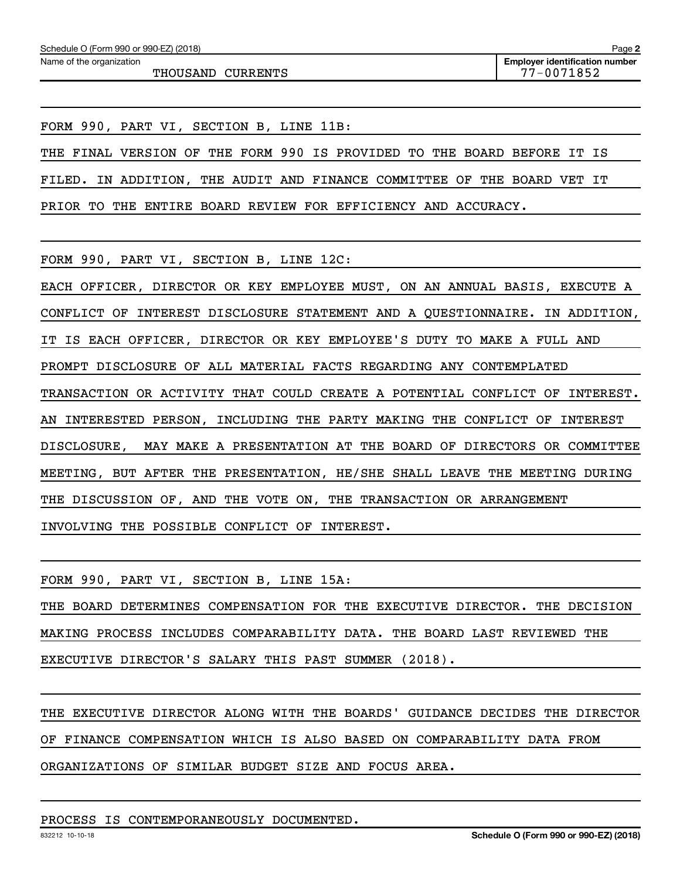Name of the organization

**Employer identification number** THOUSAND CURRENTS 77-0071852

FORM 990, PART VI, SECTION B, LINE 11B:

THE FINAL VERSION OF THE FORM 990 IS PROVIDED TO THE BOARD BEFORE IT IS FILED. IN ADDITION, THE AUDIT AND FINANCE COMMITTEE OF THE BOARD VET IT PRIOR TO THE ENTIRE BOARD REVIEW FOR EFFICIENCY AND ACCURACY.

FORM 990, PART VI, SECTION B, LINE 12C:

EACH OFFICER, DIRECTOR OR KEY EMPLOYEE MUST, ON AN ANNUAL BASIS, EXECUTE A CONFLICT OF INTEREST DISCLOSURE STATEMENT AND A QUESTIONNAIRE. IN ADDITION, IT IS EACH OFFICER, DIRECTOR OR KEY EMPLOYEE'S DUTY TO MAKE A FULL AND PROMPT DISCLOSURE OF ALL MATERIAL FACTS REGARDING ANY CONTEMPLATED TRANSACTION OR ACTIVITY THAT COULD CREATE A POTENTIAL CONFLICT OF INTEREST. AN INTERESTED PERSON, INCLUDING THE PARTY MAKING THE CONFLICT OF INTEREST DISCLOSURE, MAY MAKE A PRESENTATION AT THE BOARD OF DIRECTORS OR COMMITTEE MEETING, BUT AFTER THE PRESENTATION, HE/SHE SHALL LEAVE THE MEETING DURING THE DISCUSSION OF, AND THE VOTE ON, THE TRANSACTION OR ARRANGEMENT INVOLVING THE POSSIBLE CONFLICT OF INTEREST.

FORM 990, PART VI, SECTION B, LINE 15A: THE BOARD DETERMINES COMPENSATION FOR THE EXECUTIVE DIRECTOR. THE DECISION MAKING PROCESS INCLUDES COMPARABILITY DATA. THE BOARD LAST REVIEWED THE

EXECUTIVE DIRECTOR'S SALARY THIS PAST SUMMER (2018).

THE EXECUTIVE DIRECTOR ALONG WITH THE BOARDS' GUIDANCE DECIDES THE DIRECTOR OF FINANCE COMPENSATION WHICH IS ALSO BASED ON COMPARABILITY DATA FROM ORGANIZATIONS OF SIMILAR BUDGET SIZE AND FOCUS AREA.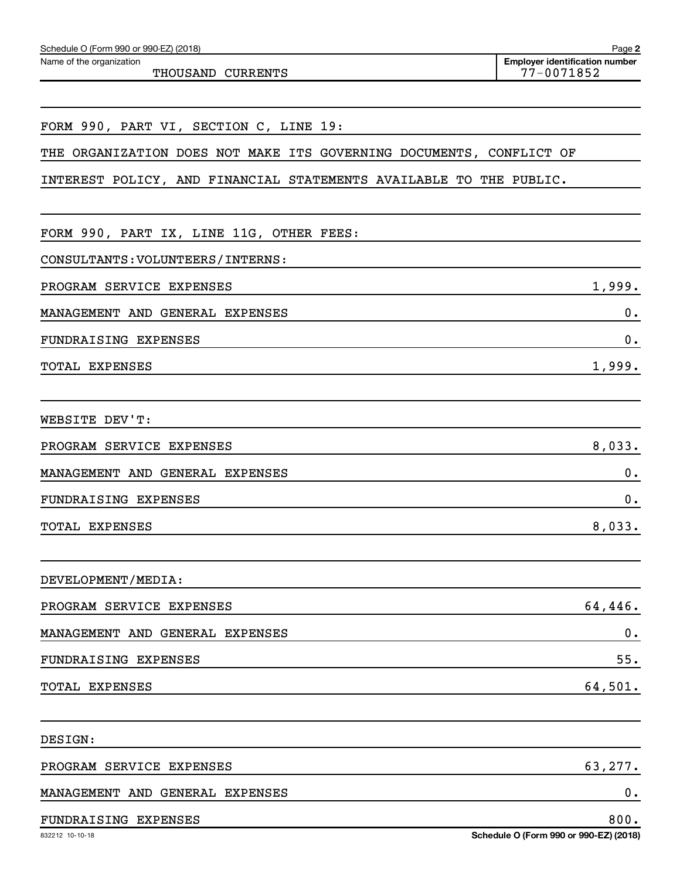| Schedule O (Form 990 or 990-EZ) (2018) | Page |  |
|----------------------------------------|------|--|
|                                        |      |  |

Name of the organization

THOUSAND CURRENTS

FORM 990, PART VI, SECTION C, LINE 19:

THE ORGANIZATION DOES NOT MAKE ITS GOVERNING DOCUMENTS, CONFLICT OF

INTEREST POLICY, AND FINANCIAL STATEMENTS AVAILABLE TO THE PUBLIC.

| FORM 990, PART IX, LINE 11G, OTHER FEES: |                                                |
|------------------------------------------|------------------------------------------------|
| CONSULTANTS: VOLUNTEERS / INTERNS:       |                                                |
| PROGRAM SERVICE EXPENSES                 | 1,999.                                         |
| MANAGEMENT AND GENERAL EXPENSES          | 0.                                             |
| FUNDRAISING EXPENSES                     | 0.                                             |
| TOTAL EXPENSES                           | 1,999.                                         |
| WEBSITE DEV'T:                           |                                                |
| PROGRAM SERVICE EXPENSES                 | 8,033.                                         |
| MANAGEMENT AND GENERAL EXPENSES          | 0.                                             |
| FUNDRAISING EXPENSES                     | 0.                                             |
| <b>TOTAL EXPENSES</b>                    | 8,033.                                         |
| DEVELOPMENT/MEDIA:                       |                                                |
| PROGRAM SERVICE EXPENSES                 | 64,446.                                        |
| MANAGEMENT AND GENERAL EXPENSES          | 0.                                             |
| FUNDRAISING EXPENSES                     | 55.                                            |
| TOTAL EXPENSES                           | 64,501.                                        |
| DESIGN:                                  |                                                |
| PROGRAM SERVICE EXPENSES                 | 63,277.                                        |
| MANAGEMENT AND GENERAL EXPENSES          | $\mathbf 0$ .                                  |
| FUNDRAISING EXPENSES<br>832212 10-10-18  | 800.<br>Schedule O (Form 990 or 990-EZ) (2018) |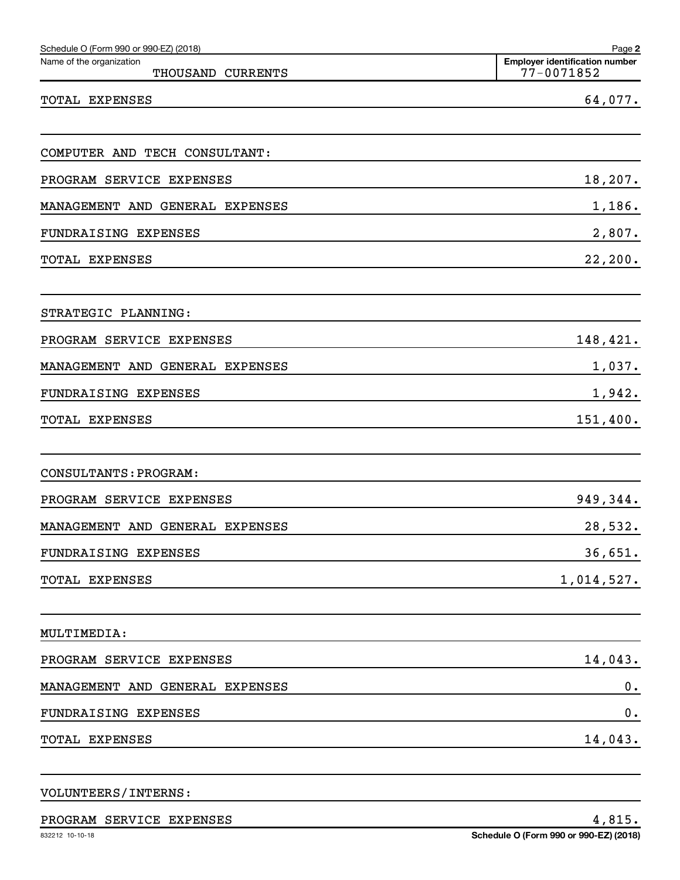| Schedule O (Form 990 or 990-EZ) (2018)        | Page 2                                              |
|-----------------------------------------------|-----------------------------------------------------|
| Name of the organization<br>THOUSAND CURRENTS | <b>Employer identification number</b><br>77-0071852 |
| TOTAL EXPENSES                                | 64,077.                                             |
| COMPUTER AND TECH CONSULTANT:                 |                                                     |
| PROGRAM SERVICE EXPENSES                      | 18,207.                                             |
| MANAGEMENT AND GENERAL EXPENSES               | 1,186.                                              |
| FUNDRAISING EXPENSES                          | 2,807.                                              |
| TOTAL EXPENSES                                | 22, 200.                                            |
| STRATEGIC PLANNING:                           |                                                     |
| PROGRAM SERVICE EXPENSES                      | 148,421.                                            |
| MANAGEMENT AND GENERAL EXPENSES               | 1,037.                                              |
| FUNDRAISING EXPENSES                          | 1,942.                                              |
| TOTAL EXPENSES                                | 151,400.                                            |
| CONSULTANTS: PROGRAM:                         |                                                     |
| PROGRAM SERVICE EXPENSES                      | 949,344.                                            |
| MANAGEMENT AND GENERAL EXPENSES               | 28,532.                                             |
| FUNDRAISING EXPENSES                          | 36,651.                                             |
| TOTAL EXPENSES                                | 1,014,527.                                          |
| MULTIMEDIA:                                   |                                                     |
| PROGRAM SERVICE EXPENSES                      | 14,043.                                             |
| MANAGEMENT AND GENERAL EXPENSES               | $0 \cdot$                                           |
| FUNDRAISING EXPENSES                          | $\mathbf 0$ .                                       |
| TOTAL EXPENSES                                | 14,043.                                             |
|                                               |                                                     |

VOLUNTEERS/INTERNS:

# PROGRAM SERVICE EXPENSES 4,815.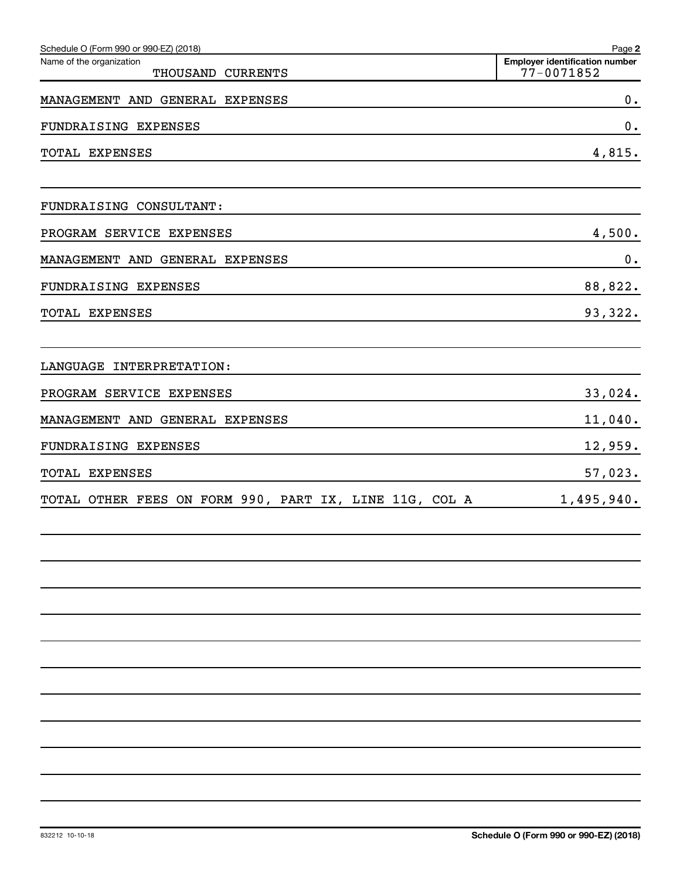| Schedule O (Form 990 or 990-EZ) (2018)                  | Page 2                                              |
|---------------------------------------------------------|-----------------------------------------------------|
| Name of the organization<br><b>CURRENTS</b><br>THOUSAND | <b>Employer identification number</b><br>77-0071852 |
| MANAGEMENT AND GENERAL EXPENSES                         | 0.                                                  |
| FUNDRAISING EXPENSES                                    | 0.                                                  |
| <b>TOTAL EXPENSES</b>                                   | 4,815.                                              |
| FUNDRAISING CONSULTANT:                                 |                                                     |
| PROGRAM SERVICE EXPENSES                                | 4,500.                                              |
| MANAGEMENT AND GENERAL EXPENSES                         | 0.                                                  |
| FUNDRAISING EXPENSES                                    | 88,822.                                             |
| TOTAL EXPENSES                                          | 93,322.                                             |
| LANGUAGE INTERPRETATION:                                |                                                     |
| PROGRAM SERVICE EXPENSES                                | 33,024.                                             |
| MANAGEMENT AND GENERAL EXPENSES                         | 11,040.                                             |
| FUNDRAISING EXPENSES                                    | 12,959.                                             |
| <b>TOTAL EXPENSES</b>                                   | 57,023.                                             |
| TOTAL OTHER FEES ON FORM 990, PART IX, LINE 11G, COL A  | 1,495,940.                                          |
|                                                         |                                                     |
|                                                         |                                                     |
|                                                         |                                                     |
|                                                         |                                                     |
|                                                         |                                                     |
|                                                         |                                                     |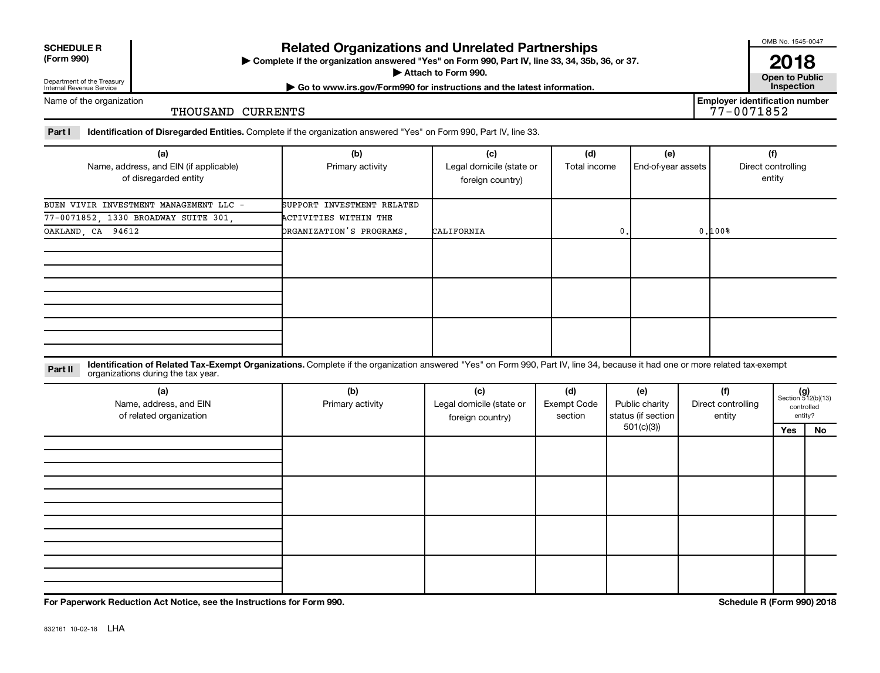| <b>SCHEDULE R</b> |  |
|-------------------|--|
| ----              |  |

## **Related Organizations and Unrelated Partnerships**

**(Form 990) Complete if the organization answered "Yes" on Form 990, Part IV, line 33, 34, 35b, 36, or 37.** |

**Attach to Form 990. Contract to Public** 

OMB No. 1545-0047

**2018**<br>Open to Public

**Employer identification number**

Department of the Treasury Internal Revenue Service

**| Go to www.irs.gov/Form990 for instructions and the latest information. Inspection**

Name of the organization

THOUSAND CURRENTS

Part I ldentification of Disregarded Entities. Complete if the organization answered "Yes" on Form 990, Part IV, line 33.

| (a)<br>Name, address, and EIN (if applicable)<br>of disregarded entity | (b)<br>Primary activity    | (c)<br>Legal domicile (state or<br>foreign country) | (d)<br>Total income | (e)<br>End-of-year assets | (f)<br>Direct controlling<br>entity |
|------------------------------------------------------------------------|----------------------------|-----------------------------------------------------|---------------------|---------------------------|-------------------------------------|
| BUEN VIVIR INVESTMENT MANAGEMENT LLC -                                 | SUPPORT INVESTMENT RELATED |                                                     |                     |                           |                                     |
| 77-0071852, 1330 BROADWAY SUITE 301,                                   | ACTIVITIES WITHIN THE      |                                                     |                     |                           |                                     |
| OAKLAND, CA 94612                                                      | DRGANIZATION'S PROGRAMS.   | CALIFORNIA                                          | 0 <sub>z</sub>      |                           | $0.100$ <sup>8</sup>                |
|                                                                        |                            |                                                     |                     |                           |                                     |
|                                                                        |                            |                                                     |                     |                           |                                     |
|                                                                        |                            |                                                     |                     |                           |                                     |

**Part II** Identification of Related Tax-Exempt Organizations. Complete if the organization answered "Yes" on Form 990, Part IV, line 34, because it had one or more related tax-exempt<br>Part II acconizations during the tax ye organizations during the tax year.

| (a)<br>Name, address, and EIN<br>of related organization | (b)<br>Primary activity | (c)<br>Legal domicile (state or<br>foreign country) | (d)<br><b>Exempt Code</b><br>section | (e)<br>Public charity<br>status (if section | (f)<br>Direct controlling<br>entity |     | $(g)$<br>Section 512(b)(13)<br>controlled<br>entity? |  |
|----------------------------------------------------------|-------------------------|-----------------------------------------------------|--------------------------------------|---------------------------------------------|-------------------------------------|-----|------------------------------------------------------|--|
|                                                          |                         |                                                     |                                      | 501(c)(3))                                  |                                     | Yes | No                                                   |  |
|                                                          |                         |                                                     |                                      |                                             |                                     |     |                                                      |  |
|                                                          |                         |                                                     |                                      |                                             |                                     |     |                                                      |  |
|                                                          |                         |                                                     |                                      |                                             |                                     |     |                                                      |  |
|                                                          |                         |                                                     |                                      |                                             |                                     |     |                                                      |  |
|                                                          |                         |                                                     |                                      |                                             |                                     |     |                                                      |  |
|                                                          |                         |                                                     |                                      |                                             |                                     |     |                                                      |  |
|                                                          |                         |                                                     |                                      |                                             |                                     |     |                                                      |  |
|                                                          |                         |                                                     |                                      |                                             |                                     |     |                                                      |  |
|                                                          |                         |                                                     |                                      |                                             |                                     |     |                                                      |  |
|                                                          |                         |                                                     |                                      |                                             |                                     |     |                                                      |  |
|                                                          |                         |                                                     |                                      |                                             |                                     |     |                                                      |  |

**For Paperwork Reduction Act Notice, see the Instructions for Form 990. Schedule R (Form 990) 2018**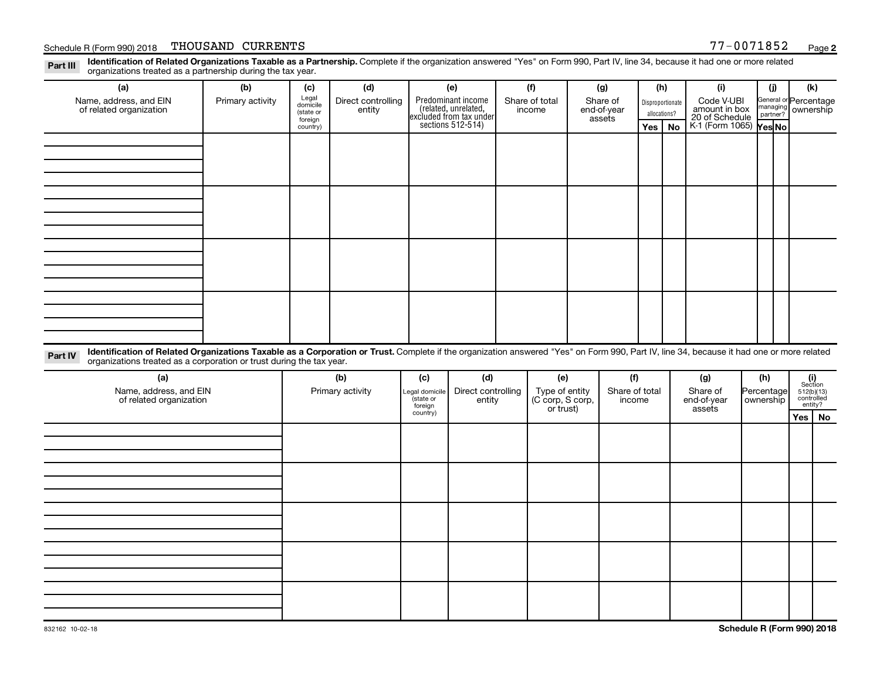Disproportionate allocations? Legal domicile (state or foreign country) General or Percentage managing partner? Section 512(b)(13) controlled entity? Legal domicile (state or foreign country) Part III Identification of Related Organizations Taxable as a Partnership. Complete if the organization answered "Yes" on Form 990, Part IV, line 34, because it had one or more related<br>Read to the organizations tracted as **(a) (b) (c) (d) (e) (f) (g) (h) (i) (j) (k) Yes No Yes No** K-1 (Form 1065) Part IV Identification of Related Organizations Taxable as a Corporation or Trust. Complete if the organization answered "Yes" on Form 990, Part IV, line 34, because it had one or more related **(a) (b) (c) (d) (e) (f) (g) (h) (i) Yes No** Predominant income<br>(related, unrelated, excluded from tax under sections 512-514) Schedule R (Form 990) 2018 THOUSAND CURRENTS Page 3 ACC 2018 12:30 Apple 2018 12:30 Apple 2018 12:30 Apple 201 organizations treated as a partnership during the tax year. Name, address, and EIN of related organization Primary activity  $\left| \begin{array}{c} \text{Legal} \\ \text{diamial} \end{array} \right|$  Direct controlling entity Share of total income Share of end-of-year assets Code V-UBI<br>amount in box 20 of Schedule ownership organizations treated as a corporation or trust during the tax year. Name, address, and EIN of related organization Primary activity |Legal domicile | Direct controlling entity Type of entity (C corp, S corp, or trust) Share of total income Share of end-of-year assets Percentage ownership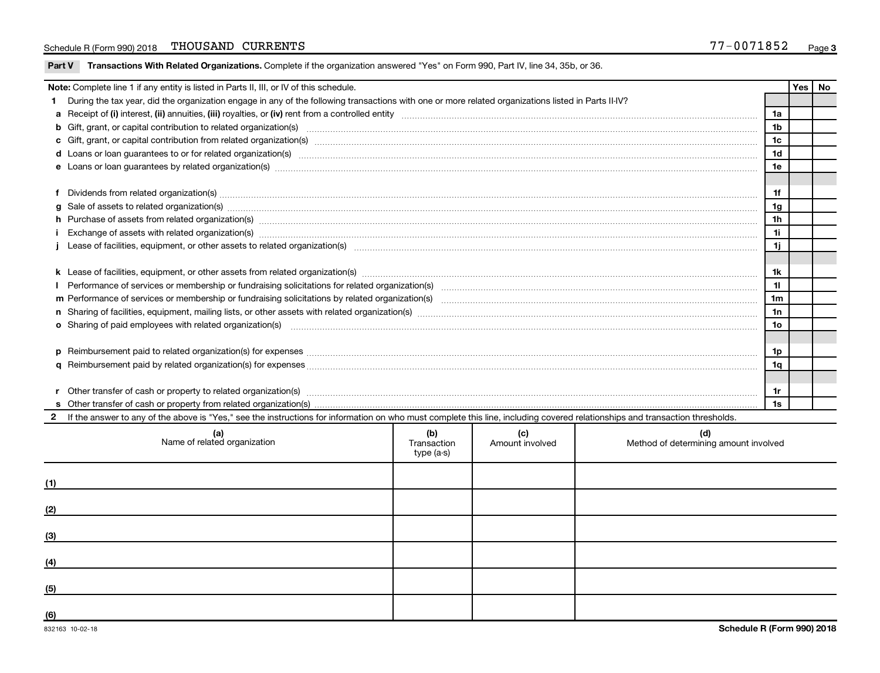## Schedule R (Form 990) 2018 THOUSAND CURRENTS Page 3 ACC 2018 12:30 Apple 2018 12:30 Apple 2018 12:30 Apple 201

Part V Transactions With Related Organizations. Complete if the organization answered "Yes" on Form 990, Part IV, line 34, 35b, or 36.

|   | Note: Complete line 1 if any entity is listed in Parts II, III, or IV of this schedule.                                                                                                                                        |                | Yes   No |
|---|--------------------------------------------------------------------------------------------------------------------------------------------------------------------------------------------------------------------------------|----------------|----------|
|   | During the tax year, did the organization engage in any of the following transactions with one or more related organizations listed in Parts II-IV?                                                                            |                |          |
|   |                                                                                                                                                                                                                                | 1a             |          |
|   | b Gift, grant, or capital contribution to related organization(s) manufactured content and content of the contribution to related organization(s) manufactured content and content of the content of the content of the conten | 1 <sub>b</sub> |          |
|   |                                                                                                                                                                                                                                | 1c             |          |
|   | d Loans or loan guarantees to or for related organization(s) mature content to the content of the content of the content of the content of the content of the content of the content of the content of the content of the cont | 1 <sub>d</sub> |          |
|   |                                                                                                                                                                                                                                | 1e             |          |
|   |                                                                                                                                                                                                                                |                |          |
| f |                                                                                                                                                                                                                                | 1f             |          |
|   |                                                                                                                                                                                                                                | 1 <sub>g</sub> |          |
|   | h Purchase of assets from related organization(s) manufactured content to the content of the content of the content of the content of the content of the content of the content of the content of the content of the content o | 1h             |          |
|   | Exchange of assets with related organization(s) www.andron.com/www.andron.com/www.andron.com/www.andron.com/www.andron.com/www.andron.com/www.andron.com/www.andron.com/www.andron.com/www.andron.com/www.andron.com/www.andro | 11             |          |
|   |                                                                                                                                                                                                                                | 1j             |          |
|   |                                                                                                                                                                                                                                |                |          |
|   |                                                                                                                                                                                                                                | 1k             |          |
|   |                                                                                                                                                                                                                                | 11             |          |
|   |                                                                                                                                                                                                                                | 1 <sub>m</sub> |          |
|   |                                                                                                                                                                                                                                | 1n             |          |
|   | o Sharing of paid employees with related organization(s) material content to the content of the state of paid employees with related organization(s) material content of the state of the state of the state of the state of t | 1o             |          |
|   |                                                                                                                                                                                                                                |                |          |
|   |                                                                                                                                                                                                                                | 1p             |          |
|   |                                                                                                                                                                                                                                | 1q             |          |
|   |                                                                                                                                                                                                                                |                |          |
|   | Other transfer of cash or property to related organization(s) manufaction contains and contain an account of the results of the results of the results of the results of the results of the results of the results of the resu | 1r             |          |
|   |                                                                                                                                                                                                                                | 1s             |          |
|   | If the answer to any of the above is "Yes," see the instructions for information on who must complete this line, including covered relationships and transaction thresholds.                                                   |                |          |

|     | (a)<br>Name of related organization | (b)<br>Transaction<br>type (a-s) | (c)<br>Amount involved | (d)<br>Method of determining amount involved |
|-----|-------------------------------------|----------------------------------|------------------------|----------------------------------------------|
| (1) |                                     |                                  |                        |                                              |
| (2) |                                     |                                  |                        |                                              |
| (3) |                                     |                                  |                        |                                              |
| (4) |                                     |                                  |                        |                                              |
| (5) |                                     |                                  |                        |                                              |
| (6) |                                     |                                  |                        |                                              |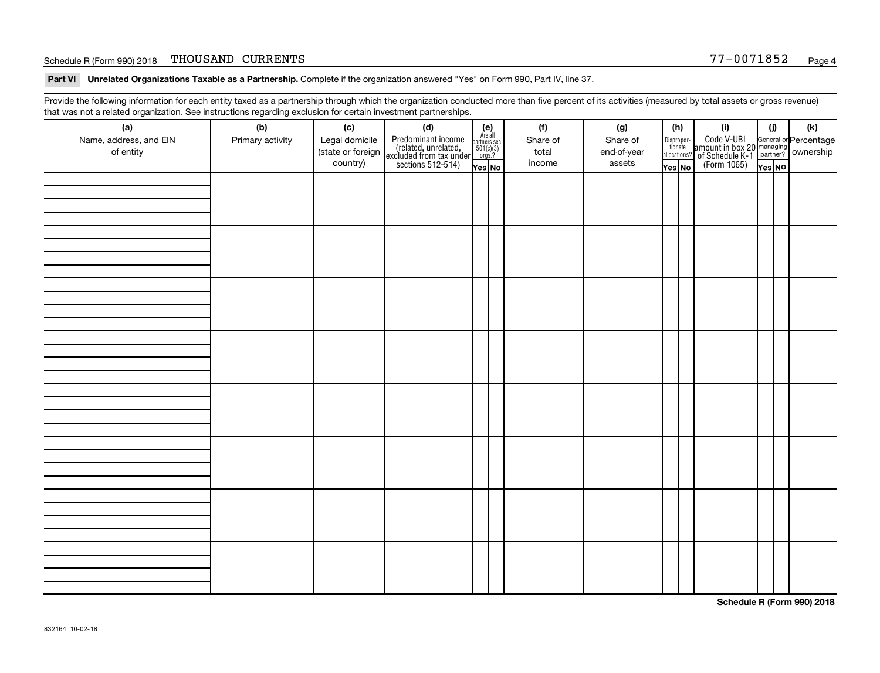## Schedule R (Form 990) 2018 THOUSAND CURRENTS Page 3 ACC 2018 12:30 Apple 2018 12:30 Apple 2018 12:30 Apple 201

Part VI Unrelated Organizations Taxable as a Partnership. Complete if the organization answered "Yes" on Form 990, Part IV, line 37.

Provide the following information for each entity taxed as a partnership through which the organization conducted more than five percent of its activities (measured by total assets or gross revenue) that was not a related organization. See instructions regarding exclusion for certain investment partnerships.

| -----------            |                  |                   | . <b>. .</b><br>                                                                           |                                                              |  |          |             |        |                       |                                                                        |        |  | $(\mathsf{k})$                                          |  |  |  |
|------------------------|------------------|-------------------|--------------------------------------------------------------------------------------------|--------------------------------------------------------------|--|----------|-------------|--------|-----------------------|------------------------------------------------------------------------|--------|--|---------------------------------------------------------|--|--|--|
| (a)                    | (b)              | (c)               | (d)                                                                                        | (e)<br>Are all<br>partners sec.<br>$\frac{501(c)(3)}{0rgs?}$ |  | (f)      | (g)         |        | (h)                   | (i)                                                                    | (i)    |  |                                                         |  |  |  |
| Name, address, and EIN | Primary activity | Legal domicile    | Predominant income<br>(related, unrelated,<br>excluded from tax under<br>sections 512-514) |                                                              |  | Share of | Share of    |        | Dispropor-<br>tionate | Code V-UBI<br>  amount in box 20<br>! of Schedule K-1<br>  (Form 1065) |        |  | General or Percentage<br>managing<br>partner? Ownership |  |  |  |
| of entity              |                  | (state or foreign |                                                                                            |                                                              |  | total    | end-of-year |        | allocations?          |                                                                        |        |  |                                                         |  |  |  |
|                        |                  | country)          |                                                                                            | Yes No                                                       |  | income   | assets      | Yes No |                       |                                                                        | Yes NO |  |                                                         |  |  |  |
|                        |                  |                   |                                                                                            |                                                              |  |          |             |        |                       |                                                                        |        |  |                                                         |  |  |  |
|                        |                  |                   |                                                                                            |                                                              |  |          |             |        |                       |                                                                        |        |  |                                                         |  |  |  |
|                        |                  |                   |                                                                                            |                                                              |  |          |             |        |                       |                                                                        |        |  |                                                         |  |  |  |
|                        |                  |                   |                                                                                            |                                                              |  |          |             |        |                       |                                                                        |        |  |                                                         |  |  |  |
|                        |                  |                   |                                                                                            |                                                              |  |          |             |        |                       |                                                                        |        |  |                                                         |  |  |  |
|                        |                  |                   |                                                                                            |                                                              |  |          |             |        |                       |                                                                        |        |  |                                                         |  |  |  |
|                        |                  |                   |                                                                                            |                                                              |  |          |             |        |                       |                                                                        |        |  |                                                         |  |  |  |
|                        |                  |                   |                                                                                            |                                                              |  |          |             |        |                       |                                                                        |        |  |                                                         |  |  |  |
|                        |                  |                   |                                                                                            |                                                              |  |          |             |        |                       |                                                                        |        |  |                                                         |  |  |  |
|                        |                  |                   |                                                                                            |                                                              |  |          |             |        |                       |                                                                        |        |  |                                                         |  |  |  |
|                        |                  |                   |                                                                                            |                                                              |  |          |             |        |                       |                                                                        |        |  |                                                         |  |  |  |
|                        |                  |                   |                                                                                            |                                                              |  |          |             |        |                       |                                                                        |        |  |                                                         |  |  |  |
|                        |                  |                   |                                                                                            |                                                              |  |          |             |        |                       |                                                                        |        |  |                                                         |  |  |  |
|                        |                  |                   |                                                                                            |                                                              |  |          |             |        |                       |                                                                        |        |  |                                                         |  |  |  |
|                        |                  |                   |                                                                                            |                                                              |  |          |             |        |                       |                                                                        |        |  |                                                         |  |  |  |
|                        |                  |                   |                                                                                            |                                                              |  |          |             |        |                       |                                                                        |        |  |                                                         |  |  |  |
|                        |                  |                   |                                                                                            |                                                              |  |          |             |        |                       |                                                                        |        |  |                                                         |  |  |  |
|                        |                  |                   |                                                                                            |                                                              |  |          |             |        |                       |                                                                        |        |  |                                                         |  |  |  |
|                        |                  |                   |                                                                                            |                                                              |  |          |             |        |                       |                                                                        |        |  |                                                         |  |  |  |
|                        |                  |                   |                                                                                            |                                                              |  |          |             |        |                       |                                                                        |        |  |                                                         |  |  |  |
|                        |                  |                   |                                                                                            |                                                              |  |          |             |        |                       |                                                                        |        |  |                                                         |  |  |  |
|                        |                  |                   |                                                                                            |                                                              |  |          |             |        |                       |                                                                        |        |  |                                                         |  |  |  |
|                        |                  |                   |                                                                                            |                                                              |  |          |             |        |                       |                                                                        |        |  |                                                         |  |  |  |
|                        |                  |                   |                                                                                            |                                                              |  |          |             |        |                       |                                                                        |        |  |                                                         |  |  |  |
|                        |                  |                   |                                                                                            |                                                              |  |          |             |        |                       |                                                                        |        |  |                                                         |  |  |  |
|                        |                  |                   |                                                                                            |                                                              |  |          |             |        |                       |                                                                        |        |  |                                                         |  |  |  |
|                        |                  |                   |                                                                                            |                                                              |  |          |             |        |                       |                                                                        |        |  |                                                         |  |  |  |
|                        |                  |                   |                                                                                            |                                                              |  |          |             |        |                       |                                                                        |        |  |                                                         |  |  |  |
|                        |                  |                   |                                                                                            |                                                              |  |          |             |        |                       |                                                                        |        |  |                                                         |  |  |  |
|                        |                  |                   |                                                                                            |                                                              |  |          |             |        |                       |                                                                        |        |  |                                                         |  |  |  |
|                        |                  |                   |                                                                                            |                                                              |  |          |             |        |                       |                                                                        |        |  |                                                         |  |  |  |
|                        |                  |                   |                                                                                            |                                                              |  |          |             |        |                       |                                                                        |        |  |                                                         |  |  |  |
|                        |                  |                   |                                                                                            |                                                              |  |          |             |        |                       |                                                                        |        |  |                                                         |  |  |  |
|                        |                  |                   |                                                                                            |                                                              |  |          |             |        |                       |                                                                        |        |  |                                                         |  |  |  |
|                        |                  |                   |                                                                                            |                                                              |  |          |             |        |                       |                                                                        |        |  |                                                         |  |  |  |
|                        |                  |                   |                                                                                            |                                                              |  |          |             |        |                       |                                                                        |        |  |                                                         |  |  |  |

**Schedule R (Form 990) 2018**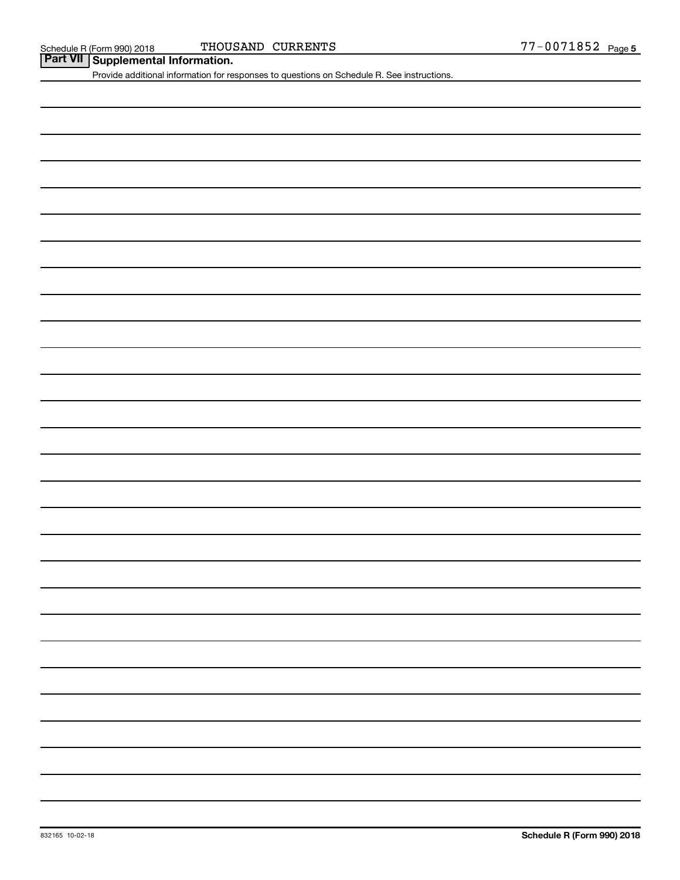$\overline{\phantom{0}}$ 

## Schedule R (Form 990) 2018 THOUSAND CURRENTS THE RESERVED BY THE Rage Constant OF THE Page

# **Part VII Supplemental Information.**<br>**Part VII Supplemental Information.**

Provide additional information for responses to questions on Schedule R. See instructions.

 $\overline{\phantom{0}}$ 

J.